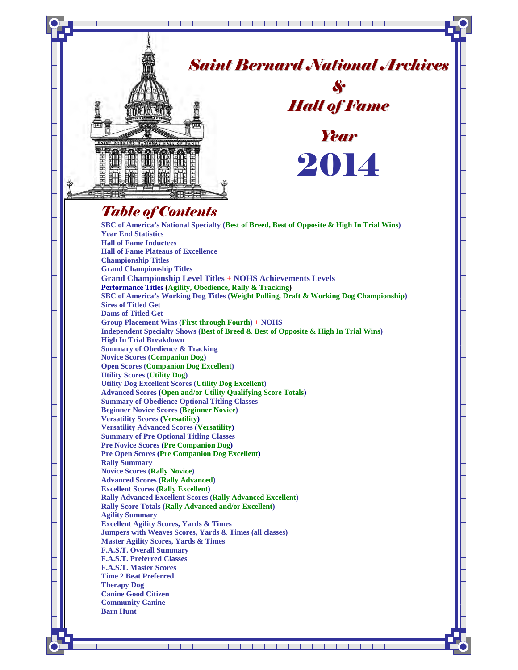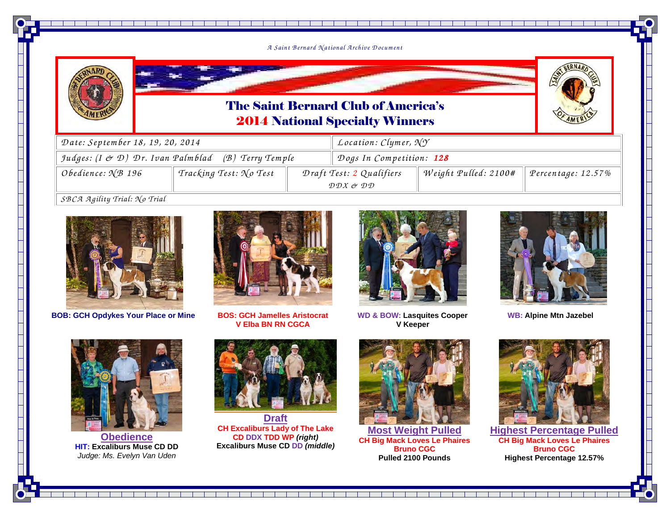

<u> 1994 - Joseph Amerikaansk politiker (</u>



### The Saint Bernard Club of America's2014 National Specialty Winners



| Date: September 18, 19, 20, 2014                               |                        |                                                                                   | <i>Location: Clymer, <math>\mathcal{N} \mathcal{Y}</math></i> |                      |                    |  |  |
|----------------------------------------------------------------|------------------------|-----------------------------------------------------------------------------------|---------------------------------------------------------------|----------------------|--------------------|--|--|
| Judges: $(I \not\subset D)$ Dr. Ivan Palmblad (B) Terry Temple |                        |                                                                                   | Dogs In Competition: 128                                      |                      |                    |  |  |
| Obedience: $\sqrt{\mathcal{B}}$ 196                            | Tracking Test: No Test | Draft Test: 2 Qualifiers<br>$\mathcal{D}\mathcal{D}X$ or $\mathcal{D}\mathcal{D}$ |                                                               | Weight Pulled: 2100# | Percentage: 12.57% |  |  |
| $CRC2$ $2$ $ai$ $fitu$ $Tri0$ $Gri0$                           |                        |                                                                                   |                                                               |                      |                    |  |  |

*SB CA <sup>A</sup> <sup>g</sup>ility Trial: N o Trial*



**BOB: GCH Opdykes Your Place or Mine**



 **BOS: GCH Jamelles Aristocrat V Elba BN RN CGCA** 



**WD & BOW: Lasquites Cooper V Keeper**



**WB: Alpine Mtn Jazebel**



**Obedience HIT: Excaliburs Muse CD DD** Judge: Ms. Evelyn Van Uden



**Draft CH Excaliburs Lady of The Lake CD DDX TDD WP (right)Excaliburs Muse CD DD (middle)**



**Most Weight Pulled CH Big Mack Loves Le Phaires Bruno CGCPulled 2100 Pounds** 



**Highest Percentage PulledCH Big Mack Loves Le Phaires Bruno CGCHighest Percentage 12.57%**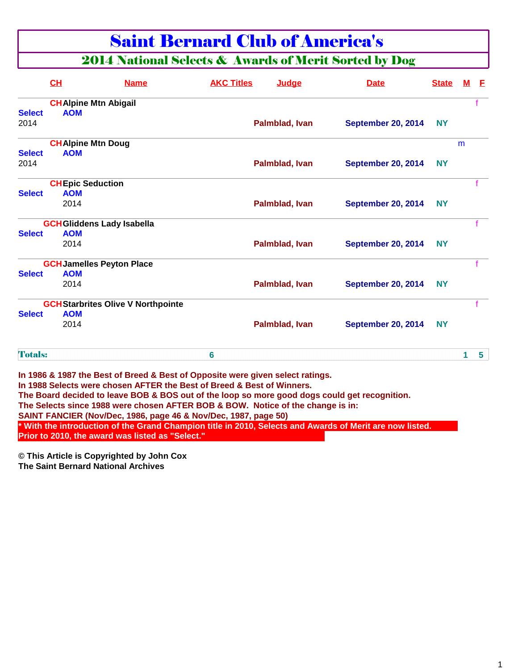## Saint Bernard Club of America's

## 2014 National Selects & Awards of Merit Sorted by Dog

|                | CL                               | <b>Name</b>                               | <b>AKC Titles</b> | Judge          | <b>Date</b>               | <b>State</b> | M            | -E             |
|----------------|----------------------------------|-------------------------------------------|-------------------|----------------|---------------------------|--------------|--------------|----------------|
|                | <b>CHAlpine Mtn Abigail</b>      |                                           |                   |                |                           |              |              |                |
| <b>Select</b>  | <b>AOM</b>                       |                                           |                   |                |                           |              |              |                |
| 2014           |                                  |                                           |                   | Palmblad, Ivan | September 20, 2014        | <b>NY</b>    |              |                |
|                | <b>CHAlpine Mtn Doug</b>         |                                           |                   |                |                           |              | m            |                |
| <b>Select</b>  | <b>AOM</b>                       |                                           |                   |                |                           |              |              |                |
| 2014           |                                  |                                           |                   | Palmblad, Ivan | <b>September 20, 2014</b> | <b>NY</b>    |              |                |
|                | <b>CHEpic Seduction</b>          |                                           |                   |                |                           |              |              |                |
| <b>Select</b>  | <b>AOM</b>                       |                                           |                   |                |                           |              |              |                |
|                | 2014                             |                                           |                   | Palmblad, Ivan | <b>September 20, 2014</b> | <b>NY</b>    |              |                |
|                | <b>GCHGliddens Lady Isabella</b> |                                           |                   |                |                           |              |              |                |
| <b>Select</b>  | <b>AOM</b>                       |                                           |                   |                |                           |              |              |                |
|                | 2014                             |                                           |                   | Palmblad, Ivan | <b>September 20, 2014</b> | <b>NY</b>    |              |                |
|                | <b>GCH Jamelles Peyton Place</b> |                                           |                   |                |                           |              |              |                |
| <b>Select</b>  | <b>AOM</b>                       |                                           |                   |                |                           |              |              |                |
|                | 2014                             |                                           |                   | Palmblad, Ivan | September 20, 2014        | <b>NY</b>    |              |                |
|                |                                  | <b>GCH Starbrites Olive V Northpointe</b> |                   |                |                           |              |              |                |
| <b>Select</b>  | <b>AOM</b>                       |                                           |                   |                |                           |              |              |                |
|                | 2014                             |                                           |                   | Palmblad, Ivan | <b>September 20, 2014</b> | <b>NY</b>    |              |                |
| <b>Totals:</b> |                                  |                                           | 6                 |                |                           |              | $\mathbf{1}$ | 5 <sup>5</sup> |

**In 1988 Selects were chosen AFTER the Best of Breed & Best of Winners.**

**The Board decided to leave BOB & BOS out of the loop so more good dogs could get recognition.**

**The Selects since 1988 were chosen AFTER BOB & BOW. Notice of the change is in:**

**SAINT FANCIER (Nov/Dec, 1986, page 46 & Nov/Dec, 1987, page 50)**

**\* With the introduction of the Grand Champion title in 2010, Selects and Awards of Merit are now listed. Prior to 2010, the award was listed as "Select."**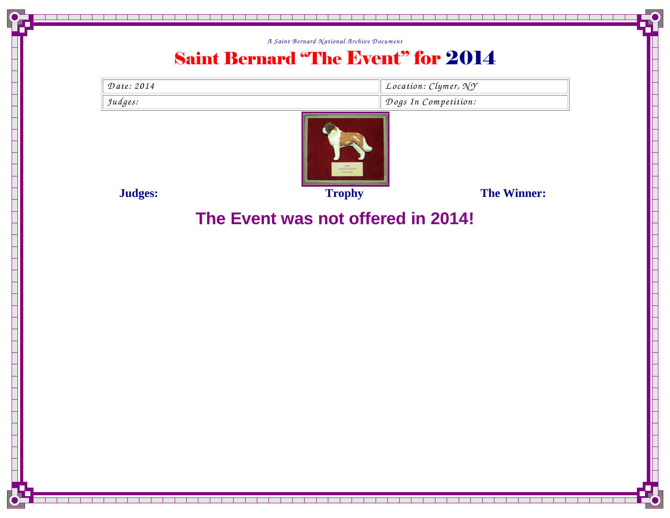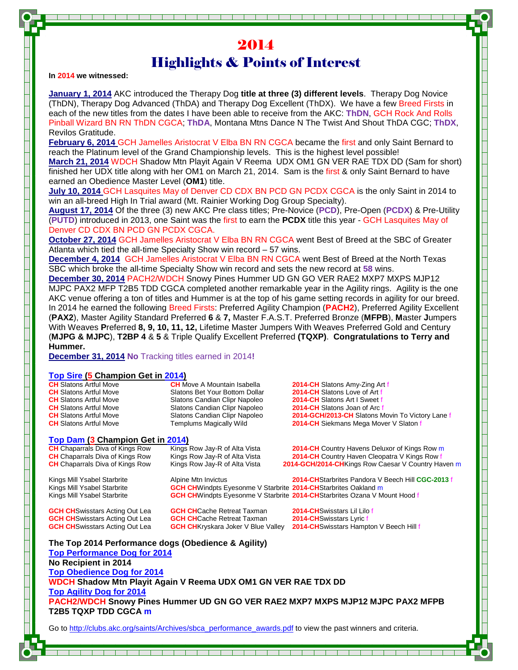## 2014 Highlights & Points of Interest

**In 2014 we witnessed:** 

**January 1, 2014** AKC introduced the Therapy Dog **title at three (3) different levels**. Therapy Dog Novice (ThDN), Therapy Dog Advanced (ThDA) and Therapy Dog Excellent (ThDX). We have a few Breed Firsts in each of the new titles from the dates I have been able to receive from the AKC: **ThDN**, GCH Rock And Rolls Pinball Wizard BN RN ThDN CGCA; **ThDA**, Montana Mtns Dance N The Twist And Shout ThDA CGC; **ThDX**, Revilos Gratitude.

**February 6, 2014** GCH Jamelles Aristocrat V Elba BN RN CGCA became the first and only Saint Bernard to reach the Platinum level of the Grand Championship levels. This is the highest level possible!

**March 21, 2014** WDCH Shadow Mtn Playit Again V Reema UDX OM1 GN VER RAE TDX DD (Sam for short) finished her UDX title along with her OM1 on March 21, 2014. Sam is the first & only Saint Bernard to have earned an Obedience Master Level (**OM1**) title.

**July 10, 2014** GCH Lasquites May of Denver CD CDX BN PCD GN PCDX CGCA is the only Saint in 2014 to win an all-breed High In Trial award (Mt. Rainier Working Dog Group Specialty).

**August 17, 2014** Of the three (3) new AKC Pre class titles; Pre-Novice (**PCD**), Pre-Open (**PCDX**) & Pre-Utility (**PUTD**) introduced in 2013, one Saint was the first to earn the **PCDX** title this year - GCH Lasquites May of Denver CD CDX BN PCD GN PCDX CGCA.

**October 27, 2014** GCH Jamelles Aristocrat V Elba BN RN CGCA went Best of Breed at the SBC of Greater Atlanta which tied the all-time Specialty Show win record – 57 wins.

**December 4, 2014** GCH Jamelles Aristocrat V Elba BN RN CGCA went Best of Breed at the North Texas SBC which broke the all-time Specialty Show win record and sets the new record at **58** wins.

**December 30, 2014** PACH2/WDCH Snowy Pines Hummer UD GN GO VER RAE2 MXP7 MXPS MJP12 MJPC PAX2 MFP T2B5 TDD CGCA completed another remarkable year in the Agility rings. Agility is the one AKC venue offering a ton of titles and Hummer is at the top of his game setting records in agility for our breed. In 2014 he earned the following Breed Firsts: Preferred Agility Champion (**PACH2**), Preferred Agility Excellent (**PAX2**), Master Agility Standard Preferred **6** & **7,** Master F.A.S.T. Preferred Bronze (**MFPB**), **M**aster **J**umpers With Weaves **P**referred **8, 9, 10, 11, 12,** Lifetime Master Jumpers With Weaves Preferred Gold and Century (**MJPG & MJPC**), **T2BP 4** & **5** & Triple Qualify Excellent Preferred **(TQXP)**. **Congratulations to Terry and Hummer.** 

**December 31, 2014 No** Tracking titles earned in 2014**!**

#### **Top Sire (5 Champion Get in 2014)**

| <b>CH</b> Slatons Artful Move | <b>CH</b> Move A Mountain Isabella | 2014-CH Slatons Amy-Zing Art f                   |
|-------------------------------|------------------------------------|--------------------------------------------------|
| <b>CH</b> Slatons Artful Move | Slatons Bet Your Bottom Dollar     | 2014-CH Slatons Love of Art f                    |
| <b>CH</b> Slatons Artful Move | Slatons Candian Clipr Napoleo      | 2014-CH Slatons Art I Sweet f                    |
| <b>CH</b> Slatons Artful Move | Slatons Candian Clipr Napoleo      | <b>2014-CH</b> Slatons Joan of Arc f             |
| <b>CH</b> Slatons Artful Move | Slatons Candian Clipr Napoleo      | 2014-GCH/2013-CH Slatons Movin To Victory Lane f |
| <b>CH</b> Slatons Artful Move | Templums Magically Wild            | <b>2014-CH</b> Siekmans Mega Mover V Slaton f    |
|                               |                                    |                                                  |
|                               |                                    |                                                  |

### **Top Dam (3 Champion Get in 2014)**

**CH** Chaparrals Diva of Kings Row Kings Row Jay-R of Alta Vista **2014-CH** Country Havens Deluxor of Kings Row m **CH** Chaparrals Diva of Kings Row Kings Row Jay-R of Alta Vista **2014-CH** Country Haven Cleopatra V Kings Row for a CH Chaparrals Diva of Kings Row Kings Row Kings Row ay-R of Alta Vista **2014-GCH/2014-CH** Kings Row Caesar 2014-GCH/2014-CHKings Row Caesar V Country Haven m

Kings Mill Ysabel Starbrite **Alpine Mth Invictus 2014-CHStarbrites Pandora V Beech Hill CGC-2013 f**<br>Kings Mill Ysabel Starbrite **CGH CH**Windots Evesonme V Starbrite 2014-CHStarbrites Oakland m **GCH CH**Windpts Eyesonme V Starbrite **2014-CH**Starbrites Oakland m

Kings Mill Ysabel Starbrite **GCH CH**Windpts Eyesonme V Starbrite **2014-CH**Starbrites Ozana V Mount Hood f

**GCH CH**Swisstars Acting Out Lea

**GCH CHSwisstars Acting Out Lea <b>GCH CHCache Retreat Taxman 2014-CHSwisstars Lil Lilo f GCH CHCache Retreat Taxman 2014-CHSwisstars Lyric f** 

**GCH CH**Swisstars Acting Out Lea **GCH CH**Kryskara Joker V Blue Valley **2014-CH**Swisstars Hampton V Beech Hill f

| The Top 2014 Performance dogs (Obedience & Agility)                            |
|--------------------------------------------------------------------------------|
| <b>Top Performance Dog for 2014</b>                                            |
| No Recipient in 2014                                                           |
| <b>Top Obedience Dog for 2014</b>                                              |
| WDCH Shadow Mtn Playit Again V Reema UDX OM1 GN VER RAE TDX DD                 |
| <b>Top Agility Dog for 2014</b>                                                |
| PACH2/WDCH Snowy Pines Hummer UD GN GO VER RAE2 MXP7 MXPS MJP12 MJPC PAX2 MFPB |
| <b>T2B5 TQXP TDD CGCA m</b>                                                    |
|                                                                                |

Go to http://clubs.akc.org/saints/Archives/sbca\_performance\_awards.pdf to view the past winners and criteria.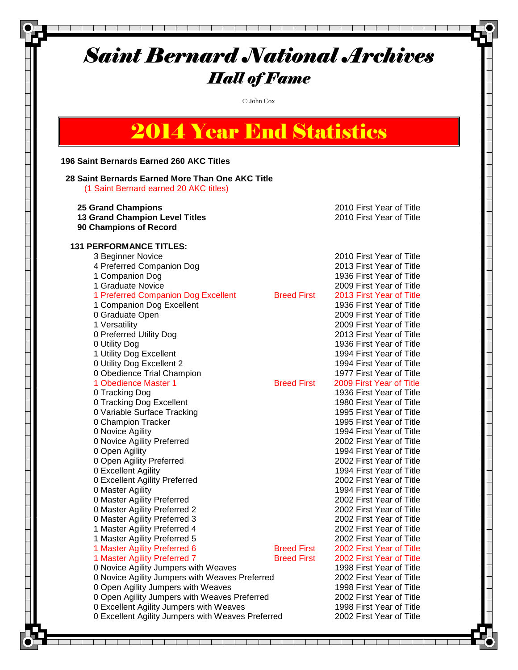### Saint Bernard National Archives Hall of Fame © John Cox 2014 Year End Statistics **196 Saint Bernards Earned 260 AKC Titles 28 Saint Bernards Earned More Than One AKC Title** (1 Saint Bernard earned 20 AKC titles)  **25 Grand Champions** 2010 First Year of Title  **13 Grand Champion Level Titles** 2010 First Year of Title  **90 Champions of Record 131 PERFORMANCE TITLES:** 3 Beginner Novice 2010 First Year of Title 4 Preferred Companion Dog 2013 First Year of Title 1 Companion Dog 1936 First Year of Title 1 Graduate Novice 2009 First Year of Title 1 Preferred Companion Dog Excellent Breed First 2013 First Year of Title 1 Companion Dog Excellent 1936 First Year of Title 0 Graduate Open 2009 First Year of Title 1 Versatility 2009 First Year of Title 0 Preferred Utility Dog 2013 First Year of Title 0 Utility Dog 1936 First Year of Title 1 Utility Dog Excellent 1994 First Year of Title 0 Utility Dog Excellent 2 1994 First Year of Title 0 Obedience Trial Champion 1977 First Year of Title 1 Obedience Master 1 **Breed First** 2009 First Year of Title 0 Tracking Dog 1936 First Year of Title 0 Tracking Dog Excellent 1980 First Year of Title 0 Variable Surface Tracking 1995 First Year of Title 0 Champion Tracker 1995 First Year of Title 0 Novice Agility 1994 First Year of Title 0 Novice Agility Preferred 2002 First Year of Title 0 Open Agility 1994 First Year of Title 0 Open Agility Preferred 2002 First Year of Title 0 Excellent Agility 1994 First Year of Title 0 Excellent Agility Preferred 2002 First Year of Title 0 Master Agility 1994 First Year of Title 0 Master Agility Preferred 2002 First Year of Title 0 Master Agility Preferred 2 2002 First Year of Title 0 Master Agility Preferred 3 2002 First Year of Title 1 Master Agility Preferred 4 2002 First Year of Title 1 Master Agility Preferred 5 2002 First Year of Title 1 Master Agility Preferred 6 **Breed First 2002 First Year of Title**  1 Master Agility Preferred 7 Breed First 2002 First Year of Title 0 Novice Agility Jumpers with Weaves 1998 First Year of Title

 0 Novice Agility Jumpers with Weaves Preferred 2002 First Year of Title 0 Open Agility Jumpers with Weaves 1998 First Year of Title 0 Open Agility Jumpers with Weaves Preferred 2002 First Year of Title 0 Excellent Agility Jumpers with Weaves 1998 First Year of Title

0 Excellent Agility Jumpers with Weaves Preferred 2002 First Year of Title

Tan da kacamatan ing Kabupatèn Kabupatèn Jaw and the state of the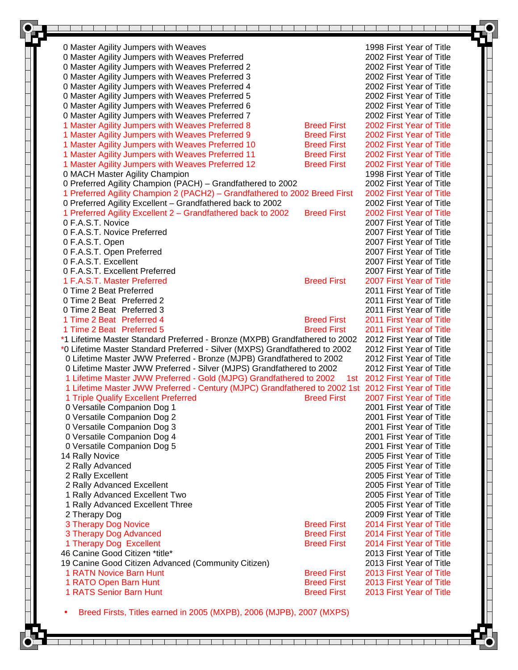| 0 Master Agility Jumpers with Weaves                                                                                     |                    | 1998 First Year of Title                             |
|--------------------------------------------------------------------------------------------------------------------------|--------------------|------------------------------------------------------|
| 0 Master Agility Jumpers with Weaves Preferred                                                                           |                    | 2002 First Year of Title                             |
| 0 Master Agility Jumpers with Weaves Preferred 2                                                                         |                    | 2002 First Year of Title                             |
| 0 Master Agility Jumpers with Weaves Preferred 3                                                                         |                    | 2002 First Year of Title                             |
| 0 Master Agility Jumpers with Weaves Preferred 4                                                                         |                    | 2002 First Year of Title                             |
| 0 Master Agility Jumpers with Weaves Preferred 5                                                                         |                    | 2002 First Year of Title                             |
| 0 Master Agility Jumpers with Weaves Preferred 6                                                                         |                    | 2002 First Year of Title                             |
| 0 Master Agility Jumpers with Weaves Preferred 7                                                                         |                    | 2002 First Year of Title                             |
| 1 Master Agility Jumpers with Weaves Preferred 8                                                                         | <b>Breed First</b> | 2002 First Year of Title                             |
| 1 Master Agility Jumpers with Weaves Preferred 9                                                                         | <b>Breed First</b> | 2002 First Year of Title                             |
| 1 Master Agility Jumpers with Weaves Preferred 10                                                                        | <b>Breed First</b> | 2002 First Year of Title                             |
| 1 Master Agility Jumpers with Weaves Preferred 11                                                                        | <b>Breed First</b> | 2002 First Year of Title                             |
| 1 Master Agility Jumpers with Weaves Preferred 12                                                                        | <b>Breed First</b> | 2002 First Year of Title                             |
| 0 MACH Master Agility Champion                                                                                           |                    | 1998 First Year of Title                             |
| 0 Preferred Agility Champion (PACH) - Grandfathered to 2002                                                              |                    | 2002 First Year of Title                             |
| 1 Preferred Agility Champion 2 (PACH2) - Grandfathered to 2002 Breed First                                               |                    | 2002 First Year of Title                             |
| 0 Preferred Agility Excellent - Grandfathered back to 2002                                                               |                    | 2002 First Year of Title                             |
| 1 Preferred Agility Excellent 2 - Grandfathered back to 2002                                                             | <b>Breed First</b> | 2002 First Year of Title                             |
| 0 F.A.S.T. Novice                                                                                                        |                    | 2007 First Year of Title                             |
| 0 F.A.S.T. Novice Preferred                                                                                              |                    | 2007 First Year of Title<br>2007 First Year of Title |
| 0 F.A.S.T. Open<br>0 F.A.S.T. Open Preferred                                                                             |                    | 2007 First Year of Title                             |
| 0 F.A.S.T. Excellent                                                                                                     |                    | 2007 First Year of Title                             |
| 0 F.A.S.T. Excellent Preferred                                                                                           |                    | 2007 First Year of Title                             |
| 1 F.A.S.T. Master Preferred                                                                                              | <b>Breed First</b> | 2007 First Year of Title                             |
| 0 Time 2 Beat Preferred                                                                                                  |                    | 2011 First Year of Title                             |
| 0 Time 2 Beat Preferred 2                                                                                                |                    | 2011 First Year of Title                             |
| 0 Time 2 Beat Preferred 3                                                                                                |                    | 2011 First Year of Title                             |
| 1 Time 2 Beat Preferred 4                                                                                                | <b>Breed First</b> | 2011 First Year of Title                             |
| 1 Time 2 Beat Preferred 5                                                                                                | <b>Breed First</b> | 2011 First Year of Title                             |
| *1 Lifetime Master Standard Preferred - Bronze (MXPB) Grandfathered to 2002                                              |                    | 2012 First Year of Title                             |
| *0 Lifetime Master Standard Preferred - Silver (MXPS) Grandfathered to 2002                                              |                    | 2012 First Year of Title                             |
| 0 Lifetime Master JWW Preferred - Bronze (MJPB) Grandfathered to 2002                                                    |                    | 2012 First Year of Title                             |
| 0 Lifetime Master JWW Preferred - Silver (MJPS) Grandfathered to 2002                                                    |                    | 2012 First Year of Title                             |
| 1 Lifetime Master JWW Preferred - Gold (MJPG) Grandfathered to 2002 1st 2012 First Year of Title                         |                    |                                                      |
| 1 Lifetime Master JWW Preferred - Century (MJPC) Grandfathered to 2002 1st 2012 First Year of Title                      |                    |                                                      |
| 1 Triple Qualify Excellent Preferred <b>Example 2 Secure 1 Accord Principle Accord Principle Accord Principle Accord</b> |                    | 2007 First Year of Title                             |
| 0 Versatile Companion Dog 1                                                                                              |                    | 2001 First Year of Title                             |
| 0 Versatile Companion Dog 2                                                                                              |                    | 2001 First Year of Title                             |
| 0 Versatile Companion Dog 3                                                                                              |                    | 2001 First Year of Title                             |
| 0 Versatile Companion Dog 4                                                                                              |                    | 2001 First Year of Title                             |
| 0 Versatile Companion Dog 5                                                                                              |                    | 2001 First Year of Title                             |
| 14 Rally Novice                                                                                                          |                    | 2005 First Year of Title                             |
| 2 Rally Advanced                                                                                                         |                    | 2005 First Year of Title                             |
| 2 Rally Excellent                                                                                                        |                    | 2005 First Year of Title<br>2005 First Year of Title |
| 2 Rally Advanced Excellent                                                                                               |                    | 2005 First Year of Title                             |
| 1 Rally Advanced Excellent Two<br>1 Rally Advanced Excellent Three                                                       |                    | 2005 First Year of Title                             |
| 2 Therapy Dog                                                                                                            |                    | 2009 First Year of Title                             |
| 3 Therapy Dog Novice                                                                                                     | <b>Breed First</b> | 2014 First Year of Title                             |
| 3 Therapy Dog Advanced                                                                                                   | <b>Breed First</b> | 2014 First Year of Title                             |
| 1 Therapy Dog Excellent                                                                                                  | <b>Breed First</b> | 2014 First Year of Title                             |
| 46 Canine Good Citizen *title*                                                                                           |                    | 2013 First Year of Title                             |
| 19 Canine Good Citizen Advanced (Community Citizen)                                                                      |                    | 2013 First Year of Title                             |
| <b>1 RATN Novice Barn Hunt</b>                                                                                           | <b>Breed First</b> | 2013 First Year of Title                             |
| 1 RATO Open Barn Hunt                                                                                                    | <b>Breed First</b> | 2013 First Year of Title                             |
| 1 RATS Senior Barn Hunt                                                                                                  | <b>Breed First</b> | 2013 First Year of Title                             |
|                                                                                                                          |                    |                                                      |
| Breed Firsts, Titles earned in 2005 (MXPB), 2006 (MJPB), 2007 (MXPS)                                                     |                    |                                                      |
|                                                                                                                          |                    |                                                      |
|                                                                                                                          |                    |                                                      |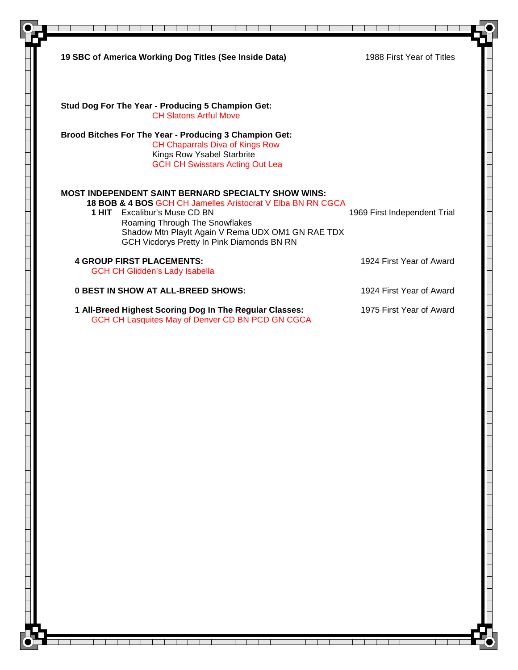| 19 SBC of America Working Dog Titles (See Inside Data)                                                                                                                                                                                                                                  | 1988 First Year of Titles    |
|-----------------------------------------------------------------------------------------------------------------------------------------------------------------------------------------------------------------------------------------------------------------------------------------|------------------------------|
| Stud Dog For The Year - Producing 5 Champion Get:<br><b>CH Slatons Artful Move</b>                                                                                                                                                                                                      |                              |
| <b>Brood Bitches For The Year - Producing 3 Champion Get:</b><br><b>CH Chaparrals Diva of Kings Row</b><br>Kings Row Ysabel Starbrite<br><b>GCH CH Swisstars Acting Out Lea</b>                                                                                                         |                              |
| MOST INDEPENDENT SAINT BERNARD SPECIALTY SHOW WINS:<br>18 BOB & 4 BOS GCH CH Jamelles Aristocrat V Elba BN RN CGCA<br>1 HIT Excalibur's Muse CD BN<br>Roaming Through The Snowflakes<br>Shadow Mtn Playlt Again V Rema UDX OM1 GN RAE TDX<br>GCH Vicdorys Pretty In Pink Diamonds BN RN | 1969 First Independent Trial |
| <b>4 GROUP FIRST PLACEMENTS:</b><br><b>GCH CH Glidden's Lady Isabella</b>                                                                                                                                                                                                               | 1924 First Year of Award     |
| <b>0 BEST IN SHOW AT ALL-BREED SHOWS:</b>                                                                                                                                                                                                                                               | 1924 First Year of Award     |
| 1 All-Breed Highest Scoring Dog In The Regular Classes:<br>GCH CH Lasquites May of Denver CD BN PCD GN CGCA                                                                                                                                                                             | 1975 First Year of Award     |
|                                                                                                                                                                                                                                                                                         |                              |

a kacamatan ing Kabupatén Ing Pangkaluran

T ┱ T

┱

т

Т

┰ т Т  $\mathbf{I}$ 

T

T.

т т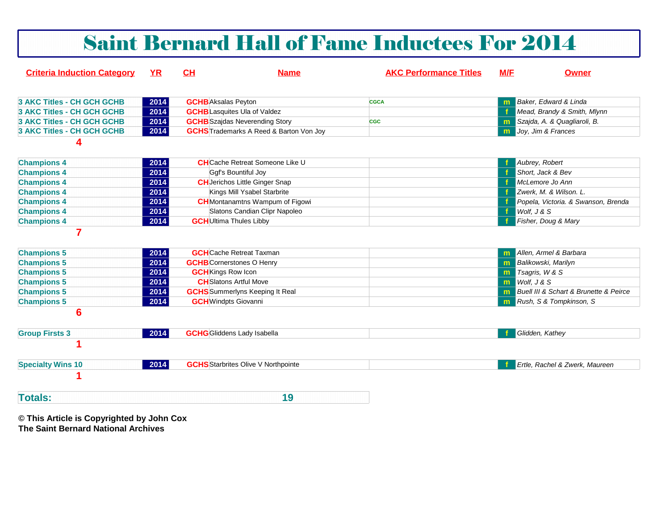| <b>Saint Bernard Hall of Fame Inductees For 2014</b> |           |                                |                                                |                               |     |                                        |
|------------------------------------------------------|-----------|--------------------------------|------------------------------------------------|-------------------------------|-----|----------------------------------------|
| <b>Criteria Induction Category</b>                   | <b>YR</b> | CH                             | <b>Name</b>                                    | <b>AKC Performance Titles</b> | M/F | <b>Owner</b>                           |
| <b>3 AKC Titles - CH GCH GCHB</b>                    | 2014      | <b>GCHB</b> Aksalas Peyton     |                                                | <b>CGCA</b>                   |     | Baker, Edward & Linda                  |
| <b>3 AKC Titles - CH GCH GCHB</b>                    | 2014      |                                | <b>GCHB</b> Lasquites Ula of Valdez            |                               |     | Mead, Brandy & Smith, Mlynn            |
| <b>3 AKC Titles - CH GCH GCHB</b>                    | 2014      |                                | <b>GCHB</b> Szajdas Neverending Story          | <b>CGC</b>                    | m.  | Szajda, A. & Quagliaroli, B.           |
| <b>3 AKC Titles - CH GCH GCHB</b>                    | 2014      |                                | <b>GCHS</b> Trademarks A Reed & Barton Von Joy |                               | m.  | Joy, Jim & Frances                     |
| 4                                                    |           |                                |                                                |                               |     |                                        |
| <b>Champions 4</b>                                   | 2014      |                                | <b>CH</b> Cache Retreat Someone Like U         |                               |     | Aubrey, Robert                         |
| <b>Champions 4</b>                                   | 2014      |                                | Ggf's Bountiful Joy                            |                               |     | Short, Jack & Bev                      |
| <b>Champions 4</b>                                   | 2014      |                                | <b>CH</b> Jerichos Little Ginger Snap          |                               |     | McLemore Jo Ann                        |
| <b>Champions 4</b>                                   | 2014      |                                | Kings Mill Ysabel Starbrite                    |                               |     | Zwerk. M. & Wilson. L.                 |
| <b>Champions 4</b>                                   | 2014      |                                | <b>CH</b> Montanamtns Wampum of Figowi         |                               |     | Popela, Victoria. & Swanson, Brenda    |
| <b>Champions 4</b>                                   | 2014      |                                | Slatons Candian Clipr Napoleo                  |                               | f.  | Wolf, J & S                            |
| <b>Champions 4</b>                                   | 2014      | <b>GCH</b> Ultima Thules Libby |                                                |                               |     | Fisher, Doug & Mary                    |
| $\overline{7}$                                       |           |                                | <b>GCH</b> Cache Retreat Taxman                |                               |     |                                        |
| <b>Champions 5</b>                                   | 2014      |                                |                                                |                               |     | Allen, Armel & Barbara                 |
| <b>Champions 5</b>                                   | 2014      |                                | <b>GCHB</b> Cornerstones O Henry               |                               | m   | <b>Balikowski</b> , Marilyn            |
| <b>Champions 5</b>                                   | 2014      | <b>GCH</b> Kings Row Icon      | <b>CH</b> Slatons Artful Move                  |                               | m   | Tsagris, W & S<br>Wolf, J & S          |
| <b>Champions 5</b>                                   | 2014      |                                | <b>GCHS</b> Summerlyns Keeping It Real         |                               | m   | Buell III & Schart & Brunette & Peirce |
| <b>Champions 5</b>                                   | 2014      | <b>GCH</b> Windpts Giovanni    |                                                |                               | m   |                                        |
| <b>Champions 5</b><br>$6\phantom{1}6$                | 2014      |                                |                                                |                               |     | Rush, S & Tompkinson, S                |
| <b>Group Firsts 3</b>                                | 2014      |                                | <b>GCHG</b> Gliddens Lady Isabella             |                               |     | Glidden, Kathey                        |
| 1                                                    |           |                                |                                                |                               |     |                                        |
| <b>Specialty Wins 10</b>                             | 2014      |                                | <b>GCHS</b> Starbrites Olive V Northpointe     |                               |     | Ertle, Rachel & Zwerk, Maureen         |
|                                                      |           |                                |                                                |                               |     |                                        |
| <b>Totals:</b>                                       |           |                                | 19                                             |                               |     |                                        |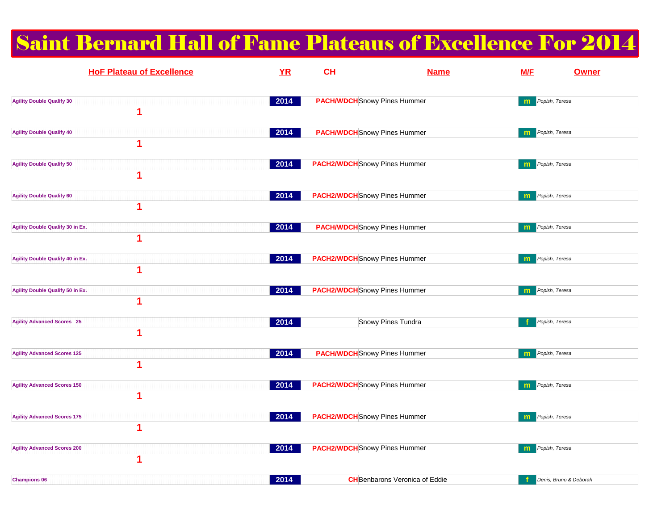# Saint Bernard Hall of Fame Plateaus of Excellence For 2014

| <b>HoF Plateau of Excellence</b>             | YR   | <b>CH</b>                            | <b>Name</b>                           | <b>M/E</b> | Owner                  |
|----------------------------------------------|------|--------------------------------------|---------------------------------------|------------|------------------------|
| <b>Agility Double Qualify 30</b><br>1        | 2014 | <b>PACH/WDCH</b> Snowy Pines Hummer  |                                       | m          | Popish, Teresa         |
| <b>Agility Double Qualify 40</b><br>1        | 2014 | <b>PACH/WDCH</b> Snowy Pines Hummer  |                                       | m          | Popish, Teresa         |
| <b>Agility Double Qualify 50</b><br>1        | 2014 | <b>PACH2/WDCH</b> Snowy Pines Hummer |                                       | m          | Popish, Teresa         |
| <b>Agility Double Qualify 60</b><br>1        | 2014 | <b>PACH2/WDCH</b> Snowy Pines Hummer |                                       | m          | Popish, Teresa         |
| <b>Agility Double Qualify 30 in Ex.</b><br>1 | 2014 | <b>PACH/WDCH</b> Snowy Pines Hummer  |                                       | m          | Popish, Teresa         |
| Agility Double Qualify 40 in Ex.<br>1        | 2014 | <b>PACH2/WDCH</b> Snowy Pines Hummer |                                       | m          | Popish, Teresa         |
| <b>Agility Double Qualify 50 in Ex.</b><br>1 | 2014 | <b>PACH2/WDCH</b> Snowy Pines Hummer |                                       | m          | Popish, Teresa         |
| <b>Agility Advanced Scores 25</b><br>1       | 2014 |                                      | Snowy Pines Tundra                    |            | Popish, Teresa         |
| <b>Agility Advanced Scores 125</b><br>1      | 2014 | <b>PACH/WDCH</b> Snowy Pines Hummer  |                                       | m          | Popish, Teresa         |
| <b>Agility Advanced Scores 150</b><br>1      | 2014 | <b>PACH2/WDCH</b> Snowy Pines Hummer |                                       | m          | Popish, Teresa         |
| <b>Agility Advanced Scores 175</b><br>1      | 2014 | <b>PACH2/WDCH</b> Snowy Pines Hummer |                                       | m          | Popish, Teresa         |
| <b>Agility Advanced Scores 200</b><br>1      | 2014 | <b>PACH2/WDCH</b> Snowy Pines Hummer |                                       | m          | Popish, Teresa         |
| <b>Champions 06</b>                          | 2014 |                                      | <b>CH</b> Benbarons Veronica of Eddie | Ŧ          | Denis, Bruno & Deborah |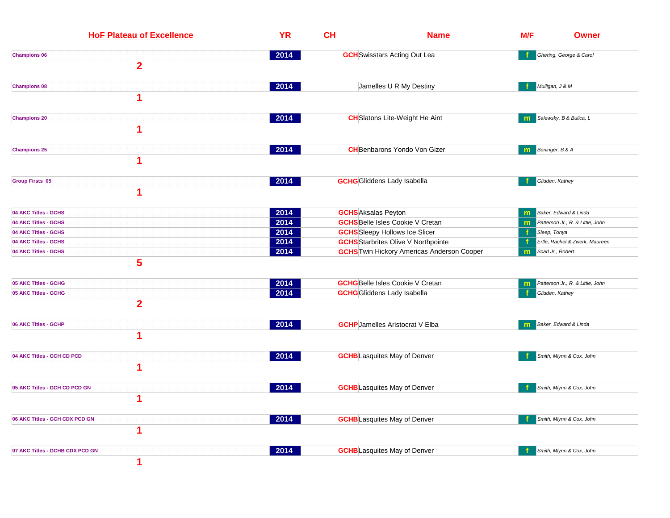| <b>HoF Plateau of Excellence</b> | YR   | CH                         | <b>Name</b>                                       |                        | <u>M/F</u><br><b>Owner</b>       |  |  |
|----------------------------------|------|----------------------------|---------------------------------------------------|------------------------|----------------------------------|--|--|
| <b>Champions 06</b>              | 2014 |                            | <b>GCH</b> Swisstars Acting Out Lea               |                        | Ghering, George & Carol          |  |  |
| $\overline{2}$                   |      |                            |                                                   |                        |                                  |  |  |
| <b>Champions 08</b>              | 2014 |                            | Jamelles U R My Destiny                           | Mulligan, J & M        |                                  |  |  |
| 1                                |      |                            |                                                   |                        |                                  |  |  |
| <b>Champions 20</b>              | 2014 |                            | <b>CH</b> Slatons Lite-Weight He Aint             | m.                     | Salewsky, B & Bulica, L          |  |  |
| 1                                |      |                            |                                                   |                        |                                  |  |  |
| <b>Champions 25</b>              | 2014 |                            | <b>CH</b> Benbarons Yondo Von Gizer               | Beninger, B & A<br>m   |                                  |  |  |
| 1                                |      |                            |                                                   |                        |                                  |  |  |
| <b>Group Firsts 05</b>           | 2014 |                            | <b>GCHG</b> Gliddens Lady Isabella                | Glidden, Kathey        |                                  |  |  |
| 1                                |      |                            |                                                   |                        |                                  |  |  |
| 04 AKC Titles - GCHS             | 2014 | <b>GCHS</b> Aksalas Peyton |                                                   | m                      | Baker, Edward & Linda            |  |  |
| 04 AKC Titles - GCHS             | 2014 |                            | <b>GCHS</b> Belle Isles Cookie V Cretan           | m                      | Patterson Jr., R. & Little, John |  |  |
| 04 AKC Titles - GCHS             | 2014 |                            | <b>GCHS</b> Sleepy Hollows Ice Slicer             | Sleep, Tonya<br>Æ      |                                  |  |  |
| 04 AKC Titles - GCHS             | 2014 |                            | <b>GCHS</b> Starbrites Olive V Northpointe        |                        | Ertle, Rachel & Zwerk, Maureen   |  |  |
| 04 AKC Titles - GCHS             | 2014 |                            | <b>GCHS</b> Twin Hickory Americas Anderson Cooper | Scarl Jr., Robert<br>m |                                  |  |  |
| 5                                |      |                            |                                                   |                        |                                  |  |  |
| 05 AKC Titles - GCHG             | 2014 |                            | <b>GCHG</b> Belle Isles Cookie V Cretan           | m                      | Patterson Jr., R. & Little, John |  |  |
| 05 AKC Titles - GCHG             | 2014 |                            | <b>GCHG</b> Gliddens Lady Isabella                | Glidden, Kathey        |                                  |  |  |
| $\overline{2}$                   |      |                            |                                                   |                        |                                  |  |  |
| 06 AKC Titles - GCHP             | 2014 |                            | <b>GCHP</b> Jamelles Aristocrat V Elba            | m                      | Baker, Edward & Linda            |  |  |
| 1                                |      |                            |                                                   |                        |                                  |  |  |
| 04 AKC Titles - GCH CD PCD       | 2014 |                            | <b>GCHB</b> Lasquites May of Denver               |                        | Smith, Mlynn & Cox, John         |  |  |
| 1                                |      |                            |                                                   |                        |                                  |  |  |
| 05 AKC Titles - GCH CD PCD GN    | 2014 |                            | <b>GCHB</b> Lasquites May of Denver               |                        | Smith, Mlynn & Cox, John         |  |  |
| 1                                |      |                            |                                                   |                        |                                  |  |  |
| 06 AKC Titles - GCH CDX PCD GN   | 2014 |                            | <b>GCHB</b> Lasquites May of Denver               |                        | Smith, Mlynn & Cox, John         |  |  |
| 1                                |      |                            |                                                   |                        |                                  |  |  |
| 07 AKC Titles - GCHB CDX PCD GN  | 2014 |                            | <b>GCHB</b> Lasquites May of Denver               |                        | Smith, Mlynn & Cox, John         |  |  |
| 1                                |      |                            |                                                   |                        |                                  |  |  |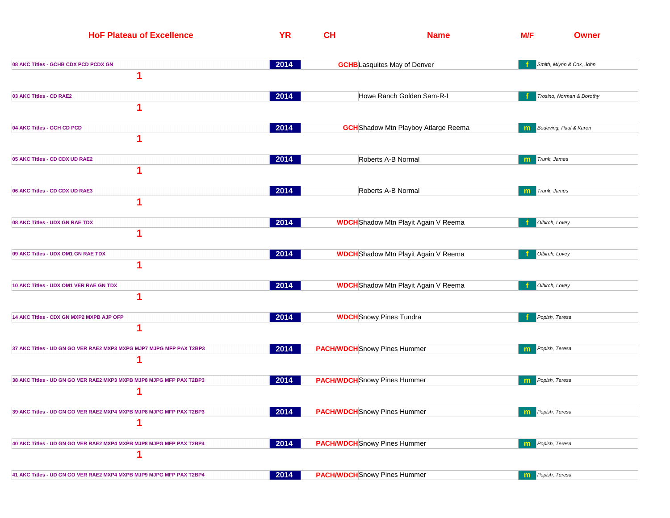| <b>HoF Plateau of Excellence</b>                                         | YR   | <b>CH</b> | <b>Name</b>                                 | <b>M/F</b> | <b>Owner</b>              |
|--------------------------------------------------------------------------|------|-----------|---------------------------------------------|------------|---------------------------|
| 08 AKC Titles - GCHB CDX PCD PCDX GN<br>1                                | 2014 |           | <b>GCHB</b> Lasquites May of Denver         |            | Smith, Mlynn & Cox, John  |
| 03 AKC Titles - CD RAE2                                                  | 2014 |           | Howe Ranch Golden Sam-R-I                   |            | Trosino, Norman & Dorothy |
| 04 AKC Titles - GCH CD PCD                                               | 2014 |           | <b>GCH</b> Shadow Mtn Playboy Atlarge Reema |            | Bodeving, Paul & Karen    |
| 05 AKC Titles - CD CDX UD RAE2<br>1                                      | 2014 |           | Roberts A-B Normal                          | m          | Trunk, James              |
| 06 AKC Titles - CD CDX UD RAE3<br>1                                      | 2014 |           | Roberts A-B Normal                          | m          | Trunk, James              |
| 08 AKC Titles - UDX GN RAE TDX<br>1                                      | 2014 |           | <b>WDCH</b> Shadow Mtn Playit Again V Reema |            | Olbirch, Lovey            |
| 09 AKC Titles - UDX OM1 GN RAE TDX                                       | 2014 |           | <b>WDCH</b> Shadow Mtn Playit Again V Reema |            | Olbirch, Lovey            |
| 10 AKC Titles - UDX OM1 VER RAE GN TDX<br>1                              | 2014 |           | <b>WDCH</b> Shadow Mtn Playit Again V Reema |            | Olbirch, Lovey            |
| 14 AKC Titles - CDX GN MXP2 MXPB AJP OFP<br>1                            | 2014 |           | <b>WDCH</b> Snowy Pines Tundra              |            | Popish, Teresa            |
| 37 AKC Titles - UD GN GO VER RAE2 MXP3 MXPG MJP7 MJPG MFP PAX T2BP3<br>1 | 2014 |           | <b>PACH/WDCH</b> Snowy Pines Hummer         | m          | Popish, Teresa            |
| 38 AKC Titles - UD GN GO VER RAE2 MXP3 MXPB MJP8 MJPG MFP PAX T2BP3      | 2014 |           | <b>PACH/WDCH</b> Snowy Pines Hummer         | m          | Popish, Teresa            |
| 39 AKC Titles - UD GN GO VER RAE2 MXP4 MXPB MJP8 MJPG MFP PAX T2BP3<br>1 | 2014 |           | <b>PACH/WDCH</b> Snowy Pines Hummer         | m          | Popish, Teresa            |
| 40 AKC Titles - UD GN GO VER RAE2 MXP4 MXPB MJP8 MJPG MFP PAX T2BP4      | 2014 |           | <b>PACH/WDCH</b> Snowy Pines Hummer         | m          | Popish, Teresa            |
| 41 AKC Titles - UD GN GO VER RAE2 MXP4 MXPB MJP9 MJPG MFP PAX T2BP4      | 2014 |           | <b>PACH/WDCH</b> Snowy Pines Hummer         | m          | Popish, Teresa            |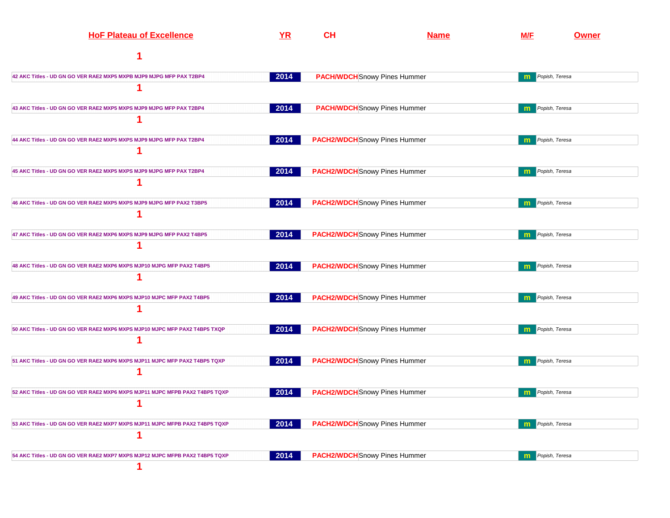| <b>HoF Plateau of Excellence</b>                                            | YR   | <b>CH</b> | <b>Name</b>                          | M/F          | <b>Owner</b>   |
|-----------------------------------------------------------------------------|------|-----------|--------------------------------------|--------------|----------------|
| 1                                                                           |      |           |                                      |              |                |
| 42 AKC Titles - UD GN GO VER RAE2 MXP5 MXPB MJP9 MJPG MFP PAX T2BP4         | 2014 |           | <b>PACH/WDCH</b> Snowy Pines Hummer  | m            | Popish, Teresa |
| 1                                                                           |      |           |                                      |              |                |
| 43 AKC Titles - UD GN GO VER RAE2 MXP5 MXPS MJP9 MJPG MFP PAX T2BP4         | 2014 |           | <b>PACH/WDCH</b> Snowy Pines Hummer  | m            | Popish, Teresa |
| 1                                                                           |      |           |                                      |              |                |
| 44 AKC Titles - UD GN GO VER RAE2 MXP5 MXPS MJP9 MJPG MFP PAX T2BP4         | 2014 |           | <b>PACH2/WDCH</b> Snowy Pines Hummer | m            | Popish, Teresa |
| 1                                                                           |      |           |                                      |              |                |
| 45 AKC Titles - UD GN GO VER RAE2 MXP5 MXPS MJP9 MJPG MFP PAX T2BP4         | 2014 |           | <b>PACH2/WDCH</b> Snowy Pines Hummer | m            | Popish, Teresa |
| 1                                                                           |      |           |                                      |              |                |
| 46 AKC Titles - UD GN GO VER RAE2 MXP5 MXPS MJP9 MJPG MFP PAX2 T3BP5        | 2014 |           | <b>PACH2/WDCH</b> Snowy Pines Hummer | $\mathbf{m}$ | Popish, Teresa |
| 1                                                                           |      |           |                                      |              |                |
| 47 AKC Titles - UD GN GO VER RAE2 MXP6 MXPS MJP9 MJPG MFP PAX2 T4BP5        | 2014 |           | <b>PACH2/WDCH</b> Snowy Pines Hummer | m            | Popish, Teresa |
| 1                                                                           |      |           |                                      |              |                |
| 48 AKC Titles - UD GN GO VER RAE2 MXP6 MXPS MJP10 MJPG MFP PAX2 T4BP5       | 2014 |           | <b>PACH2/WDCH</b> Snowy Pines Hummer | m            | Popish, Teresa |
| 1                                                                           |      |           |                                      |              |                |
| 49 AKC Titles - UD GN GO VER RAE2 MXP6 MXPS MJP10 MJPC MFP PAX2 T4BP5       | 2014 |           | <b>PACH2/WDCH</b> Snowy Pines Hummer | m            | Popish, Teresa |
| 1                                                                           |      |           |                                      |              |                |
| 50 AKC Titles - UD GN GO VER RAE2 MXP6 MXPS MJP10 MJPC MFP PAX2 T4BP5 TXQP  | 2014 |           | <b>PACH2/WDCH</b> Snowy Pines Hummer | m            | Popish, Teresa |
| 1                                                                           |      |           |                                      |              |                |
| 51 AKC Titles - UD GN GO VER RAE2 MXP6 MXPS MJP11 MJPC MFP PAX2 T4BP5 TQXP  | 2014 |           | <b>PACH2/WDCH</b> Snowy Pines Hummer | m            | Popish, Teresa |
| 1                                                                           |      |           |                                      |              |                |
| 52 AKC Titles - UD GN GO VER RAE2 MXP6 MXPS MJP11 MJPC MFPB PAX2 T4BP5 TQXP | 2014 |           | <b>PACH2/WDCH</b> Snowy Pines Hummer | m            | Popish, Teresa |
| 1                                                                           |      |           |                                      |              |                |
| 53 AKC Titles - UD GN GO VER RAE2 MXP7 MXPS MJP11 MJPC MFPB PAX2 T4BP5 TQXP | 2014 |           | <b>PACH2/WDCH</b> Snowy Pines Hummer | m            | Popish, Teresa |
| 1                                                                           |      |           |                                      |              |                |
| 54 AKC Titles - UD GN GO VER RAE2 MXP7 MXPS MJP12 MJPC MFPB PAX2 T4BP5 TQXP | 2014 |           | <b>PACH2/WDCH</b> Snowy Pines Hummer | m            | Popish, Teresa |
| 1                                                                           |      |           |                                      |              |                |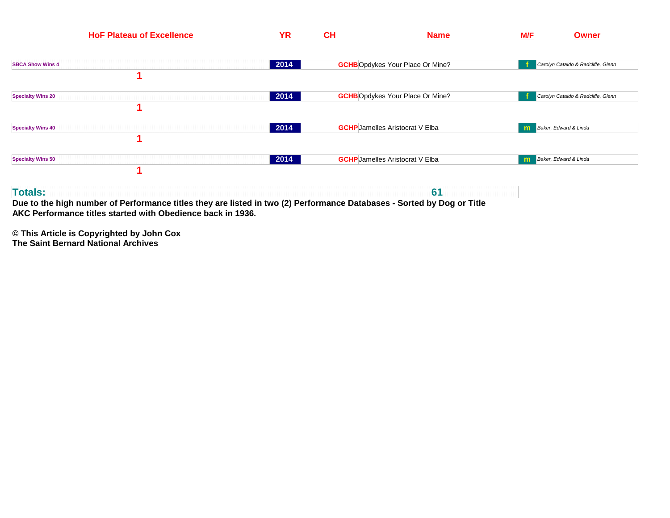| <b>HoF Plateau of Excellence</b> | YR   | CH | <b>Name</b>                             | <b>M/F</b><br><b>Owner</b>         |
|----------------------------------|------|----|-----------------------------------------|------------------------------------|
| <b>SBCA Show Wins 4</b>          | 2014 |    | <b>GCHB</b> Opdykes Your Place Or Mine? | Carolyn Cataldo & Radcliffe, Glenn |
| <b>Specialty Wins 20</b>         | 2014 |    | <b>GCHB</b> Opdykes Your Place Or Mine? | Carolyn Cataldo & Radcliffe, Glenn |
| <b>Specialty Wins 40</b>         | 2014 |    | <b>GCHP</b> Jamelles Aristocrat V Elba  | Baker, Edward & Linda<br>m         |
| <b>Specialty Wins 50</b>         | 2014 |    | <b>GCHP</b> Jamelles Aristocrat V Elba  | Baker, Edward & Linda<br>m         |
| <b>Totals:</b>                   |      |    | 61                                      |                                    |

**Due to the high number of Performance titles they are listed in two (2) Performance Databases - Sorted by Dog or TitleAKC Performance titles started with Obedience back in 1936.**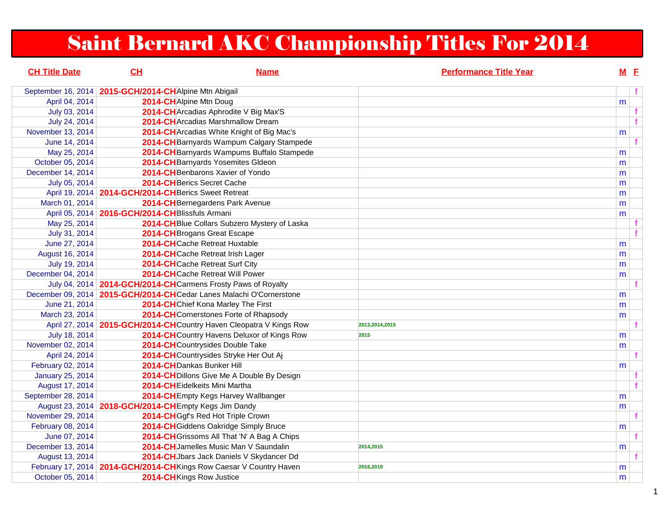# Saint Bernard AKC Championship Titles For 2014

| <b>CH Title Date</b>    | CH                                                     | <b>Name</b>                                                           |                | <b>Performance Title Year</b> | $M$ E |                |
|-------------------------|--------------------------------------------------------|-----------------------------------------------------------------------|----------------|-------------------------------|-------|----------------|
| September 16, 2014      | 2015-GCH/2014-CHAlpine Mtn Abigail                     |                                                                       |                |                               |       | f              |
| April 04, 2014          | 2014-CHAlpine Mtn Doug                                 |                                                                       |                |                               | m     |                |
| July 03, 2014           |                                                        | 2014-CH Arcadias Aphrodite V Big Max'S                                |                |                               |       | f              |
| July 24, 2014           |                                                        | <b>2014-CH</b> Arcadias Marshmallow Dream                             |                |                               |       | $\overline{f}$ |
| November 13, 2014       |                                                        | 2014-CH Arcadias White Knight of Big Mac's                            |                |                               | m     |                |
| June 14, 2014           |                                                        | 2014-CH Barnyards Wampum Calgary Stampede                             |                |                               |       |                |
| May 25, 2014            |                                                        | 2014-CH Barnyards Wampums Buffalo Stampede                            |                |                               | m     |                |
| October 05, 2014        |                                                        | 2014-CHBarnyards Yosemites Gldeon                                     |                |                               | m     |                |
| December 14, 2014       |                                                        | 2014-CH Benbarons Xavier of Yondo                                     |                |                               | m     |                |
| July 05, 2014           |                                                        | 2014-CH Berics Secret Cache                                           |                |                               | m     |                |
|                         | April 19, 2014   2014-GCH/2014-CH Berics Sweet Retreat |                                                                       |                |                               | m     |                |
| March 01, 2014          |                                                        | 2014-CH Bernegardens Park Avenue                                      |                |                               | m     |                |
| April 05, 2014          | 2016-GCH/2014-CHBlissfuls Armani                       |                                                                       |                |                               | m     |                |
| May 25, 2014            |                                                        | 2014-CH Blue Collars Subzero Mystery of Laska                         |                |                               |       |                |
| July 31, 2014           |                                                        | 2014-CH Brogans Great Escape                                          |                |                               |       |                |
| June 27, 2014           |                                                        | 2014-CHCache Retreat Huxtable                                         |                |                               | m     |                |
| August 16, 2014         |                                                        | 2014-CHCache Retreat Irish Lager                                      |                |                               | m     |                |
| July 19, 2014           |                                                        | 2014-CHCache Retreat Surf City                                        |                |                               | m     |                |
| December 04, 2014       |                                                        | 2014-CHCache Retreat Will Power                                       |                |                               | m     |                |
|                         |                                                        | July 04, 2014 2014-GCH/2014-CHCarmens Frosty Paws of Royalty          |                |                               |       |                |
|                         |                                                        | December 09, 2014   2015-GCH/2014-CHCedar Lanes Malachi O'Cornerstone |                |                               | m     |                |
| June 21, 2014           |                                                        | 2014-CHChief Kona Marley The First                                    |                |                               | m     |                |
| March 23, 2014          |                                                        | 2014-CH Cornerstones Forte of Rhapsody                                |                |                               | m     |                |
| April 27, 2014          |                                                        | 2015-GCH/2014-CHCountry Haven Cleopatra V Kings Row                   | 2013,2014,2015 |                               |       | f              |
| July 18, 2014           |                                                        | 2014-CH Country Havens Deluxor of Kings Row                           | 2015           |                               | m     |                |
| November 02, 2014       |                                                        | 2014-CHCountrysides Double Take                                       |                |                               | m     |                |
| April 24, 2014          |                                                        | 2014-CHCountrysides Stryke Her Out Aj                                 |                |                               |       | $\mathbf{f}$   |
| February 02, 2014       |                                                        | 2014-CHDankas Bunker Hill                                             |                |                               | m     |                |
| <b>January 25, 2014</b> |                                                        | 2014-CH Dillons Give Me A Double By Design                            |                |                               |       | f              |
| August 17, 2014         |                                                        | 2014-CH Eidelkeits Mini Martha                                        |                |                               |       | f              |
| September 28, 2014      |                                                        | 2014-CH Empty Kegs Harvey Wallbanger                                  |                |                               | m     |                |
|                         | August 23, 2014   2018-GCH/2014-CHEmpty Kegs Jim Dandy |                                                                       |                |                               | m     |                |
| November 29, 2014       |                                                        | 2014-CHGgf's Red Hot Triple Crown                                     |                |                               |       | $\mathbf{f}$   |
| February 08, 2014       |                                                        | 2014-CH Giddens Oakridge Simply Bruce                                 |                |                               | m     |                |
| June 07, 2014           |                                                        | 2014-CH Grissoms All That 'N' A Bag A Chips                           |                |                               |       | f              |
| December 13, 2014       |                                                        | 2014-CH Jamelles Music Man V Saundalin                                | 2014,2015      |                               | m     |                |
| August 13, 2014         |                                                        | 2014-CHJbars Jack Daniels V Skydancer Dd                              |                |                               |       | f              |
|                         |                                                        | February 17, 2014   2014-GCH/2014-CH Kings Row Caesar V Country Haven | 2016,2019      |                               | m     |                |
| October 05, 2014        | 2014-CHKings Row Justice                               |                                                                       |                |                               | m     |                |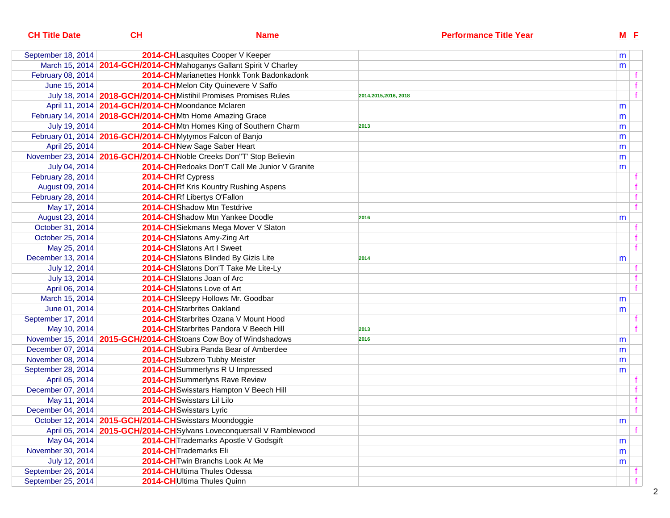| <b>CH Title Date</b> | CH                                                       | <b>Name</b>                                                           | <b>Performance Title Year</b> | $M$ E |   |
|----------------------|----------------------------------------------------------|-----------------------------------------------------------------------|-------------------------------|-------|---|
| September 18, 2014   |                                                          | 2014-CHLasquites Cooper V Keeper                                      |                               | m     |   |
|                      |                                                          | March 15, 2014   2014-GCH/2014-CHMahoganys Gallant Spirit V Charley   |                               | m     |   |
| February 08, 2014    |                                                          | 2014-CH Marianettes Honkk Tonk Badonkadonk                            |                               |       |   |
| June 15, 2014        |                                                          | 2014-CHMelon City Quinevere V Saffo                                   |                               |       |   |
|                      |                                                          | July 18, 2014   2018-GCH/2014-CH Mistihil Promises Promises Rules     | 2014,2015,2016, 2018          |       | f |
|                      | April 11, 2014   2014-GCH/2014-CHMoondance Mclaren       |                                                                       |                               | m     |   |
|                      |                                                          | February 14, 2014   2018-GCH/2014-CHMtn Home Amazing Grace            |                               | m     |   |
| July 19, 2014        |                                                          | 2014-CHMtn Homes King of Southern Charm                               | 2013                          | m     |   |
|                      |                                                          | February 01, 2014 2016-GCH/2014-CHMytymos Falcon of Banjo             |                               | m     |   |
| April 25, 2014       |                                                          | 2014-CHNew Sage Saber Heart                                           |                               | m     |   |
|                      |                                                          | November 23, 2014   2016-GCH/2014-CHNoble Creeks Don"T' Stop Believin |                               | m     |   |
| July 04, 2014        |                                                          | 2014-CH Redoaks Don'T Call Me Junior V Granite                        |                               | m     |   |
| February 28, 2014    |                                                          | 2014-CHRf Cypress                                                     |                               |       |   |
| August 09, 2014      |                                                          | 2014-CHRf Kris Kountry Rushing Aspens                                 |                               |       |   |
| February 28, 2014    |                                                          | 2014-CHRf Libertys O'Fallon                                           |                               |       | f |
| May 17, 2014         |                                                          | 2014-CHShadow Mtn Testdrive                                           |                               |       | f |
| August 23, 2014      |                                                          | 2014-CH Shadow Mtn Yankee Doodle                                      | 2016                          | m     |   |
| October 31, 2014     |                                                          | 2014-CH Siekmans Mega Mover V Slaton                                  |                               |       |   |
| October 25, 2014     |                                                          | 2014-CHSlatons Amy-Zing Art                                           |                               |       |   |
| May 25, 2014         |                                                          | 2014-CHSlatons Art I Sweet                                            |                               |       | f |
| December 13, 2014    |                                                          | 2014-CH Slatons Blinded By Gizis Lite                                 | 2014                          | m     |   |
| July 12, 2014        |                                                          | 2014-CH Slatons Don'T Take Me Lite-Ly                                 |                               |       |   |
| July 13, 2014        |                                                          | 2014-CHSlatons Joan of Arc                                            |                               |       |   |
| April 06, 2014       |                                                          | 2014-CHSlatons Love of Art                                            |                               |       | f |
| March 15, 2014       |                                                          | 2014-CHSleepy Hollows Mr. Goodbar                                     |                               | m     |   |
| June 01, 2014        |                                                          | 2014-CH Starbrites Oakland                                            |                               | m     |   |
| September 17, 2014   |                                                          | 2014-CH Starbrites Ozana V Mount Hood                                 |                               |       |   |
| May 10, 2014         |                                                          | 2014-CH Starbrites Pandora V Beech Hill                               | 2013                          |       |   |
|                      |                                                          | November 15, 2014   2015-GCH/2014-CH Stoans Cow Boy of Windshadows    | 2016                          | m     |   |
| December 07, 2014    |                                                          | 2014-CH Subira Panda Bear of Amberdee                                 |                               | m     |   |
| November 08, 2014    |                                                          | 2014-CH Subzero Tubby Meister                                         |                               | m     |   |
| September 28, 2014   |                                                          | 2014-CH Summerlyns R U Impressed                                      |                               | m     |   |
| April 05, 2014       |                                                          | 2014-CH Summerlyns Rave Review                                        |                               |       |   |
| December 07, 2014    |                                                          | 2014-CH Swisstars Hampton V Beech Hill                                |                               |       |   |
| May 11, 2014         |                                                          | 2014-CH Swisstars Lil Lilo                                            |                               |       | f |
| December 04, 2014    |                                                          | 2014-CH Swisstars Lyric                                               |                               |       | f |
|                      | October 12, 2014   2015-GCH/2014-CH Swisstars Moondoggie |                                                                       |                               | m     |   |
|                      |                                                          | April 05, 2014   2015-GCH/2014-CHSylvans Loveconquersall V Ramblewood |                               |       |   |
| May 04, 2014         |                                                          | 2014-CH Trademarks Apostle V Godsgift                                 |                               | m     |   |
| November 30, 2014    |                                                          | 2014-CH Trademarks Eli                                                |                               | m     |   |
| July 12, 2014        |                                                          | 2014-CH Twin Branchs Look At Me                                       |                               | m     |   |
| September 26, 2014   |                                                          | 2014-CHUltima Thules Odessa                                           |                               |       |   |
| September 25, 2014   |                                                          | 2014-CHUltima Thules Quinn                                            |                               |       |   |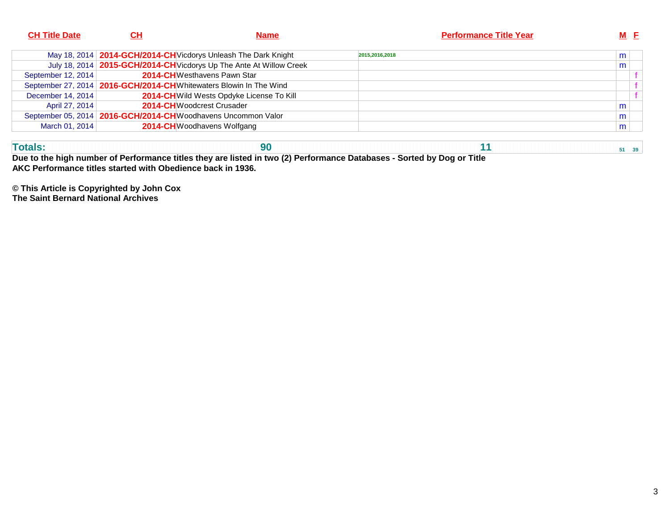| <b>CH Title Date</b> | CН | Name                                                                  | <b>Performance Title Year</b> | $M$ E |
|----------------------|----|-----------------------------------------------------------------------|-------------------------------|-------|
|                      |    | May 18, 2014   2014-GCH/2014-CH Vicdorys Unleash The Dark Knight      | 2015.2016.2018                | m     |
|                      |    | July 18, 2014   2015-GCH/2014-CH Vicdorys Up The Ante At Willow Creek |                               | m     |
| September 12, 2014   |    | <b>2014-CH</b> Westhavens Pawn Star                                   |                               |       |
|                      |    | September 27, 2014   2016-GCH/2014-CH Whitewaters Blowin In The Wind  |                               |       |
| December 14, 2014    |    | 2014-CH Wild Wests Opdyke License To Kill                             |                               |       |
| April 27, 2014       |    | 2014-CHWoodcrest Crusader                                             |                               | m     |
|                      |    | September 05, 2014   2016-GCH/2014-CHWoodhavens Uncommon Valor        |                               | m     |
| March 01, 2014       |    | 2014-CHWoodhavens Wolfgang                                            |                               | m     |
|                      |    |                                                                       |                               |       |

| Due to the high number of Performance titles they are listed in two (2) Performance Databases - Sorted by Dog or Title |  |  |
|------------------------------------------------------------------------------------------------------------------------|--|--|

**AKC Performance titles started with Obedience back in 1936.**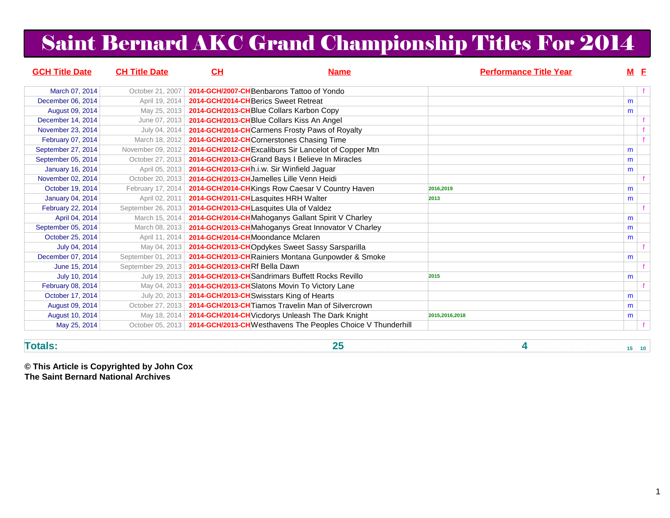# Saint Bernard AKC Grand Championship Titles For 2014

| <b>GCH Title Date</b>   | <b>CH Title Date</b> | CL                                        | <b>Name</b>                                                  | <b>Performance Title Year</b> |   | $M$ $E$ |
|-------------------------|----------------------|-------------------------------------------|--------------------------------------------------------------|-------------------------------|---|---------|
| March 07, 2014          | October 21, 2007     |                                           | 2014-GCH/2007-CHBenbarons Tattoo of Yondo                    |                               |   |         |
| December 06, 2014       | April 19, 2014       | 2014-GCH/2014-CHBerics Sweet Retreat      |                                                              |                               | m |         |
| August 09, 2014         | May 25, 2013         |                                           | 2014-GCH/2013-CHBlue Collars Karbon Copy                     |                               | m |         |
| December 14, 2014       | June 07, 2013        |                                           | 2014-GCH/2013-CHBlue Collars Kiss An Angel                   |                               |   |         |
| November 23, 2014       | July 04, 2014        |                                           | 2014-GCH/2014-CHCarmens Frosty Paws of Royalty               |                               |   |         |
| February 07, 2014       | March 18, 2012       |                                           | 2014-GCH/2012-CHCornerstones Chasing Time                    |                               |   |         |
| September 27, 2014      | November 09, 2012    |                                           | 2014-GCH/2012-CH Excaliburs Sir Lancelot of Copper Mtn       |                               | m |         |
| September 05, 2014      | October 27, 2013     |                                           | 2014-GCH/2013-CH Grand Bays I Believe In Miracles            |                               | m |         |
| <b>January 16, 2014</b> | April 05, 2013       |                                           | 2014-GCH/2013-CHR.i.w. Sir Winfield Jaguar                   |                               | m |         |
| November 02, 2014       | October 20, 2013     |                                           | 2014-GCH/2013-CHJamelles Lille Venn Heidi                    |                               |   |         |
| October 19, 2014        | February 17, 2014    |                                           | 2014-GCH/2014-CH Kings Row Caesar V Country Haven            | 2016.2019                     | m |         |
| <b>January 04, 2014</b> | April 02, 2011       | 2014-GCH/2011-CHLasquites HRH Walter      |                                                              | 2013                          | m |         |
| February 22, 2014       | September 26, 2013   | 2014-GCH/2013-CHLasquites Ula of Valdez   |                                                              |                               |   |         |
| April 04, 2014          | March 15, 2014       |                                           | 2014-GCH/2014-CHMahoganys Gallant Spirit V Charley           |                               | m |         |
| September 05, 2014      | March 08, 2013       |                                           | 2014-GCH/2013-CHMahoganys Great Innovator V Charley          |                               | m |         |
| October 25, 2014        | April 11, 2014       | 2014-GCH/2014-CHMoondance Mclaren         |                                                              |                               | m |         |
| July 04, 2014           | May 04, 2013         |                                           | 2014-GCH/2013-CHOpdykes Sweet Sassy Sarsparilla              |                               |   |         |
| December 07, 2014       | September 01, 2013   |                                           | 2014-GCH/2013-CHRainiers Montana Gunpowder & Smoke           |                               | m |         |
| June 15, 2014           | September 29, 2013   | 2014-GCH/2013-CHRf Bella Dawn             |                                                              |                               |   |         |
| July 10, 2014           | July 19, 2013        |                                           | 2014-GCH/2013-CH Sandrimars Buffett Rocks Revillo            | 2015                          | m |         |
| February 08, 2014       | May 04, 2013         |                                           | 2014-GCH/2013-CH Slatons Movin To Victory Lane               |                               |   |         |
| October 17, 2014        | July 20, 2013        | 2014-GCH/2013-CH Swisstars King of Hearts |                                                              |                               | m |         |
| August 09, 2014         | October 27, 2013     |                                           | 2014-GCH/2013-CHTiamos Travelin Man of Silvercrown           |                               | m |         |
| August 10, 2014         | May 18, 2014         |                                           | 2014-GCH/2014-CH Vicdorys Unleash The Dark Knight            | 2015,2016,2018                | m |         |
| May 25, 2014            | October 05, 2013     |                                           | 2014-GCH/2013-CH Westhavens The Peoples Choice V Thunderhill |                               |   |         |

**Totals:**

**25 4 15 10**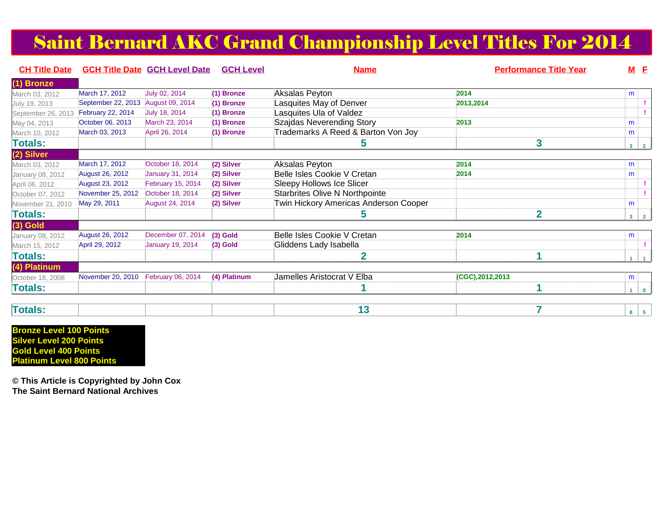## Saint Bernard AKC Grand Championship Level Titles For 2014

| <b>CH Title Date</b> |                        | <b>GCH Title Date GCH Level Date</b> | <b>GCH Level</b> | <b>Name</b>                           | <b>Performance Title Year</b> | $M$ E      |  |
|----------------------|------------------------|--------------------------------------|------------------|---------------------------------------|-------------------------------|------------|--|
| 1) Bronze            |                        |                                      |                  |                                       |                               |            |  |
| March 03, 2012       | March 17, 2012         | July 02, 2014                        | (1) Bronze       | Aksalas Peyton                        | 2014                          | m          |  |
| July 19, 2013        | September 22, 2013     | August 09, 2014                      | (1) Bronze       | Lasquites May of Denver               | 2013,2014                     |            |  |
| September 26, 2013   | February 22, 2014      | July 18, 2014                        | (1) Bronze       | Lasquites Ula of Valdez               |                               |            |  |
| May 04, 2013         | October 06, 2013       | March 23, 2014                       | (1) Bronze       | Szajdas Neverending Story             | 2013                          | m          |  |
| March 10, 2012       | March 03, 2013         | April 26, 2014                       | (1) Bronze       | Trademarks A Reed & Barton Von Joy    |                               | m          |  |
| <b>Totals:</b>       |                        |                                      |                  | ວ                                     | 3                             | $3 \mid 2$ |  |
| (2) Silver           |                        |                                      |                  |                                       |                               |            |  |
| March 03, 2012       | March 17, 2012         | October 18, 2014                     | (2) Silver       | Aksalas Peyton                        | 2014                          | m          |  |
| January 08, 2012     | <b>August 26, 2012</b> | <b>January 31, 2014</b>              | (2) Silver       | Belle Isles Cookie V Cretan           | 2014                          | m          |  |
| April 06, 2012       | <b>August 23, 2012</b> | February 15, 2014                    | (2) Silver       | Sleepy Hollows Ice Slicer             |                               |            |  |
| October 07, 2012     | November 25, 2012      | October 18, 2014                     | (2) Silver       | <b>Starbrites Olive N Northpointe</b> |                               |            |  |
| November 21, 2010    | May 29, 2011           | <b>August 24, 2014</b>               | (2) Silver       | Twin Hickory Americas Anderson Cooper |                               | m          |  |
| Totals:              |                        |                                      |                  | 5                                     | $\overline{2}$                | $3 \mid 2$ |  |
| $(3)$ Gold           |                        |                                      |                  |                                       |                               |            |  |
| January 08, 2012     | <b>August 26, 2012</b> | December 07, 2014                    | $(3)$ Gold       | Belle Isles Cookie V Cretan           | 2014                          | m          |  |
| March 15, 2012       | April 29, 2012         | <b>January 19, 2014</b>              | $(3)$ Gold       | Gliddens Lady Isabella                |                               |            |  |
| Totals:              |                        |                                      |                  | 2                                     |                               | $1\vert 1$ |  |
| (4) Platinum         |                        |                                      |                  |                                       |                               |            |  |
| October 18, 2008     | November 20, 2010      | February 06, 2014                    | (4) Platinum     | Jamelles Aristocrat V Elba            | (CGC), 2012, 2013             | m          |  |
| <b>Totals:</b>       |                        |                                      |                  |                                       |                               | $1$ 0      |  |

| <b>Totals</b> |
|---------------|
|---------------|

**Bronze Level 100 Points Silver Level 200 Points Gold Level 400 PointsPlatinum Level 800 Points**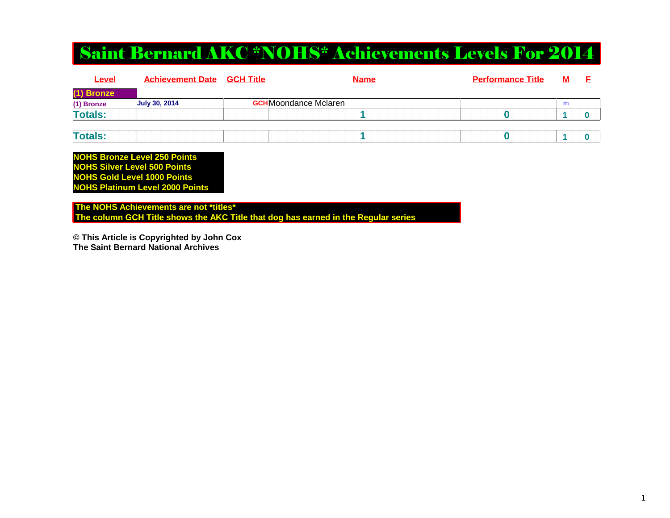## Saint Bernard AKC \*NOHS\* Achievements Levels For 2014

| Level          | <b>Achievement Date</b> | <u>GCH Title</u> | <b>Name</b>                  | <b>Performance Title</b> | <u>M</u> |  |
|----------------|-------------------------|------------------|------------------------------|--------------------------|----------|--|
| (1) Bronze     |                         |                  |                              |                          |          |  |
| (1) Bronze     | <b>July 30, 2014</b>    |                  | <b>GCH</b> Moondance Mclaren |                          | m        |  |
| <b>Totals:</b> |                         |                  |                              |                          |          |  |
|                |                         |                  |                              |                          |          |  |
| <b>Totals:</b> |                         |                  |                              |                          |          |  |

**NOHS Bronze Level 250 Points NOHS Silver Level 500 Points NOHS Gold Level 1000 PointsNOHS Platinum Level 2000 Points**

 **The NOHS Achievements are not \*titles\* The column GCH Title shows the AKC Title that dog has earned in the Regular series**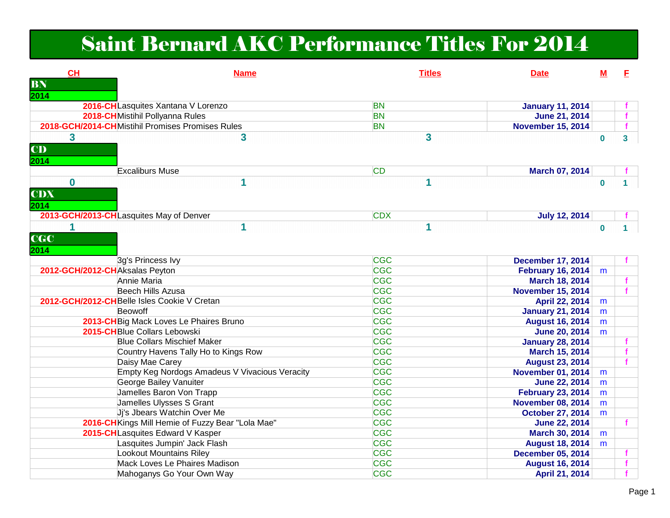## Saint Bernard AKC Performance Titles For 2014

| CH                             | <b>Name</b>                                       | <b>Titles</b> | <b>Date</b>              | М        | E                       |
|--------------------------------|---------------------------------------------------|---------------|--------------------------|----------|-------------------------|
| BN                             |                                                   |               |                          |          |                         |
| 2014                           |                                                   |               |                          |          |                         |
|                                | 2016-CH Lasquites Xantana V Lorenzo               | <b>BN</b>     | <b>January 11, 2014</b>  |          |                         |
|                                | 2018-CHMistihil Pollyanna Rules                   | <b>BN</b>     | June 21, 2014            |          |                         |
|                                | 2018-GCH/2014-CHMistihil Promises Promises Rules  | <b>BN</b>     | <b>November 15, 2014</b> |          | $\mathbf{f}$            |
| $\mathbf{3}$                   | 3                                                 | 3             |                          | $\bf{0}$ | $\overline{\mathbf{3}}$ |
| <b>CD</b>                      |                                                   |               |                          |          |                         |
| 2014                           |                                                   |               |                          |          |                         |
|                                | <b>Excaliburs Muse</b>                            | <b>CD</b>     | March 07, 2014           |          |                         |
| $\bf{0}$                       | 1                                                 |               |                          |          |                         |
|                                |                                                   |               |                          | $\bf{0}$ |                         |
| <b>CDX</b>                     |                                                   |               |                          |          |                         |
| 2014                           |                                                   |               |                          |          |                         |
|                                | 2013-GCH/2013-CHLasquites May of Denver           | <b>CDX</b>    | <b>July 12, 2014</b>     |          |                         |
| 1                              | 1                                                 |               |                          | $\bf{0}$ |                         |
| <b>CGC</b>                     |                                                   |               |                          |          |                         |
| 2014                           |                                                   |               |                          |          |                         |
|                                | 3g's Princess Ivy                                 | <b>CGC</b>    | <b>December 17, 2014</b> |          |                         |
| 2012-GCH/2012-CHAksalas Peyton |                                                   | <b>CGC</b>    | <b>February 16, 2014</b> | m        |                         |
|                                | Annie Maria                                       | <b>CGC</b>    | <b>March 18, 2014</b>    |          |                         |
|                                | Beech Hills Azusa                                 | <b>CGC</b>    | <b>November 15, 2014</b> |          |                         |
|                                | 2012-GCH/2012-CHBelle Isles Cookie V Cretan       | <b>CGC</b>    | April 22, 2014           | m        |                         |
|                                | Beowoff                                           | <b>CGC</b>    | <b>January 21, 2014</b>  | m        |                         |
|                                | 2013-CH Big Mack Loves Le Phaires Bruno           | CGC           | <b>August 16, 2014</b>   | m        |                         |
|                                | 2015-CH Blue Collars Lebowski                     | <b>CGC</b>    | <b>June 20, 2014</b>     | m        |                         |
|                                | <b>Blue Collars Mischief Maker</b>                | <b>CGC</b>    | <b>January 28, 2014</b>  |          |                         |
|                                | Country Havens Tally Ho to Kings Row              | <b>CGC</b>    | March 15, 2014           |          |                         |
|                                | Daisy Mae Carey                                   | <b>CGC</b>    | <b>August 23, 2014</b>   |          |                         |
|                                | Empty Keg Nordogs Amadeus V Vivacious Veracity    | <b>CGC</b>    | <b>November 01, 2014</b> | m        |                         |
|                                | George Bailey Vanuiter                            | <b>CGC</b>    | <b>June 22, 2014</b>     | m        |                         |
|                                | Jamelles Baron Von Trapp                          | CGC           | <b>February 23, 2014</b> | m        |                         |
|                                | Jamelles Ulysses S Grant                          | CGC           | <b>November 08, 2014</b> | m        |                         |
|                                | Jj's Jbears Watchin Over Me                       | CGC           | <b>October 27, 2014</b>  | m        |                         |
|                                | 2016-CH Kings Mill Hemie of Fuzzy Bear "Lola Mae" | <b>CGC</b>    | <b>June 22, 2014</b>     |          |                         |
|                                | 2015-CHLasquites Edward V Kasper                  | CGC           | March 30, 2014           | m        |                         |
|                                | Lasquites Jumpin' Jack Flash                      | CGC           | <b>August 18, 2014</b>   | m        |                         |
|                                | Lookout Mountains Riley                           | <b>CGC</b>    | <b>December 05, 2014</b> |          |                         |
|                                | Mack Loves Le Phaires Madison                     | <b>CGC</b>    | <b>August 16, 2014</b>   |          | f.                      |
|                                | Mahoganys Go Your Own Way                         | <b>CGC</b>    | April 21, 2014           |          |                         |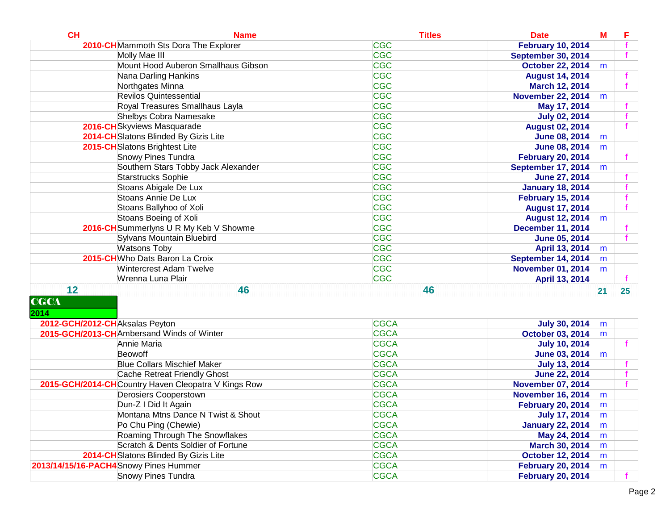| CH                             | <b>Name</b>                                         | <b>Titles</b> | <b>Date</b>               | $M$ | E                |
|--------------------------------|-----------------------------------------------------|---------------|---------------------------|-----|------------------|
|                                | 2010-CHMammoth Sts Dora The Explorer                | <b>CGC</b>    | <b>February 10, 2014</b>  |     |                  |
|                                | Molly Mae III                                       | <b>CGC</b>    | September 30, 2014        |     |                  |
|                                | Mount Hood Auberon Smallhaus Gibson                 | <b>CGC</b>    | <b>October 22, 2014</b>   | m   |                  |
|                                | Nana Darling Hankins                                | <b>CGC</b>    | <b>August 14, 2014</b>    |     |                  |
|                                | Northgates Minna                                    | <b>CGC</b>    | March 12, 2014            |     |                  |
|                                | <b>Revilos Quintessential</b>                       | <b>CGC</b>    | <b>November 22, 2014</b>  | m   |                  |
|                                | Royal Treasures Smallhaus Layla                     | <b>CGC</b>    | May 17, 2014              |     |                  |
|                                | Shelbys Cobra Namesake                              | <b>CGC</b>    | <b>July 02, 2014</b>      |     |                  |
|                                | 2016-CHSkyviews Masquarade                          | <b>CGC</b>    | <b>August 02, 2014</b>    |     |                  |
|                                | 2014-CHSlatons Blinded By Gizis Lite                | <b>CGC</b>    | <b>June 08, 2014</b>      | m   |                  |
|                                | 2015-CHSlatons Brightest Lite                       | <b>CGC</b>    | <b>June 08, 2014</b>      | m   |                  |
|                                | Snowy Pines Tundra                                  | <b>CGC</b>    | <b>February 20, 2014</b>  |     |                  |
|                                | Southern Stars Tobby Jack Alexander                 | <b>CGC</b>    | <b>September 17, 2014</b> | m   |                  |
|                                | Starstrucks Sophie                                  | <b>CGC</b>    | <b>June 27, 2014</b>      |     |                  |
|                                | Stoans Abigale De Lux                               | <b>CGC</b>    | <b>January 18, 2014</b>   |     |                  |
|                                | Stoans Annie De Lux                                 | <b>CGC</b>    | <b>February 15, 2014</b>  |     |                  |
|                                | Stoans Ballyhoo of Xoli                             | <b>CGC</b>    | <b>August 17, 2014</b>    |     |                  |
|                                | Stoans Boeing of Xoli                               | <b>CGC</b>    | <b>August 12, 2014</b>    | m   |                  |
|                                | 2016-CH Summerlyns U R My Keb V Showme              | <b>CGC</b>    | <b>December 11, 2014</b>  |     |                  |
|                                | Sylvans Mountain Bluebird                           | <b>CGC</b>    | <b>June 05, 2014</b>      |     |                  |
|                                | <b>Watsons Toby</b>                                 | <b>CGC</b>    | April 13, 2014            | m   |                  |
|                                | 2015-CHWho Dats Baron La Croix                      | <b>CGC</b>    | <b>September 14, 2014</b> | m   |                  |
|                                | <b>Wintercrest Adam Twelve</b>                      | <b>CGC</b>    | <b>November 01, 2014</b>  | m   |                  |
|                                | Wrenna Luna Plair                                   | <b>CGC</b>    | April 13, 2014            |     |                  |
| 12                             | 46                                                  | 46            |                           | 21  | 25 <sub>25</sub> |
| <b>CGCA</b>                    |                                                     |               |                           |     |                  |
| 2014                           |                                                     |               |                           |     |                  |
| 2012-GCH/2012-CHAksalas Peyton |                                                     | <b>CGCA</b>   | <b>July 30, 2014</b>      | m   |                  |
|                                | 2015-GCH/2013-CHAmbersand Winds of Winter           | <b>CGCA</b>   | <b>October 03, 2014</b>   | m   |                  |
|                                | Annie Maria                                         | <b>CGCA</b>   | <b>July 10, 2014</b>      |     |                  |
|                                | Beowoff                                             | <b>CGCA</b>   | <b>June 03, 2014</b>      | m   |                  |
|                                | <b>Blue Collars Mischief Maker</b>                  | <b>CGCA</b>   | <b>July 13, 2014</b>      |     |                  |
|                                | Cache Retreat Friendly Ghost                        | <b>CGCA</b>   | <b>June 22, 2014</b>      |     |                  |
|                                | 2015-GCH/2014-CHCountry Haven Cleopatra V Kings Row | <b>CGCA</b>   | <b>November 07, 2014</b>  |     |                  |
|                                | Derosiers Cooperstown                               | <b>CGCA</b>   | <b>November 16, 2014</b>  | m   |                  |
|                                | Dun-Z I Did It Again                                | <b>CGCA</b>   | <b>February 20, 2014</b>  | m   |                  |
|                                | Montana Mtns Dance N Twist & Shout                  | <b>CGCA</b>   | <b>July 17, 2014</b>      | m   |                  |
|                                | Po Chu Ping (Chewie)                                | <b>CGCA</b>   | <b>January 22, 2014</b>   | m   |                  |
|                                | Roaming Through The Snowflakes                      | <b>CGCA</b>   | May 24, 2014              | m   |                  |
|                                | Scratch & Dents Soldier of Fortune                  | <b>CGCA</b>   | March 30, 2014            | m   |                  |
|                                | 2014-CHSlatons Blinded By Gizis Lite                | <b>CGCA</b>   | <b>October 12, 2014</b>   | m   |                  |
|                                | 2013/14/15/16-PACH4Snowy Pines Hummer               | <b>CGCA</b>   | <b>February 20, 2014</b>  | m   |                  |
|                                | Snowy Pines Tundra                                  | <b>CGCA</b>   | <b>February 20, 2014</b>  |     |                  |
|                                |                                                     |               |                           |     |                  |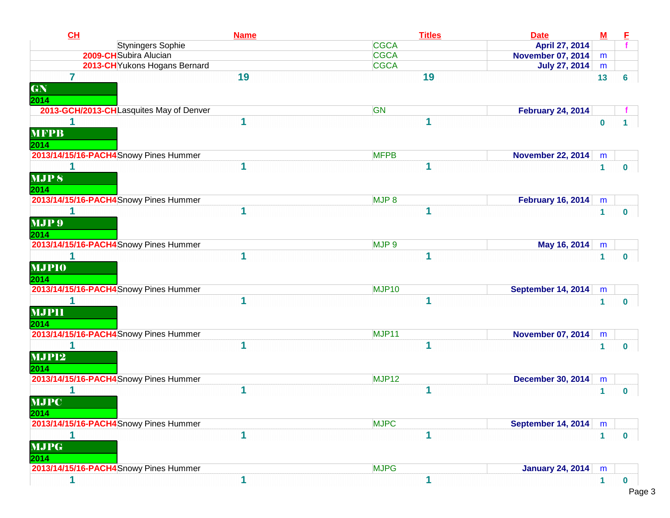| CL<br><b>Name</b>                       | <b>Titles</b>     | <b>Date</b>              | $\underline{\mathsf{M}}$ | E              |
|-----------------------------------------|-------------------|--------------------------|--------------------------|----------------|
| Styningers Sophie                       | <b>CGCA</b>       | April 27, 2014           |                          |                |
| 2009-CHSubira Alucian                   | <b>CGCA</b>       | <b>November 07, 2014</b> | m                        |                |
| 2013-CH Yukons Hogans Bernard           | <b>CGCA</b>       | <b>July 27, 2014</b>     | m                        |                |
| 7<br>19                                 | 19                |                          | 13                       | $6\phantom{a}$ |
| GN                                      |                   |                          |                          |                |
| 2014                                    |                   |                          |                          |                |
| 2013-GCH/2013-CHLasquites May of Denver | GN                | <b>February 24, 2014</b> |                          |                |
| 1<br>1                                  |                   |                          | $\bf{0}$                 | 1              |
| <b>MFPB</b>                             |                   |                          |                          |                |
| 2014                                    |                   |                          |                          |                |
| 2013/14/15/16-PACH4 Snowy Pines Hummer  | <b>MFPB</b>       | <b>November 22, 2014</b> | m                        |                |
|                                         |                   |                          | $\mathbf{1}$             | $\mathbf 0$    |
| <b>MJPS</b>                             |                   |                          |                          |                |
| 2014                                    |                   |                          |                          |                |
| 2013/14/15/16-PACH4 Snowy Pines Hummer  | MJP <sub>8</sub>  | <b>February 16, 2014</b> | m                        |                |
| 1                                       | 1                 |                          | $\mathbf 1$              | $\bf{0}$       |
| MJP 9                                   |                   |                          |                          |                |
| 2014                                    |                   |                          |                          |                |
| 2013/14/15/16-PACH4 Snowy Pines Hummer  | MJP 9             | May 16, 2014             |                          |                |
| 1                                       | 1                 |                          | m                        |                |
|                                         |                   |                          | 1                        | $\mathbf{0}$   |
| <b>MJPIO</b>                            |                   |                          |                          |                |
| 2014                                    |                   |                          |                          |                |
| 2013/14/15/16-PACH4 Snowy Pines Hummer  | MJP <sub>10</sub> | September 14, 2014       | m                        |                |
| 1                                       | 1                 |                          | $\mathbf{1}$             | $\bf{0}$       |
| <b>MJPII</b>                            |                   |                          |                          |                |
| 2014                                    |                   |                          |                          |                |
| 2013/14/15/16-PACH4 Snowy Pines Hummer  | MJP11             | <b>November 07, 2014</b> | m                        |                |
| 1<br>1                                  | 1                 |                          | $\mathbf{1}$             | $\bf{0}$       |
| <b>MJP12</b>                            |                   |                          |                          |                |
| 2014                                    |                   |                          |                          |                |
| 2013/14/15/16-PACH4 Snowy Pines Hummer  | MJP <sub>12</sub> | <b>December 30, 2014</b> | m                        |                |
| 1                                       | 1                 |                          | $\mathbf{1}$             | $\mathbf{0}$   |
| <b>MJPC</b>                             |                   |                          |                          |                |
| 2014                                    |                   |                          |                          |                |
| 2013/14/15/16-PACH4 Snowy Pines Hummer  | <b>MJPC</b>       | September 14, 2014       | m                        |                |
| 1                                       | 1                 |                          | $\mathbf{1}$             | $\mathbf 0$    |
| <b>MJPG</b>                             |                   |                          |                          |                |
| 2014                                    |                   |                          |                          |                |
| 2013/14/15/16-PACH4 Snowy Pines Hummer  | <b>MJPG</b>       | <b>January 24, 2014</b>  | m                        |                |
|                                         |                   |                          |                          |                |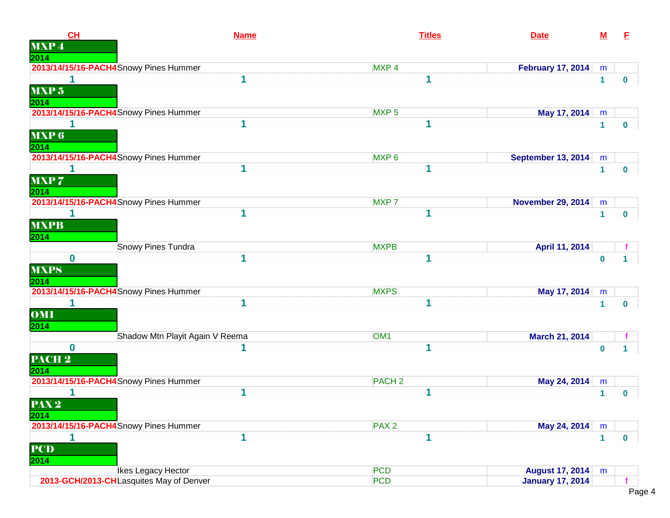| CL<br><b>MXP4</b>             | <b>Name</b>                             | <b>Titles</b>     | <b>Date</b>              | ${\bf M}$    | E            |
|-------------------------------|-----------------------------------------|-------------------|--------------------------|--------------|--------------|
| 2014                          |                                         |                   |                          |              |              |
|                               | 2013/14/15/16-PACH4 Snowy Pines Hummer  | MXP <sub>4</sub>  | <b>February 17, 2014</b> | m            |              |
| 1<br>MXP <sub>5</sub><br>2014 | 1                                       | 1                 |                          | $\mathbf{1}$ | $\bf{0}$     |
|                               | 2013/14/15/16-PACH4 Snowy Pines Hummer  | MXP <sub>5</sub>  | May 17, 2014             | m            |              |
| 1                             | 1                                       |                   |                          | $\mathbf{1}$ | $\mathbf{0}$ |
| <b>MXP6</b><br>2014           |                                         |                   |                          |              |              |
|                               | 2013/14/15/16-PACH4 Snowy Pines Hummer  | MXP <sub>6</sub>  | September 13, 2014       | m            |              |
| 1                             | 1                                       |                   |                          | $\mathbf{1}$ | $\mathbf 0$  |
| MXP7<br>2014                  |                                         |                   |                          |              |              |
|                               | 2013/14/15/16-PACH4 Snowy Pines Hummer  | MXP <sub>7</sub>  | <b>November 29, 2014</b> | ${\sf m}$    |              |
| <b>MXPB</b><br>2014           | 1                                       |                   |                          | $\mathbf{1}$ | $\mathbf{0}$ |
|                               | Snowy Pines Tundra                      | <b>MXPB</b>       | April 11, 2014           |              |              |
| $\mathbf{0}$                  | 1                                       | 1                 |                          | $\mathbf{0}$ | 1            |
| <b>MXPS</b><br>2014           |                                         |                   |                          |              |              |
|                               | 2013/14/15/16-PACH4 Snowy Pines Hummer  | <b>MXPS</b>       | May 17, 2014             | m            |              |
| 1<br><b>OMI</b><br>2014       | 1                                       | 1                 |                          | $\mathbf{1}$ | $\mathbf 0$  |
|                               | Shadow Mtn Playit Again V Reema         | OM <sub>1</sub>   | March 21, 2014           |              |              |
| $\bf{0}$                      | 1                                       |                   |                          | $\bf{0}$     | 1.           |
| PACH <sub>2</sub><br>2014     |                                         |                   |                          |              |              |
|                               | 2013/14/15/16-PACH4 Snowy Pines Hummer  | PACH <sub>2</sub> | May 24, 2014             | m            |              |
| 1                             | 1                                       | 1                 |                          | 1            | $\mathbf{0}$ |
| PAX <sub>2</sub><br>2014      |                                         |                   |                          |              |              |
|                               | 2013/14/15/16-PACH4 Snowy Pines Hummer  | PAX <sub>2</sub>  | May 24, 2014             | m            |              |
| 1<br><b>PCD</b><br>2014       | 1                                       | 1                 |                          | $\mathbf{1}$ | $\bullet$    |
|                               | Ikes Legacy Hector                      | <b>PCD</b>        | <b>August 17, 2014</b>   | m            |              |
|                               | 2013-GCH/2013-CHLasquites May of Denver | <b>PCD</b>        | <b>January 17, 2014</b>  |              |              |
|                               |                                         |                   |                          |              |              |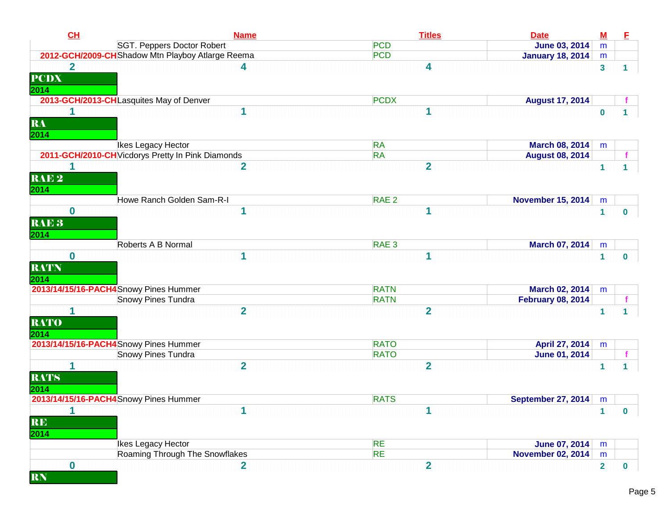| CL                              | <b>Name</b>                                       | <b>Titles</b>    | <b>Date</b>               | $\underline{\mathbf{M}}$ | E            |
|---------------------------------|---------------------------------------------------|------------------|---------------------------|--------------------------|--------------|
|                                 | SGT. Peppers Doctor Robert                        | <b>PCD</b>       | <b>June 03, 2014</b>      | m                        |              |
|                                 | 2012-GCH/2009-CH Shadow Mtn Playboy Atlarge Reema | <b>PCD</b>       | <b>January 18, 2014</b>   | m                        |              |
| $\overline{2}$<br><b>PCDX</b>   |                                                   | 4                |                           | $\mathbf{3}$             | 1.           |
| 2014                            | 2013-GCH/2013-CHLasquites May of Denver           | <b>PCDX</b>      |                           |                          |              |
|                                 |                                                   |                  | <b>August 17, 2014</b>    |                          |              |
| RA<br>2014                      | 1                                                 | 1                |                           | $\bf{0}$                 | 1            |
|                                 | Ikes Legacy Hector                                | <b>RA</b>        | March 08, 2014            | m                        |              |
|                                 | 2011-GCH/2010-CH Vicdorys Pretty In Pink Diamonds | <b>RA</b>        | <b>August 08, 2014</b>    |                          |              |
| RAE <sub>2</sub><br>2014        | $\overline{2}$                                    | $\overline{2}$   |                           | $\mathbf{1}$             | 1            |
|                                 | Howe Ranch Golden Sam-R-I                         | RAE <sub>2</sub> | <b>November 15, 2014</b>  | m                        |              |
| $\bf{0}$                        | 1                                                 | 1                |                           | $\mathbf{1}$             | $\bf{0}$     |
| RAE <sub>3</sub><br>2014        |                                                   |                  |                           |                          |              |
|                                 | Roberts A B Normal                                | RAE <sub>3</sub> | March 07, 2014            | m                        |              |
| $\bf{0}$<br><b>RATN</b><br>2014 | 1                                                 |                  |                           | $\mathbf{1}$             | $\mathbf 0$  |
|                                 | 2013/14/15/16-PACH4 Snowy Pines Hummer            | <b>RATN</b>      | March 02, 2014            | m                        |              |
|                                 | Snowy Pines Tundra                                | <b>RATN</b>      | <b>February 08, 2014</b>  |                          |              |
| <b>RATO</b><br>2014             | $\overline{\mathbf{2}}$                           | $\overline{2}$   |                           | $\mathbf{1}$             | $\mathbf{1}$ |
|                                 | 2013/14/15/16-PACH4 Snowy Pines Hummer            | <b>RATO</b>      | April 27, 2014            | m                        |              |
|                                 | Snowy Pines Tundra                                | <b>RATO</b>      | <b>June 01, 2014</b>      |                          |              |
| 1<br><b>RATS</b><br>2014        | $\overline{2}$                                    | $\overline{2}$   |                           | 1                        | $\mathbf{1}$ |
|                                 | 2013/14/15/16-PACH4 Snowy Pines Hummer            | <b>RATS</b>      | <b>September 27, 2014</b> | m                        |              |
| $\mathbf{1}$<br>RE<br>2014      | 1                                                 | 1                |                           | $\blacksquare$           | $\mathbf{0}$ |
|                                 | Ikes Legacy Hector                                | <b>RE</b>        | <b>June 07, 2014</b>      | m                        |              |
|                                 | Roaming Through The Snowflakes                    | <b>RE</b>        | <b>November 02, 2014</b>  | m                        |              |
| $\bf{0}$                        | $\overline{2}$                                    | $\overline{2}$   |                           | $\mathbf{2}$             | $\mathbf 0$  |
| <b>RN</b>                       |                                                   |                  |                           |                          |              |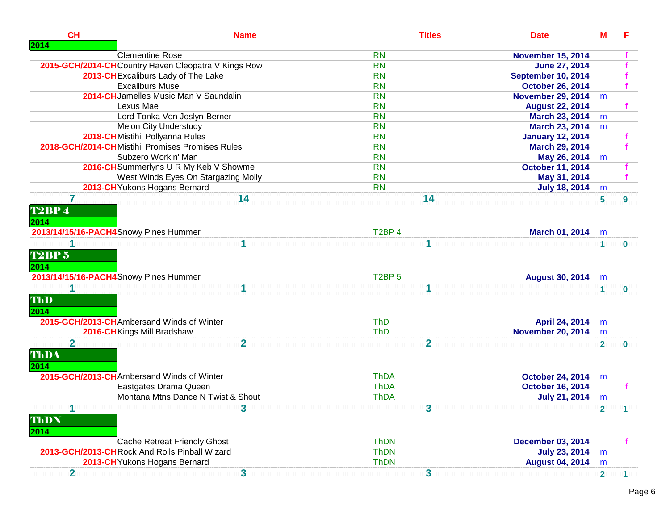| CH                             | <b>Name</b>                                         | <b>Titles</b>                  | <b>Date</b>              | М                       | E            |
|--------------------------------|-----------------------------------------------------|--------------------------------|--------------------------|-------------------------|--------------|
| 2014                           | <b>Clementine Rose</b>                              | <b>RN</b>                      | <b>November 15, 2014</b> |                         |              |
|                                | 2015-GCH/2014-CHCountry Haven Cleopatra V Kings Row | <b>RN</b>                      | <b>June 27, 2014</b>     |                         |              |
|                                | 2013-CH Excaliburs Lady of The Lake                 | <b>RN</b>                      | September 10, 2014       |                         |              |
|                                | <b>Excaliburs Muse</b>                              | <b>RN</b>                      | <b>October 26, 2014</b>  |                         |              |
|                                | 2014-CHJamelles Music Man V Saundalin               | <b>RN</b>                      | <b>November 29, 2014</b> | m                       |              |
|                                | Lexus Mae                                           | <b>RN</b>                      | <b>August 22, 2014</b>   |                         |              |
|                                | Lord Tonka Von Joslyn-Berner                        | <b>RN</b>                      | March 23, 2014           | m                       |              |
|                                | Melon City Understudy                               | <b>RN</b>                      | March 23, 2014           | m                       |              |
|                                | 2018-CH Mistihil Pollyanna Rules                    | <b>RN</b>                      | <b>January 12, 2014</b>  |                         |              |
|                                | 2018-GCH/2014-CHMistihil Promises Promises Rules    | <b>RN</b>                      | March 29, 2014           |                         |              |
|                                | Subzero Workin' Man                                 | <b>RN</b>                      | May 26, 2014             | m                       |              |
|                                | 2016-CH Summerlyns U R My Keb V Showme              | <b>RN</b>                      | <b>October 11, 2014</b>  |                         |              |
|                                | West Winds Eyes On Stargazing Molly                 | <b>RN</b>                      | May 31, 2014             |                         |              |
|                                | 2013-CH Yukons Hogans Bernard                       | <b>RN</b>                      | <b>July 18, 2014</b>     | m                       |              |
| <b>T2BP4</b><br>2014           | 14                                                  | 14                             |                          | 5                       | 9            |
|                                | 2013/14/15/16-PACH4 Snowy Pines Hummer              | T <sub>2</sub> BP <sub>4</sub> | March 01, 2014           | m                       |              |
| <b>T2BP 5</b><br>2014          | 1                                                   | 1                              |                          | 1                       | $\mathbf{0}$ |
|                                | 2013/14/15/16-PACH4 Snowy Pines Hummer              | T <sub>2</sub> BP <sub>5</sub> | <b>August 30, 2014</b>   | m                       |              |
| ThD<br>2014                    | 1                                                   | 1                              |                          | $\blacktriangleleft$    | $\mathbf{0}$ |
|                                | 2015-GCH/2013-CHAmbersand Winds of Winter           | ThD                            | April 24, 2014           | m                       |              |
|                                | 2016-CH Kings Mill Bradshaw                         | ThD                            | <b>November 20, 2014</b> | m                       |              |
| $\overline{2}$<br>ThDA<br>2014 | $\overline{2}$                                      | $\overline{2}$                 |                          | $\overline{2}$          | $\bf{0}$     |
|                                | 2015-GCH/2013-CHAmbersand Winds of Winter           | <b>ThDA</b>                    | <b>October 24, 2014</b>  | m                       |              |
|                                | Eastgates Drama Queen                               | <b>ThDA</b>                    | <b>October 16, 2014</b>  |                         |              |
|                                | Montana Mtns Dance N Twist & Shout                  | <b>ThDA</b>                    | <b>July 21, 2014</b>     | m                       |              |
| 1<br>ThDN<br>2014              | 3                                                   | 3                              |                          |                         |              |
|                                | Cache Retreat Friendly Ghost                        | <b>ThDN</b>                    | <b>December 03, 2014</b> |                         |              |
|                                | 2013-GCH/2013-CHRock And Rolls Pinball Wizard       | <b>ThDN</b>                    | <b>July 23, 2014</b>     | m                       |              |
|                                | 2013-CH Yukons Hogans Bernard                       | <b>ThDN</b>                    | <b>August 04, 2014</b>   | m                       |              |
| $\overline{2}$                 | 3                                                   | 3                              |                          | $\overline{\mathbf{2}}$ | 1.           |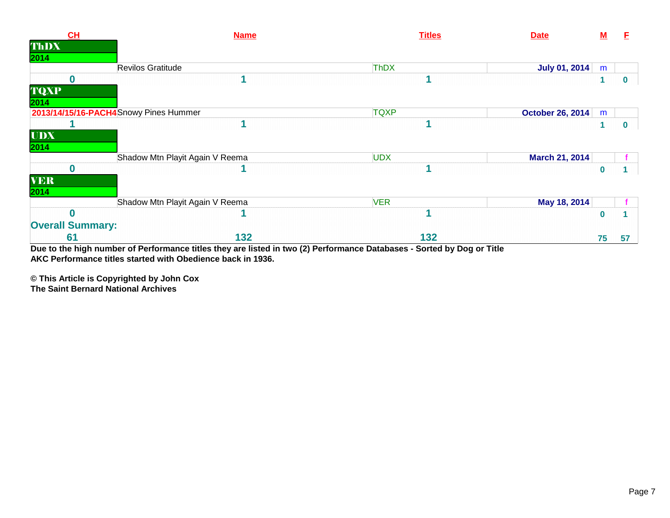| CH                                    | <b>Name</b>                     | <b>Titles</b><br><b>Date</b>                                                                                           | $\underline{\mathbf{M}}$ | F            |
|---------------------------------------|---------------------------------|------------------------------------------------------------------------------------------------------------------------|--------------------------|--------------|
| ThDX                                  |                                 |                                                                                                                        |                          |              |
| 2014                                  |                                 |                                                                                                                        |                          |              |
|                                       | Revilos Gratitude               | ThDX<br><b>July 01, 2014</b>                                                                                           | m                        |              |
|                                       |                                 |                                                                                                                        |                          | $\mathbf{0}$ |
| <b>TQXP</b>                           |                                 |                                                                                                                        |                          |              |
| 2014                                  |                                 |                                                                                                                        |                          |              |
| 2013/14/15/16-PACH4Snowy Pines Hummer |                                 | <b>TQXP</b><br><b>October 26, 2014</b>                                                                                 | m                        |              |
|                                       |                                 |                                                                                                                        |                          | $\mathbf{0}$ |
| <b>UDX</b>                            |                                 |                                                                                                                        |                          |              |
| 2014                                  |                                 |                                                                                                                        |                          |              |
|                                       | Shadow Mtn Playit Again V Reema | <b>UDX</b><br>March 21, 2014                                                                                           |                          |              |
| 0                                     |                                 |                                                                                                                        | $\mathbf 0$              |              |
| <b>VER</b>                            |                                 |                                                                                                                        |                          |              |
| 2014                                  |                                 |                                                                                                                        |                          |              |
|                                       | Shadow Mtn Playit Again V Reema | <b>VER</b><br>May 18, 2014                                                                                             |                          |              |
|                                       |                                 |                                                                                                                        | $\bf{0}$                 |              |
| <b>Overall Summary:</b>               |                                 |                                                                                                                        |                          |              |
| 61                                    | 132                             | 132                                                                                                                    | 75                       | 57           |
|                                       |                                 | Due to the high number of Performance titles they are listed in two (2) Performance Databases - Sorted by Dog or Title |                          |              |

**AKC Performance titles started with Obedience back in 1936.**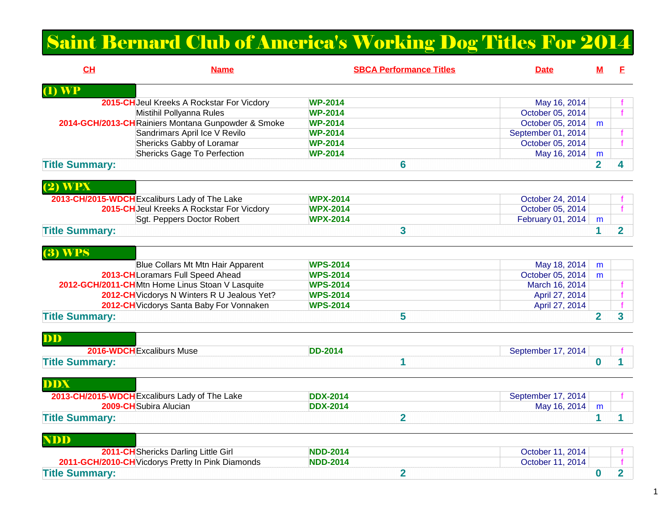## Saint Bernard Club of America's Working Dog Titles For 2014

| CH                        | <b>Name</b>                                        | <b>SBCA Performance Titles</b> | <b>Date</b>        | М              | F.             |
|---------------------------|----------------------------------------------------|--------------------------------|--------------------|----------------|----------------|
| $(1)$ WP                  |                                                    |                                |                    |                |                |
|                           | 2015-CH Jeul Kreeks A Rockstar For Vicdory         | <b>WP-2014</b>                 | May 16, 2014       |                |                |
|                           | Mistihil Pollyanna Rules                           | <b>WP-2014</b>                 | October 05, 2014   |                | f              |
|                           | 2014-GCH/2013-CHRainiers Montana Gunpowder & Smoke | <b>WP-2014</b>                 | October 05, 2014   | m              |                |
|                           | Sandrimars April Ice V Revilo                      | <b>WP-2014</b>                 | September 01, 2014 |                |                |
|                           | Shericks Gabby of Loramar                          | <b>WP-2014</b>                 | October 05, 2014   |                | f              |
|                           | <b>Shericks Gage To Perfection</b>                 | <b>WP-2014</b>                 | May 16, 2014       | m              |                |
| <b>Title Summary:</b>     |                                                    | 6                              |                    | $\overline{2}$ | 4              |
| $(2)$ WPX                 |                                                    |                                |                    |                |                |
|                           | 2013-CH/2015-WDCH Excaliburs Lady of The Lake      | <b>WPX-2014</b>                | October 24, 2014   |                |                |
|                           | 2015-CHJeul Kreeks A Rockstar For Vicdory          | <b>WPX-2014</b>                | October 05, 2014   |                | $\mathbf{f}$   |
|                           | Sgt. Peppers Doctor Robert                         | <b>WPX-2014</b>                | February 01, 2014  | m              |                |
| <b>Title Summary:</b>     |                                                    | 3                              |                    | $\mathbf 1$    | $\overline{2}$ |
| $(3)$ WPS                 |                                                    |                                |                    |                |                |
|                           | Blue Collars Mt Mtn Hair Apparent                  | <b>WPS-2014</b>                | May 18, 2014       | m              |                |
|                           | 2013-CH Loramars Full Speed Ahead                  | <b>WPS-2014</b>                | October 05, 2014   | m              |                |
|                           | 2012-GCH/2011-CHMtn Home Linus Stoan V Lasquite    | <b>WPS-2014</b>                | March 16, 2014     |                |                |
|                           | 2012-CH Vicdorys N Winters R U Jealous Yet?        | <b>WPS-2014</b>                | April 27, 2014     |                | f              |
|                           | 2012-CH Vicdorys Santa Baby For Vonnaken           | <b>WPS-2014</b>                | April 27, 2014     |                |                |
| <b>Title Summary:</b>     |                                                    | 5                              |                    | $\overline{2}$ | 3              |
| DD                        |                                                    |                                |                    |                |                |
| 2016-WDCH Excaliburs Muse |                                                    | <b>DD-2014</b>                 | September 17, 2014 |                |                |
| <b>Title Summary:</b>     |                                                    | 1                              |                    | $\bf{0}$       |                |
| <b>DDX</b>                |                                                    |                                |                    |                |                |
|                           | 2013-CH/2015-WDCH Excaliburs Lady of The Lake      | <b>DDX-2014</b>                | September 17, 2014 |                | f.             |
|                           | 2009-CH Subira Alucian                             | <b>DDX-2014</b>                | May 16, 2014       | m              |                |
| <b>Title Summary:</b>     |                                                    | $\overline{2}$                 |                    | 1              | 1              |
| <b>NDD</b>                |                                                    |                                |                    |                |                |
|                           | 2011-CH Shericks Darling Little Girl               | <b>NDD-2014</b>                | October 11, 2014   |                |                |
|                           | 2011-GCH/2010-CH Vicdorys Pretty In Pink Diamonds  | <b>NDD-2014</b>                | October 11, 2014   |                |                |
| <b>Title Summary:</b>     |                                                    | $\overline{2}$                 |                    | $\bf{0}$       | $\overline{2}$ |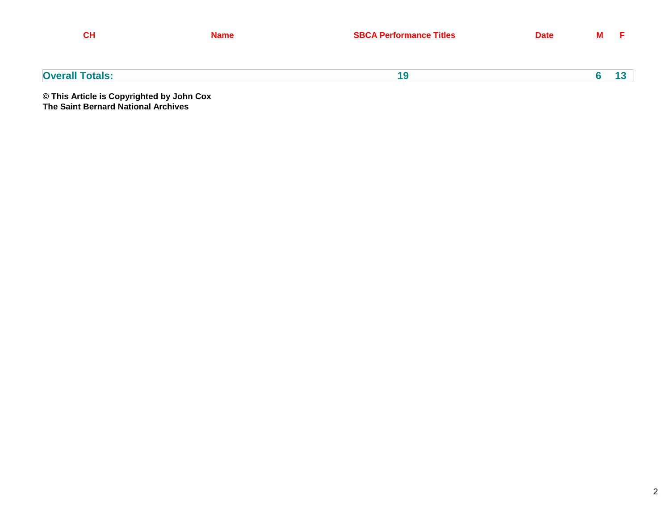| CH                                        | <b>Name</b> | <b>SBCA Performance Titles</b> | <b>Date</b> |  |
|-------------------------------------------|-------------|--------------------------------|-------------|--|
| <b>Overall Totals:</b>                    |             | 19                             |             |  |
| © This Article is Convrighted by John Cox |             |                                |             |  |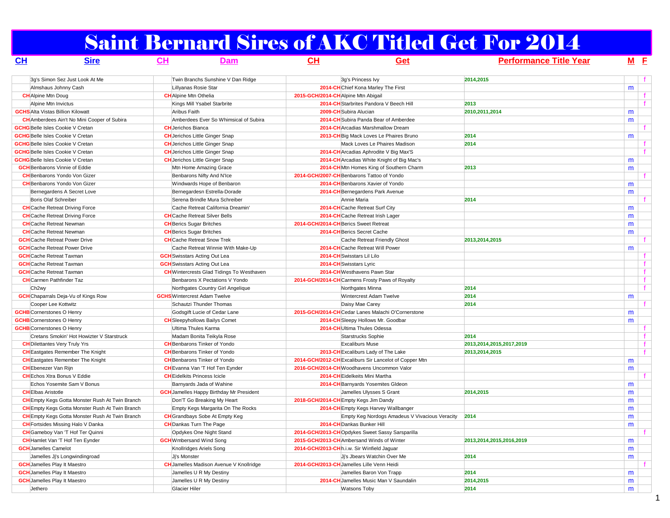# Saint Bernard Sires of AKC Titled Get For 2014

| <u>CH</u>                                | <u>Sire</u>                                            | $CH$ | Dam                                              | $CH$                                | Get                                                    | <b>Performance Title Year</b> |   | $M$ E |
|------------------------------------------|--------------------------------------------------------|------|--------------------------------------------------|-------------------------------------|--------------------------------------------------------|-------------------------------|---|-------|
|                                          | 3q's Simon Sez Just Look At Me                         |      | Twin Branchs Sunshine V Dan Ridge                |                                     | 3q's Princess Ivy                                      | 2014,2015                     |   |       |
|                                          | Almshaus Johnny Cash                                   |      | Lillyanas Rosie Star                             |                                     | 2014-CHChief Kona Marley The First                     |                               | m |       |
| <b>CH</b> Alpine Mtn Doug                |                                                        |      | <b>CH</b> Alpine Mtn Othelia                     | 2015-GCH/2014-CH Alpine Mtn Abigail |                                                        |                               |   | f.    |
| Alpine Mtn Invictus                      |                                                        |      | Kings Mill Ysabel Starbrite                      |                                     | 2014-CH Starbrites Pandora V Beech Hill                | 2013                          |   | f     |
| <b>GCHS</b> Alta Vistas Billion Kilowatt |                                                        |      | Aribus Faith                                     |                                     | 2009-CH Subira Alucian                                 | 2010,2011,2014                | m |       |
|                                          | <b>CH</b> Amberdees Ain't No Mini Cooper of Subira     |      | Amberdees Ever So Whimsical of Subira            |                                     | 2014-CH Subira Panda Bear of Amberdee                  |                               | m |       |
| <b>GCHG</b> Belle Isles Cookie V Cretan  |                                                        |      | <b>CH</b> Jerichos Bianca                        |                                     | 2014-CH Arcadias Marshmallow Dream                     |                               |   |       |
| <b>GCHG</b> Belle Isles Cookie V Cretan  |                                                        |      | <b>CH</b> Jerichos Little Ginger Snap            |                                     | 2013-CH Big Mack Loves Le Phaires Bruno                | 2014                          | m |       |
| <b>GCHG</b> Belle Isles Cookie V Cretan  |                                                        |      | <b>CH</b> Jerichos Little Ginger Snap            |                                     | Mack Loves Le Phaires Madison                          | 2014                          |   |       |
| <b>GCHG</b> Belle Isles Cookie V Cretan  |                                                        |      | <b>CH</b> Jerichos Little Ginger Snap            |                                     | 2014-CH Arcadias Aphrodite V Big Max'S                 |                               |   | f     |
| <b>GCHG</b> Belle Isles Cookie V Cretan  |                                                        |      | <b>CH</b> Jerichos Little Ginger Snap            |                                     | 2014-CH Arcadias White Knight of Big Mac's             |                               | m |       |
| <b>GCH</b> Benbarons Vinnie of Eddie     |                                                        |      | Mtn Home Amazing Grace                           |                                     | 2014-CH Mtn Homes King of Southern Charm               | 2013                          | m |       |
|                                          | <b>CH</b> Benbarons Yondo Von Gizer                    |      | Benbarons Nifty And N'Ice                        |                                     | 2014-GCH/2007-CH Benbarons Tattoo of Yondo             |                               |   |       |
|                                          | <b>CH</b> Benbarons Yondo Von Gizer                    |      | Windwards Hope of Benbaron                       |                                     | 2014-CH Benbarons Xavier of Yondo                      |                               | m |       |
|                                          | Bernegardens A Secret Love                             |      | Bernegardesn Estrella-Dorade                     |                                     | 2014-CH Bernegardens Park Avenue                       |                               | m |       |
| Boris Olaf Schreiber                     |                                                        |      | Serena Brindle Mura Schreiber                    |                                     | Annie Maria                                            | 2014                          |   | f     |
|                                          | <b>CH</b> Cache Retreat Driving Force                  |      | Cache Retreat California Dreamin'                |                                     | 2014-CH Cache Retreat Surf City                        |                               | m |       |
|                                          | <b>CH</b> Cache Retreat Driving Force                  |      | <b>CH</b> Cache Retreat Silver Bells             |                                     | 2014-CHCache Retreat Irish Lager                       |                               | m |       |
| <b>CH</b> Cache Retreat Newman           |                                                        |      | <b>CH</b> Berics Sugar Britches                  |                                     | 2014-GCH/2014-CH Berics Sweet Retreat                  |                               | m |       |
| <b>CH</b> Cache Retreat Newman           |                                                        |      | <b>CH</b> Berics Sugar Britches                  |                                     | 2014-CH Berics Secret Cache                            |                               | m |       |
|                                          | <b>GCH</b> Cache Retreat Power Drive                   |      | <b>CH</b> Cache Retreat Snow Trek                |                                     | Cache Retreat Friendly Ghost                           | 2013,2014,2015                |   |       |
|                                          | <b>GCH</b> Cache Retreat Power Drive                   |      | Cache Retreat Winnie With Make-Up                |                                     | 2014-CHCache Retreat Will Power                        |                               | m |       |
| <b>GCH</b> Cache Retreat Taxman          |                                                        |      | <b>GCH</b> Swisstars Acting Out Lea              |                                     | 2014-CH Swisstars Lil Lilo                             |                               |   | f.    |
| <b>GCH</b> Cache Retreat Taxman          |                                                        |      | <b>GCH</b> Swisstars Acting Out Lea              |                                     | 2014-CH Swisstars Lyric                                |                               |   | f.    |
| <b>GCH</b> Cache Retreat Taxman          |                                                        |      | <b>CH</b> Wintercrests Glad Tidings To Westhaven |                                     | 2014-CH Westhavens Pawn Star                           |                               |   |       |
| <b>CH</b> Carmen Pathfinder Taz          |                                                        |      | Benbarons X Pectations V Yondo                   |                                     | 2014-GCH/2014-CHCarmens Frosty Paws of Royalty         |                               |   | f     |
| Ch <sub>2wy</sub>                        |                                                        |      | Northgates Country Girl Angelique                |                                     | Northgates Minna                                       | 2014                          |   | f     |
|                                          | <b>GCH</b> Chaparrals Deja-Vu of Kings Row             |      | <b>GCHS</b> Wintercrest Adam Twelve              |                                     | Wintercrest Adam Twelve                                | 2014                          | m |       |
| Cooper Lee Kottwitz                      |                                                        |      | Schautzi Thunder Thomas                          |                                     | Daisy Mae Carey                                        | 2014                          |   | f.    |
| <b>GCHB</b> Cornerstones O Henry         |                                                        |      | Godsgift Lucie of Cedar Lane                     |                                     | 2015-GCH/2014-CHCedar Lanes Malachi O'Cornerstone      |                               | m |       |
| <b>GCHB</b> Cornerstones O Henry         |                                                        |      | <b>CH</b> Sleepyhollows Bailys Comet             |                                     | 2014-CH Sleepy Hollows Mr. Goodbar                     |                               | m |       |
| <b>GCHB</b> Cornerstones O Henry         |                                                        |      | Ultima Thules Karma                              |                                     | 2014-CH Ultima Thules Odessa                           |                               |   | f.    |
|                                          | Cretans Smokin' Hot Howizter V Starstruck              |      | Madam Bonita Teikyla Rose                        |                                     | Starstrucks Sophie                                     | 2014                          |   | f     |
|                                          | <b>CH</b> Dilettantes Very Truly Yrs                   |      | <b>CH</b> Benbarons Tinker of Yondo              |                                     | <b>Excaliburs Muse</b>                                 | 2013, 2014, 2015, 2017, 2019  |   | f     |
|                                          | <b>CH</b> Eastgates Remember The Knight                |      | <b>CH</b> Benbarons Tinker of Yondo              |                                     | 2013-CH Excaliburs Lady of The Lake                    | 2013.2014.2015                |   | f     |
|                                          | <b>CH</b> Eastgates Remember The Knight                |      | <b>CH</b> Benbarons Tinker of Yondo              |                                     | 2014-GCH/2012-CH Excaliburs Sir Lancelot of Copper Mtn |                               | m |       |
| <b>CH</b> Ebenezer Van Rijn              |                                                        |      | <b>CH</b> Evanna Van 'T Hof Ten Eynder           |                                     | 2016-GCH/2014-CH Woodhavens Uncommon Valor             |                               | m |       |
|                                          | <b>CH</b> Echos Xtra Bonus V Eddie                     |      | <b>CH</b> Eidelkits Princess Icicle              |                                     | 2014-CH Eidelkeits Mini Martha                         |                               |   |       |
|                                          | Echos Yosemite Sam V Bonus                             |      | Barnyards Jada of Wahine                         |                                     | 2014-CH Barnyards Yosemites Gldeon                     |                               | m |       |
| <b>CHEIbas Aristotle</b>                 |                                                        |      | <b>GCH</b> Jamelles Happy Birthday Mr President  |                                     | Jamelles Ulysses S Grant                               | 2014,2015                     | m |       |
|                                          | <b>CH</b> Empty Kegs Gotta Monster Rush At Twin Branch |      | Don'T Go Breaking My Heart                       |                                     | 2018-GCH/2014-CHEmpty Kegs Jim Dandy                   |                               | m |       |
|                                          | <b>CH</b> Empty Kegs Gotta Monster Rush At Twin Branch |      | Empty Kegs Margarita On The Rocks                |                                     | 2014-CH Empty Kegs Harvey Wallbanger                   |                               | m |       |
|                                          | <b>CH</b> Empty Kegs Gotta Monster Rush At Twin Branch |      | <b>CH</b> Grandbays Sobe At Empty Keg            |                                     | Empty Keg Nordogs Amadeus V Vivacious Veracity         | 2014                          | m |       |
|                                          | <b>CH</b> Fortsides Missing Halo V Danka               |      | <b>CH</b> Dankas Turn The Page                   |                                     | 2014-CH Dankas Bunker Hill                             |                               | m |       |
|                                          | <b>CH</b> Gameboy Van 'T Hof Ter Quinni                |      | Opdykes One Night Stand                          |                                     | 2014-GCH/2013-CHOpdykes Sweet Sassy Sarsparilla        |                               |   |       |
|                                          | <b>CH</b> Hamlet Van 'T Hof Ten Eynder                 |      | <b>GCH</b> Wmbersand Wind Song                   |                                     | 2015-GCH/2013-CH Ambersand Winds of Winter             | 2013,2014,2015,2016,2019      | m |       |
| <b>GCH</b> Jamelles Camelot              |                                                        |      | Knollridges Ariels Song                          |                                     | 2014-GCH/2013-CH h.i.w. Sir Winfield Jaguar            |                               | m |       |
|                                          | Jamelles Jj's Longwindingroad                          |      | Jj's Monster                                     |                                     | Ji's Jbears Watchin Over Me                            | 2014                          | m |       |
| <b>GCH</b> Jamelles Play It Maestro      |                                                        |      | <b>CH</b> Jamelles Madison Avenue V Knollridge   |                                     | 2014-GCH/2013-CH Jamelles Lille Venn Heidi             |                               |   |       |
| <b>GCH</b> Jamelles Play It Maestro      |                                                        |      | Jamelles U R My Destiny                          |                                     | Jamelles Baron Von Trapp                               | 2014                          | m |       |
| <b>GCH</b> Jamelles Play It Maestro      |                                                        |      | Jamelles U R My Destiny                          |                                     | 2014-CH Jamelles Music Man V Saundalin                 | 2014,2015                     | m |       |
| Jethero                                  |                                                        |      | Glacier Hiler                                    |                                     | <b>Watsons Toby</b>                                    | 2014                          | m |       |
|                                          |                                                        |      |                                                  |                                     |                                                        |                               |   |       |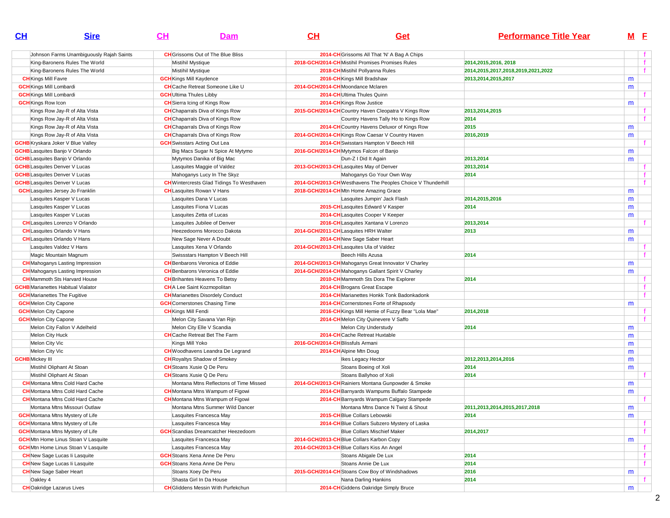| CL                                    | <b>Sire</b>                                | <u>CH</u><br>Dam                                 | $CH$                                                 | Get                                                          | <b>Performance Title Year</b>      |   | M E         |
|---------------------------------------|--------------------------------------------|--------------------------------------------------|------------------------------------------------------|--------------------------------------------------------------|------------------------------------|---|-------------|
|                                       | Johnson Farms Unambiguously Rajah Saints   | <b>CH</b> Grissoms Out of The Blue Bliss         |                                                      | 2014-CH Grissoms All That 'N' A Bag A Chips                  |                                    |   | f           |
|                                       | King-Baronens Rules The World              | <b>Mistihil Mystique</b>                         | 2018-GCH/2014-CHMistihil Promises Promises Rules     |                                                              | 2014, 2015, 2016, 2018             |   | f           |
|                                       | King-Baronens Rules The World              | Mistihil Mystique                                | 2018-CH Mistihil Pollyanna Rules                     |                                                              | 2014,2015,2017,2018,2019,2021,2022 |   |             |
| <b>CH</b> Kings Mill Favre            |                                            | <b>GCH</b> Kings Mill Kaydence                   | 2016-CH Kings Mill Bradshaw                          |                                                              | 2013,2014,2015,2017                | m |             |
| <b>GCH</b> Kings Mill Lombardi        |                                            | <b>CH</b> Cache Retreat Someone Like U           | 2014-GCH/2014-CHMoondance Mclaren                    |                                                              |                                    | m |             |
| <b>GCH</b> Kings Mill Lombardi        |                                            | <b>GCH</b> Ultima Thules Libby                   | 2014-CH Ultima Thules Quinn                          |                                                              |                                    |   | f           |
| <b>GCH</b> Kings Row Icon             |                                            | <b>CH</b> Sierra Icing of Kings Row              | 2014-CH Kings Row Justice                            |                                                              |                                    | m |             |
|                                       | Kings Row Jay-R of Alta Vista              | <b>CH</b> Chaparrals Diva of Kings Row           | 2015-GCH/2014-CH Country Haven Cleopatra V Kings Row |                                                              | 2013,2014,2015                     |   |             |
|                                       | Kings Row Jay-R of Alta Vista              | <b>CH</b> Chaparrals Diva of Kings Row           |                                                      | Country Havens Tally Ho to Kings Row                         | 2014                               |   | $\mathbf f$ |
|                                       | Kings Row Jay-R of Alta Vista              | <b>CH</b> Chaparrals Diva of Kings Row           |                                                      | 2014-CH Country Havens Deluxor of Kings Row                  | 2015                               | m |             |
|                                       | Kings Row Jay-R of Alta Vista              | <b>CH</b> Chaparrals Diva of Kings Row           | 2014-GCH/2014-CH Kings Row Caesar V Country Haven    |                                                              | 2016,2019                          | m |             |
|                                       | <b>GCHB</b> Kryskara Joker V Blue Valley   | <b>GCH</b> Swisstars Acting Out Lea              |                                                      | 2014-CH Swisstars Hampton V Beech Hill                       |                                    |   | f           |
| <b>GCHB</b> Lasquites Banjo V Orlando |                                            | Big Macs Sugar N Spice At Mytymo                 | 2016-GCH/2014-CH Mytymos Falcon of Banjo             |                                                              |                                    | m |             |
| <b>GCHB</b> Lasquites Banjo V Orlando |                                            | Mytymos Danika of Big Mac                        | Dun-Z I Did It Again                                 |                                                              | 2013,2014                          | m |             |
| <b>GCHB</b> Lasquites Denver V Lucas  |                                            | Lasquites Maggie of Valdez                       | 2013-GCH/2013-CHLasquites May of Denver              |                                                              | 2013,2014                          |   | f           |
| <b>GCHB</b> Lasquites Denver V Lucas  |                                            | Mahoganys Lucy In The Skyz                       |                                                      | Mahoganys Go Your Own Way                                    | 2014                               |   | f           |
| <b>GCHB</b> Lasquites Denver V Lucas  |                                            | <b>CH</b> Wintercrests Glad Tidings To Westhaven |                                                      | 2014-GCH/2013-CH Westhavens The Peoples Choice V Thunderhill |                                    |   |             |
|                                       | <b>GCH</b> Lasquites Jersey Jo Franklin    | <b>CH</b> Lasquites Rowan V Hans                 | 2018-GCH/2014-CH Mtn Home Amazing Grace              |                                                              |                                    | m |             |
|                                       | Lasquites Kasper V Lucas                   | Lasquites Dana V Lucas                           |                                                      | Lasquites Jumpin' Jack Flash                                 | 2014,2015,2016                     | m |             |
|                                       | Lasquites Kasper V Lucas                   | Lasquites Fiona V Lucas                          | 2015-CHLasquites Edward V Kasper                     |                                                              | 2014                               | m |             |
|                                       | Lasquites Kasper V Lucas                   | Lasquites Zetta of Lucas                         | 2014-CHLasquites Cooper V Keeper                     |                                                              |                                    | m |             |
|                                       | <b>CH</b> Lasquites Lorenzo V Orlando      | Lasquites Jubilee of Denver                      | 2016-CH Lasquites Xantana V Lorenzo                  |                                                              | 2013,2014                          |   |             |
|                                       | <b>CH</b> Lasquites Orlando V Hans         | Heezedoorns Morocco Dakota                       | 2014-GCH/2011-CHLasquites HRH Walter                 |                                                              | 2013                               | m |             |
|                                       | <b>CH</b> Lasquites Orlando V Hans         | New Sage Never A Doubt                           | 2014-CHNew Sage Saber Heart                          |                                                              |                                    | m |             |
|                                       | Lasquites Valdez V Hans                    | Lasquites Xena V Orlando                         | 2014-GCH/2013-CHLasquites Ula of Valdez              |                                                              |                                    |   | f.          |
|                                       | Magic Mountain Magnum                      | Swissstars Hampton V Beech Hill                  | Beech Hills Azusa                                    |                                                              | 2014                               |   | f           |
|                                       | <b>CH</b> Mahoganys Lasting Impression     | <b>CH</b> Benbarons Veronica of Eddie            | 2014-GCH/2013-CH Mahoganys Great Innovator V Charley |                                                              |                                    | m |             |
|                                       | <b>CH</b> Mahoganys Lasting Impression     | <b>CH</b> Benbarons Veronica of Eddie            | 2014-GCH/2014-CHMahoganys Gallant Spirit V Charley   |                                                              |                                    | m |             |
|                                       | <b>CH</b> Mammoth Sts Harvard House        | <b>CH</b> Brihantes Heavens To Betsy             |                                                      | 2010-CH Mammoth Sts Dora The Explorer                        | 2014                               |   | f           |
|                                       | <b>GCHB</b> Marianettes Habitual Vialator  | <b>CH</b> A Lee Saint Kozmopolitan               | 2014-CH Brogans Great Escape                         |                                                              |                                    |   | f           |
| <b>GCH</b> Marianettes The Fugitive   |                                            | <b>CH</b> Marianettes Disordely Conduct          |                                                      | 2014-CH Marianettes Honkk Tonk Badonkadonk                   |                                    |   | f           |
| <b>GCH</b> Melon City Capone          |                                            | <b>GCH</b> Cornerstones Chasing Time             |                                                      | 2014-CH Cornerstones Forte of Rhapsody                       |                                    | m |             |
| <b>GCH</b> Melon City Capone          |                                            | <b>CH</b> Kings Mill Fendi                       |                                                      | 2016-CH Kings Mill Hemie of Fuzzy Bear "Lola Mae"            | 2014,2018                          |   | f           |
| <b>GCH</b> Melon City Capone          |                                            | Melon City Savana Van Rijn                       | 2014-CH Melon City Quinevere V Saffo                 |                                                              |                                    |   |             |
|                                       | Melon City Fallon V Adelheld               | Melon City Elle V Scandia                        |                                                      | Melon City Understudy                                        | 2014                               | m |             |
| Melon City Huck                       |                                            | <b>CH</b> Cache Retreat Bet The Farm             | 2014-CH Cache Retreat Huxtable                       |                                                              |                                    | m |             |
| Melon City Vic                        |                                            | Kings Mill Yoko                                  | 2016-GCH/2014-CH Blissfuls Armani                    |                                                              |                                    | m |             |
| Melon City Vic                        |                                            | <b>CH</b> Woodhavens Leandra De Legrand          | 2014-CH Alpine Mtn Doug                              |                                                              |                                    | m |             |
| <b>GCHB</b> Mickey III                |                                            | <b>CH</b> Royaltys Shadow of Smokey              | Ikes Legacy Hector                                   |                                                              | 2012, 2013, 2014, 2016             | m |             |
|                                       | Mistihil Oliphant At Stoan                 | <b>CH</b> Stoans Xusie Q De Peru                 |                                                      | Stoans Boeing of Xoli                                        | 2014                               | m |             |
|                                       | Mistihil Oliphant At Stoan                 | <b>CH</b> Stoans Xusie Q De Peru                 |                                                      | Stoans Ballyhoo of Xoli                                      | 2014                               |   |             |
|                                       | <b>CH</b> Montana Mtns Cold Hard Cache     | Montana Mtns Reflectons of Time Missed           | 2014-GCH/2013-CH Rainiers Montana Gunpowder & Smoke  |                                                              |                                    | m |             |
|                                       | <b>CH</b> Montana Mtns Cold Hard Cache     | <b>CH</b> Montana Mtns Wampum of Figowi          |                                                      | 2014-CH Barnyards Wampums Buffalo Stampede                   |                                    | m |             |
|                                       | <b>CH</b> Montana Mtns Cold Hard Cache     | <b>CH</b> Montana Mtns Wampum of Figowi          |                                                      | 2014-CH Barnyards Wampum Calgary Stampede                    |                                    |   |             |
|                                       | Montana Mtns Missouri Outlaw               | Montana Mtns Summer Wild Dancer                  |                                                      | Montana Mtns Dance N Twist & Shout                           | 2011,2013,2014,2015,2017,2018      | m |             |
|                                       | <b>GCH</b> Montana Mtns Mystery of Life    | Lasquites Francesca May                          | 2015-CH Blue Collars Lebowski                        |                                                              | 2014                               | m |             |
|                                       | <b>GCH</b> Montana Mtns Mystery of Life    | Lasquites Francesca May                          |                                                      | 2014-CH Blue Collars Subzero Mystery of Laska                |                                    |   | f           |
|                                       | <b>GCH</b> Montana Mtns Mystery of Life    | <b>GCH</b> Scandias Dreamcatcher Heezedoom       |                                                      | <b>Blue Collars Mischief Maker</b>                           | 2014,2017                          |   | f           |
|                                       | <b>GCH</b> Mtn Home Linus Stoan V Lasquite | Lasquites Francesca May                          | 2014-GCH/2013-CH Blue Collars Karbon Copy            |                                                              |                                    | m |             |
|                                       | <b>GCH</b> Mtn Home Linus Stoan V Lasquite | Lasquites Francesca May                          | 2014-GCH/2013-CH Blue Collars Kiss An Angel          |                                                              |                                    |   | f           |
|                                       | <b>CH</b> New Sage Lucas li Lasquite       | <b>GCH</b> Stoans Xena Anne De Peru              |                                                      | Stoans Abigale De Lux                                        | 2014                               |   | f           |
|                                       | <b>CH</b> New Sage Lucas li Lasquite       | <b>GCH</b> Stoans Xena Anne De Peru              |                                                      | Stoans Annie De Lux                                          | 2014                               |   | f           |
| <b>CH</b> New Sage Saber Heart        |                                            | Stoans Xoey De Peru                              | 2015-GCH/2014-CH Stoans Cow Boy of Windshadows       |                                                              | 2016                               | m |             |
| Oakley 4                              |                                            | Shasta Girl In Da House                          |                                                      | Nana Darling Hankins                                         | 2014                               |   | f           |
| <b>CH</b> Oakridge Lazarus Lives      |                                            | <b>CH</b> GIiddens Messin With Purfekchun        |                                                      | 2014-CH Giddens Oakridge Simply Bruce                        |                                    | m |             |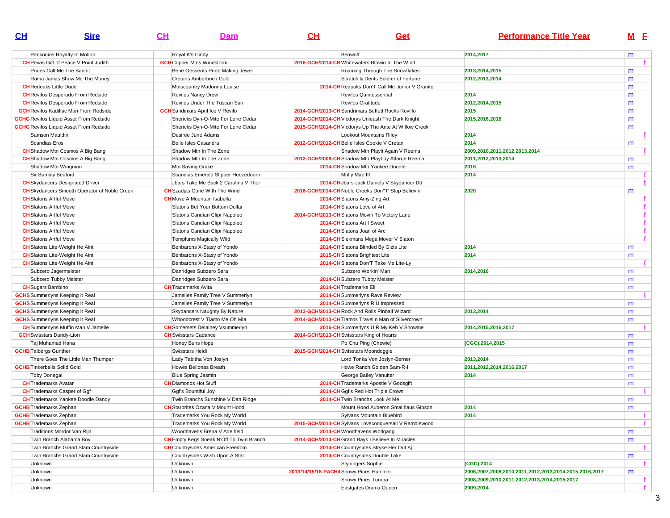| CL                                 | <b>Sire</b>                                         | CH | Dam                                             | CH                                             | Get                                                   | <b>Performance Title Year</b>                          |        | M <sub>E</sub> |
|------------------------------------|-----------------------------------------------------|----|-------------------------------------------------|------------------------------------------------|-------------------------------------------------------|--------------------------------------------------------|--------|----------------|
|                                    | Pankonins Royalty In Motion                         |    | Royal K's Cindy                                 | Beowoff                                        |                                                       | 2014,2017                                              | m      |                |
|                                    | <b>CH</b> Pevas Gift of Peace V Point Judith        |    | <b>GCH</b> Copper Mtns Windstorm                |                                                | 2016-GCH/2014-CH Whitewaters Blowin In The Wind       |                                                        |        |                |
|                                    | Prides Call Me The Bandit                           |    | Bene Gesserits Pride Making Jewel               |                                                | Roaming Through The Snowflakes                        | 2013,2014,2015                                         | m      |                |
|                                    | Rama Jamas Show Me The Money                        |    | Cretans Amberboch Gold                          |                                                | Scratch & Dents Soldier of Fortune                    | 2012.2013.2014                                         | m      |                |
| <b>CH</b> Redoaks Little Dude      |                                                     |    | Mtnscountry Madonna Louise                      |                                                | 2014-CH Redoaks Don'T Call Me Junior V Granite        |                                                        | m      |                |
|                                    | <b>CH</b> Revilos Desperado From Redside            |    | <b>Revilos Nancy Drew</b>                       |                                                | Revilos Quintessential                                | 2014                                                   | m      |                |
|                                    | <b>CH</b> Revilos Desperado From Redside            |    | Revilos Under The Tuscan Sun                    |                                                | <b>Revilos Gratitude</b>                              | 2012,2014,2015                                         | m      |                |
|                                    | <b>GCH</b> Revilos Kadillac Man From Redside        |    | <b>GCH</b> Sandimars April Ice V Revilo         |                                                | 2014-GCH/2013-CH Sandrimars Buffett Rocks Revillo     | 2015                                                   | m      |                |
|                                    | <b>GCHG</b> Revilos Liquid Asset From Redside       |    | Shericks Dyn-O-Mite For Lone Cedar              |                                                | 2014-GCH/2014-CH Vicdorys Unleash The Dark Knight     | 2015,2016,2018                                         | m      |                |
|                                    | <b>GCHG</b> Revilos Liquid Asset From Redside       |    | Shericks Dyn-O-Mite For Lone Cedar              |                                                | 2015-GCH/2014-CH Vicdorys Up The Ante At Willow Creek |                                                        | m      |                |
| Samson Mauldin                     |                                                     |    | Desiree June Adams                              |                                                | Lookout Mountains Riley                               | 2014                                                   |        |                |
| Scandias Eros                      |                                                     |    | Belle Isles Casandra                            | 2012-GCH/2012-CH Belle Isles Cookie V Cretan   |                                                       | 2014                                                   | m      |                |
|                                    | <b>CH</b> Shadow Mtn Cosmos A Big Bang              |    | Shadow Mtn In The Zone                          |                                                | Shadow Mtn Playit Again V Reema                       | 2009.2010.2011.2012.2013.2014                          |        |                |
|                                    | <b>CH</b> Shadow Mtn Cosmos A Big Bang              |    | Shadow Mtn In The Zone                          |                                                | 2012-GCH/2009-CH Shadow Mtn Playboy Atlarge Reema     | 2011,2012,2013,2014                                    | m      |                |
|                                    | Shadow Mtn Wingman                                  |    | Mtn Saving Grace                                |                                                | 2014-CH Shadow Mtn Yankee Doodle                      | 2016                                                   | m      |                |
| Sir Bumbly Beuford                 |                                                     |    | Scandias Emerald Slipper Heezedoorn             |                                                | Molly Mae III                                         | 2014                                                   |        | f.             |
|                                    | <b>CH</b> Skydancers Designated Driver              |    | Jbars Take Me Back 2 Carolina V Thor            |                                                | 2014-CH Jbars Jack Daniels V Skydancer Dd             |                                                        |        |                |
|                                    | <b>CH</b> Skydancers Smooth Operator of Noble Creek |    | <b>CH</b> Szadjas Gone With The Wind            |                                                | 2016-GCH/2014-CH Noble Creeks Don"T' Stop Believin    | 2020                                                   | m      |                |
| <b>CH</b> Slatons Artful Move      |                                                     |    | <b>CH</b> Move A Mountain Isabella              |                                                | 2014-CH Slatons Amy-Zing Art                          |                                                        |        |                |
| <b>CH</b> Slatons Artful Move      |                                                     |    | Slatons Bet Your Bottom Dollar                  | 2014-CH Slatons Love of Art                    |                                                       |                                                        |        |                |
| <b>CH</b> Slatons Artful Move      |                                                     |    | Slatons Candian Clipr Napoleo                   | 2014-GCH/2013-CHSlatons Movin To Victory Lane  |                                                       |                                                        |        | f              |
| <b>CH</b> Slatons Artful Move      |                                                     |    | Slatons Candian Clipr Napoleo                   | 2014-CH Slatons Art I Sweet                    |                                                       |                                                        |        | f              |
| <b>CH</b> Slatons Artful Move      |                                                     |    | Slatons Candian Clipr Napoleo                   | 2014-CH Slatons Joan of Arc                    |                                                       |                                                        |        | f              |
| <b>CH</b> Slatons Artful Move      |                                                     |    | Templums Magically Wild                         |                                                | 2014-CH Siekmans Mega Mover V Slaton                  |                                                        |        |                |
|                                    | <b>CH</b> Slatons Lite-Weight He Aint               |    | Benbarons X-Stasy of Yondo                      |                                                | 2014-CH Slatons Blinded By Gizis Lite                 | 2014                                                   | m      |                |
|                                    | <b>CH</b> Slatons Lite-Weight He Aint               |    | Benbarons X-Stasy of Yondo                      |                                                | 2015-CH Slatons Brightest Lite                        | 2014                                                   | m      |                |
|                                    | <b>CH</b> Slatons Lite-Weight He Aint               |    | Benbarons X-Stasy of Yondo                      |                                                | 2014-CH Slatons Don'T Take Me Lite-Ly                 |                                                        |        |                |
|                                    | Subzero Jagermeister                                |    | Danridges Subzero Sara                          |                                                | Subzero Workin' Man                                   | 2014,2016                                              | m      |                |
|                                    | Subzero Tubby Meister                               |    | Danridges Subzero Sara                          |                                                | 2014-CH Subzero Tubby Meister                         |                                                        |        |                |
| <b>CH</b> Sugars Bambino           |                                                     |    | <b>CH</b> Trademarks Avita                      | 2014-CH Trademarks Eli                         |                                                       |                                                        | m<br>m |                |
|                                    | <b>GCHS</b> Summerlyns Keeping It Real              |    | Jamelles Family Tree V Summerlyn                |                                                | 2014-CH Summerlyns Rave Review                        |                                                        |        |                |
|                                    | <b>GCHS</b> Summerlyns Keeping It Real              |    | Jamelles Family Tree V Summerlyn                |                                                | 2014-CH Summerlyns R U Impressed                      |                                                        | m      |                |
|                                    | <b>GCHS</b> Summerlyns Keeping It Real              |    | Skydancers Naughty By Nature                    | 2013-GCH/2013-CH Rock And Rolls Pinball Wizard |                                                       | 2013,2014                                              | m      |                |
|                                    | <b>GCHS</b> Summerlyns Keeping It Real              |    | Whoodcrest V Tiamo Me Oh Mia                    |                                                | 2014-GCH/2013-CH Tiamos Travelin Man of Silvercrown   |                                                        | m      |                |
|                                    | <b>CH</b> Summerlyns Muffin Man V Jamelle           |    | <b>CH</b> Somersets Delainey Vsummerlyn         |                                                | 2016-CH Summerlyns U R My Keb V Showme                | 2014,2015,2016,2017                                    |        |                |
| <b>GCH</b> Swisstars Dandy-Lion    |                                                     |    | <b>CH</b> Swisstars Cadance                     | 2014-GCH/2013-CH Swisstars King of Hearts      |                                                       |                                                        | m      |                |
| Taj Muhamad Hana                   |                                                     |    | Honey Buns Hope                                 |                                                | Po Chu Ping (Chewie)                                  | (CGC), 2014, 2015                                      | m      |                |
| <b>GCHB</b> Talbergs Gunther       |                                                     |    | Swisstars Heidi                                 | 2015-GCH/2014-CH Swisstars Moondoggie          |                                                       |                                                        | m      |                |
|                                    | There Goes The Little Man Thumper                   |    | Lady Tabitha Von Joslyn                         |                                                | Lord Tonka Von Joslyn-Berner                          | 2013,2014                                              | m      |                |
| <b>GCHB</b> Tinkerbells Solid Gold |                                                     |    | Howes Bellonas Breath                           |                                                | Howe Ranch Golden Sam-R-I                             | 2011,2012,2014,2016,2017                               | m      |                |
| <b>Toby Donegal</b>                |                                                     |    | Blue Spring Jasmin                              |                                                | George Bailey Vanuiter                                | 2014                                                   | m      |                |
| <b>CH</b> Trademarks Avatar        |                                                     |    | <b>CH</b> Diamonds Hot Stuff                    |                                                | 2014-CH Trademarks Apostle V Godsgift                 |                                                        | m      |                |
|                                    | <b>CH</b> Trademarks Casper of Ggf                  |    | Gqf's Bountiful Joy                             |                                                | 2014-CH Ggf's Red Hot Triple Crown                    |                                                        |        |                |
|                                    | <b>CH</b> Trademarks Yankee Doodle Dandy            |    | Twin Branchs Sunshine V Dan Ridge               |                                                | 2014-CH Twin Branchs Look At Me                       |                                                        | m      |                |
| <b>GCHB</b> Trademarks Zephan      |                                                     |    | <b>CH</b> Starbrites Ozana V Mount Hood         |                                                | Mount Hood Auberon Smallhaus Gibson                   | 2014                                                   | m      |                |
| <b>GCHB</b> Trademarks Zephan      |                                                     |    | Trademarks You Rock My World                    |                                                | Sylvans Mountain Bluebird                             | 2014                                                   |        | f.             |
| <b>GCHB</b> Trademarks Zephan      |                                                     |    | Trademarks You Rock My World                    |                                                | 2015-GCH/2014-CH Sylvans Loveconquersall V Ramblewood |                                                        |        | f              |
|                                    | Traditions Mordor Van Rijn                          |    | Woodhavens Brena V Adelheid                     |                                                | 2014-CH Woodhavens Wolfgang                           |                                                        | m      |                |
|                                    | Twin Branch Alabama Boy                             |    | <b>CH</b> Empty Kegs Sneak N'Off To Twin Branch |                                                | 2014-GCH/2013-CH Grand Bays I Believe In Miracles     |                                                        | m      |                |
|                                    | Twin Branchs Grand Slam Countryside                 |    | <b>CH</b> Countrysides American Freedom         |                                                | 2014-CH Countrysides Stryke Her Out Aj                |                                                        |        |                |
|                                    | Twin Branchs Grand Slam Countryside                 |    | Countrysides Wish Upon A Star                   |                                                | 2014-CHCountrysides Double Take                       |                                                        | m      |                |
| Unknown                            |                                                     |    | Unknown                                         |                                                | <b>Styningers Sophie</b>                              | (CGC), 2014                                            |        |                |
| Unknown                            |                                                     |    | Unknown                                         | 2013/14/15/16-PACH4 Snowy Pines Hummer         |                                                       | 2006,2007,2008,2010,2011,2012,2013,2014,2015,2016,2017 | m      |                |
| Unknown                            |                                                     |    | Unknown                                         |                                                | Snowy Pines Tundra                                    | 2008,2009,2010,2011,2012,2013,2014,2015,2017           |        | f              |
| Unknown                            |                                                     |    | Unknown                                         |                                                | Eastgates Drama Queen                                 | 2009,2014                                              |        |                |
|                                    |                                                     |    |                                                 |                                                |                                                       |                                                        |        |                |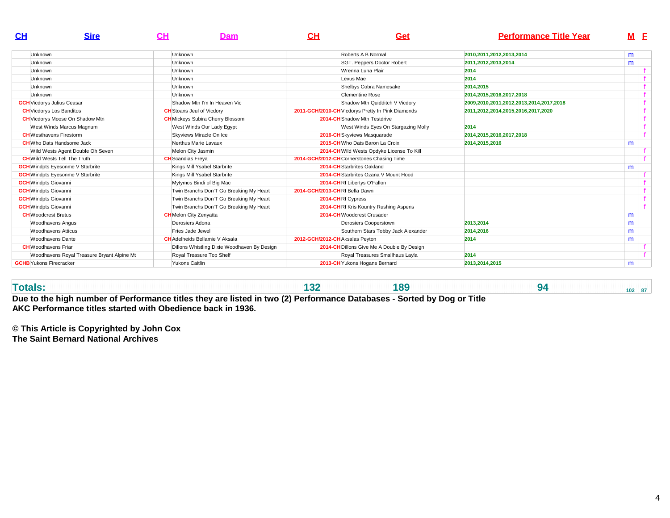| $\mathbf{C}$ H                    | <b>Sire</b>                                | CН | Dam                                         | $\mathbf{C}$ H                 | Get                                               | <b>Performance Title Year</b>           |   | МE |
|-----------------------------------|--------------------------------------------|----|---------------------------------------------|--------------------------------|---------------------------------------------------|-----------------------------------------|---|----|
| Unknown                           |                                            |    | Unknown                                     |                                | Roberts A B Normal                                | 2010, 2011, 2012, 2013, 2014            | m |    |
| Unknown                           |                                            |    | <b>Unknown</b>                              |                                | SGT. Peppers Doctor Robert                        | 2011,2012,2013,2014                     | m |    |
| <b>Unknown</b>                    |                                            |    | Unknown                                     |                                | Wrenna Luna Plair                                 | 2014                                    |   |    |
| <b>Unknown</b>                    |                                            |    | Unknown                                     |                                | Lexus Mae                                         | 2014                                    |   |    |
| Unknown                           |                                            |    | Unknown                                     |                                | Shelbys Cobra Namesake                            | 2014,2015                               |   |    |
| <b>Unknown</b>                    |                                            |    | <b>Unknown</b>                              |                                | Clementine Rose                                   | 2014,2015,2016,2017,2018                |   |    |
| <b>GCH</b> Vicdorys Julius Ceasar |                                            |    | Shadow Mtn I'm In Heaven Vic                |                                | Shadow Mtn Quidditch V Vicdory                    | 2009,2010,2011,2012,2013,2014,2017,2018 |   |    |
| <b>CH</b> Vicdorys Los Banditos   |                                            |    | <b>CH</b> Stoans Jeul of Vicdory            |                                | 2011-GCH/2010-CH Vicdorys Pretty In Pink Diamonds | 2011,2012,2014,2015,2016,2017,2020      |   |    |
|                                   | <b>CH</b> Vicdorys Moose On Shadow Mtn     |    | <b>CH</b> Mickeys Subira Cherry Blossom     |                                | 2014-CH Shadow Mtn Testdrive                      |                                         |   |    |
|                                   | West Winds Marcus Magnum                   |    | West Winds Our Lady Egypt                   |                                | West Winds Eyes On Stargazing Molly               | 2014                                    |   |    |
| <b>CH</b> Westhavens Firestorm    |                                            |    | Skyviews Miracle On Ice                     |                                | 2016-CH Skyviews Masquarade                       | 2014.2015.2016.2017.2018                |   |    |
|                                   | <b>CH</b> Who Dats Handsome Jack           |    | Nerthus Marie Lavaux                        |                                | 2015-CHWho Dats Baron La Croix                    | 2014,2015,2016                          | m |    |
|                                   | Wild Wests Agent Double Oh Seven           |    | Melon City Jasmin                           |                                | 2014-CH Wild Wests Opdyke License To Kill         |                                         |   |    |
|                                   | <b>CH</b> Wild Wests Tell The Truth        |    | <b>CH</b> Scandias Freya                    |                                | 2014-GCH/2012-CH Cornerstones Chasing Time        |                                         |   |    |
|                                   | <b>GCH</b> Windpts Eyesonme V Starbrite    |    | Kings Mill Ysabel Starbrite                 |                                | 2014-CH Starbrites Oakland                        |                                         | m |    |
|                                   | <b>GCH</b> Windpts Eyesonme V Starbrite    |    | Kings Mill Ysabel Starbrite                 |                                | 2014-CH Starbrites Ozana V Mount Hood             |                                         |   |    |
| <b>GCH</b> Windpts Giovanni       |                                            |    | Mytymos Bindi of Big Mac                    |                                | 2014-CHRf Libertys O'Fallon                       |                                         |   |    |
| <b>GCH</b> Windpts Giovanni       |                                            |    | Twin Branchs Don'T Go Breaking My Heart     | 2014-GCH/2013-CHRf Bella Dawn  |                                                   |                                         |   |    |
| <b>GCH</b> Windpts Giovanni       |                                            |    | Twin Branchs Don'T Go Breaking My Heart     |                                | 2014-CHRf Cypress                                 |                                         |   |    |
| <b>GCH</b> Windpts Giovanni       |                                            |    | Twin Branchs Don'T Go Breaking My Heart     |                                | <b>2014-CHRf Kris Kountry Rushing Aspens</b>      |                                         |   |    |
| <b>CH</b> Woodcrest Brutus        |                                            |    | <b>CH</b> Melon City Zenyatta               |                                | 2014-CHWoodcrest Crusader                         |                                         | m |    |
|                                   | <b>Woodhavens Angus</b>                    |    | Derosiers Adona                             |                                | Derosiers Cooperstown                             | 2013,2014                               | m |    |
|                                   | Woodhavens Atticus                         |    | Fries Jade Jewel                            |                                | Southern Stars Tobby Jack Alexander               | 2014,2016                               | m |    |
|                                   | Woodhavens Dante                           |    | <b>CH</b> Adelheids Bellamie V Aksala       | 2012-GCH/2012-CHAksalas Peyton |                                                   | 2014                                    | m |    |
| <b>CH</b> Woodhavens Friar        |                                            |    | Dillons Whistling Dixie Woodhaven By Design |                                | 2014-CH Dillons Give Me A Double By Design        |                                         |   |    |
|                                   | Woodhavens Royal Treasure Bryant Alpine Mt |    | Royal Treasure Top Shelf                    |                                | Royal Treasures Smallhaus Layla                   | 2014                                    |   |    |
| <b>GCHB</b> Yukons Firecracker    |                                            |    | Yukons Caitlin                              |                                | 2013-CH Yukons Hogans Bernard                     | 2013,2014,2015                          | m |    |

**Totals:**

**132 189 94 102 87** 

**Due to the high number of Performance titles they are listed in two (2) Performance Databases - Sorted by Dog or TitleAKC Performance titles started with Obedience back in 1936.**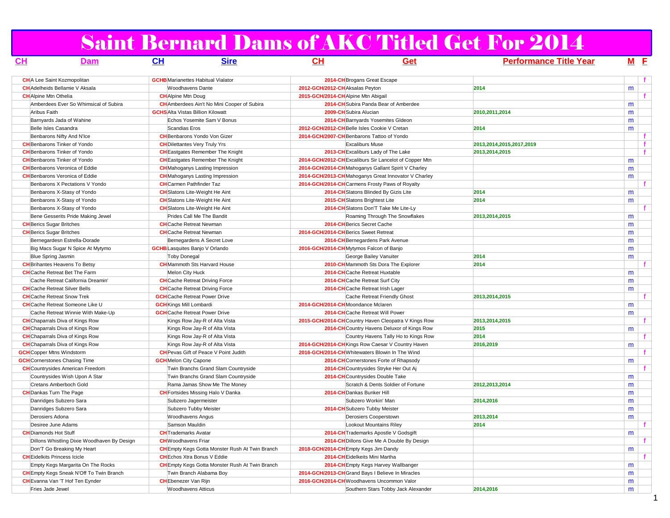## Saint Bernard Dams of AKC Titled Get For 2014

| CL                              | <b>Dam</b>                                      | CL                                       | <b>Sire</b>                                            | CL                             | Get                                                    | <b>Performance Title Year</b> | M <sub>E</sub> |    |
|---------------------------------|-------------------------------------------------|------------------------------------------|--------------------------------------------------------|--------------------------------|--------------------------------------------------------|-------------------------------|----------------|----|
|                                 | <b>CH</b> A Lee Saint Kozmopolitan              |                                          | <b>GCHB</b> Marianettes Habitual Vialator              |                                | 2014-CH Brogans Great Escape                           |                               |                |    |
|                                 | <b>CH</b> Adelheids Bellamie V Aksala           | <b>Woodhavens Dante</b>                  |                                                        | 2012-GCH/2012-CHAksalas Peyton |                                                        | 2014                          | m              |    |
| <b>CH</b> Alpine Mtn Othelia    |                                                 | <b>CH</b> Alpine Mtn Doug                |                                                        |                                | 2015-GCH/2014-CHAlpine Mtn Abigail                     |                               |                | f. |
|                                 | Amberdees Ever So Whimsical of Subira           |                                          | <b>CH</b> Amberdees Ain't No Mini Cooper of Subira     |                                | 2014-CH Subira Panda Bear of Amberdee                  |                               | m              |    |
| Aribus Faith                    |                                                 | <b>GCHS</b> Alta Vistas Billion Kilowatt |                                                        |                                | 2009-CH Subira Alucian                                 | 2010, 2011, 2014              | m              |    |
|                                 | Barnyards Jada of Wahine                        |                                          | Echos Yosemite Sam V Bonus                             |                                | 2014-CH Barnyards Yosemites Gldeon                     |                               | m              |    |
|                                 | Belle Isles Casandra                            | Scandias Eros                            |                                                        |                                | 2012-GCH/2012-CH Belle Isles Cookie V Cretan           | 2014                          | m              |    |
|                                 | Benbarons Nifty And N'Ice                       |                                          | <b>CH</b> Benbarons Yondo Von Gizer                    |                                | 2014-GCH/2007-CH Benbarons Tattoo of Yondo             |                               |                | f. |
|                                 | <b>CH</b> Benbarons Tinker of Yondo             |                                          | <b>CH</b> Dilettantes Very Truly Yrs                   |                                | <b>Excaliburs Muse</b>                                 | 2013,2014,2015,2017,2019      |                |    |
|                                 | <b>CH</b> Benbarons Tinker of Yondo             |                                          | <b>CH</b> Eastgates Remember The Knight                |                                | 2013-CH Excaliburs Lady of The Lake                    | 2013,2014,2015                |                | f  |
|                                 | <b>CH</b> Benbarons Tinker of Yondo             |                                          | <b>CH</b> Eastgates Remember The Knight                |                                | 2014-GCH/2012-CH Excaliburs Sir Lancelot of Copper Mtn |                               | m              |    |
|                                 | <b>CH</b> Benbarons Veronica of Eddie           |                                          | <b>CH</b> Mahoganys Lasting Impression                 |                                | 2014-GCH/2014-CHMahoganys Gallant Spirit V Charley     |                               | m              |    |
|                                 | <b>CH</b> Benbarons Veronica of Eddie           |                                          | <b>CH</b> Mahoganys Lasting Impression                 |                                | 2014-GCH/2013-CH Mahoganys Great Innovator V Charley   |                               | m              |    |
|                                 | Benbarons X Pectations V Yondo                  | <b>CH</b> Carmen Pathfinder Taz          |                                                        |                                | 2014-GCH/2014-CHCarmens Frosty Paws of Royalty         |                               |                |    |
|                                 | Benbarons X-Stasy of Yondo                      |                                          | <b>CH</b> Slatons Lite-Weight He Aint                  |                                | 2014-CH Slatons Blinded By Gizis Lite                  | 2014                          | m              |    |
|                                 | Benbarons X-Stasy of Yondo                      |                                          | <b>CH</b> Slatons Lite-Weight He Aint                  |                                | 2015-CH Slatons Brightest Lite                         | 2014                          | m              |    |
|                                 | Benbarons X-Stasy of Yondo                      |                                          | <b>CH</b> Slatons Lite-Weight He Aint                  |                                | 2014-CH Slatons Don'T Take Me Lite-Ly                  |                               |                |    |
|                                 | Bene Gesserits Pride Making Jewel               |                                          | Prides Call Me The Bandit                              |                                | Roaming Through The Snowflakes                         | 2013,2014,2015                | m              |    |
| <b>CH</b> Berics Sugar Britches |                                                 | <b>CH</b> Cache Retreat Newman           |                                                        |                                | 2014-CH Berics Secret Cache                            |                               | m              |    |
| <b>CH</b> Berics Sugar Britches |                                                 | <b>CH</b> Cache Retreat Newman           |                                                        |                                | 2014-GCH/2014-CH Berics Sweet Retreat                  |                               | m              |    |
|                                 | Bernegardesn Estrella-Dorade                    |                                          | Bernegardens A Secret Love                             |                                | 2014-CH Bernegardens Park Avenue                       |                               | m              |    |
|                                 | Big Macs Sugar N Spice At Mytymo                | <b>GCHB</b> Lasquites Banjo V Orlando    |                                                        |                                | 2016-GCH/2014-CH Mytymos Falcon of Banjo               |                               | m              |    |
|                                 | <b>Blue Spring Jasmin</b>                       | <b>Toby Donegal</b>                      |                                                        |                                | George Bailey Vanuiter                                 | 2014                          | m              |    |
|                                 | <b>CH</b> Brihantes Heavens To Betsy            |                                          | <b>CH</b> Mammoth Sts Harvard House                    |                                | 2010-CHMammoth Sts Dora The Explorer                   | 2014                          |                |    |
|                                 | <b>CH</b> Cache Retreat Bet The Farm            | Melon City Huck                          |                                                        |                                | 2014-CHCache Retreat Huxtable                          |                               | m              |    |
|                                 | Cache Retreat California Dreamin'               |                                          | <b>CH</b> Cache Retreat Driving Force                  |                                | 2014-CH Cache Retreat Surf City                        |                               | m              |    |
|                                 | <b>CH</b> Cache Retreat Silver Bells            |                                          | <b>CH</b> Cache Retreat Driving Force                  |                                | 2014-CHCache Retreat Irish Lager                       |                               | m              |    |
|                                 | <b>CH</b> Cache Retreat Snow Trek               |                                          | <b>GCH</b> Cache Retreat Power Drive                   |                                | Cache Retreat Friendly Ghost                           | 2013,2014,2015                |                |    |
|                                 | <b>CH</b> Cache Retreat Someone Like U          | <b>GCH</b> Kings Mill Lombardi           |                                                        |                                | 2014-GCH/2014-CHMoondance Mclaren                      |                               | m              |    |
|                                 | Cache Retreat Winnie With Make-Up               | <b>GCH</b> Cache Retreat Power Drive     |                                                        |                                | 2014-CH Cache Retreat Will Power                       |                               | m              |    |
|                                 | <b>CH</b> Chaparrals Diva of Kings Row          |                                          | Kings Row Jay-R of Alta Vista                          |                                | 2015-GCH/2014-CH Country Haven Cleopatra V Kings Row   | 2013,2014,2015                |                |    |
|                                 | <b>CH</b> Chaparrals Diva of Kings Row          |                                          | Kings Row Jay-R of Alta Vista                          |                                | 2014-CH Country Havens Deluxor of Kings Row            | 2015                          | m              |    |
|                                 | <b>CH</b> Chaparrals Diva of Kings Row          |                                          | Kings Row Jay-R of Alta Vista                          |                                | Country Havens Tally Ho to Kings Row                   | 2014                          |                |    |
|                                 | <b>CH</b> Chaparrals Diva of Kings Row          |                                          | Kings Row Jay-R of Alta Vista                          |                                | 2014-GCH/2014-CH Kings Row Caesar V Country Haven      | 2016,2019                     | m              |    |
|                                 | <b>GCH</b> Copper Mtns Windstorm                |                                          | <b>CH</b> Pevas Gift of Peace V Point Judith           |                                | 2016-GCH/2014-CHWhitewaters Blowin In The Wind         |                               |                | f. |
|                                 | <b>GCH</b> Cornerstones Chasing Time            | <b>GCH</b> Melon City Capone             |                                                        |                                | 2014-CH Cornerstones Forte of Rhapsody                 |                               | m              |    |
|                                 | <b>CH</b> Countrysides American Freedom         |                                          | Twin Branchs Grand Slam Countryside                    |                                | 2014-CH Countrysides Stryke Her Out Aj                 |                               |                |    |
|                                 | Countrysides Wish Upon A Star                   |                                          | Twin Branchs Grand Slam Countryside                    |                                | 2014-CHCountrysides Double Take                        |                               | m              |    |
|                                 | Cretans Amberboch Gold                          |                                          | Rama Jamas Show Me The Money                           |                                | Scratch & Dents Soldier of Fortune                     | 2012,2013,2014                | m              |    |
|                                 | <b>CH</b> Dankas Turn The Page                  |                                          | <b>CH</b> Fortsides Missing Halo V Danka               |                                | 2014-CH Dankas Bunker Hill                             |                               | m              |    |
|                                 | Danridges Subzero Sara                          | Subzero Jagermeister                     |                                                        |                                | Subzero Workin' Man                                    | 2014,2016                     | m              |    |
|                                 | Danridges Subzero Sara                          |                                          | Subzero Tubby Meister                                  |                                | 2014-CH Subzero Tubby Meister                          |                               | m              |    |
| Derosiers Adona                 |                                                 | Woodhavens Angus                         |                                                        |                                | Derosiers Cooperstown                                  | 2013.2014                     | m              |    |
|                                 | Desiree June Adams                              | Samson Mauldin                           |                                                        |                                | Lookout Mountains Riley                                | 2014                          |                |    |
| <b>CH</b> Diamonds Hot Stuff    |                                                 | <b>CH</b> Trademarks Avatar              |                                                        |                                | 2014-CH Trademarks Apostle V Godsgift                  |                               | m              |    |
|                                 | Dillons Whistling Dixie Woodhaven By Design     | <b>CH</b> Woodhavens Friar               |                                                        |                                | 2014-CH Dillons Give Me A Double By Design             |                               |                |    |
|                                 | Don'T Go Breaking My Heart                      |                                          | <b>CH</b> Empty Kegs Gotta Monster Rush At Twin Branch |                                | 2018-GCH/2014-CH Empty Kegs Jim Dandy                  |                               | m              |    |
|                                 | <b>CH</b> Eidelkits Princess Icicle             |                                          | <b>CH</b> Echos Xtra Bonus V Eddie                     |                                | 2014-CH Eidelkeits Mini Martha                         |                               |                |    |
|                                 | Empty Kegs Margarita On The Rocks               |                                          | <b>CH</b> Empty Kegs Gotta Monster Rush At Twin Branch |                                | 2014-CH Empty Kegs Harvey Wallbanger                   |                               | m              |    |
|                                 | <b>CH</b> Empty Kegs Sneak N'Off To Twin Branch |                                          | Twin Branch Alabama Boy                                |                                | 2014-GCH/2013-CH Grand Bays I Believe In Miracles      |                               | m              |    |
|                                 | <b>CH</b> Evanna Van 'T Hof Ten Eynder          | <b>CH</b> Ebenezer Van Rijn              |                                                        |                                | 2016-GCH/2014-CH Woodhavens Uncommon Valor             |                               | m              |    |
| Fries Jade Jewel                |                                                 | <b>Woodhavens Atticus</b>                |                                                        |                                | Southern Stars Tobby Jack Alexander                    | 2014,2016                     | m              |    |

1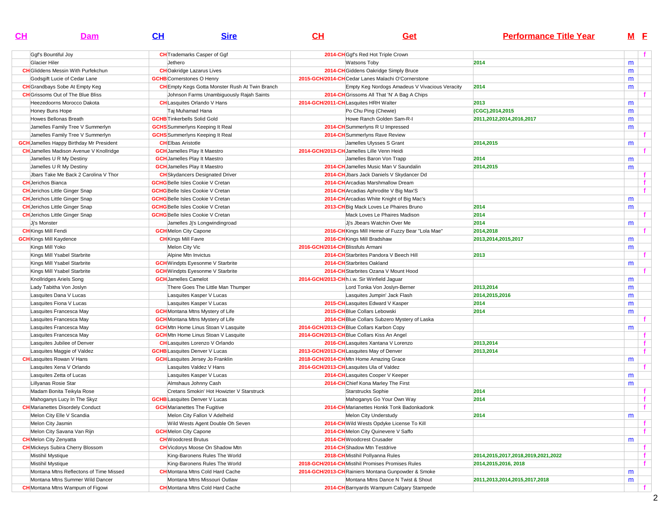|  | וט | GВ | <b>Performance Title Year</b> | M E |
|--|----|----|-------------------------------|-----|
|  |    |    |                               |     |

| Ggf's Bountiful Joy                             | <b>CH</b> Trademarks Casper of Ggf                     |                                  | 2014-CHGgf's Red Hot Triple Crown                   |                                    |   |    |
|-------------------------------------------------|--------------------------------------------------------|----------------------------------|-----------------------------------------------------|------------------------------------|---|----|
| Glacier Hiler                                   | Jethero                                                |                                  | Watsons Toby                                        | 2014                               | m |    |
| <b>CH</b> Gliddens Messin With Purfekchun       | <b>CH</b> Oakridge Lazarus Lives                       |                                  | 2014-CH Giddens Oakridge Simply Bruce               |                                    | m |    |
| Godsgift Lucie of Cedar Lane                    | <b>GCHB</b> Cornerstones O Henry                       |                                  | 2015-GCH/2014-CHCedar Lanes Malachi O'Cornerstone   |                                    | m |    |
| <b>CH</b> Grandbays Sobe At Empty Keg           | <b>CH</b> Empty Kegs Gotta Monster Rush At Twin Branch |                                  | Empty Keg Nordogs Amadeus V Vivacious Veracity      | 2014                               | m |    |
| <b>CH</b> Grissoms Out of The Blue Bliss        | Johnson Farms Unambiguously Rajah Saints               |                                  | 2014-CH Grissoms All That 'N' A Bag A Chips         |                                    |   |    |
| Heezedoorns Morocco Dakota                      | <b>CH</b> Lasquites Orlando V Hans                     |                                  | 2014-GCH/2011-CHLasquites HRH Walter                | 2013                               | m |    |
| Honey Buns Hope                                 | Taj Muhamad Hana                                       |                                  | Po Chu Ping (Chewie)                                | (CGC), 2014, 2015                  | m |    |
| Howes Bellonas Breath                           | <b>GCHB</b> Tinkerbells Solid Gold                     |                                  | Howe Ranch Golden Sam-R-I                           | 2011,2012,2014,2016,2017           | m |    |
| Jamelles Family Tree V Summerlyn                | <b>GCHS</b> Summerlyns Keeping It Real                 |                                  | 2014-CH Summerlyns R U Impressed                    |                                    | m |    |
| Jamelles Family Tree V Summerlyn                | <b>GCHS</b> Summerlyns Keeping It Real                 |                                  | 2014-CH Summerlyns Rave Review                      |                                    |   | Ť. |
| <b>GCH</b> Jamelles Happy Birthday Mr President | <b>CHEIbas Aristotle</b>                               |                                  | Jamelles Ulysses S Grant                            | 2014,2015                          | m |    |
| <b>CH</b> Jamelles Madison Avenue V Knollridge  | <b>GCH</b> Jamelles Play It Maestro                    |                                  | 2014-GCH/2013-CH Jamelles Lille Venn Heidi          |                                    |   |    |
| Jamelles U R My Destiny                         | <b>GCH</b> Jamelles Play It Maestro                    |                                  | Jamelles Baron Von Trapp                            | 2014                               | m |    |
| Jamelles U R My Destiny                         | <b>GCH</b> Jamelles Play It Maestro                    |                                  | 2014-CH Jamelles Music Man V Saundalin              | 2014,2015                          | m |    |
| Jbars Take Me Back 2 Carolina V Thor            | <b>CH</b> Skydancers Designated Driver                 |                                  | 2014-CH Jbars Jack Daniels V Skydancer Dd           |                                    |   |    |
| <b>CH</b> Jerichos Bianca                       | <b>GCHG</b> Belle Isles Cookie V Cretan                |                                  | 2014-CH Arcadias Marshmallow Dream                  |                                    |   | f. |
| <b>CH</b> Jerichos Little Ginger Snap           | <b>GCHG</b> Belle Isles Cookie V Cretan                |                                  | 2014-CH Arcadias Aphrodite V Big Max'S              |                                    |   | f  |
| <b>CH</b> Jerichos Little Ginger Snap           | <b>GCHG</b> Belle Isles Cookie V Cretan                |                                  | 2014-CH Arcadias White Knight of Big Mac's          |                                    | m |    |
| <b>CH</b> Jerichos Little Ginger Snap           | <b>GCHG</b> Belle Isles Cookie V Cretan                |                                  | 2013-CH Big Mack Loves Le Phaires Bruno             | 2014                               | m |    |
| <b>CH</b> Jerichos Little Ginger Snap           | <b>GCHG</b> Belle Isles Cookie V Cretan                |                                  | Mack Loves Le Phaires Madison                       | 2014                               |   |    |
| Jj's Monster                                    | Jamelles Ji's Longwindingroad                          |                                  | Ji's Jbears Watchin Over Me                         | 2014                               | m |    |
| <b>CH</b> Kings Mill Fendi                      | <b>GCH</b> Melon City Capone                           |                                  | 2016-CH Kings Mill Hemie of Fuzzy Bear "Lola Mae"   | 2014,2018                          |   |    |
| <b>GCH</b> Kings Mill Kaydence                  | <b>CH</b> Kings Mill Favre                             |                                  | 2016-CH Kings Mill Bradshaw                         | 2013,2014,2015,2017                | m |    |
| Kings Mill Yoko                                 | Melon City Vic                                         | 2016-GCH/2014-CHBlissfuls Armani |                                                     |                                    | m |    |
| Kings Mill Ysabel Starbrite                     | Alpine Mtn Invictus                                    |                                  | 2014-CH Starbrites Pandora V Beech Hill             | 2013                               |   |    |
| Kings Mill Ysabel Starbrite                     | <b>GCH</b> Windpts Eyesonme V Starbrite                |                                  | 2014-CH Starbrites Oakland                          |                                    | m |    |
| Kings Mill Ysabel Starbrite                     | <b>GCH</b> Windpts Eyesonme V Starbrite                |                                  | 2014-CH Starbrites Ozana V Mount Hood               |                                    |   |    |
| Knollridges Ariels Song                         | <b>GCH</b> Jamelles Camelot                            |                                  | 2014-GCH/2013-CH h.i.w. Sir Winfield Jaguar         |                                    | m |    |
| Lady Tabitha Von Joslyn                         | There Goes The Little Man Thumper                      |                                  | Lord Tonka Von Joslyn-Berner                        | 2013,2014                          | m |    |
| Lasquites Dana V Lucas                          | Lasquites Kasper V Lucas                               |                                  | Lasquites Jumpin' Jack Flash                        | 2014,2015,2016                     | m |    |
| Lasquites Fiona V Lucas                         | Lasquites Kasper V Lucas                               |                                  | 2015-CH Lasquites Edward V Kasper                   | 2014                               | m |    |
| Lasquites Francesca May                         | <b>GCH</b> Montana Mtns Mystery of Life                |                                  | 2015-CH Blue Collars Lebowski                       | 2014                               | m |    |
| Lasquites Francesca May                         | <b>GCH</b> Montana Mtns Mystery of Life                |                                  | 2014-CH Blue Collars Subzero Mystery of Laska       |                                    |   |    |
| Lasquites Francesca May                         | <b>GCH</b> Mtn Home Linus Stoan V Lasquite             |                                  | 2014-GCH/2013-CH Blue Collars Karbon Copy           |                                    | m |    |
| Lasquites Francesca May                         | <b>GCH</b> Mtn Home Linus Stoan V Lasquite             |                                  | 2014-GCH/2013-CH Blue Collars Kiss An Angel         |                                    |   | f  |
| Lasquites Jubilee of Denver                     | <b>CH</b> Lasquites Lorenzo V Orlando                  |                                  | 2016-CH Lasquites Xantana V Lorenzo                 | 2013,2014                          |   | f  |
| Lasquites Maggie of Valdez                      | <b>GCHB</b> Lasquites Denver V Lucas                   |                                  | 2013-GCH/2013-CH Lasquites May of Denver            | 2013,2014                          |   | f. |
| <b>CH</b> Lasquites Rowan V Hans                | <b>GCH</b> Lasquites Jersey Jo Franklin                |                                  | 2018-GCH/2014-CHMtn Home Amazing Grace              |                                    | m |    |
| Lasquites Xena V Orlando                        | Lasquites Valdez V Hans                                |                                  | 2014-GCH/2013-CHLasquites Ula of Valdez             |                                    |   |    |
| Lasquites Zetta of Lucas                        | Lasquites Kasper V Lucas                               |                                  | 2014-CH Lasquites Cooper V Keeper                   |                                    | m |    |
| Lillyanas Rosie Star                            | Almshaus Johnny Cash                                   |                                  | 2014-CHChief Kona Marley The First                  |                                    | m |    |
| Madam Bonita Teikyla Rose                       | Cretans Smokin' Hot Howizter V Starstruck              |                                  | Starstrucks Sophie                                  | 2014                               |   | f. |
| Mahoganys Lucy In The Skyz                      | <b>GCHB</b> Lasquites Denver V Lucas                   |                                  | Mahoganys Go Your Own Way                           | 2014                               |   | f. |
| <b>CH</b> Marianettes Disordely Conduct         | <b>GCH</b> Marianettes The Fugitive                    |                                  | 2014-CH Marianettes Honkk Tonk Badonkadonk          |                                    |   | f  |
| Melon City Elle V Scandia                       | Melon City Fallon V Adelheld                           |                                  | Melon City Understudy                               | 2014                               | m |    |
| Melon City Jasmin                               | Wild Wests Agent Double Oh Seven                       |                                  | 2014-CH Wild Wests Opdyke License To Kill           |                                    |   |    |
| Melon City Savana Van Rijn                      | <b>GCH</b> Melon City Capone                           |                                  | 2014-CHMelon City Quinevere V Saffo                 |                                    |   | t. |
| <b>CH</b> Melon City Zenyatta                   | <b>CH</b> Woodcrest Brutus                             |                                  | 2014-CHWoodcrest Crusader                           |                                    | m |    |
| <b>CH</b> Mickeys Subira Cherry Blossom         | <b>CH</b> Vicdorys Moose On Shadow Mtn                 |                                  | 2014-CH Shadow Mtn Testdrive                        |                                    |   | f  |
| Mistihil Mystique                               | King-Baronens Rules The World                          |                                  | 2018-CH Mistihil Pollyanna Rules                    | 2014,2015,2017,2018,2019,2021,2022 |   | f  |
| Mistihil Mystique                               | King-Baronens Rules The World                          |                                  | 2018-GCH/2014-CHMistihil Promises Promises Rules    | 2014, 2015, 2016, 2018             |   | f  |
| Montana Mtns Reflectons of Time Missed          | <b>CH</b> Montana Mtns Cold Hard Cache                 |                                  | 2014-GCH/2013-CH Rainiers Montana Gunpowder & Smoke |                                    | m |    |
| Montana Mtns Summer Wild Dancer                 | Montana Mtns Missouri Outlaw                           |                                  | Montana Mtns Dance N Twist & Shout                  | 2011,2013,2014,2015,2017,2018      | m |    |
| <b>CH</b> Montana Mtns Wampum of Figowi         | <b>CH</b> Montana Mtns Cold Hard Cache                 |                                  | 2014-CH Barnyards Wampum Calgary Stampede           |                                    |   | f  |
|                                                 |                                                        |                                  |                                                     |                                    |   |    |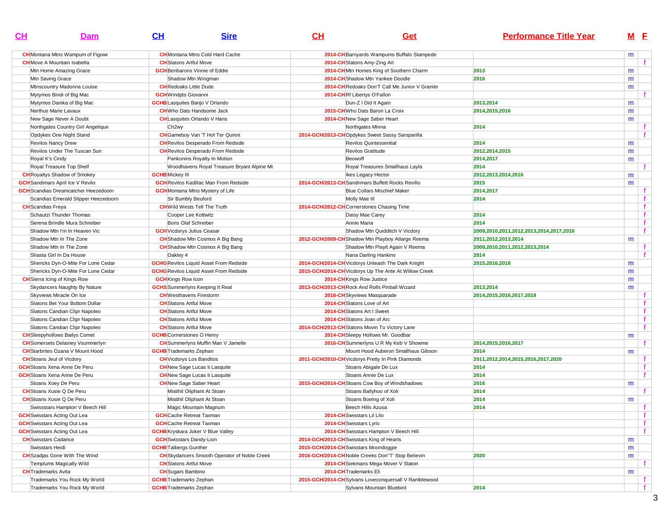| <u>CH</u>                           | Dam                                        | CL                                    | <b>Sire</b>                                         | <u>CH</u> | <b>Get</b>                                            | <b>Performance Title Year</b>           |   | M E          |
|-------------------------------------|--------------------------------------------|---------------------------------------|-----------------------------------------------------|-----------|-------------------------------------------------------|-----------------------------------------|---|--------------|
|                                     | <b>CH</b> Montana Mtns Wampum of Figowi    |                                       | <b>CH</b> Montana Mtns Cold Hard Cache              |           | 2014-CH Barnyards Wampums Buffalo Stampede            |                                         | m |              |
|                                     | <b>CH</b> Move A Mountain Isabella         | <b>CH</b> Slatons Artful Move         |                                                     |           | 2014-CH Slatons Amy-Zing Art                          |                                         |   | f.           |
|                                     | Mtn Home Amazing Grace                     | <b>GCH</b> Benbarons Vinnie of Eddie  |                                                     |           | 2014-CHMtn Homes King of Southern Charm               | 2013                                    | m |              |
| Mtn Saving Grace                    |                                            |                                       | Shadow Mtn Wingman                                  |           | 2014-CH Shadow Mtn Yankee Doodle                      | 2016                                    | m |              |
|                                     | Mtnscountry Madonna Louise                 | <b>CH</b> Redoaks Little Dude         |                                                     |           | 2014-CH Redoaks Don'T Call Me Junior V Granite        |                                         | m |              |
|                                     | Mytymos Bindi of Big Mac                   | <b>GCH</b> Windpts Giovanni           |                                                     |           | 2014-CHRf Libertys O'Fallon                           |                                         |   | f.           |
|                                     | Mytymos Danika of Big Mac                  | <b>GCHB</b> Lasquites Banjo V Orlando |                                                     |           | Dun-Z I Did It Again                                  | 2013,2014                               | m |              |
|                                     | Nerthus Marie Lavaux                       |                                       | <b>CH</b> Who Dats Handsome Jack                    |           | 2015-CH Who Dats Baron La Croix                       | 2014,2015,2016                          | m |              |
|                                     | New Sage Never A Doubt                     |                                       | <b>CH</b> Lasquites Orlando V Hans                  |           | 2014-CHNew Sage Saber Heart                           |                                         | m |              |
|                                     | Northgates Country Girl Angelique          | Ch <sub>2wy</sub>                     |                                                     |           | Northgates Minna                                      | 2014                                    |   | f            |
|                                     | Opdykes One Night Stand                    |                                       | <b>CH</b> Gameboy Van 'T Hof Ter Quinni             |           | 2014-GCH/2013-CHOpdykes Sweet Sassy Sarsparilla       |                                         |   | $\mathbf{f}$ |
| Revilos Nancy Drew                  |                                            |                                       | <b>CH</b> Revilos Desperado From Redside            |           | Revilos Quintessential                                | 2014                                    | m |              |
|                                     | Revilos Under The Tuscan Sun               |                                       | <b>CH</b> Revilos Desperado From Redside            |           | Revilos Gratitude                                     | 2012,2014,2015                          | m |              |
| Royal K's Cindy                     |                                            |                                       | Pankonins Royalty In Motion                         |           | Beowoff                                               | 2014,2017                               | m |              |
|                                     | Royal Treasure Top Shelf                   |                                       | Woodhavens Royal Treasure Bryant Alpine Mt          |           | Royal Treasures Smallhaus Layla                       | 2014                                    |   | f.           |
|                                     | <b>CH</b> Royaltys Shadow of Smokey        | <b>GCHB</b> Mickey III                |                                                     |           | Ikes Legacy Hector                                    | 2012, 2013, 2014, 2016                  | m |              |
|                                     | <b>GCH</b> Sandimars April Ice V Revilo    |                                       | <b>GCH</b> Revilos Kadillac Man From Redside        |           | 2014-GCH/2013-CH Sandrimars Buffett Rocks Revillo     | 2015                                    | m |              |
|                                     | <b>GCH</b> Scandias Dreamcatcher Heezedoom |                                       | <b>GCH</b> Montana Mtns Mystery of Life             |           | <b>Blue Collars Mischief Maker</b>                    | 2014,2017                               |   | f.           |
|                                     | Scandias Emerald Slipper Heezedoorn        | Sir Bumbly Beuford                    |                                                     |           | Molly Mae III                                         | 2014                                    |   | f            |
| <b>CH</b> Scandias Freya            |                                            |                                       | <b>CH</b> Wild Wests Tell The Truth                 |           | 2014-GCH/2012-CH Cornerstones Chasing Time            |                                         |   | f            |
|                                     | Schautzi Thunder Thomas                    | Cooper Lee Kottwitz                   |                                                     |           | Daisy Mae Carey                                       | 2014                                    |   | f.           |
|                                     | Serena Brindle Mura Schreiber              | Boris Olaf Schreiber                  |                                                     |           | Annie Maria                                           | 2014                                    |   | f            |
|                                     | Shadow Mtn I'm In Heaven Vic               | <b>GCH</b> Vicdorys Julius Ceasar     |                                                     |           | Shadow Mtn Quidditch V Vicdory                        | 2009,2010,2011,2012,2013,2014,2017,2018 |   | f            |
|                                     | Shadow Mtn In The Zone                     |                                       | <b>CH</b> Shadow Mtn Cosmos A Big Bang              |           | 2012-GCH/2009-CH Shadow Mtn Playboy Atlarge Reema     | 2011,2012,2013,2014                     | m |              |
|                                     | Shadow Mtn In The Zone                     |                                       | <b>CH</b> Shadow Mtn Cosmos A Big Bang              |           | Shadow Mtn Playit Again V Reema                       | 2009,2010,2011,2012,2013,2014           |   | f            |
|                                     | Shasta Girl In Da House                    | Oakley 4                              |                                                     |           | Nana Darling Hankins                                  | 2014                                    |   | f            |
|                                     | Shericks Dyn-O-Mite For Lone Cedar         |                                       | <b>GCHG</b> Revilos Liquid Asset From Redside       |           | 2014-GCH/2014-CH Vicdorys Unleash The Dark Knight     | 2015,2016,2018                          | m |              |
|                                     | Shericks Dyn-O-Mite For Lone Cedar         |                                       | <b>GCHG</b> Revilos Liquid Asset From Redside       |           | 2015-GCH/2014-CH Vicdorys Up The Ante At Willow Creek |                                         | m |              |
|                                     | <b>CH</b> Sierra Icing of Kings Row        | <b>GCH</b> Kings Row Icon             |                                                     |           | 2014-CH Kings Row Justice                             |                                         | m |              |
|                                     | Skydancers Naughty By Nature               |                                       | <b>GCHS</b> Summerlyns Keeping It Real              |           | 2013-GCH/2013-CH Rock And Rolls Pinball Wizard        | 2013,2014                               | m |              |
|                                     | Skyviews Miracle On Ice                    | <b>CH</b> Westhavens Firestorm        |                                                     |           | 2016-CH Skyviews Masquarade                           | 2014,2015,2016,2017,2018                |   | f.           |
|                                     | Slatons Bet Your Bottom Dollar             | <b>CH</b> Slatons Artful Move         |                                                     |           | 2014-CH Slatons Love of Art                           |                                         |   | f            |
|                                     | Slatons Candian Clipr Napoleo              | <b>CH</b> Slatons Artful Move         |                                                     |           | 2014-CH Slatons Art I Sweet                           |                                         |   | f            |
|                                     | Slatons Candian Clipr Napoleo              | <b>CH</b> Slatons Artful Move         |                                                     |           | 2014-CH Slatons Joan of Arc                           |                                         |   | f.           |
|                                     | Slatons Candian Clipr Napoleo              | <b>CH</b> Slatons Artful Move         |                                                     |           | 2014-GCH/2013-CH Slatons Movin To Victory Lane        |                                         |   | $\mathbf{f}$ |
|                                     | <b>CH</b> Sleepyhollows Bailys Comet       | <b>GCHB</b> Cornerstones O Henry      |                                                     |           | 2014-CH Sleepy Hollows Mr. Goodbar                    |                                         | m |              |
|                                     | <b>CH</b> Somersets Delainey Vsummerlyn    |                                       | <b>CH</b> Summerlyns Muffin Man V Jamelle           |           | 2016-CH Summerlyns U R My Keb V Showme                | 2014,2015,2016,2017                     |   | f.           |
|                                     | <b>CH</b> Starbrites Ozana V Mount Hood    | <b>GCHB</b> Trademarks Zephan         |                                                     |           | Mount Hood Auberon Smallhaus Gibson                   | 2014                                    | m |              |
| <b>CH</b> Stoans Jeul of Vicdory    |                                            | <b>CH</b> Vicdorys Los Banditos       |                                                     |           | 2011-GCH/2010-CH Vicdorys Pretty In Pink Diamonds     | 2011,2012,2014,2015,2016,2017,2020      |   | f.           |
|                                     | <b>GCH</b> Stoans Xena Anne De Peru        |                                       | <b>CH</b> New Sage Lucas li Lasquite                |           | Stoans Abigale De Lux                                 | 2014                                    |   | f            |
|                                     | <b>GCH</b> Stoans Xena Anne De Peru        |                                       | <b>CH</b> New Sage Lucas li Lasquite                |           | Stoans Annie De Lux                                   | 2014                                    |   | $\mathbf{f}$ |
|                                     | Stoans Xoey De Peru                        | <b>CH</b> New Sage Saber Heart        |                                                     |           | 2015-GCH/2014-CH Stoans Cow Boy of Windshadows        | 2016                                    | m |              |
|                                     | <b>CH</b> Stoans Xusie Q De Peru           |                                       | Mistihil Oliphant At Stoan                          |           | Stoans Ballyhoo of Xoli                               | 2014                                    |   | $\mathbf{f}$ |
|                                     | <b>CH</b> Stoans Xusie Q De Peru           |                                       | Mistihil Oliphant At Stoan                          |           | Stoans Boeing of Xoli                                 | 2014                                    | m |              |
|                                     | Swissstars Hampton V Beech Hill            |                                       | Magic Mountain Magnum                               |           | Beech Hills Azusa                                     | 2014                                    |   | f.           |
| <b>GCH</b> Swisstars Acting Out Lea |                                            | <b>GCH</b> Cache Retreat Taxman       |                                                     |           | 2014-CH Swisstars Lil Lilo                            |                                         |   | T.           |
| <b>GCH</b> Swisstars Acting Out Lea |                                            | <b>GCH</b> Cache Retreat Taxman       |                                                     |           | 2014-CH Swisstars Lyric                               |                                         |   | f            |
|                                     | <b>GCH</b> Swisstars Acting Out Lea        |                                       | <b>GCHB</b> Kryskara Joker V Blue Valley            |           | 2014-CH Swisstars Hampton V Beech Hill                |                                         |   | f            |
| <b>CH</b> Swisstars Cadance         |                                            | <b>GCH</b> Swisstars Dandy-Lion       |                                                     |           | 2014-GCH/2013-CH Swisstars King of Hearts             |                                         | m |              |
| Swisstars Heidi                     |                                            | <b>GCHB</b> Talbergs Gunther          |                                                     |           | 2015-GCH/2014-CH Swisstars Moondoggie                 |                                         | m |              |
|                                     | <b>CH</b> Szadjas Gone With The Wind       |                                       | <b>CH</b> Skydancers Smooth Operator of Noble Creek |           | 2016-GCH/2014-CH Noble Creeks Don"T' Stop Believin    | 2020                                    | m |              |
|                                     | Templums Magically Wild                    | <b>CH</b> Slatons Artful Move         |                                                     |           | 2014-CH Siekmans Mega Mover V Slaton                  |                                         |   | Ť.           |
| <b>CH</b> Trademarks Avita          |                                            | <b>CH</b> Sugars Bambino              |                                                     |           | 2014-CH Trademarks Eli                                |                                         | m |              |
|                                     | Trademarks You Rock My World               | <b>GCHB</b> Trademarks Zephan         |                                                     |           | 2015-GCH/2014-CH Sylvans Loveconquersall V Ramblewood |                                         |   | f.           |
|                                     | Trademarks You Rock My World               | <b>GCHB</b> Trademarks Zephan         |                                                     |           | Sylvans Mountain Bluebird                             | 2014                                    |   | $\mathbf{f}$ |
|                                     |                                            |                                       |                                                     |           |                                                       |                                         |   |              |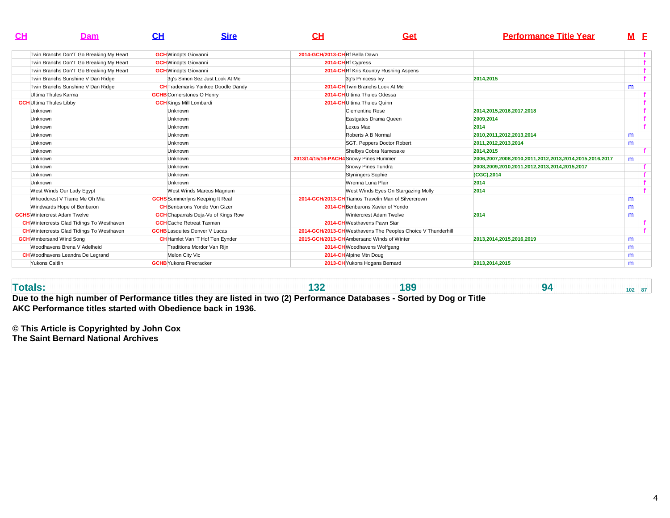| CH                             | Dam                                              | <u>CН</u>                            | <b>Sire</b>                                | CH                                     | Get                                                          | <b>Performance Title Year</b>                          | M E |  |
|--------------------------------|--------------------------------------------------|--------------------------------------|--------------------------------------------|----------------------------------------|--------------------------------------------------------------|--------------------------------------------------------|-----|--|
|                                | Twin Branchs Don'T Go Breaking My Heart          | <b>GCH</b> Windpts Giovanni          |                                            | 2014-GCH/2013-CHRf Bella Dawn          |                                                              |                                                        |     |  |
|                                | Twin Branchs Don'T Go Breaking My Heart          | <b>GCH</b> Windpts Giovanni          |                                            |                                        | 2014-CHRf Cypress                                            |                                                        |     |  |
|                                | Twin Branchs Don'T Go Breaking My Heart          | <b>GCH</b> Windpts Giovanni          |                                            |                                        | 2014-CHRf Kris Kountry Rushing Aspens                        |                                                        |     |  |
|                                | Twin Branchs Sunshine V Dan Ridge                |                                      | 3q's Simon Sez Just Look At Me             |                                        | 3q's Princess Ivy                                            | 2014.2015                                              |     |  |
|                                | Twin Branchs Sunshine V Dan Ridge                |                                      | <b>CH</b> Trademarks Yankee Doodle Dandy   |                                        | 2014-CH Twin Branchs Look At Me                              |                                                        | m   |  |
|                                | Ultima Thules Karma                              | <b>GCHB</b> Cornerstones O Henry     |                                            |                                        | 2014-CH Ultima Thules Odessa                                 |                                                        |     |  |
| <b>GCH</b> Ultima Thules Libby |                                                  | <b>GCH</b> Kings Mill Lombardi       |                                            |                                        | 2014-CH Ultima Thules Quinn                                  |                                                        |     |  |
| <b>Unknown</b>                 |                                                  | Unknown                              |                                            |                                        | Clementine Rose                                              | 2014.2015.2016.2017.2018                               |     |  |
| Unknown                        |                                                  | Unknown                              |                                            |                                        | Eastgates Drama Queen                                        | 2009.2014                                              |     |  |
| <b>Unknown</b>                 |                                                  | Unknown                              |                                            |                                        | Lexus Mae                                                    | 2014                                                   |     |  |
| Unknown                        |                                                  | Unknown                              |                                            |                                        | Roberts A B Normal                                           | 2010.2011.2012.2013.2014                               | m   |  |
| Unknown                        |                                                  | Unknown                              |                                            |                                        | SGT. Peppers Doctor Robert                                   | 2011,2012,2013,2014                                    | m   |  |
| Unknown                        |                                                  | Unknown                              |                                            |                                        | Shelbys Cobra Namesake                                       | 2014.2015                                              |     |  |
| <b>Unknown</b>                 |                                                  | Unknown                              |                                            | 2013/14/15/16-PACH4 Snowy Pines Hummer |                                                              | 2006,2007,2008,2010,2011,2012,2013,2014,2015,2016,2017 | m   |  |
| Unknown                        |                                                  | <b>Unknown</b>                       |                                            |                                        | Snowy Pines Tundra                                           | 2008,2009,2010,2011,2012,2013,2014,2015,2017           |     |  |
| <b>Unknown</b>                 |                                                  | Unknown                              |                                            |                                        | <b>Styningers Sophie</b>                                     | (CGC), 2014                                            |     |  |
| <b>Unknown</b>                 |                                                  | Unknown                              |                                            |                                        | Wrenna Luna Plair                                            | 2014                                                   |     |  |
|                                | West Winds Our Lady Eqypt                        |                                      | West Winds Marcus Magnum                   |                                        | West Winds Eyes On Stargazing Molly                          | 2014                                                   |     |  |
|                                | Whoodcrest V Tiamo Me Oh Mia                     |                                      | <b>GCHS</b> Summerlyns Keeping It Real     |                                        | 2014-GCH/2013-CH Tiamos Travelin Man of Silvercrown          |                                                        | m   |  |
|                                | Windwards Hope of Benbaron                       |                                      | <b>CH</b> Benbarons Yondo Von Gizer        |                                        | 2014-CH Benbarons Xavier of Yondo                            |                                                        | m   |  |
|                                | <b>GCHS</b> Wintercrest Adam Twelve              |                                      | <b>GCH</b> Chaparrals Deja-Vu of Kings Row |                                        | Wintercrest Adam Twelve                                      | 2014                                                   | m   |  |
|                                | <b>CH</b> Wintercrests Glad Tidings To Westhaven | <b>GCH</b> Cache Retreat Taxman      |                                            |                                        | 2014-CHWesthavens Pawn Star                                  |                                                        |     |  |
|                                | <b>CH</b> Wintercrests Glad Tidings To Westhaven | <b>GCHB</b> Lasquites Denver V Lucas |                                            |                                        | 2014-GCH/2013-CH Westhavens The Peoples Choice V Thunderhill |                                                        |     |  |
|                                | <b>GCH</b> Wmbersand Wind Song                   |                                      | <b>CH</b> Hamlet Van 'T Hof Ten Eynder     |                                        | 2015-GCH/2013-CHAmbersand Winds of Winter                    | 2013,2014,2015,2016,2019                               | m   |  |
|                                | Woodhavens Brena V Adelheid                      |                                      | Traditions Mordor Van Rijn                 |                                        | 2014-CHWoodhavens Wolfgang                                   |                                                        | m   |  |
|                                | <b>CH</b> Woodhavens Leandra De Legrand          | Melon City Vic                       |                                            |                                        | 2014-CH Alpine Mtn Doug                                      |                                                        | m   |  |
| Yukons Caitlin                 |                                                  | <b>GCHB</b> Yukons Firecracker       |                                            |                                        | 2013-CH Yukons Hogans Bernard                                | 2013,2014,2015                                         | m   |  |

**Totals: 132 189 94 102 87 Due to the high number of Performance titles they are listed in two (2) Performance Databases - Sorted by Dog or TitleAKC Performance titles started with Obedience back in 1936.**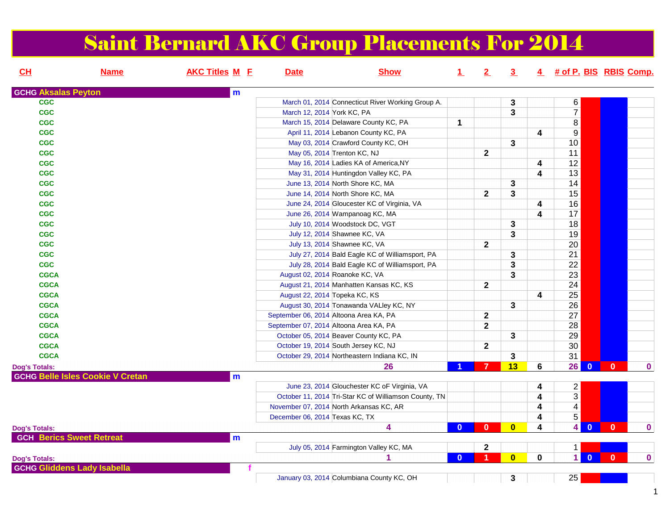#### Saint Bernard AKC Group Placements For 2014

| CL                         | <b>Name</b>                             | <b>AKC Titles M E</b> | <b>Date</b>                    | <b>Show</b>                                           | $\perp$      | 2                       | 3 <sub>2</sub>          |             | 4 # of P. BIS RBIS Comp.     |              |             |
|----------------------------|-----------------------------------------|-----------------------|--------------------------------|-------------------------------------------------------|--------------|-------------------------|-------------------------|-------------|------------------------------|--------------|-------------|
| <b>GCHG Aksalas Peyton</b> |                                         | m                     |                                |                                                       |              |                         |                         |             |                              |              |             |
| <b>CGC</b>                 |                                         |                       |                                | March 01, 2014 Connecticut River Working Group A.     |              |                         | 3                       |             | 6                            |              |             |
| <b>CGC</b>                 |                                         |                       |                                | March 12, 2014 York KC, PA                            |              |                         | 3                       |             | $\overline{7}$               |              |             |
| <b>CGC</b>                 |                                         |                       |                                | March 15, 2014 Delaware County KC, PA                 | $\mathbf{1}$ |                         |                         |             | 8                            |              |             |
| <b>CGC</b>                 |                                         |                       |                                | April 11, 2014 Lebanon County KC, PA                  |              |                         |                         | 4           | $\overline{9}$               |              |             |
| <b>CGC</b>                 |                                         |                       |                                | May 03, 2014 Crawford County KC, OH                   |              |                         | $\mathbf{3}$            |             | 10                           |              |             |
| <b>CGC</b>                 |                                         |                       |                                | May 05, 2014 Trenton KC, NJ                           |              | $\mathbf{2}$            |                         |             | $\overline{11}$              |              |             |
| <b>CGC</b>                 |                                         |                       |                                | May 16, 2014 Ladies KA of America, NY                 |              |                         |                         | 4           | 12                           |              |             |
| <b>CGC</b>                 |                                         |                       |                                | May 31, 2014 Huntingdon Valley KC, PA                 |              |                         |                         | 4           | 13                           |              |             |
| <b>CGC</b>                 |                                         |                       |                                | June 13, 2014 North Shore KC, MA                      |              |                         | $\mathbf 3$             |             | 14                           |              |             |
| <b>CGC</b>                 |                                         |                       |                                | June 14, 2014 North Shore KC, MA                      |              | $\mathbf{2}$            | $\mathbf{3}$            |             | 15                           |              |             |
| <b>CGC</b>                 |                                         |                       |                                | June 24, 2014 Gloucester KC of Virginia, VA           |              |                         |                         | 4           | 16                           |              |             |
| <b>CGC</b>                 |                                         |                       |                                | June 26, 2014 Wampanoag KC, MA                        |              |                         |                         | 4           | 17                           |              |             |
| <b>CGC</b>                 |                                         |                       |                                | July 10, 2014 Woodstock DC, VGT                       |              |                         | 3                       |             | 18                           |              |             |
| <b>CGC</b>                 |                                         |                       |                                | July 12, 2014 Shawnee KC, VA                          |              |                         | 3                       |             | 19                           |              |             |
| <b>CGC</b>                 |                                         |                       |                                | July 13, 2014 Shawnee KC, VA                          |              | $\overline{\mathbf{2}}$ |                         |             | 20                           |              |             |
| <b>CGC</b>                 |                                         |                       |                                | July 27, 2014 Bald Eagle KC of Williamsport, PA       |              |                         | $\mathbf 3$             |             | $\overline{21}$              |              |             |
| <b>CGC</b>                 |                                         |                       |                                | July 28, 2014 Bald Eagle KC of Williamsport, PA       |              |                         | $\mathbf{3}$            |             | 22                           |              |             |
| <b>CGCA</b>                |                                         |                       |                                | August 02, 2014 Roanoke KC, VA                        |              |                         | 3                       |             | 23                           |              |             |
| <b>CGCA</b>                |                                         |                       |                                | August 21, 2014 Manhatten Kansas KC, KS               |              | $\mathbf{2}$            |                         |             | 24                           |              |             |
| <b>CGCA</b>                |                                         |                       |                                | August 22, 2014 Topeka KC, KS                         |              |                         |                         | 4           | 25                           |              |             |
| <b>CGCA</b>                |                                         |                       |                                | August 30, 2014 Tonawanda VALley KC, NY               |              |                         | 3                       |             | 26                           |              |             |
| <b>CGCA</b>                |                                         |                       |                                | September 06, 2014 Altoona Area KA, PA                |              | $\overline{\mathbf{2}}$ |                         |             | 27                           |              |             |
| <b>CGCA</b>                |                                         |                       |                                | September 07, 2014 Altoona Area KA, PA                |              | $\overline{\mathbf{2}}$ |                         |             | 28                           |              |             |
| <b>CGCA</b>                |                                         |                       |                                | October 05, 2014 Beaver County KC, PA                 |              |                         | 3                       |             | 29                           |              |             |
| <b>CGCA</b>                |                                         |                       |                                | October 19, 2014 South Jersey KC, NJ                  |              | $\overline{\mathbf{2}}$ |                         |             | 30                           |              |             |
| <b>CGCA</b>                |                                         |                       |                                | October 29, 2014 Northeastern Indiana KC, IN          |              |                         | 3                       |             | 31                           |              |             |
| <b>Dog's Totals:</b>       |                                         |                       |                                | 26                                                    |              | $\overline{7}$          | 13                      | 6           | 26<br>$\mathbf{0}$           | $\mathbf{0}$ | $\mathbf 0$ |
|                            | <b>GCHG Belle Isles Cookie V Cretan</b> | m                     |                                |                                                       |              |                         |                         |             |                              |              |             |
|                            |                                         |                       |                                | June 23, 2014 Glouchester KC oF Virginia, VA          |              |                         |                         | 4           | $\overline{\mathbf{c}}$      |              |             |
|                            |                                         |                       |                                | October 11, 2014 Tri-Star KC of Williamson County, TN |              |                         |                         | 4           | $\sqrt{3}$                   |              |             |
|                            |                                         |                       |                                | November 07, 2014 North Arkansas KC, AR               |              |                         |                         | 4           | $\overline{4}$               |              |             |
|                            |                                         |                       | December 06, 2014 Texas KC, TX |                                                       |              |                         |                         | 4           | 5                            |              |             |
| <b>Dog's Totals:</b>       |                                         |                       |                                | 4                                                     | $\mathbf{0}$ | $\mathbf{0}$            | $\overline{\mathbf{0}}$ | 4           | 4<br>$\mathbf{0}$            | $\mathbf{0}$ | $\mathbf 0$ |
|                            | <b>GCH Berics Sweet Retreat</b>         | m                     |                                |                                                       |              |                         |                         |             |                              |              |             |
|                            |                                         |                       |                                | July 05, 2014 Farmington Valley KC, MA                |              | $\mathbf{2}$            |                         |             | $\mathbf{1}$                 |              |             |
| <b>Dog's Totals:</b>       |                                         |                       |                                | 1                                                     | $\mathbf{0}$ | $\blacktriangleleft$    | $\overline{\mathbf{0}}$ | $\mathbf 0$ | $\mathbf{1}$<br>$\mathbf{0}$ | $\mathbf{0}$ | $\bf{0}$    |
|                            | <b>GCHG Gliddens Lady Isabella</b>      |                       |                                |                                                       |              |                         |                         |             |                              |              |             |
|                            |                                         |                       |                                | January 03, 2014 Columbiana County KC, OH             |              |                         | 3                       |             | 25                           |              |             |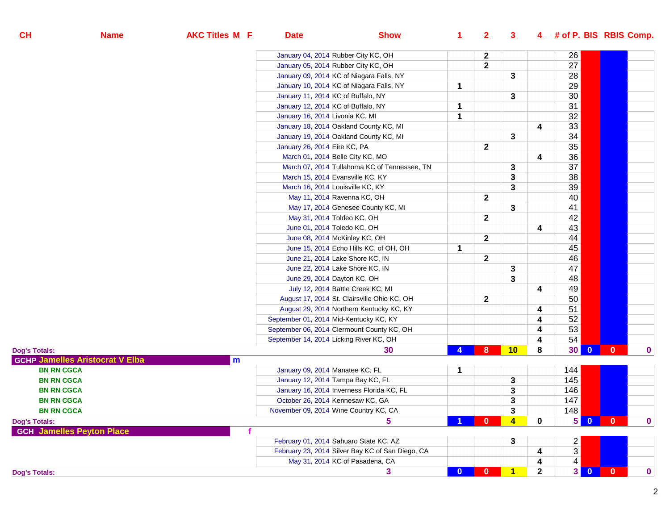| CL<br><b>Name</b>                      | <b>AKC Titles M E</b> | <b>Date</b>                             | <b>Show</b>                                      | $\perp$      | $\overline{2}$ | 3                       |              | 4 # of P. BIS RBIS Comp. |                         |              |             |
|----------------------------------------|-----------------------|-----------------------------------------|--------------------------------------------------|--------------|----------------|-------------------------|--------------|--------------------------|-------------------------|--------------|-------------|
|                                        |                       | January 04, 2014 Rubber City KC, OH     |                                                  |              | $\mathbf 2$    |                         |              | 26                       |                         |              |             |
|                                        |                       | January 05, 2014 Rubber City KC, OH     |                                                  |              | $\mathbf{2}$   |                         |              | 27                       |                         |              |             |
|                                        |                       |                                         | January 09, 2014 KC of Niagara Falls, NY         |              |                | 3                       |              | 28                       |                         |              |             |
|                                        |                       |                                         | January 10, 2014 KC of Niagara Falls, NY         | 1            |                |                         |              | 29                       |                         |              |             |
|                                        |                       | January 11, 2014 KC of Buffalo, NY      |                                                  |              |                | 3                       |              | 30                       |                         |              |             |
|                                        |                       | January 12, 2014 KC of Buffalo, NY      |                                                  | 1            |                |                         |              | 31                       |                         |              |             |
|                                        |                       | January 16, 2014 Livonia KC, MI         |                                                  | 1            |                |                         |              | 32                       |                         |              |             |
|                                        |                       |                                         | January 18, 2014 Oakland County KC, MI           |              |                |                         | 4            | 33                       |                         |              |             |
|                                        |                       |                                         | January 19, 2014 Oakland County KC, MI           |              |                | 3                       |              | 34                       |                         |              |             |
|                                        |                       | January 26, 2014 Eire KC, PA            |                                                  |              | $\mathbf 2$    |                         |              | 35                       |                         |              |             |
|                                        |                       | March 01, 2014 Belle City KC, MO        |                                                  |              |                |                         | 4            | 36                       |                         |              |             |
|                                        |                       |                                         | March 07, 2014 Tullahoma KC of Tennessee, TN     |              |                | 3                       |              | 37                       |                         |              |             |
|                                        |                       | March 15, 2014 Evansville KC, KY        |                                                  |              |                | 3                       |              | 38                       |                         |              |             |
|                                        |                       | March 16, 2014 Louisville KC, KY        |                                                  |              |                | 3                       |              | 39                       |                         |              |             |
|                                        |                       | May 11, 2014 Ravenna KC, OH             |                                                  |              | $\mathbf 2$    |                         |              | 40                       |                         |              |             |
|                                        |                       |                                         | May 17, 2014 Genesee County KC, MI               |              |                | 3                       |              | 41                       |                         |              |             |
|                                        |                       | May 31, 2014 Toldeo KC, OH              |                                                  |              | $\mathbf{2}$   |                         |              | 42                       |                         |              |             |
|                                        |                       | June 01, 2014 Toledo KC, OH             |                                                  |              |                |                         | 4            | 43                       |                         |              |             |
|                                        |                       | June 08, 2014 McKinley KC, OH           |                                                  |              | $\mathbf{2}$   |                         |              | 44                       |                         |              |             |
|                                        |                       |                                         | June 15, 2014 Echo Hills KC, of OH, OH           | 1            |                |                         |              | 45                       |                         |              |             |
|                                        |                       | June 21, 2014 Lake Shore KC, IN         |                                                  |              | $\mathbf 2$    |                         |              | 46                       |                         |              |             |
|                                        |                       | June 22, 2014 Lake Shore KC, IN         |                                                  |              |                | 3                       |              | 47                       |                         |              |             |
|                                        |                       | June 29, 2014 Dayton KC, OH             |                                                  |              |                | 3                       |              | 48                       |                         |              |             |
|                                        |                       |                                         | July 12, 2014 Battle Creek KC, MI                |              |                |                         | 4            | 49                       |                         |              |             |
|                                        |                       |                                         | August 17, 2014 St. Clairsville Ohio KC, OH      |              | $\mathbf 2$    |                         |              | 50                       |                         |              |             |
|                                        |                       |                                         | August 29, 2014 Northern Kentucky KC, KY         |              |                |                         | 4            | 51                       |                         |              |             |
|                                        |                       | September 01, 2014 Mid-Kentucky KC, KY  |                                                  |              |                |                         | 4            | 52                       |                         |              |             |
|                                        |                       |                                         | September 06, 2014 Clermount County KC, OH       |              |                |                         | 4            | 53                       |                         |              |             |
|                                        |                       | September 14, 2014 Licking River KC, OH |                                                  |              |                |                         | 4            | 54                       |                         |              |             |
| Dog's Totals:                          |                       |                                         | 30                                               | 4            | 8              | 10                      | 8            | 30                       | $\mathbf{0}$            | $\mathbf{0}$ | $\mathbf 0$ |
| <b>GCHP Jamelles Aristocrat V Elba</b> | m                     |                                         |                                                  |              |                |                         |              |                          |                         |              |             |
| <b>BN RN CGCA</b>                      |                       | January 09, 2014 Manatee KC, FL         |                                                  | 1            |                |                         |              | 144                      |                         |              |             |
| <b>BN RN CGCA</b>                      |                       | January 12, 2014 Tampa Bay KC, FL       |                                                  |              |                | 3                       |              | 145                      |                         |              |             |
| <b>BN RN CGCA</b>                      |                       |                                         | January 16, 2014 Inverness Florida KC, FL        |              |                | 3                       |              | 146                      |                         |              |             |
| <b>BN RN CGCA</b>                      |                       | October 26, 2014 Kennesaw KC, GA        |                                                  |              |                | 3                       |              | 147                      |                         |              |             |
| <b>BN RN CGCA</b>                      |                       | November 09, 2014 Wine Country KC, CA   |                                                  |              |                | $\mathbf 3$             |              | 148                      |                         |              |             |
| Dog's Totals:                          |                       |                                         | 5                                                |              | 0              | $\overline{\mathbf{4}}$ | $\mathbf{0}$ | 5 <sup>1</sup>           | $\overline{0}$          | $\mathbf{0}$ | $\bf{0}$    |
| <b>GCH Jamelles Peyton Place</b>       |                       |                                         |                                                  |              |                |                         |              |                          |                         |              |             |
|                                        |                       | February 01, 2014 Sahuaro State KC, AZ  |                                                  |              |                | 3                       |              | $\overline{2}$           |                         |              |             |
|                                        |                       |                                         | February 23, 2014 Silver Bay KC of San Diego, CA |              |                |                         | 4            | 3                        |                         |              |             |
|                                        |                       |                                         | May 31, 2014 KC of Pasadena, CA                  |              |                |                         | 4            | 4                        |                         |              |             |
| Dog's Totals:                          |                       |                                         | 3                                                | $\mathbf{0}$ | $\bf{0}$       | $\mathbf{1}$            | 2            | 3 <sup>1</sup>           | $\overline{\mathbf{0}}$ | $\mathbf{0}$ | $\bf{0}$    |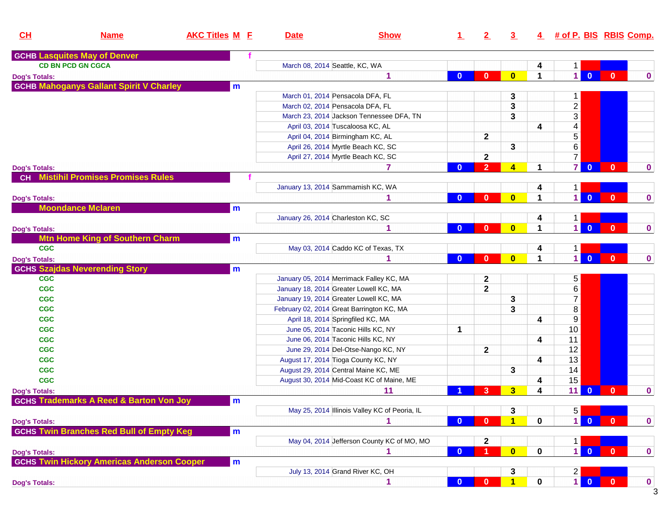| CL                   | <b>Name</b>                                        | <b>AKC Titles M E</b> | <b>Date</b>                         | <b>Show</b>                                   | $\perp$      | 2                       | $\overline{3}$          |              | 4 # of P. BIS RBIS Comp.                  |                |              |
|----------------------|----------------------------------------------------|-----------------------|-------------------------------------|-----------------------------------------------|--------------|-------------------------|-------------------------|--------------|-------------------------------------------|----------------|--------------|
|                      | <b>GCHB Lasquites May of Denver</b>                |                       |                                     |                                               |              |                         |                         |              |                                           |                |              |
|                      | <b>CD BN PCD GN CGCA</b>                           |                       | March 08, 2014 Seattle, KC, WA      |                                               |              |                         |                         | 4            | $\mathbf 1$                               |                |              |
| <b>Dog's Totals:</b> |                                                    |                       |                                     | 1                                             | $\bf{0}$     | $\bf{0}$                | $\bf{0}$                | $\mathbf 1$  | $\vert$<br>$\overline{0}$                 | $\mathbf{0}$   | $\mathbf 0$  |
|                      | <b>GCHB Mahoganys Gallant Spirit V Charley</b>     | m                     |                                     |                                               |              |                         |                         |              |                                           |                |              |
|                      |                                                    |                       | March 01, 2014 Pensacola DFA, FL    |                                               |              |                         | 3                       |              | 1                                         |                |              |
|                      |                                                    |                       | March 02, 2014 Pensacola DFA, FL    |                                               |              |                         | 3                       |              | $\overline{2}$                            |                |              |
|                      |                                                    |                       |                                     | March 23, 2014 Jackson Tennessee DFA, TN      |              |                         | 3                       |              | $\overline{3}$                            |                |              |
|                      |                                                    |                       |                                     | April 03, 2014 Tuscaloosa KC, AL              |              |                         |                         | 4            | $\overline{\mathbf{4}}$                   |                |              |
|                      |                                                    |                       |                                     | April 04, 2014 Birmingham KC, AL              |              | $\mathbf{2}$            |                         |              | $\overline{5}$                            |                |              |
|                      |                                                    |                       |                                     | April 26, 2014 Myrtle Beach KC, SC            |              |                         | 3                       |              | $\overline{6}$                            |                |              |
|                      |                                                    |                       |                                     | April 27, 2014 Myrtle Beach KC, SC            |              | $\mathbf{2}$            |                         |              | $\overline{7}$                            |                |              |
| <b>Dog's Totals:</b> |                                                    |                       |                                     | 7                                             | $\bf{0}$     | $\overline{2}$          | $\overline{\mathbf{4}}$ | 1            | $\mathbf{7}$<br>$\overline{\mathbf{0}}$   | $\mathbf{0}$   | $\mathbf 0$  |
|                      | <b>CH</b> Mistihil Promises Promises Rules         |                       |                                     |                                               |              |                         |                         |              |                                           |                |              |
|                      |                                                    |                       | January 13, 2014 Sammamish KC, WA   |                                               |              |                         |                         | 4            | 1                                         |                |              |
| <b>Dog's Totals:</b> |                                                    |                       |                                     | 1                                             | $\bf{0}$     | $\bf{0}$                | $\bf{0}$                | 1            | $\overline{1}$<br>$\mathbf{0}$            | $\mathbf{0}$   | $\mathbf 0$  |
|                      | <b>Moondance Mclaren</b>                           | m                     |                                     |                                               |              |                         |                         |              |                                           |                |              |
|                      |                                                    |                       | January 26, 2014 Charleston KC, SC  |                                               |              |                         |                         | 4            | 1                                         |                |              |
| <b>Dog's Totals:</b> |                                                    |                       |                                     | 1                                             | $\bf{0}$     | $\bf{0}$                | $\bf{0}$                | 1            | $\overline{1}$<br>$\overline{0}$          | $\mathbf{0}$   | $\mathbf 0$  |
|                      | <b>Mtn Home King of Southern Charm</b>             | m                     |                                     |                                               |              |                         |                         |              |                                           |                |              |
| <b>CGC</b>           |                                                    |                       |                                     | May 03, 2014 Caddo KC of Texas, TX            |              |                         |                         | 4            | 1                                         |                |              |
| <b>Dog's Totals:</b> |                                                    |                       |                                     | 1                                             | $\bf{0}$     | $\bf{0}$                | $\bf{0}$                | 1            | $\overline{1}$<br>$\mathbf{0}$            | $\mathbf{0}$   | $\mathbf 0$  |
|                      | <b>GCHS Szajdas Neverending Story</b>              | m                     |                                     |                                               |              |                         |                         |              |                                           |                |              |
| <b>CGC</b>           |                                                    |                       |                                     | January 05, 2014 Merrimack Falley KC, MA      |              | $\boldsymbol{2}$        |                         |              | 5                                         |                |              |
| <b>CGC</b>           |                                                    |                       |                                     | January 18, 2014 Greater Lowell KC, MA        |              | $\overline{\mathbf{2}}$ |                         |              | $\overline{\mathbf{6}}$                   |                |              |
| <b>CGC</b>           |                                                    |                       |                                     | January 19, 2014 Greater Lowell KC, MA        |              |                         | 3                       |              | $\overline{7}$                            |                |              |
| <b>CGC</b>           |                                                    |                       |                                     | February 02, 2014 Great Barrington KC, MA     |              |                         | 3                       |              | $\bf 8$                                   |                |              |
| <b>CGC</b>           |                                                    |                       | April 18, 2014 Springfiled KC, MA   |                                               |              |                         |                         | 4            | $9\,$                                     |                |              |
| <b>CGC</b>           |                                                    |                       |                                     | June 05, 2014 Taconic Hills KC, NY            | $\mathbf 1$  |                         |                         |              | 10                                        |                |              |
| <b>CGC</b>           |                                                    |                       |                                     | June 06, 2014 Taconic Hills KC, NY            |              |                         |                         | 4            | 11                                        |                |              |
| <b>CGC</b>           |                                                    |                       |                                     | June 29, 2014 Del-Otse-Nango KC, NY           |              | $\mathbf{2}$            |                         |              | 12                                        |                |              |
| <b>CGC</b>           |                                                    |                       | August 17, 2014 Tioga County KC, NY |                                               |              |                         |                         | 4            | 13                                        |                |              |
| <b>CGC</b>           |                                                    |                       |                                     | August 29, 2014 Central Maine KC, ME          |              |                         | 3                       |              | 14                                        |                |              |
| <b>CGC</b>           |                                                    |                       |                                     | August 30, 2014 Mid-Coast KC of Maine, ME     |              |                         |                         | 4            | 15                                        |                |              |
| <b>Dog's Totals:</b> |                                                    |                       |                                     | 11                                            |              | 3                       | 3                       | 4            | 11<br>$\bf{0}$                            | $\mathbf{0}$   | $\mathbf 0$  |
|                      | <b>GCHS Trademarks A Reed &amp; Barton Von Joy</b> | m                     |                                     |                                               |              |                         |                         |              |                                           |                |              |
|                      |                                                    |                       |                                     | May 25, 2014 Illinois Valley KC of Peoria, IL |              |                         | 3                       |              | 5                                         |                |              |
| <b>Dog's Totals:</b> |                                                    |                       |                                     |                                               | $\mathbf{0}$ | $\mathbf{0}$            |                         | $\bf{0}$     | $\blacksquare$<br>$\overline{\mathbf{0}}$ | $\mathbf{0}$   | $\mathbf 0$  |
|                      | <b>GCHS Twin Branches Red Bull of Empty Keg</b>    | m                     |                                     |                                               |              |                         |                         |              |                                           |                |              |
|                      |                                                    |                       |                                     | May 04, 2014 Jefferson County KC of MO, MO    |              | $\mathbf{2}$            |                         |              | 1                                         |                |              |
| <b>Dog's Totals:</b> |                                                    |                       |                                     |                                               | $\mathbf{0}$ | -1                      | $\mathbf{0}$            | 0            | $\blacksquare$<br>$\bullet$               | $\overline{0}$ | $\mathbf{0}$ |
|                      | <b>GCHS Twin Hickory Americas Anderson Cooper</b>  | m                     |                                     |                                               |              |                         |                         |              |                                           |                |              |
|                      |                                                    |                       |                                     | July 13, 2014 Grand River KC, OH              |              |                         | 3                       |              | $\begin{array}{c} 2 \\ 1 \end{array}$ o   |                |              |
| <b>Dog's Totals:</b> |                                                    |                       |                                     | 1                                             | $\bf{0}$     | $\Omega$                | $\blacksquare$          | $\mathbf{0}$ |                                           | <b>AND</b>     | $\mathbf 0$  |
|                      |                                                    |                       |                                     |                                               |              |                         |                         |              |                                           |                | 3            |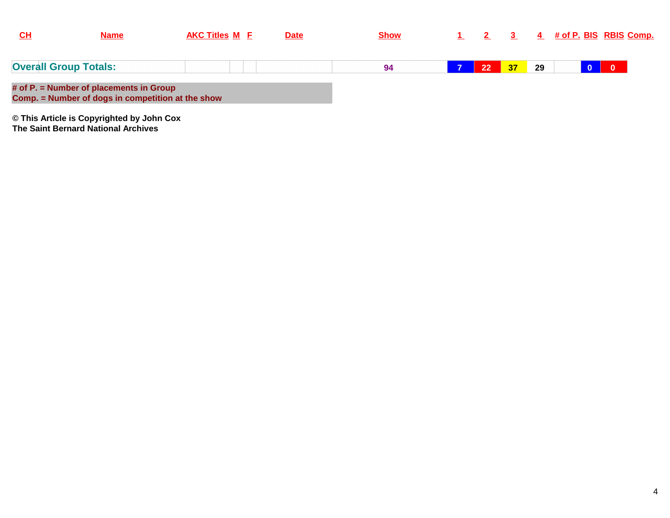| $CH$ | <b>Name</b>                                                                                  | <b>AKC Titles M E</b> | <b>Date</b> | <b>Show</b> |    |    |    |  | 4 # of P. BIS RBIS Comp. |
|------|----------------------------------------------------------------------------------------------|-----------------------|-------------|-------------|----|----|----|--|--------------------------|
|      | <b>Overall Group Totals:</b>                                                                 |                       |             | 94          | 22 | 37 | 29 |  | $\overline{\mathbf{0}}$  |
|      | # of P. = Number of placements in Group<br>Comp. = Number of dogs in competition at the show |                       |             |             |    |    |    |  |                          |
|      | © This Article is Copyrighted by John Cox                                                    |                       |             |             |    |    |    |  |                          |

**The Saint Bernard National Archives**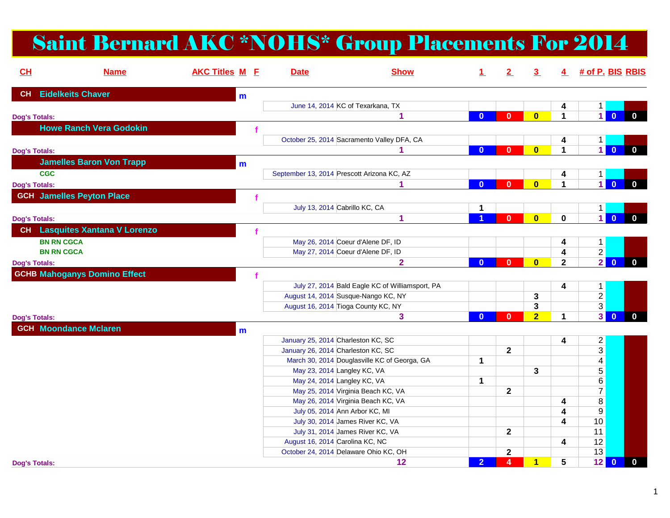## Saint Bernard AKC \*NOHS\* Group Placements For 2014

| <b>AKC Titles M E</b><br>CH<br><b>Name</b> |   | <b>Date</b>                                | <b>Show</b>                                     | $\mathbf{1}$   | 2            | 3 <sup>1</sup>          |                         |                           | $4$ # of P. BIS RBIS          |
|--------------------------------------------|---|--------------------------------------------|-------------------------------------------------|----------------|--------------|-------------------------|-------------------------|---------------------------|-------------------------------|
| <b>Eidelkeits Chaver</b><br><b>CH</b>      | m |                                            |                                                 |                |              |                         |                         |                           |                               |
|                                            |   | June 14, 2014 KC of Texarkana, TX          |                                                 |                |              |                         | 4                       | 1                         |                               |
| <b>Dog's Totals:</b>                       |   |                                            | 1                                               | $\mathbf{0}$   | $\mathbf{0}$ | $\bf{0}$                | 1                       | $\overline{1}$            | $\mathbf{0}$                  |
| <b>Howe Ranch Vera Godokin</b>             |   |                                            |                                                 |                |              |                         |                         |                           |                               |
|                                            |   |                                            | October 25, 2014 Sacramento Valley DFA, CA      |                |              |                         |                         | $\mathbf 1$               |                               |
| <b>Dog's Totals:</b>                       |   |                                            | 1                                               | $\bf{0}$       | $\bf{0}$     | $\overline{\mathbf{0}}$ | 1                       | $\overline{1}$            | $\overline{0}$<br>$\mathbf 0$ |
| <b>Jamelles Baron Von Trapp</b>            | m |                                            |                                                 |                |              |                         |                         |                           |                               |
| <b>CGC</b>                                 |   | September 13, 2014 Prescott Arizona KC, AZ |                                                 |                |              |                         | 4                       | $\mathbf{1}$              |                               |
| <b>Dog's Totals:</b>                       |   |                                            | 1                                               | $\mathbf{0}$   | $\mathbf{0}$ | $\bf{0}$                | 1                       | $1\overline{\phantom{a}}$ | $\mathbf{0}$                  |
| <b>GCH Jamelles Peyton Place</b>           |   |                                            |                                                 |                |              |                         |                         |                           |                               |
|                                            |   |                                            |                                                 |                |              |                         |                         |                           |                               |
|                                            |   | July 13, 2014 Cabrillo KC, CA              | 1                                               | 1              |              |                         |                         | 1<br>$\overline{1}$       | $\mathbf{0}$                  |
| <b>Dog's Totals:</b>                       |   |                                            |                                                 |                | $\mathbf{0}$ | $\mathbf{0}$            | $\bf{0}$                |                           | $\mathbf{0}$                  |
| CH Lasquites Xantana V Lorenzo             |   |                                            |                                                 |                |              |                         |                         |                           |                               |
| <b>BN RN CGCA</b>                          |   | May 26, 2014 Coeur d'Alene DF, ID          |                                                 |                |              |                         | 4                       | $\mathbf{1}$              |                               |
| <b>BN RN CGCA</b>                          |   | May 27, 2014 Coeur d'Alene DF, ID          |                                                 |                |              |                         | 4                       | $\overline{2}$            |                               |
| <b>Dog's Totals:</b>                       |   |                                            | $\overline{2}$                                  | $\bf{0}$       | $\bf{0}$     | $\bf{0}$                | $\overline{\mathbf{2}}$ | $\overline{2}$            | $\mathbf{0}$<br>$\mathbf{0}$  |
| <b>GCHB Mahoganys Domino Effect</b>        |   |                                            |                                                 |                |              |                         |                         |                           |                               |
|                                            |   |                                            | July 27, 2014 Bald Eagle KC of Williamsport, PA |                |              |                         | 4                       | $\mathbf{1}$              |                               |
|                                            |   | August 14, 2014 Susque-Nango KC, NY        |                                                 |                |              | 3                       |                         | $\overline{2}$            |                               |
|                                            |   | August 16, 2014 Tioga County KC, NY        |                                                 |                |              | 3                       |                         | $\overline{3}$            |                               |
| <b>Dog's Totals:</b>                       |   |                                            | 3                                               | $\mathbf{0}$   | $\mathbf{0}$ | $\overline{2}$          | 4                       | 3 <sup>1</sup>            | $\mathbf{0}$<br>$\mathbf{0}$  |
| <b>GCH Moondance Mclaren</b>               | m |                                            |                                                 |                |              |                         |                         |                           |                               |
|                                            |   | January 25, 2014 Charleston KC, SC         |                                                 |                |              |                         | Δ                       | $\overline{a}$            |                               |
|                                            |   | January 26, 2014 Charleston KC, SC         |                                                 |                | $\mathbf{2}$ |                         |                         | $\overline{3}$            |                               |
|                                            |   |                                            | March 30, 2014 Douglasville KC of Georga, GA    | $\mathbf{1}$   |              |                         |                         | $\overline{4}$            |                               |
|                                            |   | May 23, 2014 Langley KC, VA                |                                                 |                |              | 3                       |                         | $\overline{5}$            |                               |
|                                            |   | May 24, 2014 Langley KC, VA                |                                                 | $\mathbf{1}$   |              |                         |                         | $\overline{6}$            |                               |
|                                            |   | May 25, 2014 Virginia Beach KC, VA         |                                                 |                | $\mathbf{2}$ |                         |                         | $\overline{7}$            |                               |
|                                            |   | May 26, 2014 Virginia Beach KC, VA         |                                                 |                |              |                         | 4                       | $\overline{\bf 8}$        |                               |
|                                            |   | July 05, 2014 Ann Arbor KC, MI             |                                                 |                |              |                         | 4                       | $\overline{9}$            |                               |
|                                            |   | July 30, 2014 James River KC, VA           |                                                 |                |              |                         | 4                       | 10                        |                               |
|                                            |   | July 31, 2014 James River KC, VA           |                                                 |                | $\mathbf{2}$ |                         |                         | 11                        |                               |
|                                            |   | August 16, 2014 Carolina KC, NC            |                                                 |                |              |                         | 4                       | 12                        |                               |
|                                            |   | October 24, 2014 Delaware Ohio KC, OH      |                                                 |                | $\mathbf{2}$ |                         |                         | $\overline{13}$           |                               |
| <b>Dog's Totals:</b>                       |   |                                            | 12                                              | 2 <sup>1</sup> | 4            | $\overline{\mathbf{1}}$ | 5                       | 12                        | $\bullet$<br>$\mathbf{0}$     |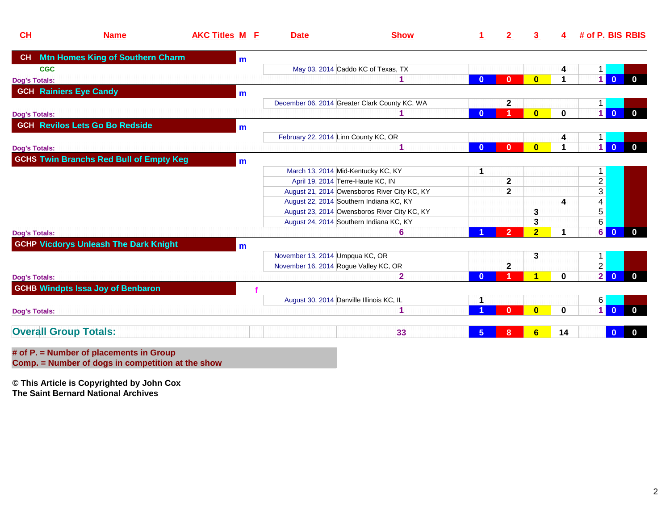| CL                            | <b>Name</b>                                    | <b>AKC Titles M E</b> |   | <b>Date</b>                              | <b>Show</b>                                   |                 | 2              | $\overline{3}$          | 4                    | # of P. BIS RBIS |                |              |
|-------------------------------|------------------------------------------------|-----------------------|---|------------------------------------------|-----------------------------------------------|-----------------|----------------|-------------------------|----------------------|------------------|----------------|--------------|
| CH                            | <b>Mtn Homes King of Southern Charm</b>        |                       | m |                                          |                                               |                 |                |                         |                      |                  |                |              |
| <b>CGC</b>                    |                                                |                       |   |                                          | May 03, 2014 Caddo KC of Texas, TX            |                 |                |                         | 4                    |                  |                |              |
| <b>Dog's Totals:</b>          |                                                |                       |   |                                          |                                               | $\bf{0}$        | $\mathbf{0}$   | $\mathbf{0}$            | $\blacktriangleleft$ | 1                | $\Omega$       |              |
| <b>GCH Rainiers Eye Candy</b> |                                                |                       | m |                                          |                                               |                 |                |                         |                      |                  |                |              |
|                               |                                                |                       |   |                                          | December 06, 2014 Greater Clark County KC, WA |                 | $\mathbf{2}$   |                         |                      |                  |                |              |
| <b>Dog's Totals:</b>          |                                                |                       |   |                                          |                                               | $\bf{0}$        |                | $\mathbf{0}$            | $\mathbf{0}$         | $\overline{1}$   | $\mathbf{0}$   |              |
|                               | <b>GCH Revilos Lets Go Bo Redside</b>          |                       | m |                                          |                                               |                 |                |                         |                      |                  |                |              |
|                               |                                                |                       |   | February 22, 2014 Linn County KC, OR     |                                               |                 |                |                         | 4                    |                  |                |              |
| <b>Dog's Totals:</b>          |                                                |                       |   |                                          |                                               | $\mathbf{0}$    | $\mathbf{0}$   | $\overline{\mathbf{0}}$ | 1                    | $\overline{1}$   | $\overline{0}$ | $\mathbf{0}$ |
|                               | <b>GCHS Twin Branchs Red Bull of Empty Keg</b> |                       | m |                                          |                                               |                 |                |                         |                      |                  |                |              |
|                               |                                                |                       |   | March 13, 2014 Mid-Kentucky KC, KY       |                                               | 1               |                |                         |                      | 1.               |                |              |
|                               |                                                |                       |   | April 19, 2014 Terre-Haute KC, IN        |                                               |                 | $\mathbf{2}$   |                         |                      | $\overline{2}$   |                |              |
|                               |                                                |                       |   |                                          | August 21, 2014 Owensboros River City KC, KY  |                 | $\mathbf{2}$   |                         |                      | $\overline{3}$   |                |              |
|                               |                                                |                       |   | August 22, 2014 Southern Indiana KC, KY  |                                               |                 |                |                         | 4                    | $\overline{4}$   |                |              |
|                               |                                                |                       |   |                                          | August 23, 2014 Owensboros River City KC, KY  |                 |                | 3                       |                      | $\overline{5}$   |                |              |
|                               |                                                |                       |   | August 24, 2014 Southern Indiana KC, KY  |                                               |                 |                | 3                       |                      | $6\overline{6}$  |                |              |
| <b>Dog's Totals:</b>          |                                                |                       |   |                                          | 6                                             |                 | $\overline{2}$ | $\overline{2}$          | $\mathbf 1$          | 6                | $\mathbf{0}$   | $\bf{0}$     |
|                               | <b>GCHP Vicdorys Unleash The Dark Knight</b>   |                       | m |                                          |                                               |                 |                |                         |                      |                  |                |              |
|                               |                                                |                       |   | November 13, 2014 Umpqua KC, OR          |                                               |                 |                | 3                       |                      | 1.               |                |              |
|                               |                                                |                       |   | November 16, 2014 Rogue Valley KC, OR    |                                               |                 | $\mathbf{2}$   |                         |                      | $\overline{2}$   |                |              |
| <b>Dog's Totals:</b>          |                                                |                       |   |                                          | $\mathbf{2}$                                  | $\Omega$        |                | 4                       | $\bf{0}$             | 2                | $\overline{0}$ | $\mathbf{0}$ |
|                               | <b>GCHB Windpts Issa Joy of Benbaron</b>       |                       |   |                                          |                                               |                 |                |                         |                      |                  |                |              |
|                               |                                                |                       |   | August 30, 2014 Danville Illinois KC, IL |                                               | 1               |                |                         |                      | $6 \mid$         |                |              |
| <b>Dog's Totals:</b>          |                                                |                       |   |                                          | 1                                             |                 | n              | $\mathbf{0}$            | $\bf{0}$             | $\overline{1}$   |                |              |
| <b>Overall Group Totals:</b>  |                                                |                       |   |                                          | 33                                            | $5\phantom{.0}$ | 8              | 6                       | 14                   |                  | $\bf{0}$       |              |
|                               | # of $P =$ Number of placements in Group       |                       |   |                                          |                                               |                 |                |                         |                      |                  |                |              |

**# of P. = Number of placements in Group Comp. = Number of dogs in competition at the show**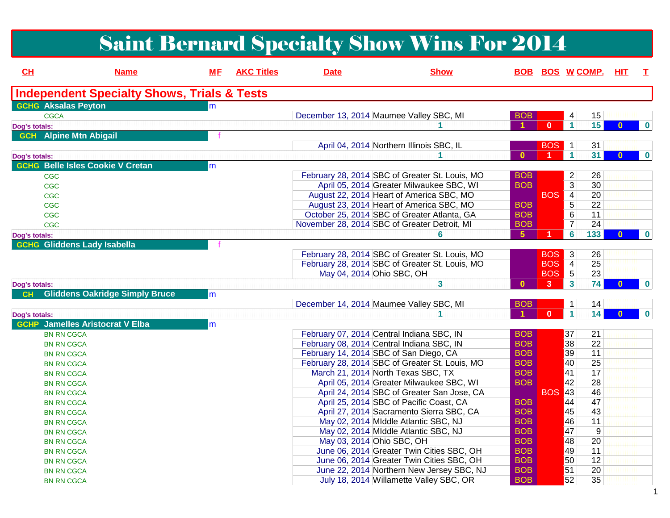## Saint Bernard Specialty Show Wins For 2014

| CH            | <b>Name</b>                                            | <b>ME</b> | <b>AKC Titles</b> | <b>Date</b>               | <b>Show</b>                                    |                |              |                         | <b>BOB BOS WCOMP. HIT</b> |              | $\mathbf{T}$     |
|---------------|--------------------------------------------------------|-----------|-------------------|---------------------------|------------------------------------------------|----------------|--------------|-------------------------|---------------------------|--------------|------------------|
|               | <b>Independent Specialty Shows, Trials &amp; Tests</b> |           |                   |                           |                                                |                |              |                         |                           |              |                  |
|               | <b>GCHG</b> Aksalas Peyton                             | m         |                   |                           |                                                |                |              |                         |                           |              |                  |
|               | <b>CGCA</b>                                            |           |                   |                           | December 13, 2014 Maumee Valley SBC, MI        | <b>BOB</b>     |              | 4                       | 15                        |              |                  |
| Dog's totals: |                                                        |           |                   |                           |                                                |                | $\mathbf{0}$ | $\mathbf{1}$            | 15                        | U            | $\bf{0}$         |
| <b>GCH</b>    | <b>Alpine Mtn Abigail</b>                              |           |                   |                           |                                                |                |              |                         |                           |              |                  |
|               |                                                        |           |                   |                           | April 04, 2014 Northern Illinois SBC, IL       |                | <b>BOS</b>   | $\mathbf{1}$            | 31                        |              |                  |
| Dog's totals: |                                                        |           |                   |                           |                                                | $\mathbf{0}$   |              | $\overline{1}$          | 31                        | $\mathbf{0}$ | $\mathbf 0$      |
|               | <b>GCHG Belle Isles Cookie V Cretan</b>                | m         |                   |                           |                                                |                |              |                         |                           |              |                  |
|               | <b>CGC</b>                                             |           |                   |                           | February 28, 2014 SBC of Greater St. Louis, MO | <b>BOB</b>     |              | $\overline{2}$          | 26                        |              |                  |
|               | <b>CGC</b>                                             |           |                   |                           | April 05, 2014 Greater Milwaukee SBC, WI       | <b>BOB</b>     |              | $\overline{3}$          | 30                        |              |                  |
|               | <b>CGC</b>                                             |           |                   |                           | August 22, 2014 Heart of America SBC, MO       |                | <b>BOS</b>   | $\overline{4}$          | 20                        |              |                  |
|               | <b>CGC</b>                                             |           |                   |                           | August 23, 2014 Heart of America SBC, MO       | <b>BOB</b>     |              | 5                       | 22                        |              |                  |
|               | <b>CGC</b>                                             |           |                   |                           | October 25, 2014 SBC of Greater Atlanta, GA    | <b>BOB</b>     |              | 6                       | 11                        |              |                  |
|               | <b>CGC</b>                                             |           |                   |                           | November 28, 2014 SBC of Greater Detroit, MI   | <b>BOB</b>     |              | $\overline{7}$          | 24                        |              |                  |
| Dog's totals: |                                                        |           |                   |                           | 6                                              | 5 <sup>5</sup> |              | $6\overline{6}$         | 133                       | $\mathbf{0}$ | $\boldsymbol{0}$ |
|               | <b>GCHG Gliddens Lady Isabella</b>                     |           |                   |                           |                                                |                |              |                         |                           |              |                  |
|               |                                                        |           |                   |                           | February 28, 2014 SBC of Greater St. Louis, MO |                | <b>BOS</b>   | 3                       | 26                        |              |                  |
|               |                                                        |           |                   |                           | February 28, 2014 SBC of Greater St. Louis, MO |                | <b>BOS</b>   | $\overline{4}$          | 25                        |              |                  |
|               |                                                        |           |                   | May 04, 2014 Ohio SBC, OH |                                                |                | <b>BOS</b>   | $\overline{5}$          | 23                        |              |                  |
| Dog's totals: |                                                        |           |                   |                           | 3                                              | $\mathbf{0}$   | $\mathbf{3}$ | $\overline{\mathbf{3}}$ | 74                        | 0            | $\bf{0}$         |
| <b>CH</b>     | <b>Gliddens Oakridge Simply Bruce</b>                  | lm        |                   |                           |                                                |                |              |                         |                           |              |                  |
|               |                                                        |           |                   |                           | December 14, 2014 Maumee Valley SBC, MI        | <b>BOB</b>     |              | 1                       | 14                        |              |                  |
| Dog's totals: |                                                        |           |                   |                           | 1                                              |                | $\mathbf{0}$ | $\overline{1}$          | 14                        | $\mathbf{0}$ | $\boldsymbol{0}$ |
|               | <b>GCHP</b> Jamelles Aristocrat V Elba                 | m         |                   |                           |                                                |                |              |                         |                           |              |                  |
|               | <b>BN RN CGCA</b>                                      |           |                   |                           | February 07, 2014 Central Indiana SBC, IN      | <b>BOB</b>     |              | 37                      | 21                        |              |                  |
|               | <b>BN RN CGCA</b>                                      |           |                   |                           | February 08, 2014 Central Indiana SBC, IN      | <b>BOB</b>     |              | 38                      | 22                        |              |                  |
|               | <b>BN RN CGCA</b>                                      |           |                   |                           | February 14, 2014 SBC of San Diego, CA         | <b>BOB</b>     |              | 39                      | 11                        |              |                  |
|               | <b>BN RN CGCA</b>                                      |           |                   |                           | February 28, 2014 SBC of Greater St. Louis, MO | <b>BOB</b>     |              | $ 40\rangle$            | 25                        |              |                  |
|               | <b>BN RN CGCA</b>                                      |           |                   |                           | March 21, 2014 North Texas SBC, TX             | <b>BOB</b>     |              | 41                      | 17                        |              |                  |
|               | <b>BN RN CGCA</b>                                      |           |                   |                           | April 05, 2014 Greater Milwaukee SBC, WI       | <b>BOB</b>     |              | 42                      | 28                        |              |                  |
|               | <b>BN RN CGCA</b>                                      |           |                   |                           | April 24, 2014 SBC of Greater San Jose, CA     |                | <b>BOS</b>   | 43                      | 46                        |              |                  |
|               | <b>BN RN CGCA</b>                                      |           |                   |                           | April 25, 2014 SBC of Pacific Coast, CA        | <b>BOB</b>     |              | 44                      | 47                        |              |                  |
|               | <b>BN RN CGCA</b>                                      |           |                   |                           | April 27, 2014 Sacramento Sierra SBC, CA       | <b>BOB</b>     |              | 45                      | 43                        |              |                  |
|               | <b>BN RN CGCA</b>                                      |           |                   |                           | May 02, 2014 Middle Atlantic SBC, NJ           | <b>BOB</b>     |              | 46                      | 11                        |              |                  |
|               | <b>BN RN CGCA</b>                                      |           |                   |                           | May 02, 2014 Middle Atlantic SBC, NJ           | <b>BOB</b>     |              | 47                      | 9                         |              |                  |
|               | <b>BN RN CGCA</b>                                      |           |                   | May 03, 2014 Ohio SBC, OH |                                                | <b>BOB</b>     |              | 48                      | 20                        |              |                  |
|               | <b>BN RN CGCA</b>                                      |           |                   |                           | June 06, 2014 Greater Twin Cities SBC, OH      | <b>BOB</b>     |              | 49                      | 11                        |              |                  |
|               | <b>BN RN CGCA</b>                                      |           |                   |                           | June 06, 2014 Greater Twin Cities SBC, OH      | <b>BOB</b>     |              | 50                      | 12                        |              |                  |
|               | <b>BN RN CGCA</b>                                      |           |                   |                           | June 22, 2014 Northern New Jersey SBC, NJ      | <b>BOB</b>     |              | 51                      | 20                        |              |                  |
|               | <b>BN RN CGCA</b>                                      |           |                   |                           | July 18, 2014 Willamette Valley SBC, OR        | <b>BOB</b>     |              | 52                      | 35                        |              |                  |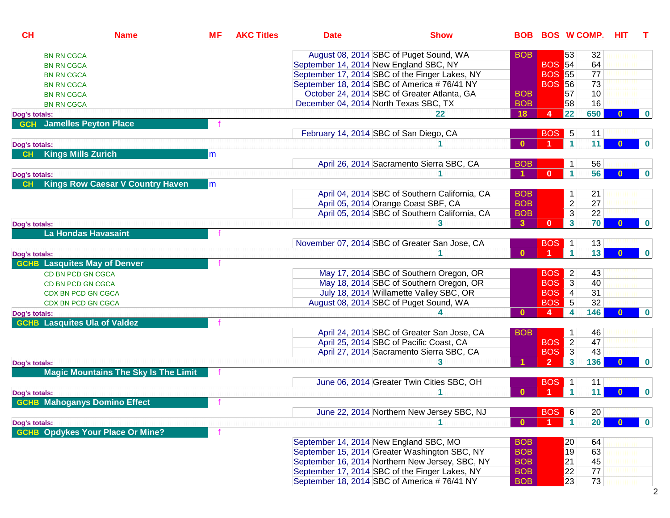| CL            | <b>Name</b>                                 | <b>ME</b> | <b>AKC Titles</b> | <b>Date</b>                            | <b>Show</b>                                     |              | <b>BOB BOS W COMP.</b> |                 |                 | <u>HIT</u>   | T           |
|---------------|---------------------------------------------|-----------|-------------------|----------------------------------------|-------------------------------------------------|--------------|------------------------|-----------------|-----------------|--------------|-------------|
|               | <b>BN RN CGCA</b>                           |           |                   |                                        | August 08, 2014 SBC of Puget Sound, WA          | <b>BOB</b>   |                        | 53              | 32              |              |             |
|               | <b>BN RN CGCA</b>                           |           |                   | September 14, 2014 New England SBC, NY |                                                 |              | <b>BOS</b> 54          |                 | 64              |              |             |
|               | <b>BN RN CGCA</b>                           |           |                   |                                        | September 17, 2014 SBC of the Finger Lakes, NY  |              | <b>BOS</b>             | 55              | 77              |              |             |
|               | <b>BN RN CGCA</b>                           |           |                   |                                        | September 18, 2014 SBC of America #76/41 NY     |              | <b>BOS 56</b>          |                 | 73              |              |             |
|               | <b>BN RN CGCA</b>                           |           |                   |                                        | October 24, 2014 SBC of Greater Atlanta, GA     | <b>BOB</b>   |                        | 57              | 10              |              |             |
|               | <b>BN RN CGCA</b>                           |           |                   | December 04, 2014 North Texas SBC, TX  |                                                 | <b>BOB</b>   |                        | 58              | 16              |              |             |
| Dog's totals: |                                             |           |                   |                                        | 22                                              | 18           | $\overline{4}$         | 22              | 650             | $\Omega$     | $\bf{0}$    |
|               | <b>GCH</b> Jamelles Peyton Place            |           |                   |                                        |                                                 |              |                        |                 |                 |              |             |
|               |                                             |           |                   | February 14, 2014 SBC of San Diego, CA |                                                 |              | <b>BOS</b>             | $5\phantom{.0}$ | 11              |              |             |
| Dog's totals: |                                             |           |                   |                                        |                                                 | $\mathbf{0}$ |                        | $\mathbf{1}$    | 11              | $\mathbf{0}$ | $\bf{0}$    |
| CH            | <b>Kings Mills Zurich</b>                   | m         |                   |                                        |                                                 |              |                        |                 |                 |              |             |
|               |                                             |           |                   |                                        | April 26, 2014 Sacramento Sierra SBC, CA        | <b>BOB</b>   |                        | $\mathbf 1$     | 56              |              |             |
| Dog's totals: |                                             |           |                   |                                        |                                                 |              | $\mathbf{0}$           | 1               | 56              | $\mathbf{0}$ | $\bf{0}$    |
| CH            | <b>Kings Row Caesar V Country Haven</b>     | m         |                   |                                        |                                                 |              |                        |                 |                 |              |             |
|               |                                             |           |                   |                                        | April 04, 2014 SBC of Southern California, CA   | <b>BOB</b>   |                        | 1               | 21              |              |             |
|               |                                             |           |                   |                                        | April 05, 2014 Orange Coast SBF, CA             | <b>BOB</b>   |                        | $\overline{2}$  | 27              |              |             |
|               |                                             |           |                   |                                        | April 05, 2014 SBC of Southern California, CA   | <b>BOB</b>   |                        | 3               | 22              |              |             |
| Dog's totals: |                                             |           |                   |                                        | 3                                               | $\mathbf{3}$ | $\mathbf{0}$           | $\mathbf{3}$    | 70              | $\mathbf{0}$ | $\bf{0}$    |
|               | <b>La Hondas Havasaint</b>                  |           |                   |                                        |                                                 |              |                        |                 |                 |              |             |
|               |                                             |           |                   |                                        | November 07, 2014 SBC of Greater San Jose, CA   |              | <b>BOS</b>             | $\mathbf{1}$    | 13              |              |             |
| Dog's totals: |                                             |           |                   |                                        |                                                 | $\mathbf{0}$ |                        | $\mathbf{1}$    | 13              | $\mathbf{0}$ | $\mathbf 0$ |
|               | <b>GCHB</b> Lasquites May of Denver         |           |                   |                                        |                                                 |              |                        |                 |                 |              |             |
|               | CD BN PCD GN CGCA                           |           |                   |                                        | May 17, 2014 SBC of Southern Oregon, OR         |              | <b>BOS</b>             | $\overline{2}$  | 43              |              |             |
|               | CD BN PCD GN CGCA                           |           |                   |                                        | May 18, 2014 SBC of Southern Oregon, OR         |              | <b>BOS</b>             | $\mathbf{3}$    | 40              |              |             |
|               | CDX BN PCD GN CGCA                          |           |                   |                                        | July 18, 2014 Willamette Valley SBC, OR         |              | <b>BOS</b>             | $\overline{4}$  | 31              |              |             |
|               | CDX BN PCD GN CGCA                          |           |                   |                                        | August 08, 2014 SBC of Puget Sound, WA          |              | <b>BOS</b>             | 5               | 32              |              |             |
| Dog's totals: |                                             |           |                   |                                        |                                                 | $\mathbf{0}$ | $\overline{4}$         | 4               | 146             | <sup>0</sup> | $\bf{0}$    |
|               | <b>GCHB</b> Lasquites Ula of Valdez         |           |                   |                                        |                                                 |              |                        |                 |                 |              |             |
|               |                                             |           |                   |                                        | April 24, 2014 SBC of Greater San Jose, CA      | <b>BOB</b>   |                        | 1               | 46              |              |             |
|               |                                             |           |                   |                                        | April 25, 2014 SBC of Pacific Coast, CA         |              | <b>BOS</b>             | $\overline{2}$  | 47              |              |             |
|               |                                             |           |                   |                                        | April 27, 2014 Sacramento Sierra SBC, CA        |              | <b>BOS</b>             | $\overline{3}$  | 43              |              |             |
| Dog's totals: |                                             |           |                   |                                        | 3                                               |              | $\overline{2}$         | 3               | 136             | $\mathbf{0}$ | $\bf{0}$    |
|               | <b>Magic Mountains The Sky Is The Limit</b> |           |                   |                                        |                                                 |              |                        |                 |                 |              |             |
|               |                                             |           |                   |                                        | June 06, 2014 Greater Twin Cities SBC, OH       |              | <b>BOS</b>             | $\mathbf{1}$    | 11              |              |             |
| Dog's totals: |                                             |           |                   |                                        |                                                 | $\mathbf{0}$ |                        | $\mathbf{1}$    | 11              | $\Omega$     | $\bf{0}$    |
|               | <b>GCHB Mahoganys Domino Effect</b>         |           |                   |                                        |                                                 |              |                        |                 |                 |              |             |
|               |                                             |           |                   |                                        | June 22, 2014 Northern New Jersey SBC, NJ       |              | BOS 6                  |                 | 20              |              |             |
| Dog's totals: |                                             |           |                   |                                        |                                                 | $\mathbf{0}$ |                        | 1               | 20 <sup>°</sup> | $\Omega$     | $\mathbf 0$ |
|               | <b>GCHB Opdykes Your Place Or Mine?</b>     |           |                   |                                        |                                                 |              |                        |                 |                 |              |             |
|               |                                             |           |                   | September 14, 2014 New England SBC, MO |                                                 | <b>BOB</b>   |                        | 20              | 64              |              |             |
|               |                                             |           |                   |                                        | September 15, 2014 Greater Washington SBC, NY   | <b>BOB</b>   |                        | $ 19\rangle$    | 63              |              |             |
|               |                                             |           |                   |                                        | September 16, 2014 Northern New Jersey, SBC, NY | <b>BOB</b>   |                        | 21              | 45              |              |             |
|               |                                             |           |                   |                                        | September 17, 2014 SBC of the Finger Lakes, NY  | <b>BOB</b>   |                        | 22              | 77              |              |             |
|               |                                             |           |                   |                                        | September 18, 2014 SBC of America #76/41 NY     | <b>BOB</b>   |                        | 23              | 73              |              |             |
|               |                                             |           |                   |                                        |                                                 |              |                        |                 |                 |              |             |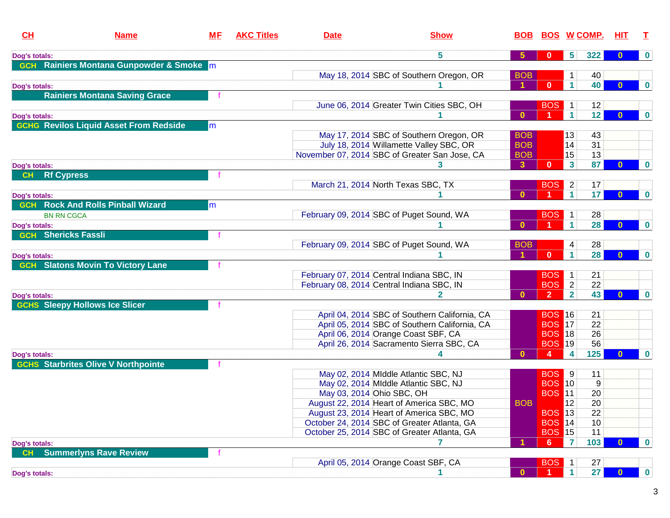| CL                  | <b>Name</b>                                   | <u>МF</u> | <b>AKC Titles</b> | <b>Date</b>                               | <b>Show</b>                                                                             |              | <b>BOB BOS W COMP.</b> |                      |                 | HIT.         | T                |
|---------------------|-----------------------------------------------|-----------|-------------------|-------------------------------------------|-----------------------------------------------------------------------------------------|--------------|------------------------|----------------------|-----------------|--------------|------------------|
| Dog's totals:       |                                               |           |                   |                                           | 5                                                                                       | $\sqrt{5}$   | $\bf{0}$               | 5                    | 322             | 0            | $\bf{0}$         |
| <b>GCH</b>          | Rainiers Montana Gunpowder & Smoke m          |           |                   |                                           |                                                                                         |              |                        |                      |                 |              |                  |
|                     |                                               |           |                   |                                           | May 18, 2014 SBC of Southern Oregon, OR                                                 | <b>BOB</b>   |                        | 1                    | 40              |              |                  |
| Dog's totals:       |                                               |           |                   |                                           |                                                                                         |              | $\mathbf{0}$           | $\mathbf{1}$         | 40              | $\mathbf{0}$ | $\bf{0}$         |
|                     | <b>Rainiers Montana Saving Grace</b>          |           |                   |                                           |                                                                                         |              |                        |                      |                 |              |                  |
|                     |                                               |           |                   |                                           | June 06, 2014 Greater Twin Cities SBC, OH                                               |              | <b>BOS</b>             | $\mathbf 1$          | 12              |              |                  |
| Dog's totals:       |                                               |           |                   |                                           |                                                                                         | $\mathbf{0}$ |                        | $\mathbf{1}$         | 12 <sub>2</sub> | $\Omega$     | $\boldsymbol{0}$ |
|                     | <b>GCHG Revilos Liquid Asset From Redside</b> | m         |                   |                                           |                                                                                         |              |                        |                      |                 |              |                  |
|                     |                                               |           |                   |                                           | May 17, 2014 SBC of Southern Oregon, OR                                                 | <b>BOB</b>   |                        | $ 13\rangle$         | 43              |              |                  |
|                     |                                               |           |                   |                                           | July 18, 2014 Willamette Valley SBC, OR                                                 | <b>BOB</b>   |                        | 14                   | 31              |              |                  |
|                     |                                               |           |                   |                                           | November 07, 2014 SBC of Greater San Jose, CA                                           | <b>BOB</b>   |                        | 15                   | 13              |              |                  |
| Dog's totals:       |                                               |           |                   |                                           |                                                                                         | $\mathbf{3}$ | $\mathbf{0}$           | 3                    | 87              | $\mathbf{0}$ | $\bf{0}$         |
| <b>CH</b>           | <b>Rf Cypress</b>                             |           |                   |                                           |                                                                                         |              |                        |                      |                 |              |                  |
|                     |                                               |           |                   |                                           | March 21, 2014 North Texas SBC, TX                                                      |              | <b>BOS</b>             | $\overline{2}$       | 17              |              |                  |
| Dog's totals:       |                                               |           |                   |                                           |                                                                                         | $\Omega$     |                        | $\blacktriangleleft$ | 17 <sub>2</sub> | $\mathbf{0}$ | $\mathbf 0$      |
| <b>GCH</b>          | <b>Rock And Rolls Pinball Wizard</b>          | m         |                   |                                           |                                                                                         |              |                        |                      |                 |              |                  |
|                     | <b>BN RN CGCA</b>                             |           |                   |                                           | February 09, 2014 SBC of Puget Sound, WA                                                |              | <b>BOS</b>             | $\mathbf{1}$         | 28              |              |                  |
| Dog's totals:       |                                               |           |                   |                                           |                                                                                         | $\mathbf{0}$ |                        | $\mathbf{1}$         | 28              | $\mathbf{0}$ | $\bf{0}$         |
|                     | <b>GCH</b> Shericks Fassli                    |           |                   |                                           |                                                                                         |              |                        |                      |                 |              |                  |
|                     |                                               |           |                   |                                           | February 09, 2014 SBC of Puget Sound, WA                                                | <b>BOB</b>   |                        | 4                    | 28              |              |                  |
| Dog's totals:       |                                               |           |                   |                                           |                                                                                         |              | $\mathbf{0}$           | $\mathbf{1}$         | 28              | $\mathbf{0}$ | $\boldsymbol{0}$ |
|                     | <b>GCH</b> Slatons Movin To Victory Lane      |           |                   |                                           |                                                                                         |              |                        |                      |                 |              |                  |
|                     |                                               |           |                   | February 07, 2014 Central Indiana SBC, IN |                                                                                         |              | <b>BOS</b>             | $\mathbf{1}$         | 21              |              |                  |
|                     |                                               |           |                   | February 08, 2014 Central Indiana SBC, IN |                                                                                         |              | <b>BOS</b>             | $\overline{2}$       | 22              |              |                  |
| Dog's totals:       |                                               |           |                   |                                           |                                                                                         | $\Omega$     | $\overline{2}$         | $\overline{2}$       | 43              | 0            | $\bf{0}$         |
|                     | <b>GCHS Sleepy Hollows Ice Slicer</b>         |           |                   |                                           |                                                                                         |              |                        |                      |                 |              |                  |
|                     |                                               |           |                   |                                           | April 04, 2014 SBC of Southern California, CA                                           |              | <b>BOS 16</b>          |                      | 21              |              |                  |
|                     |                                               |           |                   |                                           | April 05, 2014 SBC of Southern California, CA                                           |              | <b>BOS</b> 17          |                      | 22              |              |                  |
|                     |                                               |           |                   |                                           | April 06, 2014 Orange Coast SBF, CA                                                     |              | <b>BOS</b> 18          |                      | 26              |              |                  |
|                     |                                               |           |                   |                                           | April 26, 2014 Sacramento Sierra SBC, CA                                                |              | <b>BOS</b> 19          |                      | 56              |              |                  |
| Dog's totals:       |                                               |           |                   |                                           |                                                                                         | $\bf{0}$     | -4                     | 4                    | $125$           | $\Omega$     | $\bf{0}$         |
|                     | <b>GCHS</b> Starbrites Olive V Northpointe    |           |                   |                                           |                                                                                         |              |                        |                      |                 |              |                  |
|                     |                                               |           |                   |                                           | May 02, 2014 MIddle Atlantic SBC, NJ                                                    |              | <b>BOS</b>             | 9                    | 11              |              |                  |
|                     |                                               |           |                   |                                           | May 02, 2014 MIddle Atlantic SBC, NJ                                                    |              | <b>BOS 10</b>          |                      | 9               |              |                  |
|                     |                                               |           |                   | May 03, 2014 Ohio SBC, OH                 |                                                                                         |              | <b>BOS 11</b>          |                      | 20              |              |                  |
|                     |                                               |           |                   |                                           | August 22, 2014 Heart of America SBC, MO                                                | <b>BOB</b>   | <b>BOS</b> 13          | 12                   | 20              |              |                  |
|                     |                                               |           |                   |                                           | August 23, 2014 Heart of America SBC, MO<br>October 24, 2014 SBC of Greater Atlanta, GA |              | <b>BOS</b> 14          |                      | 22<br>10        |              |                  |
|                     |                                               |           |                   |                                           | October 25, 2014 SBC of Greater Atlanta, GA                                             |              | <b>BOS</b> 15          |                      | 11              |              |                  |
|                     |                                               |           |                   |                                           |                                                                                         |              | 6                      | 7                    | 103             | 0            | $\mathbf 0$      |
| Dog's totals:<br>CH | <b>Summerlyns Rave Review</b>                 |           |                   |                                           |                                                                                         |              |                        |                      |                 |              |                  |
|                     |                                               |           |                   |                                           | April 05, 2014 Orange Coast SBF, CA                                                     |              | <b>BOS</b>             | $\vert$ 1            | 27              |              |                  |
|                     |                                               |           |                   |                                           |                                                                                         | $\bf{0}$     |                        | $\mathbf{1}$         | 27              | $\Omega$     | $\bf{0}$         |
| Dog's totals:       |                                               |           |                   |                                           |                                                                                         |              |                        |                      |                 |              |                  |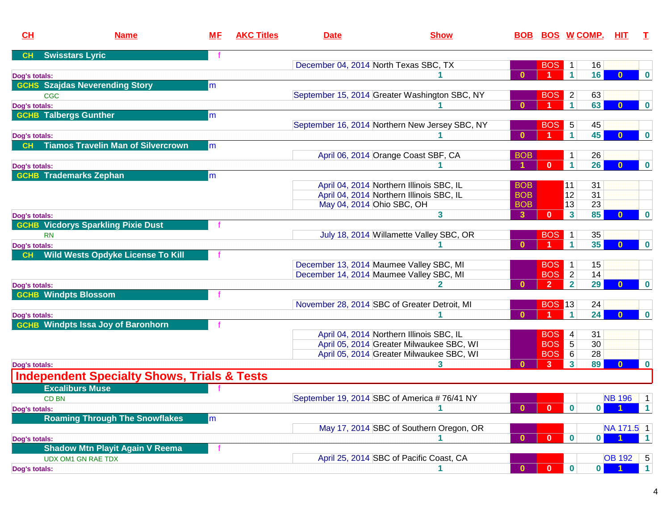| CL            | <b>Name</b>                                            | <b>ME</b> | <b>AKC Titles</b> | <b>Date</b>                           | <b>Show</b>                                    | <b>BOB</b>   |                | <u>BOS W COMP.</u>               |                 | HIT.                   |                       |
|---------------|--------------------------------------------------------|-----------|-------------------|---------------------------------------|------------------------------------------------|--------------|----------------|----------------------------------|-----------------|------------------------|-----------------------|
| CH            | <b>Swisstars Lyric</b>                                 |           |                   |                                       |                                                |              |                |                                  |                 |                        |                       |
|               |                                                        |           |                   | December 04, 2014 North Texas SBC, TX |                                                |              | <b>BOS</b>     | $\mathbf 1$                      | 16              |                        |                       |
| Dog's totals: |                                                        |           |                   |                                       |                                                | $\mathbf{0}$ |                | $\blacktriangleleft$             | 16              | $\bf{0}$               | $\mathbf 0$           |
|               | <b>GCHS</b> Szajdas Neverending Story                  | m         |                   |                                       |                                                |              |                |                                  |                 |                        |                       |
|               | <b>CGC</b>                                             |           |                   |                                       | September 15, 2014 Greater Washington SBC, NY  |              | <b>BOS</b>     | $\overline{2}$                   | 63              |                        |                       |
| Dog's totals: |                                                        |           |                   |                                       |                                                | $\mathbf{0}$ |                | $\mathbf{1}$                     | 63              | $\bf{0}$               | $\bf{0}$              |
|               | <b>GCHB Talbergs Gunther</b>                           | m         |                   |                                       |                                                |              |                |                                  |                 |                        |                       |
|               |                                                        |           |                   |                                       | September 16, 2014 Northern New Jersey SBC, NY |              | BOS 5          |                                  | 45              |                        |                       |
| Dog's totals: |                                                        |           |                   |                                       |                                                | $\mathbf{0}$ |                | $\mathbf{1}$                     | 45              |                        | $\bf{0}$              |
| <b>CH</b>     | <b>Tiamos Travelin Man of Silvercrown</b>              | m         |                   |                                       |                                                |              |                |                                  |                 |                        |                       |
|               |                                                        |           |                   |                                       | April 06, 2014 Orange Coast SBF, CA            | <b>BOB</b>   |                |                                  | 26              |                        |                       |
| Dog's totals: |                                                        |           |                   |                                       |                                                |              | $\mathbf{0}$   | $\blacktriangleleft$             | 26              | $\bf{0}$               | $\bf{0}$              |
|               | <b>GCHB</b> Trademarks Zephan                          | lm.       |                   |                                       |                                                |              |                |                                  |                 |                        |                       |
|               |                                                        |           |                   |                                       | April 04, 2014 Northern Illinois SBC, IL       | <b>BOB</b>   |                | $\vert$ 11                       | 31              |                        |                       |
|               |                                                        |           |                   |                                       | April 04, 2014 Northern Illinois SBC, IL       | <b>BOB</b>   |                | 12                               | $\overline{31}$ |                        |                       |
|               |                                                        |           |                   | May 04, 2014 Ohio SBC, OH             |                                                | <b>BOB</b>   |                | 13                               | 23              |                        |                       |
| Dog's totals: |                                                        |           |                   |                                       | 3                                              | $\mathbf{3}$ | $\mathbf{0}$   | $\mathbf{3}$                     | 85              | 0                      | $\bf{0}$              |
|               | <b>GCHB Vicdorys Sparkling Pixie Dust</b>              |           |                   |                                       |                                                |              |                |                                  |                 |                        |                       |
|               | <b>RN</b>                                              |           |                   |                                       | July 18, 2014 Willamette Valley SBC, OR        |              | <b>BOS</b>     | $\overline{1}$                   | 35              |                        |                       |
| Dog's totals: |                                                        |           |                   |                                       |                                                | $\mathbf{0}$ |                | $\mathbf{1}$                     | 35              | $\mathbf{0}$           | $\mathbf 0$           |
| CH            | <b>Wild Wests Opdyke License To Kill</b>               |           |                   |                                       | December 13, 2014 Maumee Valley SBC, MI        |              | <b>BOS</b>     |                                  |                 |                        |                       |
|               |                                                        |           |                   |                                       | December 14, 2014 Maumee Valley SBC, MI        |              | <b>BOS</b>     | $\overline{1}$<br>$\overline{2}$ | 15<br>14        |                        |                       |
|               |                                                        |           |                   |                                       |                                                | $\mathbf{0}$ | 2 <sup>1</sup> | $\overline{2}$                   | 29              |                        | $\bf{0}$              |
| Dog's totals: | <b>GCHB</b> Windpts Blossom                            |           |                   |                                       |                                                |              |                |                                  |                 |                        |                       |
|               |                                                        |           |                   |                                       | November 28, 2014 SBC of Greater Detroit, MI   |              | <b>BOS 13</b>  |                                  | 24              |                        |                       |
| Dog's totals: |                                                        |           |                   |                                       |                                                | $\mathbf{0}$ | -1             | $\blacktriangleleft$             | 24              | $\Omega$               | $\bf{0}$              |
|               | <b>GCHB Windpts Issa Joy of Baronhorn</b>              |           |                   |                                       |                                                |              |                |                                  |                 |                        |                       |
|               |                                                        |           |                   |                                       | April 04, 2014 Northern Illinois SBC, IL       |              | <b>BOS</b>     | 4                                | 31              |                        |                       |
|               |                                                        |           |                   |                                       | April 05, 2014 Greater Milwaukee SBC, WI       |              | <b>BOS</b>     | $5\overline{)}$                  | 30              |                        |                       |
|               |                                                        |           |                   |                                       | April 05, 2014 Greater Milwaukee SBC, WI       |              | <b>BOS</b>     | 6                                | 28              |                        |                       |
| Dog's totals: |                                                        |           |                   |                                       | 3                                              | $\bf{0}$     | 3 <sup>2</sup> | $\mathbf{3}$                     | 89              | $\bf{0}$               | $\bf{0}$              |
|               | <b>Independent Specialty Shows, Trials &amp; Tests</b> |           |                   |                                       |                                                |              |                |                                  |                 |                        |                       |
|               | <b>Excaliburs Muse</b>                                 |           |                   |                                       |                                                |              |                |                                  |                 |                        |                       |
|               |                                                        |           |                   |                                       | September 19, 2014 SBC of America #76/41 NY    |              |                |                                  |                 | <b>NB 196</b>          |                       |
|               | <b>CD BN</b>                                           |           |                   |                                       |                                                | $\mathbf{0}$ | $\bullet$      | $\blacksquare$ 0                 | $\mathbf{0}$    | $\blacksquare$ 1       | 1<br>$\blacksquare$ 1 |
| Dog's totals: | <b>Roaming Through The Snowflakes</b>                  | m         |                   |                                       |                                                |              |                |                                  |                 |                        |                       |
|               |                                                        |           |                   |                                       | May 17, 2014 SBC of Southern Oregon, OR        |              |                |                                  |                 | NA 171.5 1             |                       |
| Dog's totals: |                                                        |           |                   |                                       |                                                | $\mathbf{0}$ | $\mathbf{0}$   | $\bf{0}$                         | $\mathbf{0}$    |                        | $\blacksquare$        |
|               | <b>Shadow Mtn Playit Again V Reema</b>                 |           |                   |                                       |                                                |              |                |                                  |                 |                        |                       |
|               | UDX OM1 GN RAE TDX                                     |           |                   |                                       | April 25, 2014 SBC of Pacific Coast, CA        |              |                |                                  |                 | OB 192 $\vert 5 \vert$ |                       |
| Dog's totals: |                                                        |           |                   |                                       |                                                | $\bf{0}$     | $\mathbf{0}$   | $\mathbf{0}$                     | 0               |                        | $\blacktriangleleft$  |
|               |                                                        |           |                   |                                       |                                                |              |                |                                  |                 |                        |                       |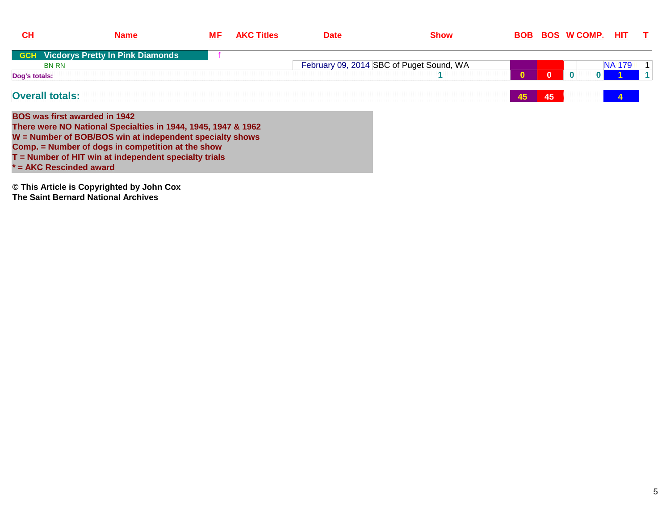| <u>CH</u>     | <b>Name</b>                                                   | <b>MF</b> | <b>AKC Titles</b> | <b>Date</b> | <u>Show</u>                              |    |    | <b>BOB BOS W COMP.</b> | HIT.          | $\mathbf{I}$   |
|---------------|---------------------------------------------------------------|-----------|-------------------|-------------|------------------------------------------|----|----|------------------------|---------------|----------------|
|               | <b>GCH</b> Vicdorys Pretty In Pink Diamonds                   |           |                   |             |                                          |    |    |                        |               |                |
|               | <b>BN RN</b>                                                  |           |                   |             | February 09, 2014 SBC of Puget Sound, WA |    |    |                        | <b>NA 179</b> | $\vert$ 1      |
| Dog's totals: |                                                               |           |                   |             |                                          |    |    | 0<br>$\bf{0}$          |               | $\overline{1}$ |
|               | <b>Overall totals:</b>                                        |           |                   |             |                                          | 45 | 45 |                        | 4             |                |
|               | <b>BOS was first awarded in 1942</b>                          |           |                   |             |                                          |    |    |                        |               |                |
|               | There were NO National Specialties in 1944, 1945, 1947 & 1962 |           |                   |             |                                          |    |    |                        |               |                |
|               | W = Number of BOB/BOS win at independent specialty shows      |           |                   |             |                                          |    |    |                        |               |                |
|               | Comp. = Number of dogs in competition at the show             |           |                   |             |                                          |    |    |                        |               |                |
|               | T = Number of HIT win at independent specialty trials         |           |                   |             |                                          |    |    |                        |               |                |
|               | * = AKC Rescinded award                                       |           |                   |             |                                          |    |    |                        |               |                |
|               | © This Article is Copyrighted by John Cox                     |           |                   |             |                                          |    |    |                        |               |                |
|               | The Saint Bernard National Archives                           |           |                   |             |                                          |    |    |                        |               |                |
|               |                                                               |           |                   |             |                                          |    |    |                        |               |                |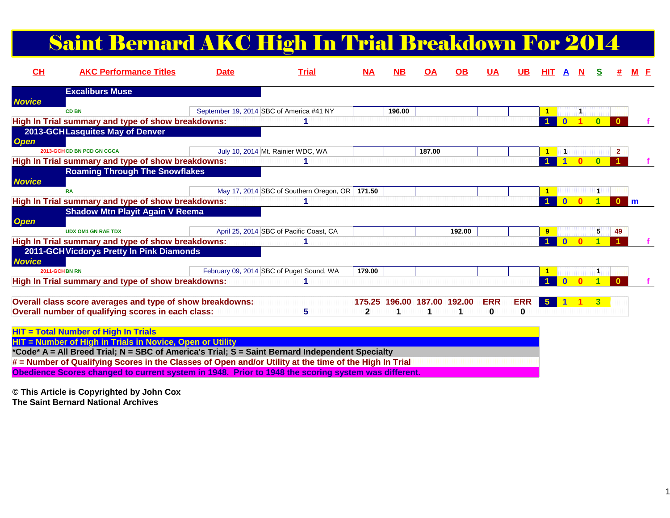#### Saint Bernard AKC High In Trial Breakdown For 2014

| CH            | <b>AKC Performance Titles</b>                                                                          | <b>Date</b> | <b>Trial</b>                                     | M <sub>A</sub> | NВ                          | <b>OA</b> | OВ     | <u>UA</u>  | UB         | ніт                  |              |   |          |    |     |  |
|---------------|--------------------------------------------------------------------------------------------------------|-------------|--------------------------------------------------|----------------|-----------------------------|-----------|--------|------------|------------|----------------------|--------------|---|----------|----|-----|--|
|               | <b>Excaliburs Muse</b>                                                                                 |             |                                                  |                |                             |           |        |            |            |                      |              |   |          |    |     |  |
| <b>Novice</b> |                                                                                                        |             |                                                  |                |                             |           |        |            |            |                      |              |   |          |    |     |  |
|               | <b>CD BN</b>                                                                                           |             | September 19, 2014 SBC of America #41 NY         |                | 196.00                      |           |        |            |            | -1                   |              | Ħ |          |    |     |  |
|               | High In Trial summary and type of show breakdowns:                                                     |             |                                                  |                |                             |           |        |            |            |                      |              |   |          |    |     |  |
|               | 2013-GCHLasquites May of Denver                                                                        |             |                                                  |                |                             |           |        |            |            |                      |              |   |          |    |     |  |
| <b>Open</b>   | 2013-GCH CD BN PCD GN CGCA                                                                             |             |                                                  |                |                             |           |        |            |            |                      |              |   |          |    |     |  |
|               |                                                                                                        |             | July 10, 2014 Mt. Rainier WDC, WA                |                |                             | 187.00    |        |            |            | $\blacktriangleleft$ |              |   | $\Omega$ |    |     |  |
|               | High In Trial summary and type of show breakdowns:                                                     |             |                                                  |                |                             |           |        |            |            |                      |              |   |          |    |     |  |
|               | <b>Roaming Through The Snowflakes</b>                                                                  |             |                                                  |                |                             |           |        |            |            |                      |              |   |          |    |     |  |
| <b>Novice</b> | <b>RA</b>                                                                                              |             | May 17, 2014 SBC of Southern Oregon, OR   171.50 |                |                             |           |        |            |            |                      |              |   |          |    |     |  |
|               | High In Trial summary and type of show breakdowns:                                                     |             |                                                  |                |                             |           |        |            |            |                      | $\mathbf{0}$ |   | и        |    | l m |  |
|               | <b>Shadow Mtn Playit Again V Reema</b>                                                                 |             |                                                  |                |                             |           |        |            |            |                      |              |   |          |    |     |  |
| <b>Open</b>   |                                                                                                        |             |                                                  |                |                             |           |        |            |            |                      |              |   |          |    |     |  |
|               | <b>UDX OM1 GN RAE TDX</b>                                                                              |             | April 25, 2014 SBC of Pacific Coast, CA          |                |                             |           | 192.00 |            |            | $\overline{9}$       |              |   | 5        | 49 |     |  |
|               | High In Trial summary and type of show breakdowns:                                                     |             |                                                  |                |                             |           |        |            |            | $\blacktriangleleft$ | $\bf{0}$     |   |          |    |     |  |
|               | 2011-GCH Vicdorys Pretty In Pink Diamonds                                                              |             |                                                  |                |                             |           |        |            |            |                      |              |   |          |    |     |  |
| <b>Novice</b> |                                                                                                        |             |                                                  |                |                             |           |        |            |            |                      |              |   |          |    |     |  |
|               | 2011-GCH BN RN                                                                                         |             | February 09, 2014 SBC of Puget Sound, WA         | 179.00         |                             |           |        |            |            |                      |              |   |          |    |     |  |
|               | High In Trial summary and type of show breakdowns:                                                     |             |                                                  |                |                             |           |        |            |            |                      |              |   |          |    |     |  |
|               |                                                                                                        |             |                                                  |                |                             |           |        |            |            |                      |              |   |          |    |     |  |
|               | Overall class score averages and type of show breakdowns:                                              |             |                                                  |                | 175.25 196.00 187.00 192.00 |           |        | <b>ERR</b> | <b>ERR</b> | $5^{\circ}$          |              |   |          |    |     |  |
|               | Overall number of qualifying scores in each class:                                                     |             | 5                                                | 2              |                             |           |        | 0          | 0          |                      |              |   |          |    |     |  |
|               |                                                                                                        |             |                                                  |                |                             |           |        |            |            |                      |              |   |          |    |     |  |
|               | <b>HIT = Total Number of High In Trials</b>                                                            |             |                                                  |                |                             |           |        |            |            |                      |              |   |          |    |     |  |
|               | HIT = Number of High in Trials in Novice, Open or Utility                                              |             |                                                  |                |                             |           |        |            |            |                      |              |   |          |    |     |  |
|               | *Code* A = All Breed Trial; N = SBC of America's Trial; S = Saint Bernard Independent Specialty        |             |                                                  |                |                             |           |        |            |            |                      |              |   |          |    |     |  |
|               | # = Number of Qualifying Scores in the Classes of Open and/or Utility at the time of the High In Trial |             |                                                  |                |                             |           |        |            |            |                      |              |   |          |    |     |  |
|               | Obedience Scores changed to current system in 1948. Prior to 1948 the scoring system was different.    |             |                                                  |                |                             |           |        |            |            |                      |              |   |          |    |     |  |

**© This Article is Copyrighted by John Cox**

**The Saint Bernard National Archives**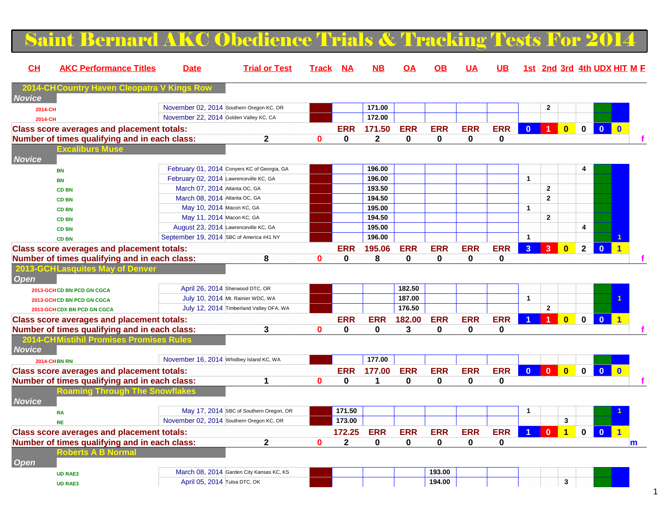#### Saint Bernard AKC Obedience Trials & Tracking Tests For  $2\epsilon$ **CH AKC Performance Titles Date Trial or Test Track NA NB OA OB UA UB 1st 2nd 3rd 4th UDX HIT MF2014-CHCountry Haven Cleopatra VI Novice 2014-CH**November 02, 2014 Southern Oregon KC, OR **171.00** 17**1.00** 2 **171.00** 2 **172.00** 2 **172.00** 2 **172.00** 2 **172.00** 2 **172.00** 2 **172.00** 2 **172.00** 2 **172.00** 2 **172.00** 2 **172.00** 2 **172.00** 2 **172.00** 2 **172.00** 2 **172.00 2014-CH**November 22, 2014 **Golden Valley KC, CA 172.00 172.00 172.00 172.00 Class score averages and placement totals: ERR 171.50 ERR ERR ERR ERR 0 1 0 0 0 0 Number of times qualifying and in each class: 2 0 0 2 0 0 0 0 f Excaliburs Mus NoviceBN**February 01, 2014 Conyers KC of Georgia, GA **196.00** 196.00 **196.00 197.000 197.000 197.000 197.000 197.000 197.000 197.000 197.000 197.000 197.000 197.000 197.000 197.000 197.000 197.000 197.000 197.000 197.000 197.000 19 BNFebruary 02, 2014** Lawrenceville KC, GA **196.00** 196.00<br>March 07, 2014 Atlanta OC, GA 193.50 **CD BNMarch 07, 2014 Atlanta OC, GA 193.50 199.50 199.50 199.50 199.50 199.50 1 CD BNMarch 08, 2014 Atlanta OC, GA 194.50 19.1 19.1 19.1 19.1 19.1 CD BN**May 10, 2014 Macon KC, GA **195.00 1 | 196.00 | 197.00 | 198.00 | 199.00 | 199.00 | 199.00 | 199.00 | 199.00 | 1**<br>May 11, 2014 Macon KC, GA **194.50** | 199.50 | 199.50 | 199.50 | 199.50 | 199.50 | 199.50 | 199.50 | 199.50 | **CD BNMay 11, 2014 Macon KC, GA 194.50 194.50 194.50 194.50 194.50 194.50 1 CD BN** August 23, 2014 Lawrenceville KC, GA **195.00 4 CD BN** September 19, 2014 SBC of America #41 NY **196.00 1 1 Class score averages and placement totals: ERR 195.06 ERR ERR ERR ERR 3 3 0 2 0 1 Number of times qualifying and in each class: 8 0 0 8 0 0 0 0 f 2013-GCHLasquites Open 2013-GCHCD BN PCD GN CGCA**April 26, 2014 Sherwood DTC, OR **182.50**<br>
July 10, 2014 Mt. Rainier WDC, WA **187.00 2013-GCHCD BN PCD GN CGCA**A July 10, 2014 Mt. Rainier WDC, WA **187.00 128. [1] The Local Contract of A 2013-GCHCDX BN PCD GN CGCA** July 12, 2014 Timberland Valley DFA, WA **176.50 2 Class score averages and placement totals:**<u>ERR ERR 182.00 ERR ERR ERR ERR 1 1 0 0 0 1  $\pm$  1 1 0 0 0 1  $\pm$  1 1 0 0 0 1  $\pm$ </u> **Number of times qualifying and in each class: 3 0 0 0 3 0 0 0 f 2014-CHMistihil Promises Promises R Novice 2014-CHBN RN**November 16, 2014 Whidbey Island KC, WA **177.00 177.00 177.00 177.00 Class score averages and placement totals: ERR 177.00 ERR ERR ERR ERR 0 0 0 0 0 0 Number of times qualifying and in each class: 1 0 0 1 0 0 0 0 f Roaming Through The SnowflakesNoviceRA**May 17, 2014 SBC of Southern Oregon, OR **171.50 173.00** 173.00 173.00 173.00 173.00 173.00 173.00 173.00 173.00 173.00 173.00 173.00 173.00 173.00 173.00 173.00 173.00 173.00 173.00 173.00 173.00 173.00 173.00 173.00 173.0 **RE** November 02, 2014 Southern Oregon KC, OR **173.00 3 Class score averages and placement totals: 172.25 ERR ERR ERR ERR ERR 1 0 1 0 0 1 Number of times qualifying and in each class: 2 0 2 0 0 0 0 0 mRoberts A B Norma OpenUD RAE3**March 08, 2014 Garden City Kansas KC, KS **193.00 193.00 193.00 194.00 194.00 UD RAE3**April 05, 2014 Tulsa DTC, OK **194.00 194.00 194.00** 194.00 195.1 194.00 195.1 194.00 195.1 195.1 195.1 195.1 195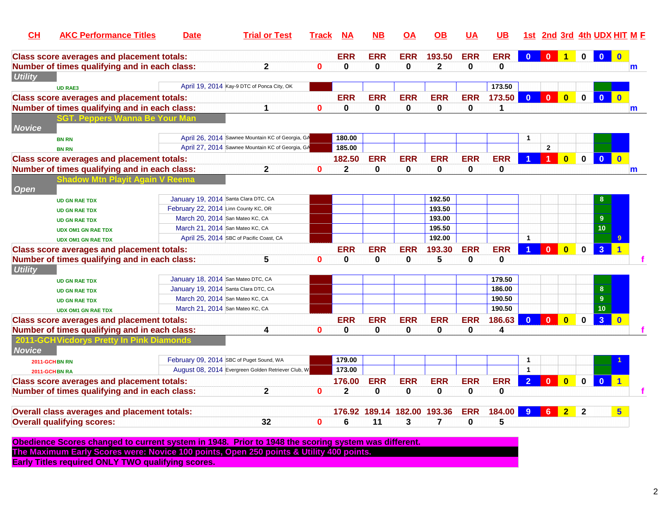| CH             | <b>AKC Performance Titles</b>                                                                       | <b>Date</b>                          | <b>Trial or Test</b>                               | <b>Track</b> | <b>NA</b>    | <b>NB</b>                   | ΟA          | $\overline{OB}$ | <b>UA</b>    | UВ           |                | 1st 2nd 3rd 4th UDX HIT M F |                         |              |                         |                          |   |
|----------------|-----------------------------------------------------------------------------------------------------|--------------------------------------|----------------------------------------------------|--------------|--------------|-----------------------------|-------------|-----------------|--------------|--------------|----------------|-----------------------------|-------------------------|--------------|-------------------------|--------------------------|---|
|                | <b>Class score averages and placement totals:</b>                                                   |                                      |                                                    |              | <b>ERR</b>   | <b>ERR</b>                  | <b>ERR</b>  | 193.50          | <b>ERR</b>   | <b>ERR</b>   | $\bf{0}$       | $\Omega$                    | $\blacktriangleleft$    | $\mathbf 0$  | $\mathbf{0}$            | $\mathbf{0}$             |   |
|                | Number of times qualifying and in each class:                                                       |                                      | $\mathbf{2}$                                       | $\mathbf{0}$ | 0            | $\mathbf{0}$                | 0           | $\mathbf{2}$    | $\mathbf{0}$ | $\mathbf{0}$ |                |                             |                         |              |                         |                          | m |
| <b>Utility</b> |                                                                                                     |                                      |                                                    |              |              |                             |             |                 |              |              |                |                             |                         |              |                         |                          |   |
|                | <b>UD RAE3</b>                                                                                      |                                      | April 19, 2014 Kay-9 DTC of Ponca City, OK         |              |              |                             |             |                 |              | 173.50       |                |                             |                         |              |                         |                          |   |
|                | <b>Class score averages and placement totals:</b>                                                   |                                      |                                                    |              | <b>ERR</b>   | <b>ERR</b>                  | <b>ERR</b>  | <b>ERR</b>      | <b>ERR</b>   | 173.50       | $\mathbf{0}$   | $\bf{0}$                    | $\bf{0}$                | $\mathbf 0$  | $\overline{\mathbf{0}}$ | $\mathbf 0$              |   |
|                | Number of times qualifying and in each class:                                                       |                                      | 1                                                  | $\bf{0}$     | 0            | 0                           | 0           | 0               | 0            | 1            |                |                             |                         |              |                         |                          | m |
| <b>Novice</b>  | GT. Peppers \                                                                                       |                                      |                                                    |              |              |                             |             |                 |              |              |                |                             |                         |              |                         |                          |   |
|                | <b>BN RN</b>                                                                                        |                                      | April 26, 2014 Sawnee Mountain KC of Georgia, GA   |              | 180.00       |                             |             |                 |              |              |                |                             |                         |              |                         |                          |   |
|                | <b>BN RN</b>                                                                                        |                                      | April 27, 2014 Sawnee Mountain KC of Georgia, GA   |              | 185.00       |                             |             |                 |              |              |                | $\overline{2}$              |                         |              |                         |                          |   |
|                | <b>Class score averages and placement totals:</b>                                                   |                                      |                                                    |              | 182.50       | <b>ERR</b>                  | <b>ERR</b>  | <b>ERR</b>      | <b>ERR</b>   | <b>ERR</b>   |                | $\blacktriangleleft$        | $\overline{\mathbf{0}}$ | $\mathbf 0$  | $\mathbf{0}$            | $\overline{\mathbf{0}}$  |   |
|                | Number of times qualifying and in each class:                                                       |                                      | $\mathbf{2}$                                       | $\mathbf{0}$ | $\mathbf{2}$ | 0                           | $\mathbf 0$ | 0               | 0            | $\mathbf 0$  |                |                             |                         |              |                         |                          | m |
|                | <b>Shadow Mtn Playit Again \</b>                                                                    |                                      |                                                    |              |              |                             |             |                 |              |              |                |                             |                         |              |                         |                          |   |
| <b>Open</b>    |                                                                                                     |                                      |                                                    |              |              |                             |             |                 |              |              |                |                             |                         |              |                         |                          |   |
|                | <b>UD GN RAE TDX</b>                                                                                | January 19, 2014 Santa Clara DTC, CA |                                                    |              |              |                             |             | 192.50          |              |              |                |                             |                         |              | 8                       |                          |   |
|                | <b>UD GN RAE TDX</b>                                                                                | February 22, 2014 Linn County KC, OR |                                                    |              |              |                             |             | 193.50          |              |              |                |                             |                         |              |                         |                          |   |
|                | <b>UD GN RAE TDX</b>                                                                                | March 20, 2014 San Mateo KC, CA      |                                                    |              |              |                             |             | 193.00          |              |              |                |                             |                         |              | 9                       |                          |   |
|                | <b>UDX OM1 GN RAE TDX</b>                                                                           | March 21, 2014 San Mateo KC, CA      |                                                    |              |              |                             |             | 195.50          |              |              |                |                             |                         |              | 10                      |                          |   |
|                | <b>UDX OM1 GN RAE TDX</b>                                                                           |                                      | April 25, 2014 SBC of Pacific Coast, CA            |              |              |                             |             | 192.00          |              |              | $\mathbf{1}$   |                             |                         |              |                         |                          |   |
|                | <b>Class score averages and placement totals:</b>                                                   |                                      |                                                    |              | <b>ERR</b>   | <b>ERR</b>                  | <b>ERR</b>  | 193.30          | <b>ERR</b>   | <b>ERR</b>   |                | $\Omega$                    | $\overline{0}$          | $\bf{0}$     | 3 <sup>2</sup>          |                          |   |
|                | Number of times qualifying and in each class:                                                       |                                      | 5                                                  | $\bf{0}$     | 0            | 0                           | $\mathbf 0$ | 5               | $\mathbf 0$  | $\mathbf{0}$ |                |                             |                         |              |                         |                          |   |
| <b>Utility</b> |                                                                                                     |                                      |                                                    |              |              |                             |             |                 |              |              |                |                             |                         |              |                         |                          |   |
|                | <b>UD GN RAE TDX</b>                                                                                | January 18, 2014 San Mateo DTC, CA   |                                                    |              |              |                             |             |                 |              | 179.50       |                |                             |                         |              |                         |                          |   |
|                | <b>UD GN RAE TDX</b>                                                                                | January 19, 2014 Santa Clara DTC, CA |                                                    |              |              |                             |             |                 |              | 186.00       |                |                             |                         |              | $8\phantom{1}$          |                          |   |
|                | <b>UD GN RAE TDX</b>                                                                                | March 20, 2014 San Mateo KC, CA      |                                                    |              |              |                             |             |                 |              | 190.50       |                |                             |                         |              | $9\,$                   |                          |   |
|                | <b>UDX OM1 GN RAE TDX</b>                                                                           | March 21, 2014 San Mateo KC, CA      |                                                    |              |              |                             |             |                 |              | 190.50       |                |                             |                         |              | 10                      |                          |   |
|                | <b>Class score averages and placement totals:</b>                                                   |                                      |                                                    |              | <b>ERR</b>   | <b>ERR</b>                  | <b>ERR</b>  | <b>ERR</b>      | <b>ERR</b>   | 186.63       | $\Omega$       | $\Omega$                    | $\bf{0}$                | $\mathbf 0$  | 3 <sup>1</sup>          | $\overline{\phantom{a}}$ |   |
|                | Number of times qualifying and in each class:                                                       |                                      | 4                                                  | $\bf{0}$     | 0            | 0                           | $\mathbf 0$ | 0               | $\bf{0}$     | 4            |                |                             |                         |              |                         |                          |   |
|                | 2011-GCHVicdorys Pretty In Pink Diamonds                                                            |                                      |                                                    |              |              |                             |             |                 |              |              |                |                             |                         |              |                         |                          |   |
| <b>Novice</b>  |                                                                                                     |                                      |                                                    |              |              |                             |             |                 |              |              |                |                             |                         |              |                         |                          |   |
|                | 2011-GCHBN RN                                                                                       |                                      | February 09, 2014 SBC of Puget Sound, WA           |              | 179.00       |                             |             |                 |              |              | $\mathbf{1}$   |                             |                         |              |                         |                          |   |
|                | 2011-GCHBN RA                                                                                       |                                      | August 08, 2014 Evergreen Golden Retriever Club, W |              | 173.00       |                             |             |                 |              |              | $\mathbf{1}$   |                             |                         |              |                         |                          |   |
|                | <b>Class score averages and placement totals:</b>                                                   |                                      |                                                    |              | 176.00       | <b>ERR</b>                  | <b>ERR</b>  | <b>ERR</b>      | <b>ERR</b>   | <b>ERR</b>   | $\overline{2}$ | $\Omega$                    | $\overline{0}$          | $\mathbf{0}$ | $\bf{0}$                |                          |   |
|                | Number of times qualifying and in each class:                                                       |                                      | $\mathbf{2}$                                       | $\mathbf{0}$ | 2            | 0                           | $\pmb{0}$   | 0               | 0            | 0            |                |                             |                         |              |                         |                          |   |
|                | Overall class averages and placement totals:                                                        |                                      |                                                    |              |              | 176.92 189.14 182.00 193.36 |             |                 | <b>ERR</b>   | 184.00       | $9^{\circ}$    | 6                           | $\overline{\mathbf{2}}$ | $\mathbf{2}$ |                         | 5                        |   |
|                | <b>Overall qualifying scores:</b>                                                                   |                                      | 32                                                 | $\mathbf 0$  | 6            | 11                          | 3           | $\overline{7}$  | $\bf{0}$     | 5            |                |                             |                         |              |                         |                          |   |
|                |                                                                                                     |                                      |                                                    |              |              |                             |             |                 |              |              |                |                             |                         |              |                         |                          |   |
|                | Obedience Scores changed to current system in 1948. Prior to 1948 the scoring system was different. |                                      |                                                    |              |              |                             |             |                 |              |              |                |                             |                         |              |                         |                          |   |
|                | The Maximum Early Scores were: Novice 100 points, Open 250 points & Utility 400 points.             |                                      |                                                    |              |              |                             |             |                 |              |              |                |                             |                         |              |                         |                          |   |
|                |                                                                                                     |                                      |                                                    |              |              |                             |             |                 |              |              |                |                             |                         |              |                         |                          |   |

**Early Titles required ONLY TWO qualifying scores.**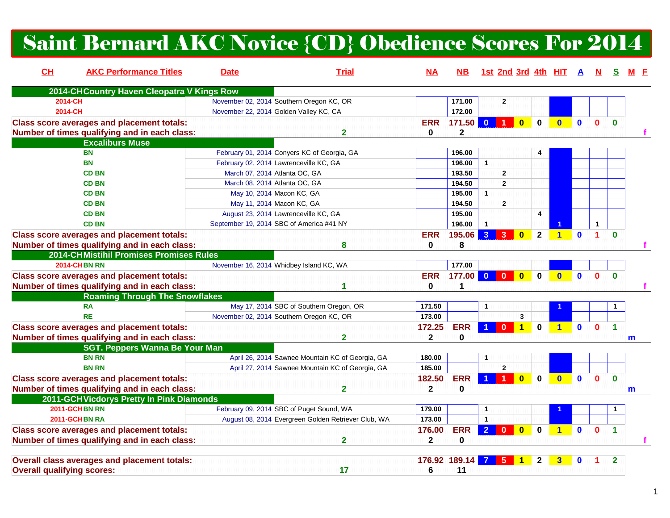# Saint Bernard AKC Novice {CD} Obedience Scores For 2014

| CL                                | <b>AKC Performance Titles</b>                     | <b>Date</b>                              | <b>Trial</b>                                        | $NA$         | NB.           |                      |                      |                         |              | 1st 2nd 3rd 4th HIT A |              |              |                      |   |
|-----------------------------------|---------------------------------------------------|------------------------------------------|-----------------------------------------------------|--------------|---------------|----------------------|----------------------|-------------------------|--------------|-----------------------|--------------|--------------|----------------------|---|
|                                   | 2014-CH Country Haven Cleopatra V Kings Row       |                                          |                                                     |              |               |                      |                      |                         |              |                       |              |              |                      |   |
|                                   | 2014-CH                                           | November 02, 2014 Southern Oregon KC, OR |                                                     |              | 171.00        |                      | $\overline{2}$       |                         |              |                       |              |              |                      |   |
|                                   | 2014-CH                                           | November 22, 2014 Golden Valley KC, CA   |                                                     |              | 172.00        |                      |                      |                         |              |                       |              |              |                      |   |
|                                   | <b>Class score averages and placement totals:</b> |                                          |                                                     | <b>ERR</b>   | 171.50        | $\mathbf{0}$         | $\blacktriangleleft$ | $\mathbf{0}$            | $\bf{0}$     | $\mathbf{0}$          | $\mathbf{0}$ | $\mathbf{0}$ | $\bf{0}$             |   |
|                                   | Number of times qualifying and in each class:     |                                          | $\overline{\mathbf{2}}$                             | 0            | $\mathbf{2}$  |                      |                      |                         |              |                       |              |              |                      |   |
|                                   | <b>Excaliburs Muse</b>                            |                                          |                                                     |              |               |                      |                      |                         |              |                       |              |              |                      |   |
|                                   | <b>BN</b>                                         |                                          | February 01, 2014 Conyers KC of Georgia, GA         |              | 196.00        |                      |                      |                         | 4            |                       |              |              |                      |   |
|                                   | <b>BN</b>                                         | February 02, 2014 Lawrenceville KC, GA   |                                                     |              | 196.00        | $\mathbf{1}$         |                      |                         |              |                       |              |              |                      |   |
|                                   | <b>CD BN</b>                                      | March 07, 2014 Atlanta OC, GA            |                                                     |              | 193.50        |                      | $\overline{2}$       |                         |              |                       |              |              |                      |   |
|                                   | <b>CD BN</b>                                      | March 08, 2014 Atlanta OC, GA            |                                                     |              | 194.50        |                      | $\overline{2}$       |                         |              |                       |              |              |                      |   |
|                                   | <b>CD BN</b>                                      | May 10, 2014 Macon KC, GA                |                                                     |              | 195.00        | $\mathbf{1}$         |                      |                         |              |                       |              |              |                      |   |
|                                   | <b>CD BN</b>                                      | May 11, 2014 Macon KC, GA                |                                                     |              | 194.50        |                      | $\overline{2}$       |                         |              |                       |              |              |                      |   |
|                                   | <b>CD BN</b>                                      | August 23, 2014 Lawrenceville KC, GA     |                                                     |              | 195.00        |                      |                      |                         | 4            |                       |              |              |                      |   |
|                                   | <b>CD BN</b>                                      | September 19, 2014 SBC of America #41 NY |                                                     |              | 196.00        | $\mathbf{1}$         |                      |                         |              |                       |              | 1            |                      |   |
|                                   | <b>Class score averages and placement totals:</b> |                                          |                                                     | <b>ERR</b>   | 195.06        | $\overline{3}$       | 3                    | $\mathbf{0}$            | $\mathbf{2}$ | $\blacktriangleleft$  | $\mathbf 0$  | 1            | $\Omega$             |   |
|                                   | Number of times qualifying and in each class:     |                                          | 8                                                   | 0            | 8             |                      |                      |                         |              |                       |              |              |                      |   |
|                                   | 2014-CHMistihil Promises Promises Rules           |                                          |                                                     |              |               |                      |                      |                         |              |                       |              |              |                      |   |
|                                   | <b>2014-CHBN RN</b>                               | November 16, 2014 Whidbey Island KC, WA  |                                                     |              | 177.00        |                      |                      |                         |              |                       |              |              |                      |   |
|                                   | <b>Class score averages and placement totals:</b> |                                          |                                                     | <b>ERR</b>   | 177.00        | $\mathbf{0}$         | $\Omega$             | $\overline{\mathbf{0}}$ | $\Omega$     | $\Omega$              | $\mathbf{0}$ | $\mathbf{0}$ | $\bf{0}$             |   |
|                                   | Number of times qualifying and in each class:     |                                          | 1                                                   | 0            | 1             |                      |                      |                         |              |                       |              |              |                      |   |
|                                   | <b>Roaming Through The Snowflakes</b>             |                                          |                                                     |              |               |                      |                      |                         |              |                       |              |              |                      |   |
|                                   | <b>RA</b>                                         |                                          | May 17, 2014 SBC of Southern Oregon, OR             | 171.50       |               | $\mathbf{1}$         |                      |                         |              |                       |              |              |                      |   |
|                                   | <b>RE</b>                                         | November 02, 2014 Southern Oregon KC, OR |                                                     | 173.00       |               |                      |                      | $\mathbf{3}$            |              |                       |              |              |                      |   |
|                                   | <b>Class score averages and placement totals:</b> |                                          |                                                     | 172.25       | <b>ERR</b>    | $\blacktriangleleft$ | $\mathbf{0}$         | $\overline{1}$          | $\bf{0}$     | $\blacktriangleleft$  | $\mathbf{0}$ | $\bf{0}$     | $\blacktriangleleft$ |   |
|                                   | Number of times qualifying and in each class:     |                                          | $\overline{2}$                                      | $\mathbf{2}$ | 0             |                      |                      |                         |              |                       |              |              |                      | m |
|                                   | <b>SGT. Peppers Wanna Be Your Man</b>             |                                          |                                                     |              |               |                      |                      |                         |              |                       |              |              |                      |   |
|                                   | <b>BN RN</b>                                      |                                          | April 26, 2014 Sawnee Mountain KC of Georgia, GA    | 180.00       |               | 1                    |                      |                         |              |                       |              |              |                      |   |
|                                   | <b>BN RN</b>                                      |                                          | April 27, 2014 Sawnee Mountain KC of Georgia, GA    | 185.00       |               |                      | $\overline{2}$       |                         |              |                       |              |              |                      |   |
|                                   |                                                   |                                          |                                                     | 182.50       | <b>ERR</b>    | $\blacktriangleleft$ | 1 <sup>1</sup>       | $\overline{\mathbf{0}}$ | $\mathbf 0$  | $\bullet$             | $\mathbf{0}$ | $\mathbf{0}$ | $\Omega$             |   |
|                                   | <b>Class score averages and placement totals:</b> |                                          | $\mathbf 2$                                         |              | $\Omega$      |                      |                      |                         |              |                       |              |              |                      |   |
|                                   | Number of times qualifying and in each class:     |                                          |                                                     | $\mathbf{2}$ |               |                      |                      |                         |              |                       |              |              |                      | m |
|                                   | 2011-GCH Vicdorys Pretty In Pink Diamonds         |                                          | February 09, 2014 SBC of Puget Sound, WA            |              |               |                      |                      |                         |              |                       |              |              |                      |   |
|                                   | 2011-GCHBN RN                                     |                                          |                                                     | 179.00       |               | $\mathbf{1}$         |                      |                         |              |                       |              |              |                      |   |
|                                   | 2011-GCHBN RA                                     |                                          | August 08, 2014 Evergreen Golden Retriever Club, WA | 173.00       |               | $\mathbf{1}$         |                      |                         |              |                       |              |              |                      |   |
|                                   | <b>Class score averages and placement totals:</b> |                                          |                                                     | 176.00       | <b>ERR</b>    | $\overline{2}$       | $\mathbf{0}$         | $\mathbf{0}$            | $\bf{0}$     | $\blacktriangleleft$  | $\mathbf{0}$ | $\bf{0}$     | 1                    |   |
|                                   | Number of times qualifying and in each class:     |                                          | $\overline{\mathbf{2}}$                             | $\mathbf{2}$ | 0             |                      |                      |                         |              |                       |              |              |                      |   |
|                                   |                                                   |                                          |                                                     |              |               |                      |                      |                         |              |                       |              |              |                      |   |
|                                   | Overall class averages and placement totals:      |                                          |                                                     |              | 176.92 189.14 |                      | 5                    |                         |              | 3                     | $\bf{0}$     |              | $\overline{2}$       |   |
| <b>Overall qualifying scores:</b> |                                                   |                                          | 17                                                  | 6            | 11            |                      |                      |                         |              |                       |              |              |                      |   |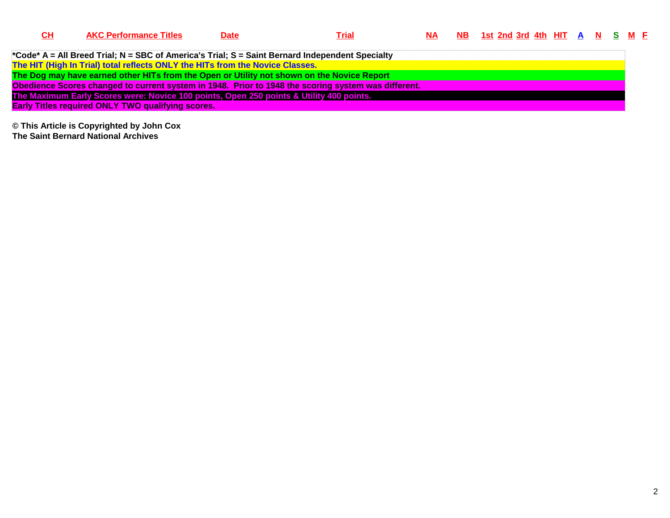| CН | <b>AKC Performance Titles</b>                                                                   | <b>Date</b> | <u>Trial</u>                                                                                        | <b>NA</b> | <u>NB 1st 2nd 3rd 4th HIT A N S M F</u> |  |  |  |  |
|----|-------------------------------------------------------------------------------------------------|-------------|-----------------------------------------------------------------------------------------------------|-----------|-----------------------------------------|--|--|--|--|
|    |                                                                                                 |             |                                                                                                     |           |                                         |  |  |  |  |
|    | *Code* A = All Breed Trial; N = SBC of America's Trial; S = Saint Bernard Independent Specialty |             |                                                                                                     |           |                                         |  |  |  |  |
|    | The HIT (High In Trial) total reflects ONLY the HITs from the Novice Classes.                   |             |                                                                                                     |           |                                         |  |  |  |  |
|    | The Dog may have earned other HITs from the Open or Utility not shown on the Novice Report      |             |                                                                                                     |           |                                         |  |  |  |  |
|    |                                                                                                 |             | Obedience Scores changed to current system in 1948. Prior to 1948 the scoring system was different. |           |                                         |  |  |  |  |
|    | The Maximum Early Scores were: Novice 100 points, Open 250 points & Utility 400 points.         |             |                                                                                                     |           |                                         |  |  |  |  |
|    | <b>Early Titles required ONLY TWO qualifying scores.</b>                                        |             |                                                                                                     |           |                                         |  |  |  |  |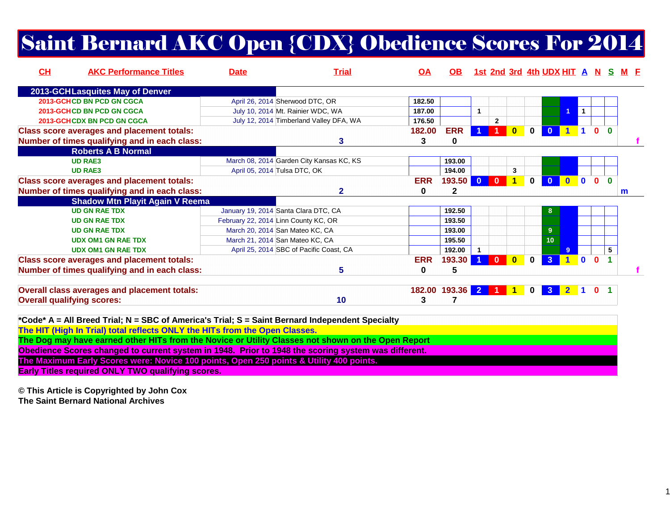## Saint Bernard AKC Open {CDX} Obedience Scores For 2014

| CH | <b>AKC Performance Titles</b>                                                                                                                                                  | <b>Date</b>                              | <b>Trial</b>                            | <u>OA</u>  | OB.        |                         |                |              |              | 1st 2nd 3rd 4th UDX HIT A N S M F |                                                          |                |                |          |              |
|----|--------------------------------------------------------------------------------------------------------------------------------------------------------------------------------|------------------------------------------|-----------------------------------------|------------|------------|-------------------------|----------------|--------------|--------------|-----------------------------------|----------------------------------------------------------|----------------|----------------|----------|--------------|
|    | 2013-GCHLasquites May of Denver                                                                                                                                                |                                          |                                         |            |            |                         |                |              |              |                                   |                                                          |                |                |          |              |
|    | 2013-GCHCD BN PCD GN CGCA                                                                                                                                                      | April 26, 2014 Sherwood DTC, OR          |                                         | 182.50     |            |                         |                |              |              |                                   |                                                          |                |                |          |              |
|    | 2013-GCHCD BN PCD GN CGCA                                                                                                                                                      | July 10, 2014 Mt. Rainier WDC, WA        |                                         | 187.00     |            | $\mathbf{1}$            |                |              |              |                                   |                                                          | $\vert$ 1      |                |          |              |
|    | <b>2013-GCHCDX BN PCD GN CGCA</b>                                                                                                                                              |                                          | July 12, 2014 Timberland Valley DFA, WA | 176.50     |            |                         | $\mathbf{2}$   |              |              |                                   |                                                          |                |                |          |              |
|    | <b>Class score averages and placement totals:</b>                                                                                                                              |                                          |                                         | 182.00     | <b>ERR</b> |                         |                | $\mathbf{0}$ | $\bf{0}$     | $\mathbf{0}$                      | $\begin{array}{c c} 1 & 1 & 0 & 0 \\ \hline \end{array}$ |                |                |          |              |
|    | Number of times qualifying and in each class:                                                                                                                                  |                                          | 3                                       | 3          | 0          |                         |                |              |              |                                   |                                                          |                |                |          |              |
|    | <b>Roberts A B Normal</b>                                                                                                                                                      |                                          |                                         |            |            |                         |                |              |              |                                   |                                                          |                |                |          |              |
|    | <b>UD RAE3</b>                                                                                                                                                                 | March 08, 2014 Garden City Kansas KC, KS |                                         |            | 193.00     |                         |                |              |              |                                   |                                                          |                |                |          |              |
|    | <b>UD RAE3</b>                                                                                                                                                                 | April 05, 2014 Tulsa DTC, OK             |                                         |            | 194.00     |                         |                | 3            |              |                                   |                                                          |                |                |          |              |
|    | <b>Class score averages and placement totals:</b>                                                                                                                              |                                          |                                         | <b>ERR</b> | 193.50     | $\overline{\mathbf{0}}$ | $\mathbf{0}$   | 1            | $\mathbf{0}$ | $\mathbf{0}$                      | $\mathbf{0}$                                             | $\blacksquare$ | $\mathbf{0}$   | $\Omega$ |              |
|    | Number of times qualifying and in each class:                                                                                                                                  |                                          | $\mathbf{2}$                            | 0          | 2          |                         |                |              |              |                                   |                                                          |                |                |          | $\mathsf{m}$ |
|    | <b>Shadow Mtn Playit Again V Reema</b>                                                                                                                                         |                                          |                                         |            |            |                         |                |              |              |                                   |                                                          |                |                |          |              |
|    | <b>UD GN RAE TDX</b>                                                                                                                                                           | January 19, 2014 Santa Clara DTC, CA     |                                         |            | 192.50     |                         |                |              |              | 8                                 |                                                          |                |                |          |              |
|    | <b>UD GN RAE TDX</b>                                                                                                                                                           | February 22, 2014 Linn County KC, OR     |                                         |            | 193.50     |                         |                |              |              |                                   |                                                          |                |                |          |              |
|    | <b>UD GN RAE TDX</b>                                                                                                                                                           | March 20, 2014 San Mateo KC, CA          |                                         |            | 193.00     |                         |                |              |              | 9                                 |                                                          |                |                |          |              |
|    | <b>UDX OM1 GN RAE TDX</b>                                                                                                                                                      | March 21, 2014 San Mateo KC, CA          |                                         |            | 195.50     |                         |                |              |              | 10                                |                                                          |                |                |          |              |
|    | <b>UDX OM1 GN RAE TDX</b>                                                                                                                                                      | April 25, 2014 SBC of Pacific Coast, CA  |                                         |            | 192.00     |                         |                |              |              |                                   | $\mathbf{Q}$                                             |                |                | 5        |              |
|    | <b>Class score averages and placement totals:</b>                                                                                                                              |                                          |                                         | <b>ERR</b> | 193.30     |                         | $\Omega$       | $\mathbf{0}$ | $\mathbf{0}$ | $\mathbf{3}$                      |                                                          | $\overline{0}$ | $\Omega$       |          |              |
|    | Number of times qualifying and in each class:                                                                                                                                  |                                          | 5                                       | 0          | 5          |                         |                |              |              |                                   |                                                          |                |                |          |              |
|    | Overall class averages and placement totals:                                                                                                                                   |                                          |                                         | 182.00     | 193.36     | 2 <sup>1</sup>          | $\overline{1}$ | $\mathbf 1$  | $\mathbf 0$  | 37                                | $\mathbf{2}$                                             | $\blacksquare$ | 0 <sub>1</sub> |          |              |
|    | <b>Overall qualifying scores:</b>                                                                                                                                              |                                          | 10                                      | 3          | 7          |                         |                |              |              |                                   |                                                          |                |                |          |              |
|    | *Code* A = All Breed Trial; N = SBC of America's Trial; S = Saint Bernard Independent Specialty<br>The HIT (High In Trial) total reflects ONLY the HITs from the Open Classes. |                                          |                                         |            |            |                         |                |              |              |                                   |                                                          |                |                |          |              |
|    | The Dog may have earned other HITs from the Novice or Utility Classes not shown on the Open Report                                                                             |                                          |                                         |            |            |                         |                |              |              |                                   |                                                          |                |                |          |              |

**Obedience Scores changed to current system in 1948. Prior to 1948 the scoring system was different.**

**The Maximum Early Scores were: Novice 100 points, Open 250 points & Utility 400 points.**

**Early Titles required ONLY TWO qualifying scores.**

**© This Article is Copyrighted by John Cox**

**The Saint Bernard National Archives**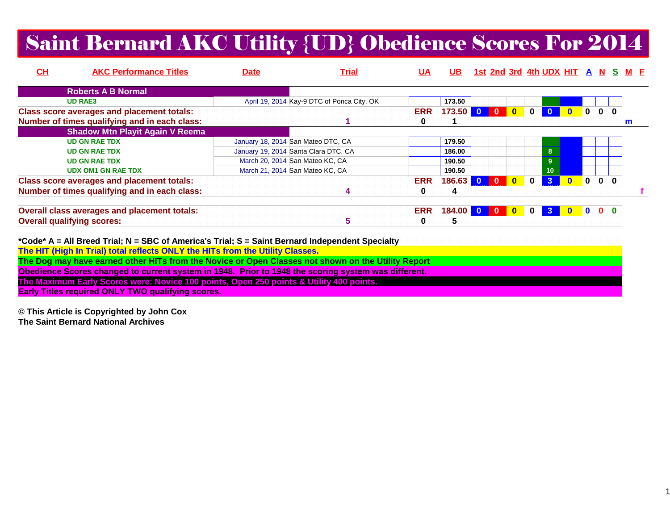### Saint Bernard AKC Utility {UD} Obedience Scores For 2014

| CH                                | <b>AKC Performance Titles</b>                       | <b>Date</b> | <u>Trial</u>                               | <u>UA</u>  | UB.    |              |          |                         | 1st 2nd 3rd 4th UDX HIT A N S M F |              |                         |              |              |
|-----------------------------------|-----------------------------------------------------|-------------|--------------------------------------------|------------|--------|--------------|----------|-------------------------|-----------------------------------|--------------|-------------------------|--------------|--------------|
|                                   | <b>Roberts A B Normal</b>                           |             |                                            |            |        |              |          |                         |                                   |              |                         |              |              |
|                                   | <b>UD RAE3</b>                                      |             | April 19, 2014 Kay-9 DTC of Ponca City, OK |            | 173.50 |              |          |                         |                                   |              |                         |              |              |
|                                   | <b>Class score averages and placement totals:</b>   |             |                                            | <b>ERR</b> | 173.50 |              | $\Omega$ | $\overline{\mathbf{0}}$ |                                   |              | $\mathbf{0}$            | $\bf{0}$     |              |
|                                   | Number of times qualifying and in each class:       |             |                                            | o          |        |              |          |                         |                                   |              |                         |              | m            |
|                                   | <b>Shadow Mtn Playit Again V Reema</b>              |             |                                            |            |        |              |          |                         |                                   |              |                         |              |              |
|                                   | <b>UD GN RAE TDX</b>                                |             | January 18, 2014 San Mateo DTC, CA         |            | 179.50 |              |          |                         |                                   |              |                         |              |              |
|                                   | <b>UD GN RAE TDX</b>                                |             | January 19, 2014 Santa Clara DTC, CA       |            | 186.00 |              |          |                         | 8                                 |              |                         |              |              |
|                                   | <b>UD GN RAE TDX</b>                                |             | March 20, 2014 San Mateo KC, CA            |            | 190.50 |              |          |                         | 9                                 |              |                         |              |              |
|                                   | <b>UDX OM1 GN RAE TDX</b>                           |             | March 21, 2014 San Mateo KC, CA            |            | 190.50 |              |          |                         | 10                                |              |                         |              |              |
|                                   | <b>Class score averages and placement totals:</b>   |             |                                            | <b>ERR</b> | 186.63 |              | $\Omega$ | $\bf{0}$                | 3 <sup>1</sup>                    | $\mathbf{0}$ | $\overline{\mathbf{0}}$ | $\mathbf{0}$ | $\mathbf{0}$ |
|                                   | Number of times qualifying and in each class:       |             |                                            | 0          | 4      |              |          |                         |                                   |              |                         |              |              |
|                                   | <b>Overall class averages and placement totals:</b> |             |                                            | <b>ERR</b> | 184.00 | $\mathbf{0}$ |          | $\bf{0}$                | 3                                 |              |                         | $\mathbf{0}$ | $\Omega$     |
| <b>Overall qualifying scores:</b> |                                                     |             | 5                                          | 0          | 5      |              |          |                         |                                   |              |                         |              |              |

| *Code* A = All Breed Trial; N = SBC of America's Trial; S = Saint Bernard Independent Specialty     |
|-----------------------------------------------------------------------------------------------------|
| The HIT (High In Trial) total reflects ONLY the HITs from the Utility Classes.                      |
| The Dog may have earned other HITs from the Novice or Open Classes not shown on the Utility Report  |
| Obedience Scores changed to current system in 1948. Prior to 1948 the scoring system was different. |
| The Maximum Early Scores were: Novice 100 points, Open 250 points & Utility 400 points.             |
| <b>Early Titles required ONLY TWO qualifying scores.</b>                                            |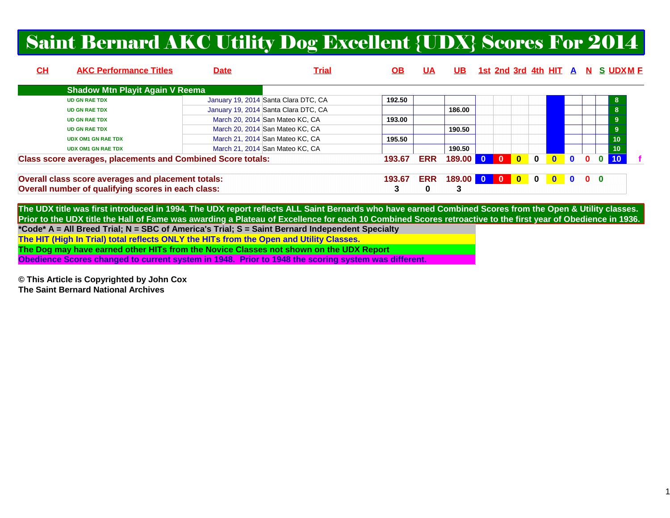#### Saint Bernard AKC Utility Dog Excellent {UDX} Scores For 2014

| CH | <b>AKC Performance Titles</b>                                      | <b>Date</b> | <u>Trial</u>                         | OB.    | UA         | UB.          |                |              |                                                                 |              |              |                           | <u>1st 2nd 3rd 4th HIT A N S UDXM F</u> |
|----|--------------------------------------------------------------------|-------------|--------------------------------------|--------|------------|--------------|----------------|--------------|-----------------------------------------------------------------|--------------|--------------|---------------------------|-----------------------------------------|
|    | <b>Shadow Mtn Playit Again V Reema</b>                             |             |                                      |        |            |              |                |              |                                                                 |              |              |                           |                                         |
|    | <b>UD GN RAE TDX</b>                                               |             | January 19, 2014 Santa Clara DTC, CA | 192.50 |            |              |                |              |                                                                 |              |              |                           |                                         |
|    | <b>UD GN RAE TDX</b>                                               |             | January 19, 2014 Santa Clara DTC, CA |        |            | 186.00       |                |              |                                                                 |              |              |                           | 8                                       |
|    | <b>UD GN RAE TDX</b>                                               |             | March 20, 2014 San Mateo KC, CA      | 193.00 |            |              |                |              |                                                                 |              |              |                           | 9                                       |
|    | <b>UD GN RAE TDX</b>                                               |             | March 20, 2014 San Mateo KC, CA      |        |            | 190.50       |                |              |                                                                 |              |              |                           | 9                                       |
|    | <b>UDX OM1 GN RAE TDX</b>                                          |             | March 21, 2014 San Mateo KC, CA      | 195.50 |            |              |                |              |                                                                 |              |              |                           | 10                                      |
|    | <b>UDX OM1 GN RAE TDX</b>                                          |             | March 21, 2014 San Mateo KC, CA      |        |            | 190.50       |                |              |                                                                 |              |              |                           | 10                                      |
|    | <b>Class score averages, placements and Combined Score totals:</b> |             |                                      | 193.67 | <b>ERR</b> | 189.00 0     | $\overline{0}$ | $\mathbf{0}$ | $\mathbf{0}$                                                    | $\mathbf{0}$ |              |                           |                                         |
|    | Overall class score averages and placement totals:                 |             |                                      | 193.67 | <b>ERR</b> | 189.00 0 0 0 |                |              | $\begin{array}{c c} \hline \textbf{0} & \textbf{0} \end{array}$ |              | $\mathbf{0}$ | $\mathbf{0}$ $\mathbf{0}$ |                                         |
|    | Overall number of qualifying scores in each class:                 |             |                                      |        | 0          | 3            |                |              |                                                                 |              |              |                           |                                         |

**The UDX title was first introduced in 1994. The UDX report reflects ALL Saint Bernards who have earned Combined Scores from the Open & Utility classes. Prior to the UDX title the Hall of Fame was awarding a Plateau of Excellence for each 10 Combined Scores retroactive to the first year of Obedience in 1936.\*Code\* A = All Breed Trial; N = SBC of America's Trial; S = Saint Bernard Independent SpecialtyThe HIT (High In Trial) total reflects ONLY the HITs from the Open and Utility Classes. The Dog may have earned other HITs from the Novice Classes not shown on the UDX ReportObedience Scores changed to current system in 1948. Prior to 1948 the scoring system was different.**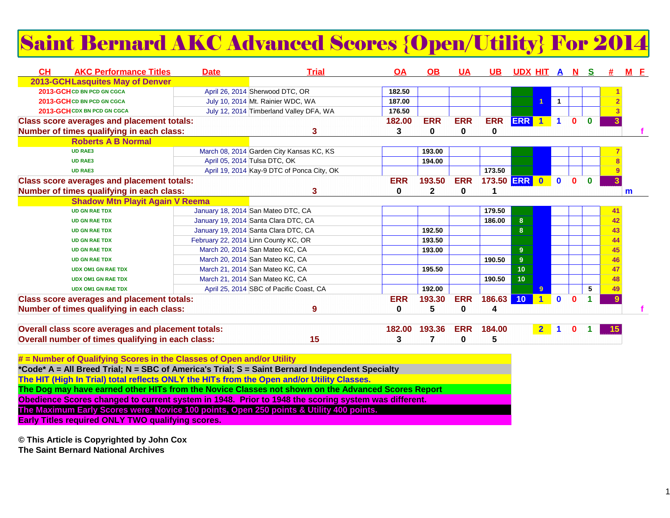## Saint Bernard AKC Advanced Scores {Open/Utility} For 2014

| <b>CH</b> | <b>AKC Performance Titles</b>                      | <b>Date</b> | <b>Trial</b>                               | <u>OA</u>  | <b>OB</b>    | <b>UA</b>  | UB.        | <u>UDX HIT A N</u> |                      |                         |              | -S       |              | M F          |
|-----------|----------------------------------------------------|-------------|--------------------------------------------|------------|--------------|------------|------------|--------------------|----------------------|-------------------------|--------------|----------|--------------|--------------|
|           | <b>2013-GCHLasquites May of Denver</b>             |             |                                            |            |              |            |            |                    |                      |                         |              |          |              |              |
|           | 2013-GCH CD BN PCD GN CGCA                         |             | April 26, 2014 Sherwood DTC, OR            | 182.50     |              |            |            |                    |                      |                         |              |          |              |              |
|           | 2013-GCH CD BN PCD GN CGCA                         |             | July 10, 2014 Mt. Rainier WDC, WA          | 187.00     |              |            |            |                    |                      | $\overline{\mathbf{1}}$ |              |          |              |              |
|           | 2013-GCH CDX BN PCD GN CGCA                        |             | July 12, 2014 Timberland Valley DFA, WA    | 176.50     |              |            |            |                    |                      |                         |              |          |              |              |
|           | <b>Class score averages and placement totals:</b>  |             |                                            | 182.00     | <b>ERR</b>   | <b>ERR</b> | <b>ERR</b> | <b>ERR</b>         | $\blacksquare$       | $\blacktriangleleft$    | 0            | $\bf{0}$ |              |              |
|           | Number of times qualifying in each class:          |             | 3                                          | 3          | 0            | 0          | 0          |                    |                      |                         |              |          |              |              |
|           | <b>Roberts A B Normal</b>                          |             |                                            |            |              |            |            |                    |                      |                         |              |          |              |              |
|           | <b>UD RAE3</b>                                     |             | March 08, 2014 Garden City Kansas KC, KS   |            | 193.00       |            |            |                    |                      |                         |              |          |              |              |
|           | <b>UD RAE3</b>                                     |             | April 05, 2014 Tulsa DTC, OK               |            | 194.00       |            |            |                    |                      |                         |              |          |              |              |
|           | <b>UD RAE3</b>                                     |             | April 19, 2014 Kay-9 DTC of Ponca City, OK |            |              |            | 173.50     |                    |                      |                         |              |          |              |              |
|           | <b>Class score averages and placement totals:</b>  |             |                                            | <b>ERR</b> | 193.50       | <b>ERR</b> | 173.50 ERR |                    | $\bullet$            | $\mathbf 0$             | 0            | $\Omega$ |              |              |
|           | Number of times qualifying in each class:          |             | 3                                          | $\bf{0}$   | $\mathbf{2}$ | $\bf{0}$   |            |                    |                      |                         |              |          |              | $\mathsf{m}$ |
|           | <b>Shadow Mtn Playit Again V Reema</b>             |             |                                            |            |              |            |            |                    |                      |                         |              |          |              |              |
|           | <b>UD GN RAE TDX</b>                               |             | January 18, 2014 San Mateo DTC, CA         |            |              |            | 179.50     |                    |                      |                         |              |          | 41           |              |
|           | <b>UD GN RAE TDX</b>                               |             | January 19, 2014 Santa Clara DTC, CA       |            |              |            | 186.00     | 8 <sup>°</sup>     |                      |                         |              |          | 42           |              |
|           | <b>UD GN RAE TDX</b>                               |             | January 19, 2014 Santa Clara DTC, CA       |            | 192.50       |            |            | 8 <sup>°</sup>     |                      |                         |              |          | 43           |              |
|           | <b>UD GN RAE TDX</b>                               |             | February 22, 2014 Linn County KC, OR       |            | 193.50       |            |            |                    |                      |                         |              |          | 44           |              |
|           | <b>UD GN RAE TDX</b>                               |             | March 20, 2014 San Mateo KC, CA            |            | 193.00       |            |            | 9                  |                      |                         |              |          | 45           |              |
|           | <b>UD GN RAE TDX</b>                               |             | March 20, 2014 San Mateo KC, CA            |            |              |            | 190.50     | 9 <sup>°</sup>     |                      |                         |              |          | 46           |              |
|           | <b>UDX OM1 GN RAE TDX</b>                          |             | March 21, 2014 San Mateo KC, CA            |            | 195.50       |            |            | 10                 |                      |                         |              |          | 47           |              |
|           | <b>UDX OM1 GN RAE TDX</b>                          |             | March 21, 2014 San Mateo KC, CA            |            |              |            | 190.50     | 10 <sub>1</sub>    |                      |                         |              |          | 48           |              |
|           | <b>UDX OM1 GN RAE TDX</b>                          |             | April 25, 2014 SBC of Pacific Coast, CA    |            | 192.00       |            |            |                    | 9                    |                         |              | 5        |              |              |
|           | <b>Class score averages and placement totals:</b>  |             |                                            | <b>ERR</b> | 193.30       | <b>ERR</b> | 186.63     | 10                 | $\blacktriangleleft$ | $\mathbf 0$             | $\mathbf{0}$ |          | $\mathbf{Q}$ |              |
|           | Number of times qualifying in each class:          |             | 9                                          | 0          | 5            | $\bf{0}$   | 4          |                    |                      |                         |              |          |              |              |
|           |                                                    |             |                                            |            |              |            |            |                    |                      |                         |              |          |              |              |
|           | Overall class score averages and placement totals: |             |                                            | 182.00     | 193.36       | <b>ERR</b> | 184.00     |                    | $2-1$                | $\mathbf 1$             | 0            |          |              |              |
|           | Overall number of times qualifying in each class:  |             | 15                                         | 3          |              | 0          | 5          |                    |                      |                         |              |          |              |              |
|           |                                                    |             |                                            |            |              |            |            |                    |                      |                         |              |          |              |              |

**# = Number of Qualifying Scores in the Classes of Open and/or Utility \*Code\* A = All Breed Trial; N = SBC of America's Trial; S = Saint Bernard Independent SpecialtyThe HIT (High In Trial) total reflects ONLY the HITs from the Open and/or Utility Classes. The Dog may have earned other HITs from the Novice Classes not shown on the Advanced Scores ReportObedience Scores changed to current system in 1948. Prior to 1948 the scoring system was different.The Maximum Early Scores were: Novice 100 points, Open 250 points & Utility 400 points.Early Titles required ONLY TWO qualifying scores.**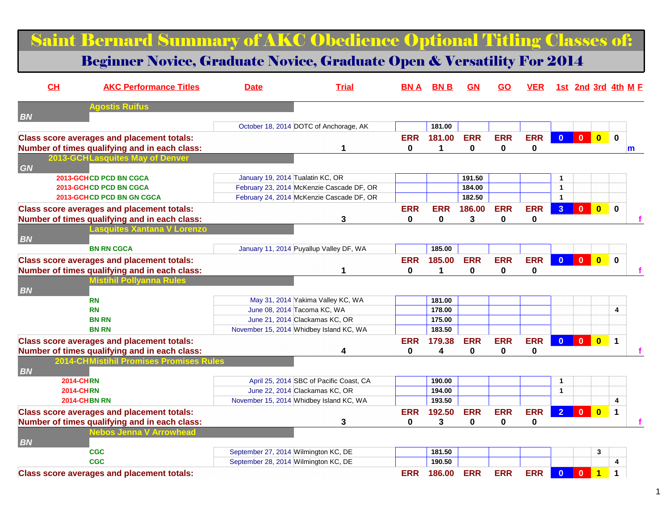|                  | <b>Saint Bernard Summary of AKC Obedience Optional Titling Classes of:</b>        |                                      |                                           |            |                  |            |            |             |                         |                                                                                     |                                                                    |                     |
|------------------|-----------------------------------------------------------------------------------|--------------------------------------|-------------------------------------------|------------|------------------|------------|------------|-------------|-------------------------|-------------------------------------------------------------------------------------|--------------------------------------------------------------------|---------------------|
|                  | <b>Beginner Novice, Graduate Novice, Graduate Open &amp; Versatility For 2014</b> |                                      |                                           |            |                  |            |            |             |                         |                                                                                     |                                                                    |                     |
| CL               | <b>AKC Performance Titles</b>                                                     | <b>Date</b>                          | <b>Trial</b>                              | <b>BNA</b> | <b>BNB</b>       | <b>GN</b>  | <b>GO</b>  | <b>VER</b>  |                         |                                                                                     |                                                                    | 1st 2nd 3rd 4th M E |
| <b>BN</b>        | <b>Agostis Ruifus</b>                                                             |                                      |                                           |            |                  |            |            |             |                         |                                                                                     |                                                                    |                     |
|                  |                                                                                   |                                      | October 18, 2014 DOTC of Anchorage, AK    |            | 181.00           |            |            |             |                         |                                                                                     |                                                                    |                     |
|                  | <b>Class score averages and placement totals:</b>                                 |                                      |                                           | <b>ERR</b> | 181.00           | <b>ERR</b> | <b>ERR</b> | <b>ERR</b>  | $\overline{\mathbf{0}}$ |                                                                                     | $\begin{array}{ c c c c c }\n\hline\n0 & 0 \\ \hline\n\end{array}$ | $\mathbf 0$         |
|                  | Number of times qualifying and in each class:                                     |                                      | 1                                         | $\bf{0}$   | $\mathbf 1$      | 0          | 0          | $\mathbf 0$ |                         |                                                                                     |                                                                    | $\mathsf{m}$        |
|                  | 2013-GCHLasquites May of Denver                                                   |                                      |                                           |            |                  |            |            |             |                         |                                                                                     |                                                                    |                     |
| GN               |                                                                                   |                                      |                                           |            |                  |            |            |             |                         |                                                                                     |                                                                    |                     |
|                  | <b>2013-GCHCD PCD BN CGCA</b>                                                     | January 19, 2014 Tualatin KC, OR     |                                           |            |                  | 191.50     |            |             | $\mathbf 1$             |                                                                                     |                                                                    |                     |
|                  | <b>2013-GCHCD PCD BN CGCA</b>                                                     |                                      | February 23, 2014 McKenzie Cascade DF, OR |            |                  | 184.00     |            |             | $\mathbf{1}$            |                                                                                     |                                                                    |                     |
|                  | <b>2013-GCHCD PCD BN GN CGCA</b>                                                  |                                      | February 24, 2014 McKenzie Cascade DF, OR |            |                  | 182.50     |            |             | $\mathbf{1}$            |                                                                                     |                                                                    |                     |
|                  | <b>Class score averages and placement totals:</b>                                 |                                      |                                           | <b>ERR</b> | <b>ERR</b>       | 186.00     | <b>ERR</b> | <b>ERR</b>  | 3 <sup>2</sup>          |                                                                                     | $\begin{array}{ c c c c c }\n\hline\n0&\mathbf{0}\n\end{array}$    | $\mathbf 0$         |
|                  | Number of times qualifying and in each class:                                     |                                      | 3                                         | 0          | 0                | 3          | 0          | 0           |                         |                                                                                     |                                                                    |                     |
|                  | <b>Lasquites Xantana V Lorenzo</b>                                                |                                      |                                           |            |                  |            |            |             |                         |                                                                                     |                                                                    |                     |
| <b>BN</b>        |                                                                                   |                                      |                                           |            |                  |            |            |             |                         |                                                                                     |                                                                    |                     |
|                  | <b>BN RN CGCA</b>                                                                 |                                      | January 11, 2014 Puyallup Valley DF, WA   |            | 185.00           |            |            |             |                         |                                                                                     |                                                                    |                     |
|                  |                                                                                   |                                      |                                           |            |                  |            |            |             |                         |                                                                                     |                                                                    |                     |
|                  | <b>Class score averages and placement totals:</b>                                 |                                      |                                           | <b>ERR</b> | 185.00           | <b>ERR</b> | <b>ERR</b> | <b>ERR</b>  | $\bullet$               |                                                                                     | $\begin{array}{ c c c c c }\n\hline\n0 & 0 \\ \hline\n\end{array}$ | $\mathbf 0$         |
|                  | Number of times qualifying and in each class:                                     |                                      | 1                                         | 0          | 1                | $\bf{0}$   | $\bf{0}$   | 0           |                         |                                                                                     |                                                                    |                     |
|                  | <b>Mistihil Pollyanna Rules</b>                                                   |                                      |                                           |            |                  |            |            |             |                         |                                                                                     |                                                                    |                     |
| <b>BN</b>        |                                                                                   |                                      |                                           |            |                  |            |            |             |                         |                                                                                     |                                                                    |                     |
|                  | <b>RN</b>                                                                         |                                      | May 31, 2014 Yakima Valley KC, WA         |            | 181.00           |            |            |             |                         |                                                                                     |                                                                    |                     |
|                  | <b>RN</b>                                                                         |                                      | June 08, 2014 Tacoma KC, WA               |            | 178.00           |            |            |             |                         |                                                                                     |                                                                    | 4                   |
|                  | <b>BN RN</b><br><b>BN RN</b>                                                      |                                      | June 21, 2014 Clackamas KC, OR            |            | 175.00<br>183.50 |            |            |             |                         |                                                                                     |                                                                    |                     |
|                  |                                                                                   |                                      | November 15, 2014 Whidbey Island KC, WA   |            |                  |            |            |             |                         |                                                                                     |                                                                    |                     |
|                  | <b>Class score averages and placement totals:</b>                                 |                                      |                                           | <b>ERR</b> | 179.38           | <b>ERR</b> | <b>ERR</b> | <b>ERR</b>  |                         | $\begin{array}{ c c c c c }\hline \textbf{0} & \textbf{0} & \textbf{0} \end{array}$ |                                                                    | $\mathbf{1}$        |
|                  | Number of times qualifying and in each class:                                     |                                      | 4                                         | 0          | 4                | 0          | 0          | 0           |                         |                                                                                     |                                                                    |                     |
|                  | <b>2014-CHMistihil Promises Promises Rules</b>                                    |                                      |                                           |            |                  |            |            |             |                         |                                                                                     |                                                                    |                     |
| <b>BN</b>        |                                                                                   |                                      |                                           |            |                  |            |            |             |                         |                                                                                     |                                                                    |                     |
| <b>2014-CHRN</b> |                                                                                   |                                      | April 25, 2014 SBC of Pacific Coast, CA   |            | 190.00           |            |            |             | $\mathbf 1$             |                                                                                     |                                                                    |                     |
| <b>2014-CHRN</b> |                                                                                   |                                      | June 22, 2014 Clackamas KC, OR            |            | 194.00           |            |            |             | $\mathbf{1}$            |                                                                                     |                                                                    |                     |
|                  | <b>2014-CHBN RN</b>                                                               |                                      | November 15, 2014 Whidbey Island KC, WA   |            | 193.50           |            |            |             |                         |                                                                                     |                                                                    | 4                   |
|                  | <b>Class score averages and placement totals:</b>                                 |                                      |                                           | <b>ERR</b> | 192.50           | <b>ERR</b> | <b>ERR</b> | ERR 2 0 0 1 |                         |                                                                                     |                                                                    |                     |
|                  | Number of times qualifying and in each class:                                     |                                      | 3                                         | 0          | 3                | 0          | 0          | $\mathbf 0$ |                         |                                                                                     |                                                                    |                     |
|                  | lebos Jenna V Arrowhead                                                           |                                      |                                           |            |                  |            |            |             |                         |                                                                                     |                                                                    |                     |
| <b>BN</b>        |                                                                                   |                                      |                                           |            |                  |            |            |             |                         |                                                                                     |                                                                    |                     |
|                  | <b>CGC</b>                                                                        | September 27, 2014 Wilmington KC, DE |                                           |            | 181.50           |            |            |             |                         |                                                                                     | 3                                                                  |                     |
|                  | <b>CGC</b>                                                                        | September 28, 2014 Wilmington KC, DE |                                           |            | 190.50           |            |            |             |                         |                                                                                     |                                                                    | 4                   |
|                  | <b>Class score averages and placement totals:</b>                                 |                                      |                                           | <b>ERR</b> | 186.00           | <b>ERR</b> | <b>ERR</b> | <b>ERR</b>  | $\mathbf{0}$            | $\mathbf{0}$                                                                        | $\overline{1}$                                                     | $\mathbf{1}$        |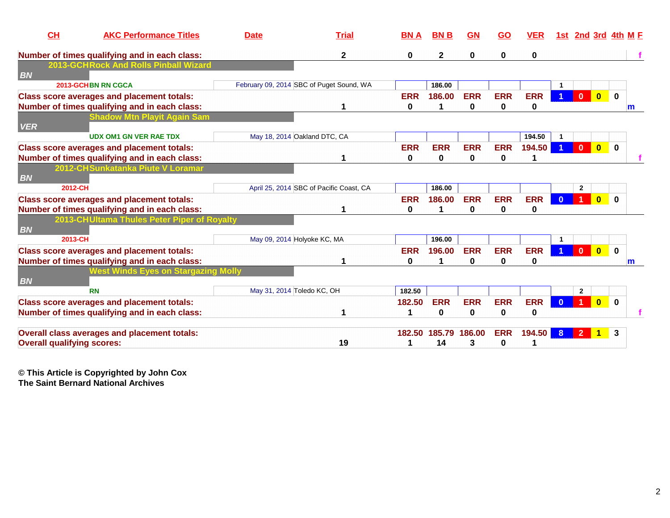| CH                                | <b>AKC Performance Titles</b>                                                                      | <b>Date</b>                  | <b>Trial</b>                             | <b>BNA</b>             | <b>BNB</b>      | GN              | <u>GO</u>       | <b>VER</b>             | 1st                  |                |                         | <b>2nd 3rd 4th M F</b>      |
|-----------------------------------|----------------------------------------------------------------------------------------------------|------------------------------|------------------------------------------|------------------------|-----------------|-----------------|-----------------|------------------------|----------------------|----------------|-------------------------|-----------------------------|
|                                   | Number of times qualifying and in each class:                                                      |                              | $\mathbf 2$                              | $\bf{0}$               | $\mathbf 2$     | 0               | 0               | 0                      |                      |                |                         |                             |
| <b>BN</b>                         | <b>2013-GCHRock And Rolls Pinball Wizard</b>                                                       |                              |                                          |                        |                 |                 |                 |                        |                      |                |                         |                             |
|                                   | 2013-GCHBN RN CGCA                                                                                 |                              | February 09, 2014 SBC of Puget Sound, WA |                        | 186.00          |                 |                 |                        |                      |                |                         |                             |
|                                   | <b>Class score averages and placement totals:</b>                                                  |                              |                                          | <b>ERR</b>             | 186.00          | <b>ERR</b>      | <b>ERR</b>      | <b>ERR</b>             | $\blacktriangleleft$ | $\mathbf{0}$   | $\overline{\mathbf{0}}$ | $\mathbf 0$                 |
|                                   | Number of times qualifying and in each class:<br>Shadow Mtn Plavit Again Sam                       |                              |                                          | $\bf{0}$               |                 | 0               | 0               | 0                      |                      |                |                         | m                           |
| <b>VER</b>                        |                                                                                                    |                              |                                          |                        |                 |                 |                 |                        |                      |                |                         |                             |
|                                   | <b>UDX OM1 GN VER RAE TDX</b>                                                                      | May 18, 2014 Oakland DTC, CA |                                          |                        |                 |                 |                 | 194.50                 |                      |                |                         |                             |
|                                   | <b>Class score averages and placement totals:</b><br>Number of times qualifying and in each class: |                              |                                          | <b>ERR</b><br>0        | <b>ERR</b><br>0 | <b>ERR</b><br>0 | <b>ERR</b><br>0 | 194.50                 |                      | $\mathbf{0}$   | $\overline{\mathbf{0}}$ | $\mathbf 0$                 |
|                                   | 2012-CHSunkatanka Piute V Loramar                                                                  |                              |                                          |                        |                 |                 |                 |                        |                      |                |                         |                             |
| <b>BN</b>                         |                                                                                                    |                              |                                          |                        |                 |                 |                 |                        |                      |                |                         |                             |
| 2012-CH                           |                                                                                                    |                              | April 25, 2014 SBC of Pacific Coast, CA  |                        | 186.00          |                 |                 |                        |                      | $\mathbf{2}$   |                         |                             |
|                                   | <b>Class score averages and placement totals:</b><br>Number of times qualifying and in each class: |                              |                                          | <b>ERR</b><br>$\bf{0}$ | 186.00          | <b>ERR</b><br>0 | <b>ERR</b><br>0 | <b>ERR</b><br>0        |                      |                | $\bf{0}$                | $\bf{0}$                    |
| <b>BN</b>                         | 2013-CHUItama Thules Peter Piper of Royalty                                                        |                              |                                          |                        |                 |                 |                 |                        |                      |                |                         |                             |
| 2013-CH                           |                                                                                                    | May 09, 2014 Holyoke KC, MA  |                                          |                        | 196.00          |                 |                 |                        |                      |                |                         |                             |
|                                   | <b>Class score averages and placement totals:</b><br>Number of times qualifying and in each class: |                              |                                          | <b>ERR</b><br>0        | 196.00          | <b>ERR</b><br>0 | <b>ERR</b><br>0 | <b>ERR</b><br>0        |                      | $\mathbf{0}$   | $\overline{\mathbf{0}}$ | $\mathbf 0$<br>$\mathsf{m}$ |
|                                   | Vest Winds Eves on Stargazing Molly                                                                |                              |                                          |                        |                 |                 |                 |                        |                      |                |                         |                             |
| <b>BN</b>                         |                                                                                                    |                              |                                          |                        |                 |                 |                 |                        |                      |                |                         |                             |
|                                   | <b>RN</b>                                                                                          | May 31, 2014 Toledo KC, OH   |                                          | 182.50                 |                 |                 |                 |                        |                      | $\mathbf{2}$   |                         |                             |
|                                   | <b>Class score averages and placement totals:</b><br>Number of times qualifying and in each class: |                              |                                          | 182.50                 | <b>ERR</b><br>0 | <b>ERR</b><br>0 | <b>ERR</b><br>0 | <b>ERR</b><br>$\bf{0}$ |                      |                | $\overline{\mathbf{0}}$ | $\mathbf 0$                 |
|                                   | Overall class averages and placement totals:                                                       |                              |                                          |                        | 182.50 185.79   | 186.00          | <b>ERR</b>      | 194.50                 | 8                    | $\overline{2}$ |                         | 3                           |
| <b>Overall qualifying scores:</b> |                                                                                                    |                              | 19                                       |                        | 14              | 3               | 0               |                        |                      |                |                         |                             |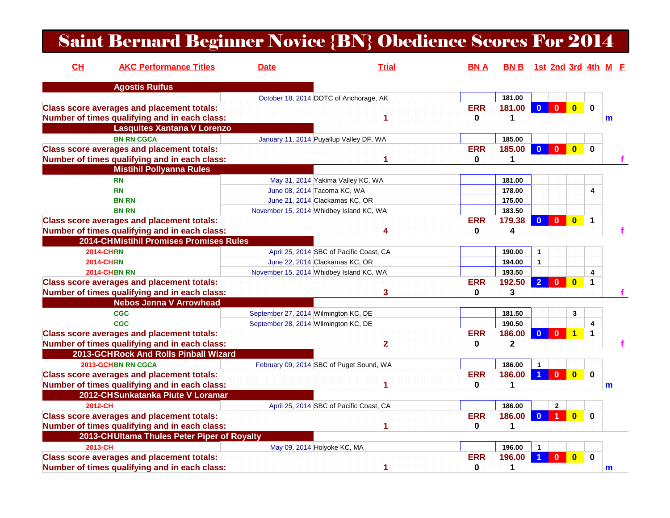#### Saint Bernard Beginner Novice {BN} Obedience Scores For 2014

| CL                  | <b>AKC Performance Titles</b>                     | <b>Date</b>                             | <b>Trial</b>                             | <b>BNA</b>   | BN B 1st 2nd 3rd 4th M E |                      |                |                         |                      |   |
|---------------------|---------------------------------------------------|-----------------------------------------|------------------------------------------|--------------|--------------------------|----------------------|----------------|-------------------------|----------------------|---|
|                     | <b>Agostis Ruifus</b>                             |                                         |                                          |              |                          |                      |                |                         |                      |   |
|                     |                                                   |                                         | October 18, 2014 DOTC of Anchorage, AK   |              | 181.00                   |                      |                |                         |                      |   |
|                     | <b>Class score averages and placement totals:</b> |                                         |                                          | <b>ERR</b>   | 181.00                   | $\mathbf{0}$         | $0-1$          | $\mathbf{0}$            | $\mathbf{0}$         |   |
|                     | Number of times qualifying and in each class:     |                                         |                                          | 0            | 1                        |                      |                |                         |                      | m |
|                     | <b>Lasquites Xantana V Lorenzo</b>                |                                         |                                          |              |                          |                      |                |                         |                      |   |
|                     | <b>BN RN CGCA</b>                                 |                                         | January 11, 2014 Puyallup Valley DF, WA  |              | 185.00                   |                      |                |                         |                      |   |
|                     | <b>Class score averages and placement totals:</b> |                                         |                                          | <b>ERR</b>   | 185.00                   | $\Omega$             | $\mathbf{0}$   | $\mathbf{0}$            | $\mathbf{0}$         |   |
|                     | Number of times qualifying and in each class:     |                                         |                                          | $\mathbf{0}$ | 1                        |                      |                |                         |                      |   |
|                     | <b>Mistihil Pollyanna Rules</b>                   |                                         |                                          |              |                          |                      |                |                         |                      |   |
|                     | <b>RN</b>                                         |                                         | May 31, 2014 Yakima Valley KC, WA        |              | 181.00                   |                      |                |                         |                      |   |
|                     | <b>RN</b>                                         | June 08, 2014 Tacoma KC, WA             |                                          |              | 178.00                   |                      |                |                         | 4                    |   |
|                     | <b>BN RN</b>                                      |                                         | June 21, 2014 Clackamas KC, OR           |              | 175.00                   |                      |                |                         |                      |   |
|                     | <b>BN RN</b>                                      | November 15, 2014 Whidbey Island KC, WA |                                          |              | 183.50                   |                      |                |                         |                      |   |
|                     | <b>Class score averages and placement totals:</b> |                                         |                                          | <b>ERR</b>   | 179.38                   | $\Omega$             | $\mathbf{0}$   | $\bf{0}$                | $\blacktriangleleft$ |   |
|                     | Number of times qualifying and in each class:     |                                         | 4                                        | $\mathbf{0}$ | 4                        |                      |                |                         |                      |   |
|                     | 2014-CHMistihil Promises Promises Rules           |                                         |                                          |              |                          |                      |                |                         |                      |   |
| <b>2014-CHRN</b>    |                                                   |                                         | April 25, 2014 SBC of Pacific Coast, CA  |              | 190.00                   | $\mathbf{1}$         |                |                         |                      |   |
| <b>2014-CHRN</b>    |                                                   |                                         | June 22, 2014 Clackamas KC, OR           |              | 194.00                   | $\blacktriangleleft$ |                |                         |                      |   |
| <b>2014-CHBN RN</b> |                                                   | November 15, 2014 Whidbey Island KC, WA |                                          |              | 193.50                   |                      |                |                         | 4                    |   |
|                     | <b>Class score averages and placement totals:</b> |                                         |                                          | <b>ERR</b>   | 192.50                   | $\overline{2}$       | $\bf{0}$       | $\bf{0}$                | $\mathbf 1$          |   |
|                     | Number of times qualifying and in each class:     |                                         | 3                                        | 0            | 3                        |                      |                |                         |                      |   |
|                     | <b>Nebos Jenna V Arrowhead</b>                    |                                         |                                          |              |                          |                      |                |                         |                      |   |
|                     | CGC                                               | September 27, 2014 Wilmington KC, DE    |                                          |              | 181.50                   |                      |                | 3                       |                      |   |
|                     | <b>CGC</b>                                        | September 28, 2014 Wilmington KC, DE    |                                          |              | 190.50                   |                      |                |                         | $\overline{4}$       |   |
|                     | <b>Class score averages and placement totals:</b> |                                         |                                          | <b>ERR</b>   | 186.00                   | $\mathbf{0}$         | $\mathbf{0}$   | $\mathbf 1$             | $\mathbf 1$          |   |
|                     | Number of times qualifying and in each class:     |                                         | 2                                        | 0            | $\mathbf{2}$             |                      |                |                         |                      |   |
|                     | 2013-GCHRock And Rolls Pinball Wizard             |                                         |                                          |              |                          |                      |                |                         |                      |   |
|                     | <b>2013-GCHBN RN CGCA</b>                         |                                         | February 09, 2014 SBC of Puget Sound, WA |              | 186.00                   | $\mathbf{1}$         |                |                         |                      |   |
|                     | <b>Class score averages and placement totals:</b> |                                         |                                          | <b>ERR</b>   | 186.00                   | $\overline{1}$       | $\overline{0}$ | $\overline{\mathbf{0}}$ | $\mathbf 0$          |   |
|                     | Number of times qualifying and in each class:     |                                         |                                          | $\mathbf{0}$ | 1                        |                      |                |                         |                      | m |
|                     | 2012-CH Sunkatanka Piute V Loramar                |                                         |                                          |              |                          |                      |                |                         |                      |   |
| 2012-CH             |                                                   |                                         | April 25, 2014 SBC of Pacific Coast, CA  |              | 186.00                   |                      | $\overline{2}$ |                         |                      |   |
|                     | <b>Class score averages and placement totals:</b> |                                         |                                          | <b>ERR</b>   | 186.00                   | $\mathbf{0}$         |                | $\bf{0}$                | $\mathbf 0$          |   |
|                     | Number of times qualifying and in each class:     |                                         |                                          | 0            | 1                        |                      |                |                         |                      |   |
|                     | 2013-CHUItama Thules Peter Piper of Royalty       |                                         |                                          |              |                          |                      |                |                         |                      |   |
| 2013-CH             |                                                   | May 09, 2014 Holyoke KC, MA             |                                          |              | 196.00                   | $\mathbf{1}$         |                |                         |                      |   |
|                     | <b>Class score averages and placement totals:</b> |                                         |                                          | <b>ERR</b>   | 196.00                   |                      | $\bf{0}$       | $\bf{0}$                | $\bf{0}$             |   |
|                     | Number of times qualifying and in each class:     |                                         | 1                                        | 0            | 1                        |                      |                |                         |                      | m |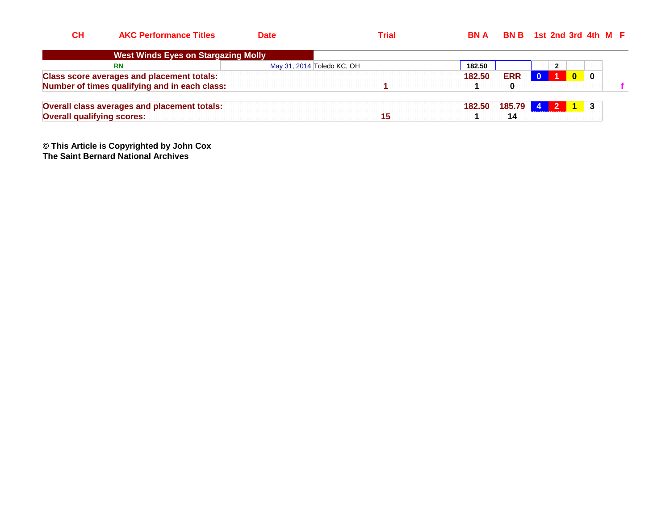| $CH$                              | <b>AKC Performance Titles</b>                     | <b>Date</b> | <u>Trial</u>               | <b>BNA</b> |            | <b>BN B</b> 1st 2nd 3rd 4th $M$ <b>F</b> |                  |  |
|-----------------------------------|---------------------------------------------------|-------------|----------------------------|------------|------------|------------------------------------------|------------------|--|
|                                   | <b>West Winds Eyes on Stargazing Molly</b>        |             |                            |            |            |                                          |                  |  |
|                                   | <b>RN</b>                                         |             | May 31, 2014 Toledo KC, OH | 182.50     |            | $\overline{2}$                           |                  |  |
|                                   | <b>Class score averages and placement totals:</b> |             |                            | 182.50     | <b>ERR</b> |                                          | $\bf{0}$         |  |
|                                   | Number of times qualifying and in each class:     |             |                            |            | 0          |                                          |                  |  |
|                                   | Overall class averages and placement totals:      |             |                            | 182.50     | 185.79     | -4                                       | $\overline{1}$ 3 |  |
| <b>Overall qualifying scores:</b> |                                                   |             | 15                         |            | 14         |                                          |                  |  |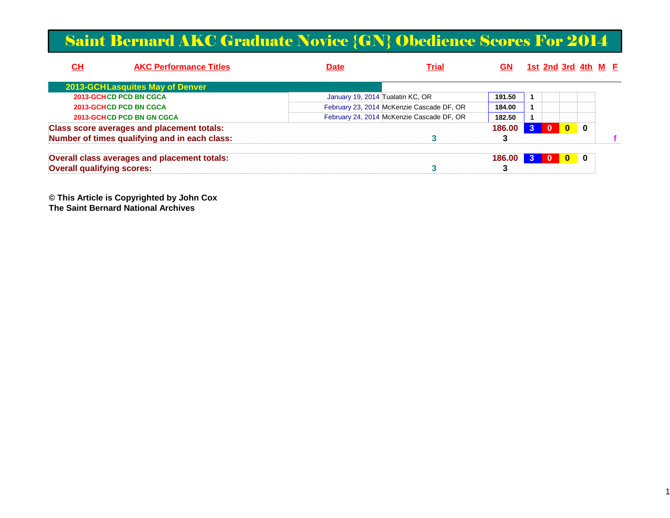#### Saint Bernard AKC Graduate Novice {GN} Obedience Scores For 2014

| CH                                | <b>AKC Performance Titles</b>                     | <b>Date</b>                      | <b>Trial</b>                              | GN     |              |              |              | <u>1st 2nd 3rd 4th M F</u> |  |
|-----------------------------------|---------------------------------------------------|----------------------------------|-------------------------------------------|--------|--------------|--------------|--------------|----------------------------|--|
|                                   | <b>2013-GCHLasquites May of Denver</b>            |                                  |                                           |        |              |              |              |                            |  |
| <b>2013-GCHCD PCD BN CGCA</b>     |                                                   | January 19, 2014 Tualatin KC, OR |                                           | 191.50 |              |              |              |                            |  |
| <b>2013-GCHCD PCD BN CGCA</b>     |                                                   |                                  | February 23, 2014 McKenzie Cascade DF, OR | 184.00 |              |              |              |                            |  |
| <b>2013-GCHCD PCD BN GN CGCA</b>  |                                                   |                                  | February 24, 2014 McKenzie Cascade DF, OR | 182.50 |              |              |              |                            |  |
|                                   | <b>Class score averages and placement totals:</b> |                                  |                                           | 186.00 | $\mathbf{3}$ | $\mathbf{0}$ | $\mathbf{0}$ | 0                          |  |
|                                   | Number of times qualifying and in each class:     |                                  |                                           |        |              |              |              |                            |  |
|                                   | Overall class averages and placement totals:      |                                  |                                           | 186.00 | $\mathbf{3}$ | - 0          | $\mathbf{0}$ | $\blacksquare$             |  |
| <b>Overall qualifying scores:</b> |                                                   |                                  |                                           |        |              |              |              |                            |  |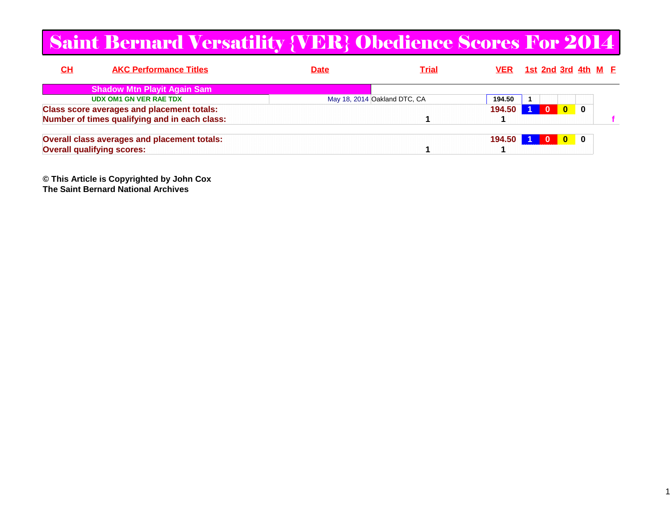#### Saint Bernard Versatility {VER} Obedience Scores For 2014

| <u>CH</u><br><b>AKC Performance Titles</b>          | <b>Date</b> | <b>Trial</b>                 |        | <u>VER 1st 2nd 3rd 4th M F</u> |  |
|-----------------------------------------------------|-------------|------------------------------|--------|--------------------------------|--|
| <b>Shadow Mtn Playit Again Sam</b>                  |             |                              |        |                                |  |
| <b>UDX OM1 GN VER RAE TDX</b>                       |             | May 18, 2014 Oakland DTC, CA | 194.50 |                                |  |
| <b>Class score averages and placement totals:</b>   |             |                              | 194.50 | 0                              |  |
| Number of times qualifying and in each class:       |             |                              |        |                                |  |
| <b>Overall class averages and placement totals:</b> |             |                              | 194.50 | $\blacksquare$                 |  |
| <b>Overall qualifying scores:</b>                   |             |                              |        |                                |  |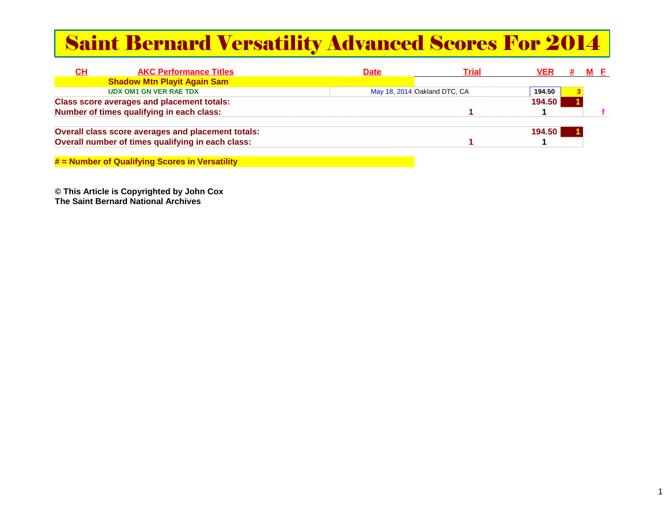#### Saint Bernard Versatility Advanced Scores For 2014

| <u>СН</u> | <b>AKC Performance Titles</b>                      | <b>Date</b> | Trial                        | VER    |  |  |
|-----------|----------------------------------------------------|-------------|------------------------------|--------|--|--|
|           | <b>Shadow Mtn Playit Again Sam</b>                 |             |                              |        |  |  |
|           | <b>UDX OM1 GN VER RAE TDX</b>                      |             | May 18, 2014 Oakland DTC, CA | 194.50 |  |  |
|           | <b>Class score averages and placement totals:</b>  |             |                              | 194.50 |  |  |
|           | Number of times qualifying in each class:          |             |                              |        |  |  |
|           | Overall class score averages and placement totals: |             |                              | 194.50 |  |  |
|           | Overall number of times qualifying in each class:  |             |                              |        |  |  |
|           |                                                    |             |                              |        |  |  |

**# = Number of Qualifying Scores in Versatility**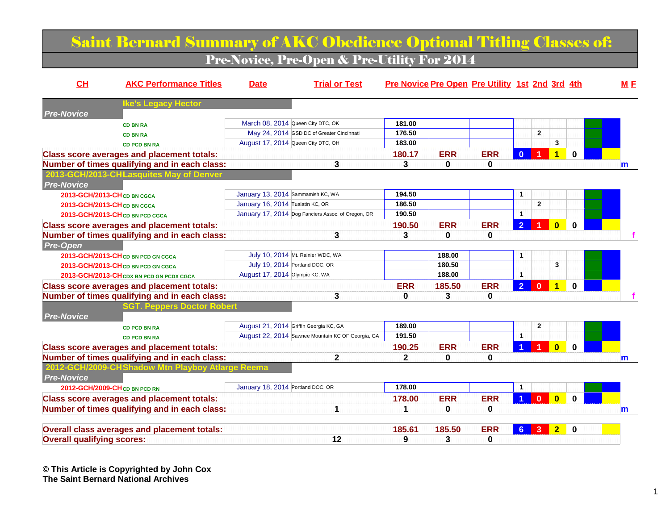#### Saint Bernard Summary of AKC Obedience Optional Titling Classes of:

Pre-Novice, Pre-Open & Pre-Utility For 2014

| CH                                | <b>AKC Performance Titles</b>                       | <b>Date</b>                       | <b>Trial or Test</b>                               |              |            | Pre Novice Pre Open Pre Utility 1st 2nd 3rd 4th |                |                  |                         |              | M E |
|-----------------------------------|-----------------------------------------------------|-----------------------------------|----------------------------------------------------|--------------|------------|-------------------------------------------------|----------------|------------------|-------------------------|--------------|-----|
|                                   | <b>Ike's Legacy Hector</b>                          |                                   |                                                    |              |            |                                                 |                |                  |                         |              |     |
| <b>Pre-Novice</b>                 |                                                     |                                   |                                                    |              |            |                                                 |                |                  |                         |              |     |
|                                   | <b>CD BN RA</b>                                     |                                   | March 08, 2014 Queen City DTC, OK                  | 181.00       |            |                                                 |                |                  |                         |              |     |
|                                   | <b>CD BN RA</b>                                     |                                   | May 24, 2014 GSD DC of Greater Cincinnati          | 176.50       |            |                                                 |                | $\mathbf{2}$     |                         |              |     |
|                                   | <b>CD PCD BN RA</b>                                 |                                   | August 17, 2014 Queen City DTC, OH                 | 183.00       |            |                                                 |                |                  | 3                       |              |     |
|                                   | <b>Class score averages and placement totals:</b>   |                                   |                                                    | 180.17       | <b>ERR</b> | <b>ERR</b>                                      | $\mathbf{0}$   |                  | $\overline{\mathbf{1}}$ | <sup>0</sup> |     |
|                                   | Number of times qualifying and in each class:       |                                   | 3                                                  | 3            | 0          | 0                                               |                |                  |                         |              | m   |
|                                   | 2013-GCH/2013-CHLasquites May of Denver             |                                   |                                                    |              |            |                                                 |                |                  |                         |              |     |
| <b>Pre-Novice</b>                 |                                                     |                                   |                                                    |              |            |                                                 |                |                  |                         |              |     |
|                                   | 2013-GCH/2013-CH CD BN CGCA                         | January 13, 2014 Sammamish KC, WA |                                                    | 194.50       |            |                                                 | 1              |                  |                         |              |     |
|                                   | 2013-GCH/2013-CH CD BN CGCA                         | January 16, 2014 Tualatin KC, OR  |                                                    | 186.50       |            |                                                 |                | $\overline{2}$   |                         |              |     |
|                                   | 2013-GCH/2013-CH CD BN PCD CGCA                     |                                   | January 17, 2014 Dog Fanciers Assoc. of Oregon, OR | 190.50       |            |                                                 | 1              |                  |                         |              |     |
|                                   | <b>Class score averages and placement totals:</b>   |                                   |                                                    | 190.50       | <b>ERR</b> | <b>ERR</b>                                      | 2 <sup>1</sup> |                  | $\overline{\mathbf{0}}$ | $\Omega$     |     |
|                                   | Number of times qualifying and in each class:       |                                   | 3                                                  | 3            | 0          | 0                                               |                |                  |                         |              |     |
| <b>Pre-Open</b>                   |                                                     |                                   |                                                    |              |            |                                                 |                |                  |                         |              |     |
|                                   | 2013-GCH/2013-CH CD BN PCD GN CGCA                  |                                   | July 10, 2014 Mt. Rainier WDC, WA                  |              | 188.00     |                                                 | 1              |                  |                         |              |     |
|                                   | 2013-GCH/2013-CH CD BN PCD GN CGCA                  |                                   | July 19, 2014 Portland DOC, OR                     |              | 180.50     |                                                 |                |                  | 3                       |              |     |
|                                   | 2013-GCH/2013-CH CDX BN PCD GN PCDX CGCA            | August 17, 2014 Olympic KC, WA    |                                                    |              | 188.00     |                                                 | $\mathbf{1}$   |                  |                         |              |     |
|                                   | <b>Class score averages and placement totals:</b>   |                                   |                                                    | <b>ERR</b>   | 185.50     | <b>ERR</b>                                      | 2 <sup>1</sup> | $\bf{0}$         | $\mathbf 1$             | 0            |     |
|                                   | Number of times qualifying and in each class:       |                                   | 3                                                  | $\bf{0}$     | 3          | 0                                               |                |                  |                         |              |     |
|                                   | <b>GT. Peppers Doctor Robert</b>                    |                                   |                                                    |              |            |                                                 |                |                  |                         |              |     |
| <b>Pre-Novice</b>                 |                                                     |                                   |                                                    |              |            |                                                 |                |                  |                         |              |     |
|                                   | <b>CD PCD BN RA</b>                                 |                                   | August 21, 2014 Griffin Georgia KC, GA             | 189.00       |            |                                                 |                | $\mathbf{2}$     |                         |              |     |
|                                   | <b>CD PCD BN RA</b>                                 |                                   | August 22, 2014 Sawnee Mountain KC OF Georgia, GA  | 191.50       |            |                                                 | $\mathbf{1}$   |                  |                         |              |     |
|                                   | <b>Class score averages and placement totals:</b>   |                                   |                                                    | 190.25       | <b>ERR</b> | <b>ERR</b>                                      |                |                  | $\bf{0}$                | U            |     |
|                                   | Number of times qualifying and in each class:       |                                   | $\mathbf{2}$                                       | $\mathbf{2}$ | 0          | 0                                               |                |                  |                         |              | m   |
|                                   | 2012-GCH/2009-CHShadow Mtn Playboy Atlarge Reema    |                                   |                                                    |              |            |                                                 |                |                  |                         |              |     |
| <b>Pre-Novice</b>                 |                                                     |                                   |                                                    |              |            |                                                 |                |                  |                         |              |     |
|                                   | 2012-GCH/2009-CH <sub>CD</sub> BN PCD RN            | January 18, 2014 Portland DOC, OR |                                                    | 178.00       |            |                                                 | $\mathbf{1}$   |                  |                         |              |     |
|                                   |                                                     |                                   |                                                    |              |            |                                                 |                |                  |                         |              |     |
|                                   | <b>Class score averages and placement totals:</b>   |                                   |                                                    | 178.00       | <b>ERR</b> | <b>ERR</b>                                      | $\overline{1}$ | $\mathbf{0}$     | $\overline{\mathbf{0}}$ | $\bf{0}$     |     |
|                                   | Number of times qualifying and in each class:       |                                   | 1                                                  |              | 0          | $\bf{0}$                                        |                |                  |                         |              | m   |
|                                   | <b>Overall class averages and placement totals:</b> |                                   |                                                    | 185.61       | 185.50     | <b>ERR</b>                                      |                | $6 \overline{3}$ | 2 <sub>1</sub>          | 0            |     |
|                                   |                                                     |                                   | 12                                                 | 9            | 3          | 0                                               |                |                  |                         |              |     |
| <b>Overall qualifying scores:</b> |                                                     |                                   |                                                    |              |            |                                                 |                |                  |                         |              |     |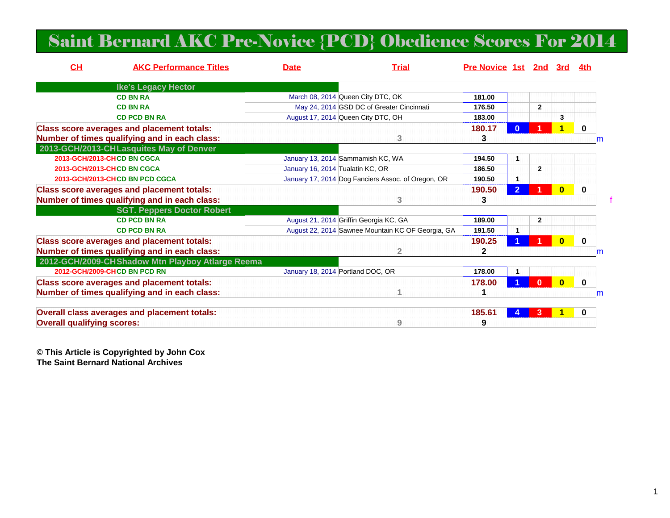#### Saint Bernard AKC Pre-Novice {PCD} Obedience Scores For 2014

| CH                                | <b>AKC Performance Titles</b>                       | <b>Date</b> | <b>Trial</b>                                       | <b>Pre Novice 1st 2nd</b> |                      |                | 3rd                     | 4th      |   |
|-----------------------------------|-----------------------------------------------------|-------------|----------------------------------------------------|---------------------------|----------------------|----------------|-------------------------|----------|---|
|                                   | <b>Ike's Legacy Hector</b>                          |             |                                                    |                           |                      |                |                         |          |   |
|                                   | <b>CD BN RA</b>                                     |             | March 08, 2014 Queen City DTC, OK                  | 181.00                    |                      |                |                         |          |   |
|                                   | <b>CD BN RA</b>                                     |             | May 24, 2014 GSD DC of Greater Cincinnati          | 176.50                    |                      | $\overline{2}$ |                         |          |   |
|                                   | <b>CD PCD BN RA</b>                                 |             | August 17, 2014 Queen City DTC, OH                 | 183.00                    |                      |                | 3                       |          |   |
|                                   | <b>Class score averages and placement totals:</b>   |             |                                                    | 180.17                    |                      |                | 1                       | 0        |   |
|                                   | Number of times qualifying and in each class:       |             | 3                                                  | 3                         |                      |                |                         |          | m |
|                                   | 2013-GCH/2013-CHLasquites May of Denver             |             |                                                    |                           |                      |                |                         |          |   |
| 2013-GCH/2013-CHCD BN CGCA        |                                                     |             | January 13, 2014 Sammamish KC, WA                  | 194.50                    | $\blacktriangleleft$ |                |                         |          |   |
| 2013-GCH/2013-CHCD BN CGCA        |                                                     |             | January 16, 2014 Tualatin KC, OR                   | 186.50                    |                      | $\overline{2}$ |                         |          |   |
| 2013-GCH/2013-CHCD BN PCD CGCA    |                                                     |             | January 17, 2014 Dog Fanciers Assoc. of Oregon, OR | 190.50                    | 1                    |                |                         |          |   |
|                                   | <b>Class score averages and placement totals:</b>   |             |                                                    | 190.50                    | $\overline{2}$       |                | $\mathbf{0}$            | $\bf{0}$ |   |
|                                   | Number of times qualifying and in each class:       |             | 3                                                  | 3                         |                      |                |                         |          |   |
|                                   | <b>SGT. Peppers Doctor Robert</b>                   |             |                                                    |                           |                      |                |                         |          |   |
|                                   | <b>CD PCD BN RA</b>                                 |             | August 21, 2014 Griffin Georgia KC, GA             | 189.00                    |                      | $\mathbf{2}$   |                         |          |   |
|                                   | <b>CD PCD BN RA</b>                                 |             | August 22, 2014 Sawnee Mountain KC OF Georgia, GA  | 191.50                    | 1                    |                |                         |          |   |
|                                   | <b>Class score averages and placement totals:</b>   |             |                                                    | 190.25                    |                      |                | $\mathbf{0}$            | $\bf{0}$ |   |
|                                   | Number of times qualifying and in each class:       |             | $\overline{2}$                                     | $\mathbf{2}$              |                      |                |                         |          | m |
|                                   | 2012-GCH/2009-CHShadow Mtn Playboy Atlarge Reema    |             |                                                    |                           |                      |                |                         |          |   |
| 2012-GCH/2009-CHCD BN PCD RN      |                                                     |             | January 18, 2014 Portland DOC, OR                  | 178.00                    | 1                    |                |                         |          |   |
|                                   | <b>Class score averages and placement totals:</b>   |             |                                                    | 178.00                    |                      | $\Omega$       | $\overline{\mathbf{0}}$ | 0        |   |
|                                   | Number of times qualifying and in each class:       |             |                                                    |                           |                      |                |                         |          | m |
|                                   | <b>Overall class averages and placement totals:</b> |             |                                                    | 185.61                    |                      |                |                         | 0        |   |
| <b>Overall qualifying scores:</b> |                                                     |             | 9                                                  | 9                         |                      |                |                         |          |   |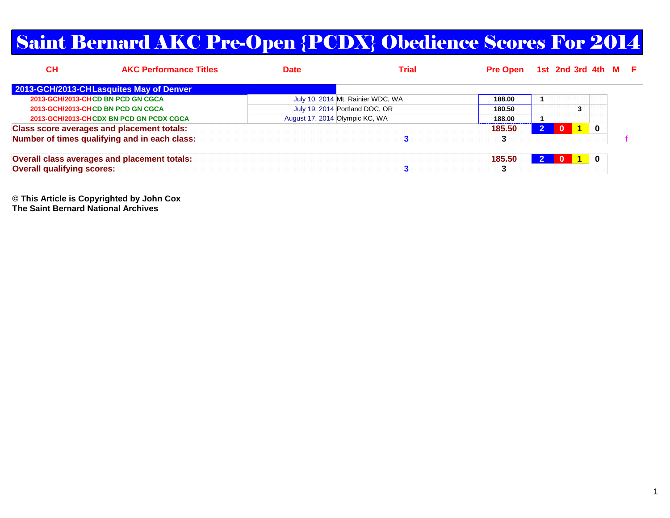#### Saint Bernard AKC Pre-Open {PCDX} Obedience Scores For 2014

| <u>СН</u>                         | <b>AKC Performance Titles</b>                     | Date | <b>Trial</b>                      | Pre Open 1st 2nd 3rd 4th M E |              |                |          |  |
|-----------------------------------|---------------------------------------------------|------|-----------------------------------|------------------------------|--------------|----------------|----------|--|
|                                   | 2013-GCH/2013-CHLasquites May of Denver           |      |                                   |                              |              |                |          |  |
|                                   | 2013-GCH/2013-CHCD BN PCD GN CGCA                 |      | July 10, 2014 Mt. Rainier WDC, WA | 188.00                       |              |                |          |  |
|                                   | 2013-GCH/2013-CHCD BN PCD GN CGCA                 |      | July 19, 2014 Portland DOC, OR    | 180.50                       |              | 3              |          |  |
|                                   | 2013-GCH/2013-CHCDX BN PCD GN PCDX CGCA           |      | August 17, 2014 Olympic KC, WA    | 188.00                       |              |                |          |  |
|                                   | <b>Class score averages and placement totals:</b> |      |                                   | 185.50                       | $\mathbf{0}$ | $\blacksquare$ | $\bf{0}$ |  |
|                                   | Number of times qualifying and in each class:     |      |                                   | 3                            |              |                |          |  |
|                                   | Overall class averages and placement totals:      |      |                                   | 185.50                       | <b>0</b>     | $\mathbf 1$    | 0        |  |
| <b>Overall qualifying scores:</b> |                                                   |      |                                   |                              |              |                |          |  |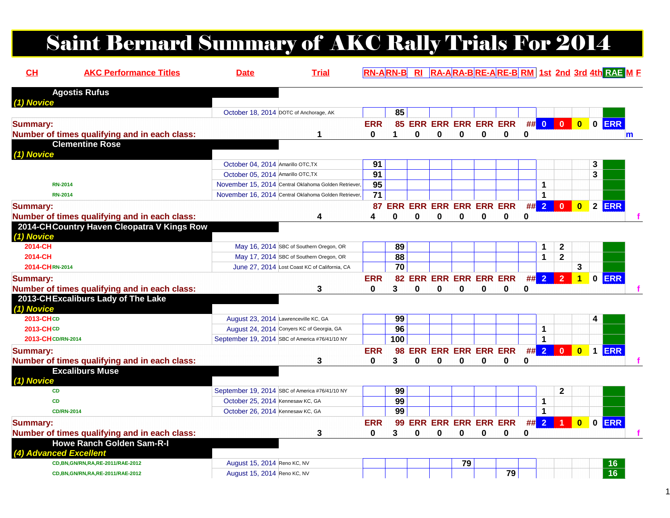## Saint Bernard Summary of AKC Rally Trials For 2014

| CH                     | <b>AKC Performance Titles</b>                 | <b>Date</b>                          | <b>Trial</b>                                         |                 |                                |   |   |                            |   |                               |    |                |                |                         |   | <b>RN-ARN-B</b> RI RA-ARA-BRE-ARE-BRM 1st 2nd 3rd 4th RAE M F |
|------------------------|-----------------------------------------------|--------------------------------------|------------------------------------------------------|-----------------|--------------------------------|---|---|----------------------------|---|-------------------------------|----|----------------|----------------|-------------------------|---|---------------------------------------------------------------|
| (1) Novice             | <b>Agostis Rufus</b>                          |                                      |                                                      |                 |                                |   |   |                            |   |                               |    |                |                |                         |   |                                                               |
|                        |                                               |                                      | October 18, 2014 DOTC of Anchorage, AK               |                 | 85                             |   |   |                            |   |                               |    |                |                |                         |   |                                                               |
| <b>Summary:</b>        |                                               |                                      |                                                      | <b>ERR</b>      |                                |   |   |                            |   | 85 ERR ERR ERR ERR ERR ## 0 0 |    |                |                | $\overline{\mathbf{0}}$ |   | $0$ ERR                                                       |
|                        | Number of times qualifying and in each class: |                                      | 1                                                    | 0               | 1                              | 0 | 0 | 0                          | 0 | 0                             | 0  |                |                |                         |   | $m$                                                           |
| (1) Novice             | <b>Clementine Rose</b>                        |                                      |                                                      |                 |                                |   |   |                            |   |                               |    |                |                |                         |   |                                                               |
|                        |                                               | October 04, 2014 Amarillo OTC, TX    |                                                      | 91              |                                |   |   |                            |   |                               |    |                |                |                         | 3 |                                                               |
|                        |                                               | October 05, 2014 Amarillo OTC, TX    |                                                      | $\overline{91}$ |                                |   |   |                            |   |                               |    |                |                |                         | 3 |                                                               |
| <b>RN-2014</b>         |                                               |                                      | November 15, 2014 Central Oklahoma Golden Retriever, | $\overline{95}$ |                                |   |   |                            |   |                               |    | 1              |                |                         |   |                                                               |
| <b>RN-2014</b>         |                                               |                                      | November 16, 2014 Central Oklahoma Golden Retriever, | 71              |                                |   |   |                            |   |                               |    | $\mathbf 1$    |                |                         |   |                                                               |
| <b>Summary:</b>        |                                               |                                      |                                                      | 87              | <b>ERR ERR ERR ERR ERR ERR</b> |   |   |                            |   |                               | #  | $\overline{2}$ | $\mathbf 0$    | $\overline{\mathbf{0}}$ |   | 2 ERR                                                         |
|                        | Number of times qualifying and in each class: |                                      | 4                                                    | 4               | Ω                              | 0 | 0 | 0                          | 0 | 0                             | 0  |                |                |                         |   |                                                               |
| (1) Novice             | 2014-CHCountry Haven Cleopatra V Kings Row    |                                      |                                                      |                 |                                |   |   |                            |   |                               |    |                |                |                         |   |                                                               |
| 2014-CH                |                                               |                                      | May 16, 2014 SBC of Southern Oregon, OR              |                 | 89                             |   |   |                            |   |                               |    | 1              | $\mathbf 2$    |                         |   |                                                               |
| 2014-CH                |                                               |                                      | May 17, 2014 SBC of Southern Oregon, OR              |                 | 88                             |   |   |                            |   |                               |    | 1              | $\mathbf{2}$   |                         |   |                                                               |
| 2014-CHRN-2014         |                                               |                                      | June 27, 2014 Lost Coast KC of California, CA        |                 | 70                             |   |   |                            |   |                               |    |                |                | 3                       |   |                                                               |
| <b>Summary:</b>        |                                               |                                      |                                                      | <b>ERR</b>      |                                |   |   | 82 ERR ERR ERR ERR ERR     |   |                               |    | ## 2           | $\overline{2}$ | $\overline{1}$          |   | $0$ ERR                                                       |
|                        | Number of times qualifying and in each class: |                                      | 3                                                    | 0               | 3                              | 0 | 0 | 0                          | 0 | 0                             | 0  |                |                |                         |   |                                                               |
| (1) Novice             | 2013-CHExcaliburs Lady of The Lake            |                                      |                                                      |                 |                                |   |   |                            |   |                               |    |                |                |                         |   |                                                               |
| 2013-CHCD              |                                               | August 23, 2014 Lawrenceville KC, GA |                                                      |                 | 99                             |   |   |                            |   |                               |    |                |                |                         | 4 |                                                               |
| <b>2013-CHCD</b>       |                                               |                                      | August 24, 2014 Conyers KC of Georgia, GA            |                 | 96                             |   |   |                            |   |                               |    | 1              |                |                         |   |                                                               |
| 2013-CH CD/RN-2014     |                                               |                                      | September 19, 2014 SBC of America #76/41/10 NY       |                 | 100                            |   |   |                            |   |                               |    | $\mathbf{1}$   |                |                         |   |                                                               |
| <b>Summary:</b>        |                                               |                                      |                                                      | <b>ERR</b>      |                                |   |   | 98 ERR ERR ERR ERR ERR     |   |                               | ## | $\overline{2}$ | $\mathbf{0}$   | $\overline{\mathbf{0}}$ |   | 1 ERR                                                         |
|                        | Number of times qualifying and in each class: |                                      | 3                                                    | 0               | 3                              | 0 | 0 | 0                          | 0 | 0                             | 0  |                |                |                         |   |                                                               |
| (1) Novice             | <b>Excaliburs Muse</b>                        |                                      |                                                      |                 |                                |   |   |                            |   |                               |    |                |                |                         |   |                                                               |
| <b>CD</b>              |                                               |                                      | September 19, 2014 SBC of America #76/41/10 NY       |                 | 99                             |   |   |                            |   |                               |    |                | $\mathbf{2}$   |                         |   |                                                               |
| <b>CD</b>              |                                               | October 25, 2014 Kennesaw KC, GA     |                                                      |                 | 99                             |   |   |                            |   |                               |    | 1              |                |                         |   |                                                               |
| <b>CD/RN-2014</b>      |                                               | October 26, 2014 Kennesaw KC, GA     |                                                      |                 | 99                             |   |   |                            |   |                               |    | 1              |                |                         |   |                                                               |
| <b>Summary:</b>        |                                               |                                      |                                                      | <b>ERR</b>      | 99                             |   |   | <b>ERR ERR ERR ERR ERR</b> |   |                               | #  | $\overline{2}$ |                | $\overline{\mathbf{0}}$ |   | 0 ERR                                                         |
|                        | Number of times qualifying and in each class: |                                      | 3                                                    | 0               | 3                              | 0 | 0 | 0                          | 0 | 0                             | 0  |                |                |                         |   |                                                               |
| (4) Advanced Excellent | <b>Howe Ranch Golden Sam-R-I</b>              |                                      |                                                      |                 |                                |   |   |                            |   |                               |    |                |                |                         |   |                                                               |
|                        | CD, BN, GN/RN, RA, RE-2011/RAE-2012           | August 15, 2014 Reno KC, NV          |                                                      |                 |                                |   |   | 79                         |   |                               |    |                |                |                         |   | 16                                                            |
|                        | CD, BN, GN/RN, RA, RE-2011/RAE-2012           | August 15, 2014 Reno KC, NV          |                                                      |                 |                                |   |   |                            |   | 79                            |    |                |                |                         |   | $\overline{16}$                                               |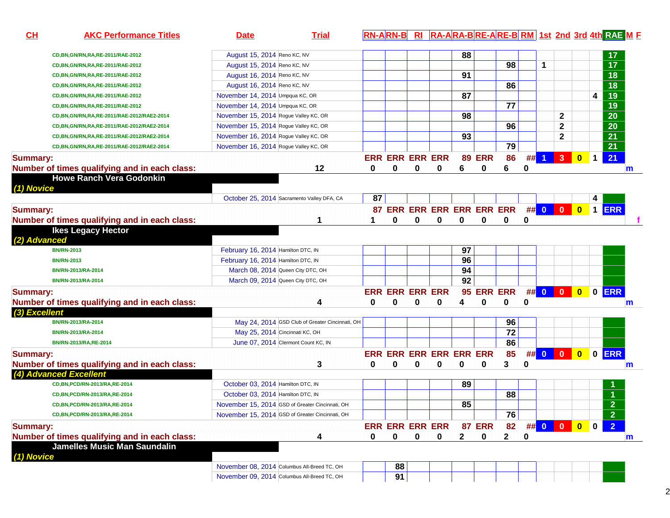| CL<br><b>AKC Performance Titles</b>           | <b>Date</b>                                     | <b>Trial</b> |    |                         |          |          |              |               |                                 |          |                  |              |           | RN-ARN-B RI RA-ARA-BRE-ARE-BRM 1st 2nd 3rd 4th RAE M E |              |
|-----------------------------------------------|-------------------------------------------------|--------------|----|-------------------------|----------|----------|--------------|---------------|---------------------------------|----------|------------------|--------------|-----------|--------------------------------------------------------|--------------|
| CD, BN, GN/RN, RA, RE-2011/RAE-2012           | August 15, 2014 Reno KC, NV                     |              |    |                         |          |          | 88           |               |                                 |          |                  |              |           | 17                                                     |              |
| CD, BN, GN/RN, RA, RE-2011/RAE-2012           | August 15, 2014 Reno KC, NV                     |              |    |                         |          |          |              |               | 98                              |          | 1                |              |           | $\overline{17}$                                        |              |
| CD, BN, GN/RN, RA, RE-2011/RAE-2012           | August 16, 2014 Reno KC, NV                     |              |    |                         |          |          | 91           |               |                                 |          |                  |              |           | $\overline{18}$                                        |              |
| CD, BN, GN/RN, RA, RE-2011/RAE-2012           | August 16, 2014 Reno KC, NV                     |              |    |                         |          |          |              |               | 86                              |          |                  |              |           | $\overline{18}$                                        |              |
| CD, BN, GN/RN, RA, RE-2011/RAE-2012           | November 14, 2014 Umpqua KC, OR                 |              |    |                         |          |          | 87           |               |                                 |          |                  |              |           | $\overline{19}$<br>4                                   |              |
| CD, BN, GN/RN, RA, RE-2011/RAE-2012           | November 14, 2014 Umpqua KC, OR                 |              |    |                         |          |          |              |               | 77                              |          |                  |              |           | $\overline{19}$                                        |              |
| CD, BN, GN/RN, RA, RE-2011/RAE-2012/RAE2-2014 | November 15, 2014 Rogue Valley KC, OR           |              |    |                         |          |          | 98           |               |                                 |          |                  | $\mathbf{2}$ |           | $\overline{20}$                                        |              |
| CD, BN, GN/RN, RA, RE-2011/RAE-2012/RAE2-2014 | November 15, 2014 Rogue Valley KC, OR           |              |    |                         |          |          |              |               | 96                              |          |                  | $\mathbf{2}$ |           | $\overline{20}$                                        |              |
| CD, BN, GN/RN, RA, RE-2011/RAE-2012/RAE2-2014 | November 16, 2014 Rogue Valley KC, OR           |              |    |                         |          |          | 93           |               |                                 |          |                  | $\mathbf{2}$ |           | $\overline{21}$                                        |              |
| CD, BN, GN/RN, RA, RE-2011/RAE-2012/RAE2-2014 | November 16, 2014 Rogue Valley KC, OR           |              |    |                         |          |          |              |               | 79                              |          |                  |              |           | $\overline{21}$                                        |              |
| <b>Summary:</b>                               |                                                 |              |    | <b>ERR ERR ERR ERR</b>  |          |          |              | <b>89 ERR</b> | 86                              | ##       | $1 \overline{3}$ |              | $\bullet$ | 21<br>$\mathbf{1}$                                     |              |
| Number of times qualifying and in each class: |                                                 | 12           | 0  | 0                       | 0        | 0        | 6            | 0             | 6                               | 0        |                  |              |           |                                                        | m            |
| <b>Howe Ranch Vera Godonkin</b>               |                                                 |              |    |                         |          |          |              |               |                                 |          |                  |              |           |                                                        |              |
| (1) Novice                                    |                                                 |              |    |                         |          |          |              |               |                                 |          |                  |              |           |                                                        |              |
|                                               | October 25, 2014 Sacramento Valley DFA, CA      |              | 87 |                         |          |          |              |               |                                 |          |                  |              |           | 4                                                      |              |
| <b>Summary:</b>                               |                                                 |              |    |                         |          |          |              |               | 87 ERR ERR ERR ERR ERR ## 0 0 0 |          |                  |              |           | 1 ERR                                                  |              |
| Number of times qualifying and in each class: |                                                 |              |    | $\mathbf{0}$            | $\bf{0}$ | $\bf{0}$ | $\mathbf 0$  | 0             | 0                               | 0        |                  |              |           |                                                        |              |
| <b>Ikes Legacy Hector</b>                     |                                                 |              |    |                         |          |          |              |               |                                 |          |                  |              |           |                                                        |              |
| (2) Advanced                                  |                                                 |              |    |                         |          |          |              |               |                                 |          |                  |              |           |                                                        |              |
| <b>BN/RN-2013</b>                             | February 16, 2014 Hamilton DTC, IN              |              |    |                         |          |          | 97           |               |                                 |          |                  |              |           |                                                        |              |
| <b>BN/RN-2013</b>                             | February 16, 2014 Hamilton DTC, IN              |              |    |                         |          |          | 96           |               |                                 |          |                  |              |           |                                                        |              |
| BN/RN-2013/RA-2014                            | March 08, 2014 Queen City DTC, OH               |              |    |                         |          |          | 94           |               |                                 |          |                  |              |           |                                                        |              |
| BN/RN-2013/RA-2014                            | March 09, 2014 Queen City DTC, OH               |              |    |                         |          |          | 92           |               |                                 |          |                  |              |           |                                                        |              |
| <b>Summary:</b>                               |                                                 |              |    | <b>ERR ERR ERR ERR</b>  |          |          |              |               | 95 ERR ERR                      |          |                  |              |           | ## 0 0 0 0 ERR                                         |              |
| Number of times qualifying and in each class: |                                                 | 4            | 0  | $\bf{0}$                | 0        | 0        | 4            | 0             | 0                               | $\bf{0}$ |                  |              |           |                                                        | $\mathsf{m}$ |
| (3) Excellent                                 |                                                 |              |    |                         |          |          |              |               |                                 |          |                  |              |           |                                                        |              |
| BN/RN-2013/RA-2014                            | May 24, 2014 GSD Club of Greater Cincinnati, OH |              |    |                         |          |          |              |               | 96                              |          |                  |              |           |                                                        |              |
| BN/RN-2013/RA-2014                            | May 25, 2014 Cincinnati KC, OH                  |              |    |                         |          |          |              |               | $\overline{72}$                 |          |                  |              |           |                                                        |              |
| BN/RN-2013/RA,RE-2014                         | June 07, 2014 Clermont Count KC, IN             |              |    |                         |          |          |              |               | 86                              |          |                  |              |           |                                                        |              |
| <b>Summary:</b>                               |                                                 |              |    | ERR ERR ERR ERR ERR ERR |          |          |              |               | 85                              |          | ## 0 0           |              | $\bullet$ | <b>ERR</b><br>$\mathbf 0$                              |              |
| Number of times qualifying and in each class: |                                                 | 3            | 0  | 0                       | 0        | 0        | 0            | 0             | 3                               | $\bf{0}$ |                  |              |           |                                                        | m            |
| (4) Advanced Excellent                        |                                                 |              |    |                         |          |          |              |               |                                 |          |                  |              |           |                                                        |              |
| CD, BN, PCD/RN-2013/RA, RE-2014               | October 03, 2014 Hamilton DTC, IN               |              |    |                         |          |          | 89           |               |                                 |          |                  |              |           |                                                        |              |
| CD, BN, PCD/RN-2013/RA, RE-2014               | October 03, 2014 Hamilton DTC, IN               |              |    |                         |          |          |              |               | 88                              |          |                  |              |           |                                                        |              |
| CD, BN, PCD/RN-2013/RA, RE-2014               | November 15, 2014 GSD of Greater Cincinnati, OH |              |    |                         |          |          | 85           |               |                                 |          |                  |              |           | $\overline{2}$                                         |              |
| CD, BN, PCD/RN-2013/RA, RE-2014               | November 15, 2014 GSD of Greater Cincinnati, OH |              |    |                         |          |          |              |               | 76                              |          |                  |              |           | $\overline{2}$                                         |              |
| <b>Summary:</b>                               |                                                 |              |    | <b>ERR ERR ERR ERR</b>  |          |          |              | <b>87 ERR</b> | 82                              |          |                  | ## 0 0 0     | $\bullet$ | $\overline{2}$<br>$\mathbf 0$                          |              |
| Number of times qualifying and in each class: |                                                 | 4            | 0  | 0                       | 0        | 0        | $\mathbf{2}$ | 0             | $\mathbf 2$                     | 0        |                  |              |           |                                                        | $\mathbf{m}$ |
| <b>Jamelles Music Man Saundalin</b>           |                                                 |              |    |                         |          |          |              |               |                                 |          |                  |              |           |                                                        |              |
| (1) Novice                                    |                                                 |              |    |                         |          |          |              |               |                                 |          |                  |              |           |                                                        |              |
|                                               | November 08, 2014 Columbus All-Breed TC, OH     |              |    | 88                      |          |          |              |               |                                 |          |                  |              |           |                                                        |              |
|                                               | November 09, 2014 Columbus All-Breed TC, OH     |              |    |                         |          |          |              |               |                                 |          |                  |              |           |                                                        |              |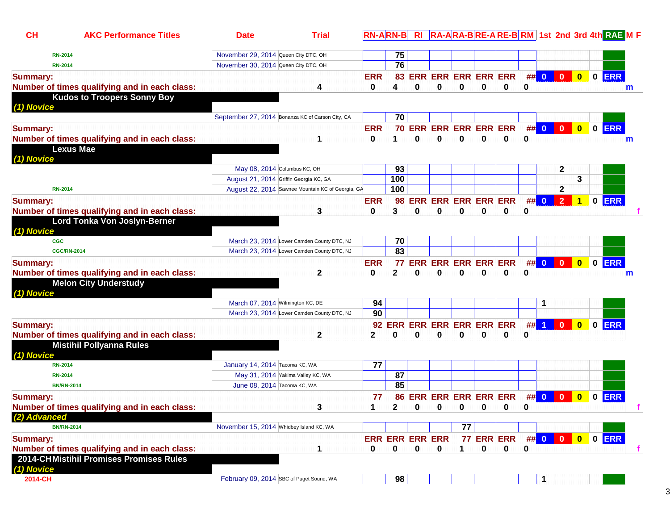| $CH$            | <b>AKC Performance Titles</b>                                                    | <b>Date</b>                              | <b>Trial</b>                                      |            | <b>RN-ARN-B</b>        |          |          |                             |          |                           |    |              |                         |                         |                | RI RA-ARA-BRE-ARE-BRM 1st 2nd 3rd 4th RAE M F |   |
|-----------------|----------------------------------------------------------------------------------|------------------------------------------|---------------------------------------------------|------------|------------------------|----------|----------|-----------------------------|----------|---------------------------|----|--------------|-------------------------|-------------------------|----------------|-----------------------------------------------|---|
| <b>RN-2014</b>  |                                                                                  | November 29, 2014 Queen City DTC, OH     |                                                   |            | 75                     |          |          |                             |          |                           |    |              |                         |                         |                |                                               |   |
| <b>RN-2014</b>  |                                                                                  | November 30, 2014 Queen City DTC, OH     |                                                   |            | 76                     |          |          |                             |          |                           |    |              |                         |                         |                |                                               |   |
| <b>Summary:</b> |                                                                                  |                                          |                                                   | <b>ERR</b> |                        |          |          | 83 ERR ERR ERR ERR ERR      |          |                           |    | ## 0         | $\mathbf{0}$            | $\overline{\mathbf{0}}$ | $\blacksquare$ | <b>ERR</b>                                    |   |
|                 | Number of times qualifying and in each class:                                    |                                          | 4                                                 | 0          | 4                      | 0        | 0        | 0                           | 0        | 0                         | 0  |              |                         |                         |                |                                               | m |
|                 | <b>Kudos to Troopers Sonny Boy</b>                                               |                                          |                                                   |            |                        |          |          |                             |          |                           |    |              |                         |                         |                |                                               |   |
| (1) Novice      |                                                                                  |                                          |                                                   |            |                        |          |          |                             |          |                           |    |              |                         |                         |                |                                               |   |
|                 |                                                                                  |                                          | September 27, 2014 Bonanza KC of Carson City, CA  |            | 70                     |          |          |                             |          |                           |    |              |                         |                         |                |                                               |   |
| <b>Summary:</b> |                                                                                  |                                          |                                                   | <b>ERR</b> |                        |          |          | 70 ERR ERR ERR ERR ERR      |          |                           |    | ## 0         | $\mathbf 0$             | $\overline{\mathbf{0}}$ |                | O ERR                                         |   |
|                 | Number of times qualifying and in each class:                                    |                                          |                                                   | 0          |                        | $\bf{0}$ | $\bf{0}$ | $\bf{0}$                    | $\bf{0}$ | 0                         | 0  |              |                         |                         |                |                                               | m |
|                 | <b>Lexus Mae</b>                                                                 |                                          |                                                   |            |                        |          |          |                             |          |                           |    |              |                         |                         |                |                                               |   |
| (1) Novice      |                                                                                  |                                          |                                                   |            |                        |          |          |                             |          |                           |    |              |                         |                         |                |                                               |   |
|                 |                                                                                  | May 08, 2014 Columbus KC, OH             |                                                   |            | 93                     |          |          |                             |          |                           |    |              | $\mathbf{2}$            |                         |                |                                               |   |
|                 |                                                                                  | August 21, 2014 Griffin Georgia KC, GA   |                                                   |            | 100                    |          |          |                             |          |                           |    |              |                         | 3                       |                |                                               |   |
| <b>RN-2014</b>  |                                                                                  |                                          | August 22, 2014 Sawnee Mountain KC of Georgia, GA |            | 100                    |          |          |                             |          |                           |    |              | $\mathbf{2}$            |                         |                |                                               |   |
| <b>Summary:</b> |                                                                                  |                                          |                                                   | <b>ERR</b> | 98                     |          |          | <b>ERR ERR ERR ERR ERR</b>  |          |                           | ## | $\mathbf{0}$ | $\overline{2}$          | 1                       | $\mathbf{0}$   | <b>ERR</b>                                    |   |
|                 | Number of times qualifying and in each class:                                    |                                          | 3                                                 | 0          | 3                      | 0        | 0        | 0                           | 0        | 0                         | 0  |              |                         |                         |                |                                               |   |
| (1) Novice      | Lord Tonka Von Joslyn-Berner                                                     |                                          |                                                   |            |                        |          |          |                             |          |                           |    |              |                         |                         |                |                                               |   |
| <b>CGC</b>      |                                                                                  |                                          | March 23, 2014 Lower Camden County DTC, NJ        |            | 70                     |          |          |                             |          |                           |    |              |                         |                         |                |                                               |   |
|                 | <b>CGC/RN-2014</b>                                                               |                                          | March 23, 2014 Lower Camden County DTC, NJ        |            | 83                     |          |          |                             |          |                           |    |              |                         |                         |                |                                               |   |
| <b>Summary:</b> |                                                                                  |                                          |                                                   | <b>ERR</b> |                        |          |          | 77 ERR ERR ERR ERR ERR      |          |                           |    | ## 0         | $\overline{\mathbf{0}}$ | $\bullet$               |                | 0 ERR                                         |   |
|                 | Number of times qualifying and in each class:                                    |                                          | $\mathbf 2$                                       | 0          | $\mathbf{2}$           | 0        | 0        | 0                           | 0        | 0                         | 0  |              |                         |                         |                |                                               | m |
|                 | <b>Melon City Understudy</b>                                                     |                                          |                                                   |            |                        |          |          |                             |          |                           |    |              |                         |                         |                |                                               |   |
| (1) Novice      |                                                                                  |                                          |                                                   |            |                        |          |          |                             |          |                           |    |              |                         |                         |                |                                               |   |
|                 |                                                                                  | March 07, 2014 Wilmington KC, DE         | March 23, 2014 Lower Camden County DTC, NJ        | 94<br>90   |                        |          |          |                             |          |                           |    | 1            |                         |                         |                |                                               |   |
|                 |                                                                                  |                                          |                                                   |            |                        |          |          |                             |          |                           |    |              |                         |                         |                |                                               |   |
| <b>Summary:</b> |                                                                                  |                                          |                                                   |            |                        |          |          | 92 ERR ERR ERR ERR ERR ERR  |          |                           |    | $##$ 1       | $\bf{0}$                | $\bf{0}$                | $\bf{0}$       | <b>ERR</b>                                    |   |
|                 | Number of times qualifying and in each class:<br><b>Mistihil Pollyanna Rules</b> |                                          | 2                                                 | 2          | 0                      | 0        | 0        | 0                           | 0        | 0                         | 0  |              |                         |                         |                |                                               |   |
| (1) Novice      |                                                                                  |                                          |                                                   |            |                        |          |          |                             |          |                           |    |              |                         |                         |                |                                               |   |
| <b>RN-2014</b>  |                                                                                  | January 14, 2014 Tacoma KC, WA           |                                                   | 77         |                        |          |          |                             |          |                           |    |              |                         |                         |                |                                               |   |
| <b>RN-2014</b>  |                                                                                  |                                          | May 31, 2014 Yakima Valley KC, WA                 |            | 87                     |          |          |                             |          |                           |    |              |                         |                         |                |                                               |   |
|                 | <b>BN/RN-2014</b>                                                                | June 08, 2014 Tacoma KC, WA              |                                                   |            | 85                     |          |          |                             |          |                           |    |              |                         |                         |                |                                               |   |
| <b>Summary:</b> |                                                                                  |                                          |                                                   | 77         |                        |          |          | 86 ERR ERR ERR ERR ERR      |          |                           |    | ## 0         | $\mathbf 0$             | $\bf{0}$                | $\bf{0}$       | <b>ERR</b>                                    |   |
|                 | Number of times qualifying and in each class:                                    |                                          | 3                                                 | 1.         | $\sim$                 |          |          | $0 \quad 0 \quad 0 \quad 0$ |          | 0                         | 0  |              |                         |                         |                |                                               |   |
| (2) Advanced    |                                                                                  |                                          |                                                   |            |                        |          |          |                             |          |                           |    |              |                         |                         |                |                                               |   |
|                 | <b>BN/RN-2014</b>                                                                | November 15, 2014 Whidbey Island KC, WA  |                                                   |            |                        |          |          | 77                          |          |                           |    |              |                         |                         |                |                                               |   |
| <b>Summary:</b> |                                                                                  |                                          |                                                   |            | <b>ERR ERR ERR ERR</b> |          |          |                             |          | 77 ERR ERR ## 0 0 0 0 ERR |    |              |                         |                         |                |                                               |   |
|                 | Number of times qualifying and in each class:                                    |                                          | 1                                                 | 0          | 0                      | 0        | 0        | 1                           | 0        | 0                         | 0  |              |                         |                         |                |                                               | f |
| (1) Novice      | 2014-CHMistihil Promises Promises Rules                                          |                                          |                                                   |            |                        |          |          |                             |          |                           |    |              |                         |                         |                |                                               |   |
| 2014-CH         |                                                                                  | February 09, 2014 SBC of Puget Sound, WA |                                                   |            | 98                     |          |          |                             |          |                           |    |              |                         |                         |                |                                               |   |
|                 |                                                                                  |                                          |                                                   |            |                        |          |          |                             |          |                           |    |              |                         |                         |                |                                               |   |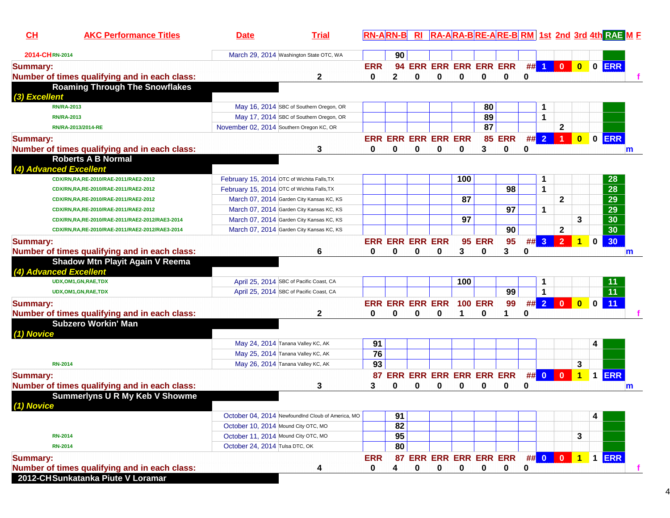| $CH$            | <b>AKC Performance Titles</b>                                    | <b>Date</b>                                | <b>Trial</b>                                      |                 | <b>RN-ARN-B</b>                 | R <sub>l</sub> |   |     |                     |                             |   |        |                      |                         |              | RA-ARA-BRE-ARE-BRM 1st 2nd 3rd 4th RAE M E |   |
|-----------------|------------------------------------------------------------------|--------------------------------------------|---------------------------------------------------|-----------------|---------------------------------|----------------|---|-----|---------------------|-----------------------------|---|--------|----------------------|-------------------------|--------------|--------------------------------------------|---|
| 2014-CHRN-2014  |                                                                  |                                            | March 29, 2014 Washington State OTC, WA           |                 | 90                              |                |   |     |                     |                             |   |        |                      |                         |              |                                            |   |
| <b>Summary:</b> |                                                                  |                                            |                                                   | <b>ERR</b>      |                                 |                |   |     |                     | 94 ERR ERR ERR ERR ERR      |   | $##$ 1 | $\overline{0}$       | $\bullet$               |              | O ERR                                      |   |
|                 | Number of times qualifying and in each class:                    |                                            | 2                                                 | $\mathbf{0}$    | 2                               | 0              | 0 | 0   | 0                   | 0                           | 0 |        |                      |                         |              |                                            |   |
| (3) Excellent   | <b>Roaming Through The Snowflakes</b>                            |                                            |                                                   |                 |                                 |                |   |     |                     |                             |   |        |                      |                         |              |                                            |   |
|                 | <b>RN/RA-2013</b>                                                |                                            | May 16, 2014 SBC of Southern Oregon, OR           |                 |                                 |                |   |     | 80                  |                             |   |        |                      |                         |              |                                            |   |
|                 | <b>RN/RA-2013</b>                                                |                                            | May 17, 2014 SBC of Southern Oregon, OR           |                 |                                 |                |   |     | 89                  |                             |   | 1      |                      |                         |              |                                            |   |
|                 | RN/RA-2013/2014-RE                                               | November 02, 2014 Southern Oregon KC, OR   |                                                   |                 |                                 |                |   |     | 87                  |                             |   |        | $\mathbf{2}$         |                         |              |                                            |   |
| <b>Summary:</b> | Number of times qualifying and in each class:                    |                                            | 3                                                 | 0               | <b>ERR ERR ERR ERR ERR</b><br>0 | 0              | 0 | 0   | 3                   | <b>85 ERR</b><br>0          | 0 | ##2    | $\blacktriangleleft$ | $\overline{\mathbf{0}}$ |              | 0 ERR<br>m                                 |   |
|                 | <b>Roberts A B Normal</b>                                        |                                            |                                                   |                 |                                 |                |   |     |                     |                             |   |        |                      |                         |              |                                            |   |
|                 | (4) Advanced Excellent                                           |                                            |                                                   |                 |                                 |                |   |     |                     |                             |   |        |                      |                         |              |                                            |   |
|                 | CDX/RN,RA,RE-2010/RAE-2011/RAE2-2012                             | February 15, 2014 OTC of Wichita Falls, TX |                                                   |                 |                                 |                |   | 100 |                     |                             |   | 1      |                      |                         |              | 28                                         |   |
|                 | CDX/RN,RA,RE-2010/RAE-2011/RAE2-2012                             | February 15, 2014 OTC of Wichita Falls, TX |                                                   |                 |                                 |                |   |     |                     | 98                          |   | 1      |                      |                         |              | 28                                         |   |
|                 | CDX/RN,RA,RE-2010/RAE-2011/RAE2-2012                             |                                            | March 07, 2014 Garden City Kansas KC, KS          |                 |                                 |                |   | 87  |                     |                             |   |        | $\mathbf{2}$         |                         |              | 29                                         |   |
|                 | CDX/RN,RA,RE-2010/RAE-2011/RAE2-2012                             |                                            | March 07, 2014 Garden City Kansas KC, KS          |                 |                                 |                |   |     |                     | 97                          |   | 1      |                      |                         |              | 29                                         |   |
|                 | CDX/RN,RA,RE-2010/RAE-2011/RAE2-2012/RAE3-2014                   |                                            | March 07, 2014 Garden City Kansas KC, KS          |                 |                                 |                |   | 97  |                     |                             |   |        |                      | 3                       |              | 30                                         |   |
|                 | CDX/RN,RA,RE-2010/RAE-2011/RAE2-2012/RAE3-2014                   |                                            | March 07, 2014 Garden City Kansas KC, KS          |                 |                                 |                |   |     |                     | 90                          |   |        | $\mathbf{2}$         |                         |              | 30                                         |   |
| <b>Summary:</b> |                                                                  |                                            |                                                   |                 | <b>ERR ERR ERR ERR</b>          |                |   |     | <b>95 ERR</b>       | 95                          |   | ## 3   | $\overline{2}$       |                         | $\mathbf{0}$ | 30                                         |   |
|                 | Number of times qualifying and in each class:                    |                                            | 6                                                 | 0               | 0                               | 0              | 0 | 3   | 0                   | 3                           | 0 |        |                      |                         |              | m                                          |   |
|                 | <b>Shadow Mtn Playit Again V Reema</b><br>(4) Advanced Excellent |                                            |                                                   |                 |                                 |                |   |     |                     |                             |   |        |                      |                         |              |                                            |   |
|                 | UDX, OM1, GN, RAE, TDX                                           |                                            | April 25, 2014 SBC of Pacific Coast, CA           |                 |                                 |                |   | 100 |                     |                             |   |        |                      |                         |              | 11                                         |   |
|                 | UDX, OM1, GN, RAE, TDX                                           |                                            | April 25, 2014 SBC of Pacific Coast, CA           |                 |                                 |                |   |     |                     | 99                          |   | 1      |                      |                         |              | $\overline{11}$                            |   |
| <b>Summary:</b> | Number of times qualifying and in each class:                    |                                            | 2                                                 | 0               | <b>ERR ERR ERR ERR</b><br>0     | 0              | 0 |     | <b>100 ERR</b><br>0 | 99<br>1                     | 0 | ## 2   | $\mathbf{0}$         | $\bf{0}$                | $\mathbf 0$  | 11                                         |   |
|                 | <b>Subzero Workin' Man</b>                                       |                                            |                                                   |                 |                                 |                |   |     |                     |                             |   |        |                      |                         |              |                                            |   |
| (1) Novice      |                                                                  |                                            |                                                   |                 |                                 |                |   |     |                     |                             |   |        |                      |                         |              |                                            |   |
|                 |                                                                  | May 24, 2014 Tanana Valley KC, AK          |                                                   | 91              |                                 |                |   |     |                     |                             |   |        |                      |                         | 4            |                                            |   |
|                 |                                                                  |                                            | May 25, 2014 Tanana Valley KC, AK                 | 76              |                                 |                |   |     |                     |                             |   |        |                      |                         |              |                                            |   |
|                 | <b>RN-2014</b>                                                   |                                            | May 26, 2014 Tanana Valley KC, AK                 | 93              |                                 |                |   |     |                     |                             |   |        |                      | 3                       |              |                                            |   |
| <b>Summary:</b> |                                                                  |                                            |                                                   | 87              |                                 |                |   |     |                     | ERR ERR ERR ERR ERR ERR     |   | ## 0 0 |                      | $\overline{1}$          |              | 1 ERR                                      |   |
|                 | Number of times qualifying and in each class:                    |                                            | 3                                                 | 3               | 0                               | 0              | 0 | 0   | 0                   | 0                           | 0 |        |                      |                         |              | m                                          |   |
| (1) Novice      | <b>Summerlyns U R My Keb V Showme</b>                            |                                            |                                                   |                 |                                 |                |   |     |                     |                             |   |        |                      |                         |              |                                            |   |
|                 |                                                                  |                                            | October 04, 2014 NewfoundInd Cloub of America, MO |                 | 91                              |                |   |     |                     |                             |   |        |                      |                         | 4            |                                            |   |
|                 |                                                                  | October 10, 2014 Mound City OTC, MO        |                                                   |                 | 82                              |                |   |     |                     |                             |   |        |                      |                         |              |                                            |   |
|                 | <b>RN-2014</b>                                                   | October 11, 2014 Mound City OTC, MO        |                                                   |                 | 95                              |                |   |     |                     |                             |   |        |                      | 3                       |              |                                            |   |
|                 | <b>RN-2014</b>                                                   | October 24, 2014 Tulsa DTC, OK             |                                                   |                 | 80                              |                |   |     |                     |                             |   |        |                      |                         |              |                                            |   |
| <b>Summary:</b> | Number of times qualifying and in each class:                    |                                            | 4                                                 | <b>ERR</b><br>0 | 4                               | 0              | 0 | 0   | 0                   | 87 ERR ERR ERR ERR ERR<br>0 | 0 |        | ## 0 0 0             | $\overline{1}$          |              | 1 ERR                                      | f |
|                 | 2012-CHSunkatanka Piute V Loramar                                |                                            |                                                   |                 |                                 |                |   |     |                     |                             |   |        |                      |                         |              |                                            |   |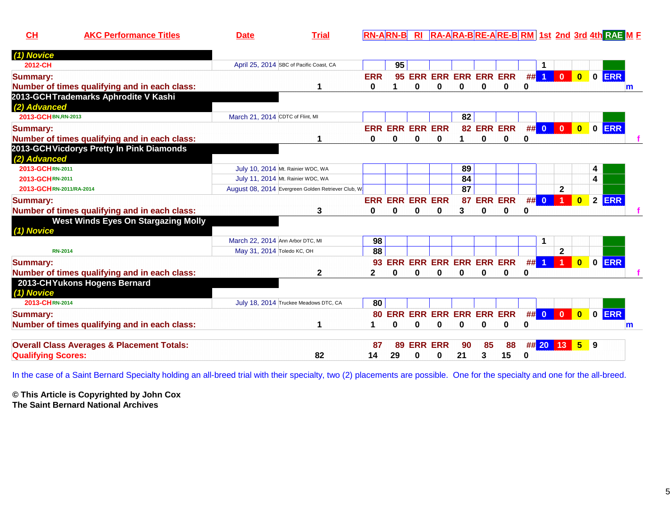| AK. | <u> Fria</u> | <b>d 4th RAE M F</b><br>│ RA-ARA-BRE-ARE-BRM 1st_2nd_3rd 4 |
|-----|--------------|------------------------------------------------------------|
|     |              |                                                            |

| (1) Novice                                            |                                                     |            |            |                                |   |                            |            |                |    |                         |                         |                                           |            |   |
|-------------------------------------------------------|-----------------------------------------------------|------------|------------|--------------------------------|---|----------------------------|------------|----------------|----|-------------------------|-------------------------|-------------------------------------------|------------|---|
| 2012-CH                                               | April 25, 2014 SBC of Pacific Coast, CA             |            | 95         |                                |   |                            |            |                |    | 1                       |                         |                                           |            |   |
| <b>Summary:</b>                                       |                                                     | <b>ERR</b> | 95         |                                |   | <b>ERR ERR ERR ERR ERR</b> |            |                | #  | $\overline{1}$          | $\overline{\mathbf{0}}$ | $\bullet$                                 | 0 ERR      |   |
| Number of times qualifying and in each class:         |                                                     | 0          |            | 0                              | 0 | $\bf{0}$                   | 0          | 0              | 0  |                         |                         |                                           |            | m |
| 2013-GCHTrademarks Aphrodite V Kashi                  |                                                     |            |            |                                |   |                            |            |                |    |                         |                         |                                           |            |   |
| (2) Advanced                                          |                                                     |            |            |                                |   |                            |            |                |    |                         |                         |                                           |            |   |
| 2013-GCHBN,RN-2013                                    | March 21, 2014 CDTC of Flint, MI                    |            |            |                                |   | 82                         |            |                |    |                         |                         |                                           |            |   |
| <b>Summary:</b>                                       |                                                     |            |            | <b>ERR ERR ERR ERR</b>         |   |                            | 82 ERR ERR |                | #  | $\mathbf{0}$            | $\mathbf{0}$            | $\overline{\mathbf{0}}$                   | 0 ERR      |   |
| Number of times qualifying and in each class:         |                                                     | 0          | 0          | 0                              | 0 |                            | 0          | 0              | 0  |                         |                         |                                           |            |   |
| 2013-GCHVicdorys Pretty In Pink Diamonds              |                                                     |            |            |                                |   |                            |            |                |    |                         |                         |                                           |            |   |
| (2) Advanced                                          |                                                     |            |            |                                |   |                            |            |                |    |                         |                         |                                           |            |   |
| 2013-GCHRN-2011                                       | July 10, 2014 Mt. Rainier WDC, WA                   |            |            |                                |   | 89                         |            |                |    |                         |                         |                                           | 4          |   |
| 2013-GCHRN-2011                                       | July 11, 2014 Mt. Rainier WDC, WA                   |            |            |                                |   | 84                         |            |                |    |                         |                         | 4                                         |            |   |
| 2013-GCHRN-2011/RA-2014                               | August 08, 2014 Evergreen Golden Retriever Club, W. |            |            |                                |   | 87                         |            |                |    |                         | $\mathbf 2$             |                                           |            |   |
| <b>Summary:</b>                                       |                                                     | <b>ERR</b> | <b>ERR</b> | <b>ERR ERR</b>                 |   | 87                         |            | <b>ERR ERR</b> | #  | $\mathbf{0}$            |                         | $\overline{2}$<br>$\overline{\mathbf{0}}$ | <b>ERR</b> |   |
| Number of times qualifying and in each class:         | 3                                                   | 0          | 0          | 0                              | 0 | 3                          | 0          | 0              | 0  |                         |                         |                                           |            |   |
| <b>West Winds Eyes On Stargazing Molly</b>            |                                                     |            |            |                                |   |                            |            |                |    |                         |                         |                                           |            |   |
| (1) Novice                                            |                                                     |            |            |                                |   |                            |            |                |    |                         |                         |                                           |            |   |
|                                                       | March 22, 2014 Ann Arbor DTC, MI                    | 98         |            |                                |   |                            |            |                |    | 1                       |                         |                                           |            |   |
| <b>RN-2014</b>                                        | May 31, 2014 Toledo KC, OH                          | 88         |            |                                |   |                            |            |                |    |                         | $\mathbf{2}$            |                                           |            |   |
| <b>Summary:</b>                                       |                                                     | 93         | <b>ERR</b> | <b>ERR ERR ERR ERR ERR</b>     |   |                            |            |                | ## | $\overline{1}$          |                         | $\mathbf 0$<br>$\mathbf{0}$               | ERR        |   |
| Number of times qualifying and in each class:         | 2                                                   | 2          | O          | 0                              | 0 | 0                          | 0          | O              | 0  |                         |                         |                                           |            |   |
| 2013-CHYukons Hogens Bernard                          |                                                     |            |            |                                |   |                            |            |                |    |                         |                         |                                           |            |   |
| (1) Novice                                            |                                                     |            |            |                                |   |                            |            |                |    |                         |                         |                                           |            |   |
| 2013-CHRN-2014                                        | July 18, 2014 Truckee Meadows DTC, CA               | 80         |            |                                |   |                            |            |                |    |                         |                         |                                           |            |   |
| <b>Summary:</b>                                       |                                                     | 80         |            | <b>ERR ERR ERR ERR ERR ERR</b> |   |                            |            |                | ## | $\overline{\mathbf{0}}$ | $\mathbf{0}$            | $\overline{\mathbf{0}}$                   | 0 ERR      |   |
| Number of times qualifying and in each class:         | 1                                                   |            | 0          | 0                              | 0 | 0                          | 0          | 0              | 0  |                         |                         |                                           |            | m |
|                                                       |                                                     |            |            |                                |   |                            |            |                |    |                         |                         |                                           |            |   |
| <b>Overall Class Averages &amp; Placement Totals:</b> |                                                     | 87         | 89         | <b>ERR ERR</b>                 |   | 90                         | 85         | 88             |    | ## 20 13                |                         | 5 <sup>5</sup><br>9                       |            |   |
| <b>Qualifying Scores:</b>                             | 82                                                  | 14         | 29         | 0                              | 0 | 21                         | 3          | 15             | 0  |                         |                         |                                           |            |   |
|                                                       |                                                     |            |            |                                |   |                            |            |                |    |                         |                         |                                           |            |   |

In the case of a Saint Bernard Specialty holding an all-breed trial with their specialty, two (2) placements are possible. One for the specialty and one for the all-breed.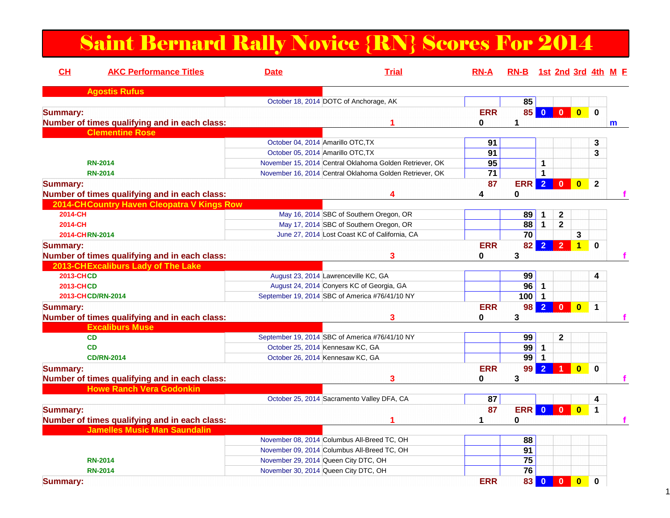# Saint Bernard Rally Novice {RN} Scores For 2014

| CH               | <b>AKC Performance Titles</b>                 | <b>Date</b>                          | <b>Trial</b>                                            | <b>RN-A</b>     | RN-B 1st 2nd 3rd 4th M F |                         |                         |                         |              |   |
|------------------|-----------------------------------------------|--------------------------------------|---------------------------------------------------------|-----------------|--------------------------|-------------------------|-------------------------|-------------------------|--------------|---|
|                  | <b>Agostis Rufus</b>                          |                                      |                                                         |                 |                          |                         |                         |                         |              |   |
|                  |                                               |                                      | October 18, 2014 DOTC of Anchorage, AK                  |                 | 85                       |                         |                         |                         |              |   |
| <b>Summary:</b>  | Number of times qualifying and in each class: |                                      | 1                                                       | <b>ERR</b><br>0 | 85<br>1                  | $\overline{0}$          | $\overline{\mathbf{0}}$ | $\mathbf{0}$            | $\bf{0}$     | m |
|                  | <b>Clementine Rose</b>                        |                                      |                                                         |                 |                          |                         |                         |                         |              |   |
|                  |                                               | October 04, 2014 Amarillo OTC, TX    |                                                         | 91              |                          |                         |                         |                         | 3            |   |
|                  |                                               | October 05, 2014 Amarillo OTC, TX    |                                                         | 91              |                          |                         |                         |                         | 3            |   |
|                  | <b>RN-2014</b>                                |                                      | November 15, 2014 Central Oklahoma Golden Retriever, OK | 95              |                          | $\mathbf 1$             |                         |                         |              |   |
|                  | <b>RN-2014</b>                                |                                      | November 16, 2014 Central Oklahoma Golden Retriever, OK | $\overline{71}$ |                          | $\mathbf{1}$            |                         |                         |              |   |
| <b>Summary:</b>  | Number of times qualifying and in each class: |                                      |                                                         | 87<br>4         | <b>ERR</b><br>0          | 2 <sup>1</sup>          | $\mathbf{0}$            | $\mathbf{0}$            | $\mathbf{2}$ |   |
|                  | 2014-CHCountry Haven Cleopatra V Kings Row    |                                      |                                                         |                 |                          |                         |                         |                         |              |   |
| 2014-CH          |                                               |                                      | May 16, 2014 SBC of Southern Oregon, OR                 |                 | 89                       | 1                       | $\mathbf{2}$            |                         |              |   |
| 2014-CH          |                                               |                                      | May 17, 2014 SBC of Southern Oregon, OR                 |                 | 88                       | $\mathbf 1$             | $\mathbf{2}$            |                         |              |   |
|                  | 2014-CHRN-2014                                |                                      | June 27, 2014 Lost Coast KC of California, CA           |                 | 70                       |                         |                         | 3                       |              |   |
| <b>Summary:</b>  | Number of times qualifying and in each class: |                                      | 3                                                       | <b>ERR</b><br>0 | 82<br>3                  | $\overline{2}$          | $\overline{2}$          | 1                       | $\bf{0}$     |   |
|                  | 2013-CHExcaliburs Lady of The Lake            |                                      |                                                         |                 |                          |                         |                         |                         |              |   |
| <b>2013-CHCD</b> |                                               |                                      | August 23, 2014 Lawrenceville KC, GA                    |                 | 99                       |                         |                         |                         | 4            |   |
| <b>2013-CHCD</b> |                                               |                                      | August 24, 2014 Conyers KC of Georgia, GA               |                 | 96                       | $\mathbf{1}$            |                         |                         |              |   |
|                  | 2013-CHCD/RN-2014                             |                                      | September 19, 2014 SBC of America #76/41/10 NY          |                 | 100                      | $\mathbf 1$             |                         |                         |              |   |
|                  |                                               |                                      |                                                         | <b>ERR</b>      | 98                       | $\overline{2}$          | $\Omega$                | $\overline{\mathbf{0}}$ | 1            |   |
| <b>Summary:</b>  | Number of times qualifying and in each class: |                                      | 3                                                       | 0               | 3                        |                         |                         |                         |              |   |
|                  | <b>Excaliburs Muse</b>                        |                                      |                                                         |                 |                          |                         |                         |                         |              |   |
|                  | CD                                            |                                      | September 19, 2014 SBC of America #76/41/10 NY          |                 | 99                       |                         | $\mathbf{2}$            |                         |              |   |
|                  | <b>CD</b>                                     | October 25, 2014 Kennesaw KC, GA     |                                                         |                 | 99                       | 1                       |                         |                         |              |   |
|                  | <b>CD/RN-2014</b>                             | October 26, 2014 Kennesaw KC, GA     |                                                         |                 | $\overline{99}$          | $\mathbf 1$             |                         |                         |              |   |
| <b>Summary:</b>  | Number of times qualifying and in each class: |                                      |                                                         | <b>ERR</b><br>0 | 99<br>3                  | $\overline{2}$          |                         | $\overline{\mathbf{0}}$ | $\mathbf 0$  |   |
|                  | <b>Howe Ranch Vera Godonkin</b>               |                                      |                                                         |                 |                          |                         |                         |                         |              |   |
|                  |                                               |                                      | October 25, 2014 Sacramento Valley DFA, CA              | 87              |                          |                         |                         |                         | 4            |   |
| <b>Summary:</b>  |                                               |                                      |                                                         | 87              | ERR                      | $\mathbf{0}$            | $\Omega$                | $\overline{\mathbf{0}}$ | 1            |   |
|                  | Number of times qualifying and in each class: |                                      |                                                         | 1               | 0                        |                         |                         |                         |              |   |
|                  | <b>Jamelles Music Man Saundalin</b>           |                                      |                                                         |                 |                          |                         |                         |                         |              |   |
|                  |                                               |                                      | November 08, 2014 Columbus All-Breed TC, OH             |                 | 88                       |                         |                         |                         |              |   |
|                  |                                               |                                      | November 09, 2014 Columbus All-Breed TC, OH             |                 | 91                       |                         |                         |                         |              |   |
|                  | <b>RN-2014</b>                                | November 29, 2014 Queen City DTC, OH |                                                         |                 | 75                       |                         |                         |                         |              |   |
|                  | <b>RN-2014</b>                                | November 30, 2014 Queen City DTC, OH |                                                         |                 | 76                       |                         |                         |                         |              |   |
| <b>Summary:</b>  |                                               |                                      |                                                         | <b>ERR</b>      | 83                       | $\overline{\mathbf{0}}$ | $\mathbf{0}$            | $\overline{\mathbf{0}}$ | 0            |   |

1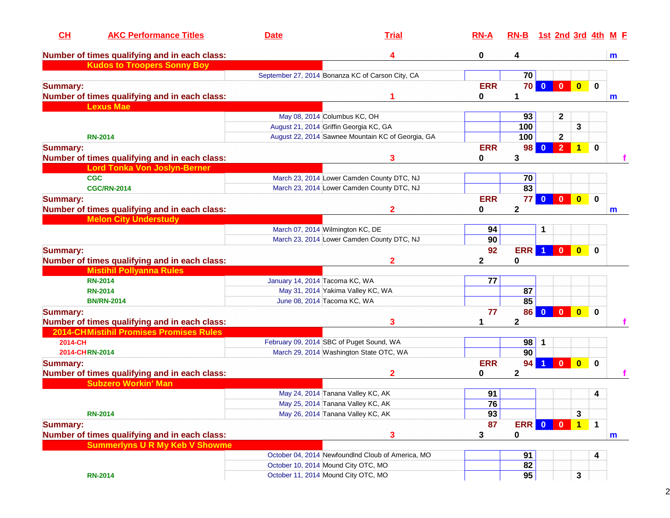| CH              | <b>AKC Performance Titles</b>                  | <b>Date</b>                    | <b>Trial</b>                                      | $RN-A$     | RN-B 1st 2nd 3rd 4th M F |                         |                                         |             |              |
|-----------------|------------------------------------------------|--------------------------------|---------------------------------------------------|------------|--------------------------|-------------------------|-----------------------------------------|-------------|--------------|
|                 | Number of times qualifying and in each class:  |                                | 4                                                 | 0          | 4                        |                         |                                         |             | m            |
|                 | <b>Kudos to Troopers Sonny Boy</b>             |                                |                                                   |            |                          |                         |                                         |             |              |
|                 |                                                |                                | September 27, 2014 Bonanza KC of Carson City, CA  |            | 70                       |                         |                                         |             |              |
| <b>Summary:</b> |                                                |                                |                                                   | <b>ERR</b> | <b>70</b>                | $\bf{0}$                | $\overline{\mathbf{0}}$<br>$\bf{0}$     | $\mathbf 0$ |              |
|                 | Number of times qualifying and in each class:  |                                |                                                   | 0          |                          |                         |                                         |             | m            |
|                 | <b>Lexus Mae</b>                               |                                |                                                   |            |                          |                         |                                         |             |              |
|                 |                                                |                                | May 08, 2014 Columbus KC, OH                      |            | 93                       |                         | $\mathbf 2$                             |             |              |
|                 |                                                |                                | August 21, 2014 Griffin Georgia KC, GA            |            | 100                      |                         | 3                                       |             |              |
|                 | <b>RN-2014</b>                                 |                                | August 22, 2014 Sawnee Mountain KC of Georgia, GA |            | 100                      |                         | $\mathbf{2}$                            |             |              |
| <b>Summary:</b> |                                                |                                |                                                   | <b>ERR</b> | 98                       |                         | $\overline{2}$<br>$\mathbf{1}$          | $\mathbf 0$ |              |
|                 | Number of times qualifying and in each class:  |                                | 3                                                 | 0          | 3                        |                         |                                         |             |              |
|                 | <b>Lord Tonka Von Joslyn-Berner</b>            |                                |                                                   |            |                          |                         |                                         |             |              |
|                 | <b>CGC</b>                                     |                                | March 23, 2014 Lower Camden County DTC, NJ        |            | 70                       |                         |                                         |             |              |
|                 | <b>CGC/RN-2014</b>                             |                                | March 23, 2014 Lower Camden County DTC, NJ        |            | $\overline{83}$          |                         |                                         |             |              |
| <b>Summary:</b> |                                                |                                |                                                   | <b>ERR</b> | 77                       | $\mathbf{0}$            | $\overline{\mathbf{0}}$<br>$\bullet$    | $\mathbf 0$ |              |
|                 | Number of times qualifying and in each class:  |                                | 2                                                 | 0          | $\mathbf 2$              |                         |                                         |             | $\mathsf{m}$ |
|                 | <b>Melon City Understudy</b>                   |                                |                                                   |            |                          |                         |                                         |             |              |
|                 |                                                |                                | March 07, 2014 Wilmington KC, DE                  | 94         |                          | 1                       |                                         |             |              |
|                 |                                                |                                | March 23, 2014 Lower Camden County DTC, NJ        | 90         |                          |                         |                                         |             |              |
| <b>Summary:</b> |                                                |                                |                                                   | 92         | <b>ERR</b>               | -1                      | $\mathbf{0}$<br>$\overline{\mathbf{0}}$ | $\bf{0}$    |              |
|                 | Number of times qualifying and in each class:  |                                | 2                                                 | 2          | 0                        |                         |                                         |             |              |
|                 | <b>Mistihil Pollyanna Rules</b>                |                                |                                                   |            |                          |                         |                                         |             |              |
|                 | <b>RN-2014</b>                                 | January 14, 2014 Tacoma KC, WA |                                                   | 77         |                          |                         |                                         |             |              |
|                 | <b>RN-2014</b>                                 |                                | May 31, 2014 Yakima Valley KC, WA                 |            | 87                       |                         |                                         |             |              |
|                 | <b>BN/RN-2014</b>                              |                                | June 08, 2014 Tacoma KC, WA                       |            | 85                       |                         |                                         |             |              |
| <b>Summary:</b> |                                                |                                |                                                   | 77         | 86                       | $\bf{0}$                | $\mathbf{0}$<br>$\bullet$               | $\mathbf 0$ |              |
|                 | Number of times qualifying and in each class:  |                                | 3                                                 |            | $\mathbf 2$              |                         |                                         |             |              |
|                 | <b>2014-CHMistihil Promises Promises Rules</b> |                                |                                                   |            |                          |                         |                                         |             |              |
| 2014-CH         |                                                |                                | February 09, 2014 SBC of Puget Sound, WA          |            | 98                       | $\mathbf{1}$            |                                         |             |              |
| 2014-CHRN-2014  |                                                |                                | March 29, 2014 Washington State OTC, WA           |            | 90                       |                         |                                         |             |              |
| <b>Summary:</b> |                                                |                                |                                                   | <b>ERR</b> | 94                       |                         | $\overline{0}$<br>$\mathbf{0}$          | $\mathbf 0$ |              |
|                 | Number of times qualifying and in each class:  |                                | $\mathbf{2}$                                      | 0          | $\mathbf 2$              |                         |                                         |             |              |
|                 | <b>Subzero Workin' Man</b>                     |                                |                                                   |            |                          |                         |                                         |             |              |
|                 |                                                |                                | May 24, 2014 Tanana Valley KC, AK                 | 91         |                          |                         |                                         | 4           |              |
|                 |                                                |                                | May 25, 2014 Tanana Valley KC, AK                 | 76         |                          |                         |                                         |             |              |
|                 | <b>RN-2014</b>                                 |                                |                                                   |            |                          |                         | 3                                       |             |              |
|                 |                                                |                                | May 26, 2014 Tanana Valley KC, AK                 | 93         |                          |                         |                                         |             |              |
| <b>Summary:</b> |                                                |                                |                                                   | 87         | <b>ERR</b>               | $\overline{\mathbf{0}}$ | $\mathbf{0}$<br>$\overline{1}$          | $\mathbf 1$ |              |
|                 | Number of times qualifying and in each class:  |                                | 3                                                 | 3          | 0                        |                         |                                         |             | $\mathbf m$  |
|                 | <b>Summerlyns U R My Keb V Showme</b>          |                                |                                                   |            |                          |                         |                                         |             |              |
|                 |                                                |                                | October 04, 2014 NewfoundInd Cloub of America, MO |            | 91                       |                         |                                         | 4           |              |
|                 |                                                |                                | October 10, 2014 Mound City OTC, MO               |            | 82                       |                         |                                         |             |              |
|                 | <b>RN-2014</b>                                 |                                | October 11, 2014 Mound City OTC, MO               |            | 95                       |                         | 3                                       |             |              |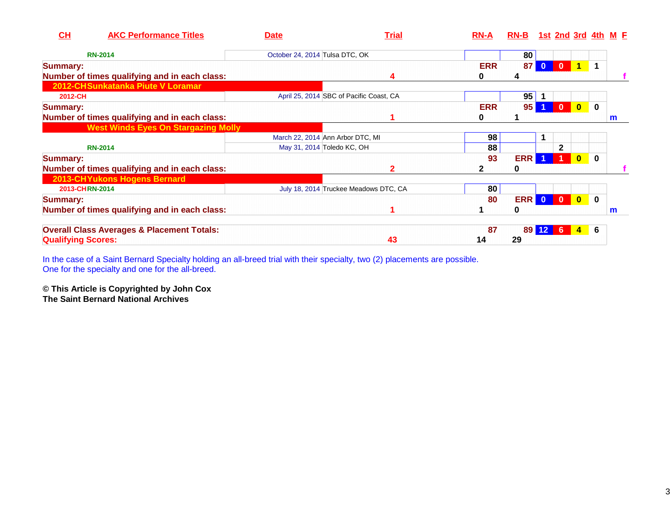| CH                        | <b>AKC Performance Titles</b>                         | <b>Date</b>                      | <u>Trial</u>                            | $RN-A$     | RN-B 1st 2nd 3rd 4th M E |              |                 |                         |             |   |
|---------------------------|-------------------------------------------------------|----------------------------------|-----------------------------------------|------------|--------------------------|--------------|-----------------|-------------------------|-------------|---|
|                           | <b>RN-2014</b>                                        | October 24, 2014 Tulsa DTC, OK   |                                         |            | 80                       |              |                 |                         |             |   |
| <b>Summary:</b>           |                                                       |                                  |                                         | <b>ERR</b> | 87 <sub>1</sub>          | $\mathbf{0}$ | $\overline{0}$  | $\blacktriangleleft$    | 1           |   |
|                           | Number of times qualifying and in each class:         |                                  | 4                                       | 0          | 4                        |              |                 |                         |             |   |
|                           | 2012-CHSunkatanka Piute V Loramar                     |                                  |                                         |            |                          |              |                 |                         |             |   |
| 2012-CH                   |                                                       |                                  | April 25, 2014 SBC of Pacific Coast, CA |            | 95                       |              |                 |                         |             |   |
| <b>Summary:</b>           |                                                       |                                  |                                         | <b>ERR</b> | 95 <sub>1</sub>          |              | $\mathbf{0}$    | $\overline{\mathbf{0}}$ | $\mathbf 0$ |   |
|                           | Number of times qualifying and in each class:         |                                  |                                         | 0          |                          |              |                 |                         |             | m |
|                           | <b>West Winds Eyes On Stargazing Molly</b>            |                                  |                                         |            |                          |              |                 |                         |             |   |
|                           |                                                       | March 22, 2014 Ann Arbor DTC, MI |                                         | 98         |                          |              |                 |                         |             |   |
|                           | <b>RN-2014</b>                                        | May 31, 2014 Toledo KC, OH       |                                         | 88         |                          |              | $\mathbf{2}$    |                         |             |   |
| <b>Summary:</b>           |                                                       |                                  |                                         | 93         | <b>ERR</b>               |              |                 | $\overline{\mathbf{0}}$ | $\mathbf 0$ |   |
|                           | Number of times qualifying and in each class:         |                                  |                                         |            | 0                        |              |                 |                         |             |   |
|                           | 2013-CHYukons Hogens Bernard                          |                                  |                                         |            |                          |              |                 |                         |             |   |
| 2013-CHRN-2014            |                                                       |                                  | July 18, 2014 Truckee Meadows DTC, CA   | 80         |                          |              |                 |                         |             |   |
| <b>Summary:</b>           |                                                       |                                  |                                         | 80         | <b>ERR 0 0 0</b>         |              |                 |                         | $\mathbf 0$ |   |
|                           | Number of times qualifying and in each class:         |                                  |                                         |            | 0                        |              |                 |                         |             | m |
|                           | <b>Overall Class Averages &amp; Placement Totals:</b> |                                  |                                         | 87         |                          | 89 12        | $6\phantom{.}6$ | $4 \t 6$                |             |   |
| <b>Qualifying Scores:</b> |                                                       |                                  | 43                                      | 14         | 29                       |              |                 |                         |             |   |

In the case of a Saint Bernard Specialty holding an all-breed trial with their specialty, two (2) placements are possible. One for the specialty and one for the all-breed.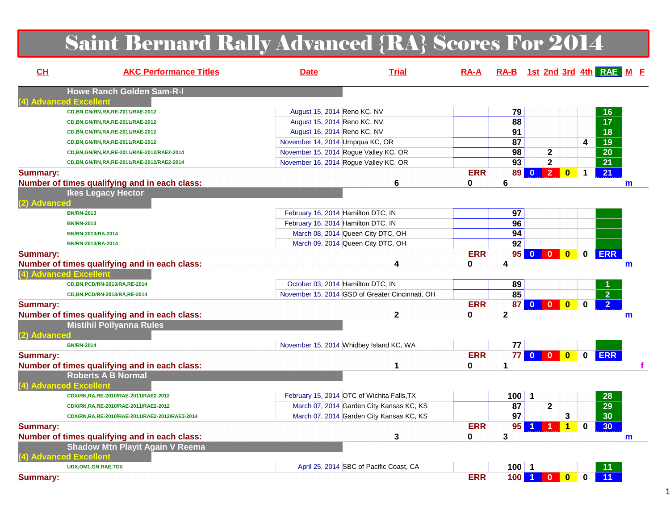# Saint Bernard Rally Advanced {RA} Scores For 2014

| CL              | <b>AKC Performance Titles</b>                                       | <b>Date</b>                                     | <b>Trial</b> | $RA-A$          | RA-B 1st 2nd 3rd 4th RAE M E |                         |                                           |             |                 |              |
|-----------------|---------------------------------------------------------------------|-------------------------------------------------|--------------|-----------------|------------------------------|-------------------------|-------------------------------------------|-------------|-----------------|--------------|
|                 | <b>Howe Ranch Golden Sam-R-I</b>                                    |                                                 |              |                 |                              |                         |                                           |             |                 |              |
|                 | <b>4) Advanced Excellent</b><br>CD, BN, GN/RN, RA, RE-2011/RAE-2012 | August 15, 2014 Reno KC, NV                     |              |                 | 79                           |                         |                                           |             | 16              |              |
|                 | CD, BN, GN/RN, RA, RE-2011/RAE-2012                                 | August 15, 2014 Reno KC, NV                     |              |                 | 88                           |                         |                                           |             | $\overline{17}$ |              |
|                 | CD, BN, GN/RN, RA, RE-2011/RAE-2012                                 | August 16, 2014 Reno KC, NV                     |              |                 | 91                           |                         |                                           |             | 18              |              |
|                 | CD, BN, GN/RN, RA, RE-2011/RAE-2012                                 | November 14, 2014 Umpqua KC, OR                 |              |                 | 87                           |                         |                                           | 4           | $\overline{19}$ |              |
|                 | CD, BN, GN/RN, RA, RE-2011/RAE-2012/RAE2-2014                       | November 15, 2014 Rogue Valley KC, OR           |              |                 | 98                           |                         | $\mathbf 2$                               |             | $\overline{20}$ |              |
|                 | CD, BN, GN/RN, RA, RE-2011/RAE-2012/RAE2-2014                       | November 16, 2014 Rogue Valley KC, OR           |              |                 | $\overline{93}$              |                         | $\mathbf 2$                               |             | $\overline{21}$ |              |
| <b>Summary:</b> |                                                                     |                                                 |              | <b>ERR</b>      |                              | 89 0 2                  | $\bf{0}$                                  | $\mathbf 1$ | $\overline{21}$ |              |
|                 | Number of times qualifying and in each class:                       |                                                 | 6            | 0               | 6                            |                         |                                           |             |                 | m            |
|                 | <b>Ikes Legacy Hector</b>                                           |                                                 |              |                 |                              |                         |                                           |             |                 |              |
| (2) Advanced    |                                                                     |                                                 |              |                 |                              |                         |                                           |             |                 |              |
|                 | <b>BN/RN-2013</b>                                                   | February 16, 2014 Hamilton DTC, IN              |              |                 | 97                           |                         |                                           |             |                 |              |
|                 | <b>BN/RN-2013</b>                                                   | February 16, 2014 Hamilton DTC, IN              |              |                 | 96                           |                         |                                           |             |                 |              |
|                 | BN/RN-2013/RA-2014                                                  | March 08, 2014 Queen City DTC, OH               |              |                 | 94                           |                         |                                           |             |                 |              |
|                 | BN/RN-2013/RA-2014                                                  | March 09, 2014 Queen City DTC, OH               |              |                 | 92                           |                         |                                           |             |                 |              |
| <b>Summary:</b> | Number of times qualifying and in each class:                       |                                                 | 4            | <b>ERR</b><br>0 | 4                            | 95 0 0                  | $\bullet$                                 | $\mathbf 0$ | <b>ERR</b>      | $\mathsf{m}$ |
|                 | (4) Advanced Excellent                                              |                                                 |              |                 |                              |                         |                                           |             |                 |              |
|                 | CD, BN, PCD/RN-2013/RA, RE-2014                                     | October 03, 2014 Hamilton DTC, IN               |              |                 | 89                           |                         |                                           |             |                 |              |
|                 | CD, BN, PCD/RN-2013/RA, RE-2014                                     | November 15, 2014 GSD of Greater Cincinnati, OH |              |                 | 85                           |                         |                                           |             | $\overline{2}$  |              |
| <b>Summary:</b> |                                                                     |                                                 |              | <b>ERR</b>      | 87                           | $\overline{\mathbf{0}}$ | $\mathbf{0}$<br>$\overline{\mathbf{0}}$   | $\bf{0}$    | $\overline{2}$  |              |
|                 | Number of times qualifying and in each class:                       |                                                 | $\mathbf 2$  | 0               | $\mathbf{2}$                 |                         |                                           |             | m               |              |
|                 | <b>Mistihil Pollyanna Rules</b>                                     |                                                 |              |                 |                              |                         |                                           |             |                 |              |
| (2) Advanced    |                                                                     |                                                 |              |                 |                              |                         |                                           |             |                 |              |
|                 | <b>BN/RN-2014</b>                                                   | November 15, 2014 Whidbey Island KC, WA         |              |                 | 77                           |                         |                                           |             |                 |              |
| <b>Summary:</b> |                                                                     |                                                 |              | <b>ERR</b>      | 77                           | $\overline{0}$          | $\overline{0}$<br>$\overline{\mathbf{0}}$ | $\mathbf 0$ | <b>ERR</b>      |              |
|                 | Number of times qualifying and in each class:                       |                                                 | 1            | $\bf{0}$        | 1                            |                         |                                           |             |                 |              |
|                 | <b>Roberts A B Normal</b>                                           |                                                 |              |                 |                              |                         |                                           |             |                 |              |
|                 | (4) Advanced Excellent                                              |                                                 |              |                 |                              |                         |                                           |             |                 |              |
|                 | CDX/RN,RA,RE-2010/RAE-2011/RAE2-2012                                | February 15, 2014 OTC of Wichita Falls, TX      |              |                 | 100                          | $\mathbf 1$             |                                           |             | 28              |              |
|                 | CDX/RN,RA,RE-2010/RAE-2011/RAE2-2012                                | March 07, 2014 Garden City Kansas KC, KS        |              |                 | 87                           |                         | $\mathbf{2}$                              |             | $\overline{29}$ |              |
|                 | CDX/RN,RA,RE-2010/RAE-2011/RAE2-2012/RAE3-2014                      | March 07, 2014 Garden City Kansas KC, KS        |              |                 | $\overline{97}$              |                         | 3                                         |             | $\overline{30}$ |              |
| <b>Summary:</b> |                                                                     |                                                 |              | <b>ERR</b>      | 95                           | 1                       | $\blacktriangleleft$                      | 0           | 30 <sub>o</sub> |              |
|                 | Number of times qualifying and in each class:                       |                                                 | 3            | 0               | 3                            |                         |                                           |             |                 | $\mathbf{m}$ |
|                 | <b>Shadow Mtn Playit Again V Reema</b>                              |                                                 |              |                 |                              |                         |                                           |             |                 |              |
|                 | (4) Advanced Excellent                                              |                                                 |              |                 |                              |                         |                                           |             |                 |              |
|                 | UDX,OM1,GN,RAE,TDX                                                  | April 25, 2014 SBC of Pacific Coast, CA         |              |                 | $100$ 1                      |                         |                                           |             | 11              |              |
| <b>Summary:</b> |                                                                     |                                                 |              | <b>ERR</b>      |                              | 100 1 0                 | $\mathbf{0}$                              | $\bf{0}$    | 11              |              |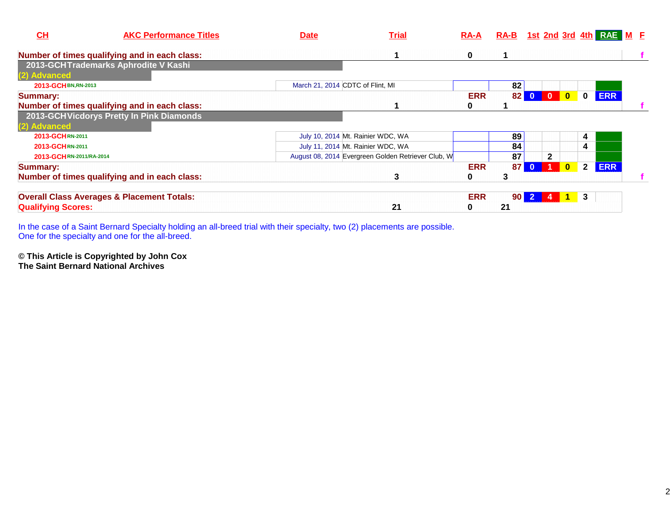| CH<br><b>AKC Performance Titles</b>                   | <b>Date</b>                      | <b>Trial</b>                                       | $RA-A$     |                 |                |              |              | RA-B 1st 2nd 3rd 4th RAE M E |  |
|-------------------------------------------------------|----------------------------------|----------------------------------------------------|------------|-----------------|----------------|--------------|--------------|------------------------------|--|
| Number of times qualifying and in each class:         |                                  |                                                    | 0          |                 |                |              |              |                              |  |
| 2013-GCHTrademarks Aphrodite V Kashi                  |                                  |                                                    |            |                 |                |              |              |                              |  |
| (2) Advanced                                          |                                  |                                                    |            |                 |                |              |              |                              |  |
| 2013-GCH BN, RN-2013                                  | March 21, 2014 CDTC of Flint, MI |                                                    |            | 82              |                |              |              |                              |  |
| Summary:                                              |                                  |                                                    | <b>ERR</b> | 82              |                | $\mathbf{0}$ | $\bf{0}$     | <b>ERR</b>                   |  |
| Number of times qualifying and in each class:         |                                  |                                                    |            |                 |                |              |              |                              |  |
| 2013-GCHVicdorys Pretty In Pink Diamonds              |                                  |                                                    |            |                 |                |              |              |                              |  |
| (2) Advanced                                          |                                  |                                                    |            |                 |                |              |              |                              |  |
| 2013-GCHRN-2011                                       |                                  | July 10, 2014 Mt. Rainier WDC, WA                  |            | 89              |                |              | 4            |                              |  |
| 2013-GCHRN-2011                                       |                                  | July 11, 2014 Mt. Rainier WDC, WA                  |            | 84              |                |              | 4            |                              |  |
| 2013-GCHRN-2011/RA-2014                               |                                  | August 08, 2014 Evergreen Golden Retriever Club, W |            | 87              | $\overline{2}$ |              |              |                              |  |
| <b>Summary:</b>                                       |                                  |                                                    | <b>ERR</b> | 87 <sup>1</sup> | $\mathbf{0}$   | $\mathbf{0}$ | $\mathbf{2}$ | <b>ERR</b>                   |  |
| Number of times qualifying and in each class:         |                                  | 3                                                  |            | 3               |                |              |              |                              |  |
| <b>Overall Class Averages &amp; Placement Totals:</b> |                                  |                                                    | <b>ERR</b> | 90 <sub>1</sub> |                |              | 3            |                              |  |
| <b>Qualifying Scores:</b>                             |                                  | 21                                                 | υ          | 21              |                |              |              |                              |  |

In the case of a Saint Bernard Specialty holding an all-breed trial with their specialty, two (2) placements are possible. One for the specialty and one for the all-breed.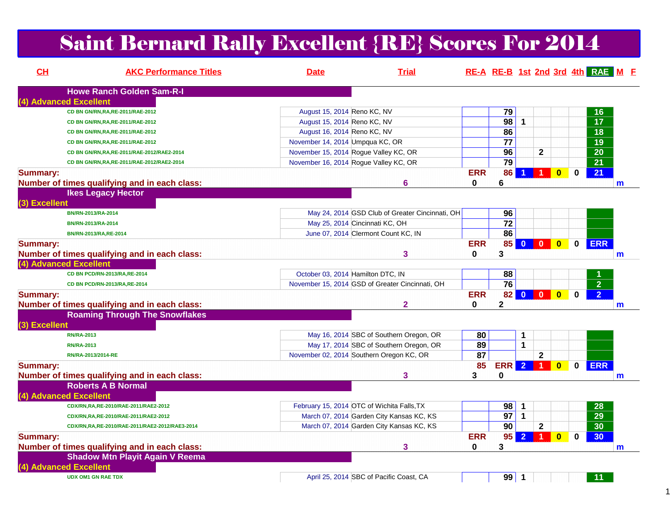# Saint Bernard Rally Excellent {RE} Scores For 2014

| CL              | <b>AKC Performance Titles</b>                  | <b>Date</b>                           | <b>Trial</b>                                    |            |                 |                         |                                |             | RE-A RE-B 1st 2nd 3rd 4th RAE M F |              |
|-----------------|------------------------------------------------|---------------------------------------|-------------------------------------------------|------------|-----------------|-------------------------|--------------------------------|-------------|-----------------------------------|--------------|
|                 | <b>Howe Ranch Golden Sam-R-I</b>               |                                       |                                                 |            |                 |                         |                                |             |                                   |              |
|                 | (4) Advanced Excellent                         |                                       |                                                 |            |                 |                         |                                |             |                                   |              |
|                 | CD BN GN/RN, RA, RE-2011/RAE-2012              | August 15, 2014 Reno KC, NV           |                                                 |            | 79              |                         |                                |             | 16                                |              |
|                 | CD BN GN/RN, RA, RE-2011/RAE-2012              | August 15, 2014 Reno KC, NV           |                                                 |            | 98              | $\mathbf{1}$            |                                |             | $\overline{17}$                   |              |
|                 | CD BN GN/RN, RA, RE-2011/RAE-2012              | August 16, 2014 Reno KC, NV           |                                                 |            | 86              |                         |                                |             | 18                                |              |
|                 | CD BN GN/RN, RA, RE-2011/RAE-2012              | November 14, 2014 Umpqua KC, OR       |                                                 |            | $\overline{77}$ |                         |                                |             | $\overline{19}$                   |              |
|                 | CD BN GN/RN, RA, RE-2011/RAE-2012/RAE2-2014    | November 15, 2014 Rogue Valley KC, OR |                                                 |            | 96              |                         | $\mathbf{2}$                   |             | $\overline{20}$                   |              |
|                 | CD BN GN/RN, RA, RE-2011/RAE-2012/RAE2-2014    | November 16, 2014 Rogue Valley KC, OR |                                                 |            | 79              |                         |                                |             | $\overline{21}$                   |              |
| <b>Summary:</b> |                                                |                                       |                                                 | <b>ERR</b> | 86              | -1                      | $\bf{0}$<br>1                  | $\mathbf 0$ | 21                                |              |
|                 | Number of times qualifying and in each class:  |                                       | 6                                               | 0          | 6               |                         |                                |             |                                   | m            |
|                 | <b>Ikes Legacy Hector</b>                      |                                       |                                                 |            |                 |                         |                                |             |                                   |              |
| (3) Excellent   |                                                |                                       |                                                 |            |                 |                         |                                |             |                                   |              |
|                 | BN/RN-2013/RA-2014                             |                                       | May 24, 2014 GSD Club of Greater Cincinnati, OH |            | 96              |                         |                                |             |                                   |              |
|                 | BN/RN-2013/RA-2014                             |                                       | May 25, 2014 Cincinnati KC, OH                  |            | $\overline{72}$ |                         |                                |             |                                   |              |
|                 | BN/RN-2013/RA, RE-2014                         |                                       | June 07, 2014 Clermont Count KC, IN             |            | 86              |                         |                                |             |                                   |              |
| <b>Summary:</b> |                                                |                                       |                                                 | <b>ERR</b> | 85              |                         | $\bullet$                      | $\mathbf 0$ | <b>ERR</b>                        |              |
|                 | Number of times qualifying and in each class:  |                                       | 3                                               | 0          | 3               |                         |                                |             |                                   | m            |
|                 | (4) Advanced Excellent                         |                                       |                                                 |            |                 |                         |                                |             |                                   |              |
|                 | CD BN PCD/RN-2013/RA,RE-2014                   | October 03, 2014 Hamilton DTC, IN     |                                                 |            | 88              |                         |                                |             |                                   |              |
|                 | CD BN PCD/RN-2013/RA,RE-2014                   |                                       | November 15, 2014 GSD of Greater Cincinnati, OH |            | $\overline{76}$ |                         |                                |             | 2 <sup>1</sup>                    |              |
| <b>Summary:</b> |                                                |                                       |                                                 | <b>ERR</b> | 82              | $\overline{\mathbf{0}}$ | $\mathbf{0}$<br>$\overline{0}$ | 0           | 2 <sup>1</sup>                    |              |
|                 | Number of times qualifying and in each class:  |                                       | $\overline{\mathbf{2}}$                         | 0          | 2               |                         |                                |             |                                   | m            |
|                 | <b>Roaming Through The Snowflakes</b>          |                                       |                                                 |            |                 |                         |                                |             |                                   |              |
| (3) Excellent   |                                                |                                       |                                                 |            |                 |                         |                                |             |                                   |              |
|                 | <b>RN/RA-2013</b>                              |                                       | May 16, 2014 SBC of Southern Oregon, OR         | 80         |                 | 1                       |                                |             |                                   |              |
|                 | <b>RN/RA-2013</b>                              |                                       | May 17, 2014 SBC of Southern Oregon, OR         | 89         |                 | $\mathbf{1}$            |                                |             |                                   |              |
|                 | RN/RA-2013/2014-RE                             |                                       | November 02, 2014 Southern Oregon KC, OR        | 87         |                 |                         | $\mathbf{2}$                   |             |                                   |              |
| <b>Summary:</b> |                                                |                                       |                                                 | 85         | <b>ERR</b> 2 1  |                         | $\mathbf{0}$                   | $\mathbf 0$ | <b>ERR</b>                        |              |
|                 | Number of times qualifying and in each class:  |                                       | 3                                               | 3          | 0               |                         |                                |             |                                   | $\mathsf{m}$ |
|                 | <b>Roberts A B Normal</b>                      |                                       |                                                 |            |                 |                         |                                |             |                                   |              |
|                 | (4) Advanced Excellent                         |                                       |                                                 |            |                 |                         |                                |             |                                   |              |
|                 | CDX/RN,RA,RE-2010/RAE-2011/RAE2-2012           |                                       | February 15, 2014 OTC of Wichita Falls, TX      |            | 98              | $\mathbf 1$             |                                |             | 28                                |              |
|                 | CDX/RN,RA,RE-2010/RAE-2011/RAE2-2012           |                                       | March 07, 2014 Garden City Kansas KC, KS        |            | 97              | $\mathbf{1}$            |                                |             | $\overline{29}$                   |              |
|                 | CDX/RN,RA,RE-2010/RAE-2011/RAE2-2012/RAE3-2014 |                                       | March 07, 2014 Garden City Kansas KC, KS        |            | 90              |                         | $\mathbf{2}$                   |             | 30                                |              |
|                 |                                                |                                       |                                                 | <b>ERR</b> |                 | $95$ 2                  | 1 <sup>1</sup>                 |             | 30                                |              |
| <b>Summary:</b> |                                                |                                       |                                                 |            |                 |                         | $\bf{0}$                       | $\mathbf 0$ |                                   |              |
|                 | Number of times qualifying and in each class:  |                                       | 3                                               | 0          | 3               |                         |                                |             |                                   | m            |
|                 | <b>Shadow Mtn Playit Again V Reema</b>         |                                       |                                                 |            |                 |                         |                                |             |                                   |              |
|                 | (4) Advanced Excellent                         |                                       |                                                 |            |                 |                         |                                |             |                                   |              |
|                 | <b>UDX OM1 GN RAE TDX</b>                      |                                       | April 25, 2014 SBC of Pacific Coast, CA         |            | $99$ 1          |                         |                                |             | 11 <sub>1</sub>                   |              |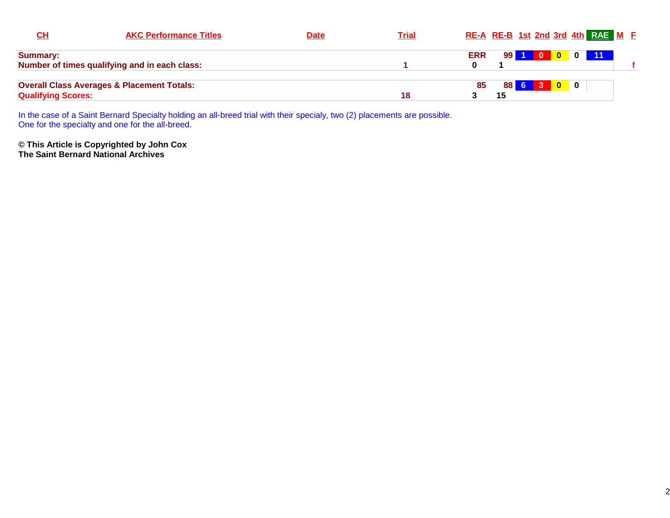| <u>СН</u>                 | <b>AKC Performance Titles</b>                         | <u>Date</u> | <b>Trial</b> |            |             | RE-A RE-B 1st 2nd 3rd 4th RAE M E |  |  |
|---------------------------|-------------------------------------------------------|-------------|--------------|------------|-------------|-----------------------------------|--|--|
| Summary:                  |                                                       |             |              | <b>ERR</b> | <b>99 I</b> | 100011                            |  |  |
|                           | Number of times qualifying and in each class:         |             |              |            |             |                                   |  |  |
|                           | <b>Overall Class Averages &amp; Placement Totals:</b> |             |              | 85         | <b>88 I</b> | $6 \mid 3$                        |  |  |
| <b>Qualifying Scores:</b> |                                                       |             | 18           |            | 15          |                                   |  |  |

In the case of a Saint Bernard Specialty holding an all-breed trial with their specialy, two (2) placements are possible. One for the specialty and one for the all-breed.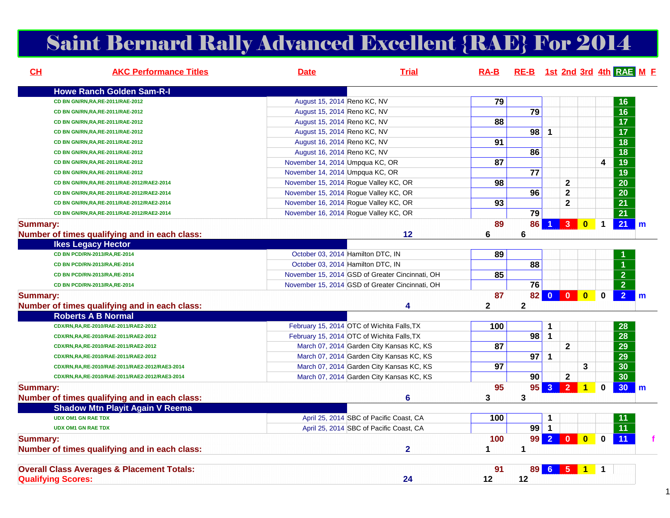# Saint Bernard Rally Advanced Excellent {RAE} For 2014

| CH              | <b>AKC Performance Titles</b>                              | <b>Date</b>                     | <b>Trial</b>                                                                                       | $RA-B$            | RE-B 1st 2nd 3rd 4th RAE M F |                      |                |                         |                      |                 |                |
|-----------------|------------------------------------------------------------|---------------------------------|----------------------------------------------------------------------------------------------------|-------------------|------------------------------|----------------------|----------------|-------------------------|----------------------|-----------------|----------------|
|                 | <b>Howe Ranch Golden Sam-R-I</b>                           |                                 |                                                                                                    |                   |                              |                      |                |                         |                      |                 |                |
|                 | CD BN GN/RN, RA, RE-2011/RAE-2012                          | August 15, 2014 Reno KC, NV     |                                                                                                    | 79                |                              |                      |                |                         |                      | 16              |                |
|                 | CD BN GN/RN, RA, RE-2011/RAE-2012                          | August 15, 2014 Reno KC, NV     |                                                                                                    |                   | 79                           |                      |                |                         |                      | $\overline{16}$ |                |
|                 | CD BN GN/RN, RA, RE-2011/RAE-2012                          | August 15, 2014 Reno KC, NV     |                                                                                                    | 88                |                              |                      |                |                         |                      | $\overline{17}$ |                |
|                 | CD BN GN/RN, RA, RE-2011/RAE-2012                          | August 15, 2014 Reno KC, NV     |                                                                                                    |                   | 98                           | $\mathbf{1}$         |                |                         |                      | $\overline{17}$ |                |
|                 | CD BN GN/RN, RA, RE-2011/RAE-2012                          | August 16, 2014 Reno KC, NV     |                                                                                                    | 91                |                              |                      |                |                         |                      | $\overline{18}$ |                |
|                 | CD BN GN/RN, RA, RE-2011/RAE-2012                          | August 16, 2014 Reno KC, NV     |                                                                                                    |                   | 86                           |                      |                |                         |                      | $\overline{18}$ |                |
|                 | CD BN GN/RN, RA, RE-2011/RAE-2012                          | November 14, 2014 Umpqua KC, OR |                                                                                                    | 87                |                              |                      |                |                         | 4                    | $\overline{19}$ |                |
|                 | CD BN GN/RN, RA, RE-2011/RAE-2012                          | November 14, 2014 Umpqua KC, OR |                                                                                                    |                   | 77                           |                      |                |                         |                      | $\overline{19}$ |                |
|                 | CD BN GN/RN, RA, RE-2011/RAE-2012/RAE2-2014                |                                 | November 15, 2014 Rogue Valley KC, OR                                                              | 98                |                              |                      | $\mathbf{2}$   |                         |                      | $\overline{20}$ |                |
|                 | CD BN GN/RN, RA, RE-2011/RAE-2012/RAE2-2014                |                                 | November 15, 2014 Rogue Valley KC, OR                                                              |                   | 96                           |                      | $\mathbf 2$    |                         |                      | $\overline{20}$ |                |
|                 | CD BN GN/RN, RA, RE-2011/RAE-2012/RAE2-2014                |                                 | November 16, 2014 Rogue Valley KC, OR                                                              | 93                |                              |                      | $\mathbf{2}$   |                         |                      | $\overline{21}$ |                |
|                 | CD BN GN/RN, RA, RE-2011/RAE-2012/RAE2-2014                |                                 | November 16, 2014 Rogue Valley KC, OR                                                              |                   | $\overline{79}$              |                      |                |                         |                      | $\overline{21}$ |                |
| <b>Summary:</b> |                                                            |                                 | 12                                                                                                 | 89<br>6           | 86<br>6                      | $\blacktriangleleft$ | 3 <sup>2</sup> | $\mathbf{0}$            | $\blacktriangleleft$ | 21              | $\blacksquare$ |
|                 | Number of times qualifying and in each class:              |                                 |                                                                                                    |                   |                              |                      |                |                         |                      |                 |                |
|                 | <b>Ikes Legacy Hector</b><br>CD BN PCD/RN-2013/RA, RE-2014 |                                 |                                                                                                    |                   |                              |                      |                |                         |                      |                 |                |
|                 |                                                            |                                 | October 03, 2014 Hamilton DTC, IN                                                                  | 89                | 88                           |                      |                |                         |                      |                 |                |
|                 | CD BN PCD/RN-2013/RA, RE-2014                              |                                 | October 03, 2014 Hamilton DTC, IN                                                                  | 85                |                              |                      |                |                         |                      | $\overline{2}$  |                |
|                 | CD BN PCD/RN-2013/RA, RE-2014                              |                                 | November 15, 2014 GSD of Greater Cincinnati, OH<br>November 15, 2014 GSD of Greater Cincinnati, OH |                   | 76                           |                      |                |                         |                      | $\overline{2}$  |                |
|                 | CD BN PCD/RN-2013/RA, RE-2014                              |                                 |                                                                                                    |                   |                              |                      |                |                         |                      |                 |                |
| <b>Summary:</b> | Number of times qualifying and in each class:              |                                 | 4                                                                                                  | 87<br>$\mathbf 2$ | $\mathbf 2$                  | 82 0 0 0             |                |                         | $\mathbf 0$          | 2 <sup>7</sup>  | $\mathsf{m}$   |
|                 | <b>Roberts A B Normal</b>                                  |                                 |                                                                                                    |                   |                              |                      |                |                         |                      |                 |                |
|                 | CDX/RN,RA,RE-2010/RAE-2011/RAE2-2012                       |                                 | February 15, 2014 OTC of Wichita Falls, TX                                                         | 100               |                              | 1                    |                |                         |                      | 28              |                |
|                 | CDX/RN,RA,RE-2010/RAE-2011/RAE2-2012                       |                                 | February 15, 2014 OTC of Wichita Falls, TX                                                         |                   | 98                           | $\mathbf{1}$         |                |                         |                      | $\overline{28}$ |                |
|                 | CDX/RN,RA,RE-2010/RAE-2011/RAE2-2012                       |                                 | March 07, 2014 Garden City Kansas KC, KS                                                           | 87                |                              |                      | $\mathbf{2}$   |                         |                      | 29              |                |
|                 | CDX/RN,RA,RE-2010/RAE-2011/RAE2-2012                       |                                 | March 07, 2014 Garden City Kansas KC, KS                                                           |                   | 97                           | $\mathbf{1}$         |                |                         |                      | $\overline{29}$ |                |
|                 | CDX/RN,RA,RE-2010/RAE-2011/RAE2-2012/RAE3-2014             |                                 | March 07, 2014 Garden City Kansas KC, KS                                                           | 97                |                              |                      |                | 3                       |                      | 30              |                |
|                 | CDX/RN,RA,RE-2010/RAE-2011/RAE2-2012/RAE3-2014             |                                 | March 07, 2014 Garden City Kansas KC, KS                                                           |                   | 90                           |                      | $\mathbf 2$    |                         |                      | 30              |                |
| <b>Summary:</b> |                                                            |                                 |                                                                                                    | 95                | 95                           |                      | $3 \quad 2$    | $\overline{1}$          | $\mathbf 0$          | $30$ m          |                |
|                 | Number of times qualifying and in each class:              |                                 | 6                                                                                                  | 3                 | 3                            |                      |                |                         |                      |                 |                |
|                 | <b>Shadow Mtn Playit Again V Reema</b>                     |                                 |                                                                                                    |                   |                              |                      |                |                         |                      |                 |                |
|                 | <b>UDX OM1 GN RAE TDX</b>                                  |                                 | April 25, 2014 SBC of Pacific Coast, CA                                                            | 100               |                              | 1                    |                |                         |                      |                 |                |
|                 | <b>UDX OM1 GN RAE TDX</b>                                  |                                 | April 25, 2014 SBC of Pacific Coast, CA                                                            |                   | 99                           | $\mathbf{1}$         |                |                         |                      | $\overline{11}$ |                |
| <b>Summary:</b> |                                                            |                                 |                                                                                                    | 100               | 99                           |                      | 20             | $\overline{\mathbf{0}}$ | $\bf{0}$             | 11              |                |
|                 | Number of times qualifying and in each class:              |                                 | $\mathbf{2}$                                                                                       | 1.                | $\mathbf 1$                  |                      |                |                         |                      |                 |                |
|                 | <b>Overall Class Averages &amp; Placement Totals:</b>      |                                 |                                                                                                    | 91                |                              | 89 6 5 1             |                |                         | $\mathbf{1}$         |                 |                |
|                 | <b>Qualifying Scores:</b>                                  |                                 | 24                                                                                                 | 12                | 12                           |                      |                |                         |                      |                 |                |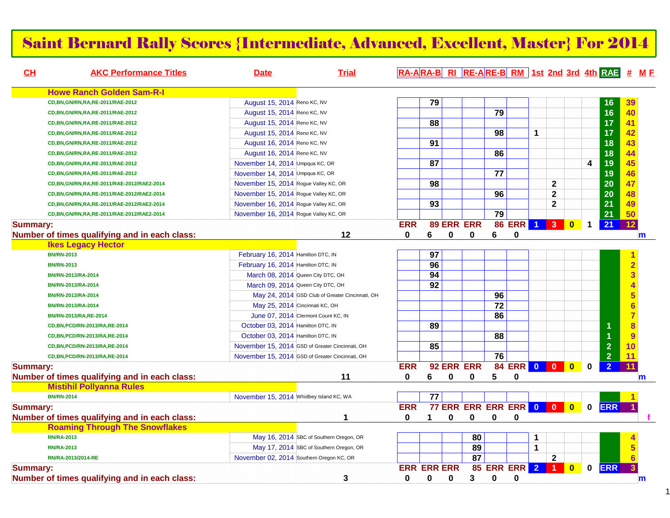### Saint Bernard Rally Scores {Intermediate, Advanced, Excellent, Master} For 2014

| CH              | <b>AKC Performance Titles</b>                 | <b>Date</b>                              | <b>Trial</b>                                    |            |                    |          |                               |                 |                |                      |                |              |             |                | RA-ARA-B RI RE-ARE-B RM 1st 2nd 3rd 4th RAE # ME |  |
|-----------------|-----------------------------------------------|------------------------------------------|-------------------------------------------------|------------|--------------------|----------|-------------------------------|-----------------|----------------|----------------------|----------------|--------------|-------------|----------------|--------------------------------------------------|--|
|                 | <b>Howe Ranch Golden Sam-R-I</b>              |                                          |                                                 |            |                    |          |                               |                 |                |                      |                |              |             |                |                                                  |  |
|                 | CD, BN, GN/RN, RA, RE-2011/RAE-2012           | August 15, 2014 Reno KC, NV              |                                                 |            | 79                 |          |                               |                 |                |                      |                |              |             | 16             | 39                                               |  |
|                 | CD, BN, GN/RN, RA, RE-2011/RAE-2012           | August 15, 2014 Reno KC, NV              |                                                 |            |                    |          |                               | $\overline{79}$ |                |                      |                |              |             | 16             | 40                                               |  |
|                 | CD, BN, GN/RN, RA, RE-2011/RAE-2012           | August 15, 2014 Reno KC, NV              |                                                 |            | 88                 |          |                               |                 |                |                      |                |              |             | 17             | 41                                               |  |
|                 | CD, BN, GN/RN, RA, RE-2011/RAE-2012           | August 15, 2014 Reno KC, NV              |                                                 |            |                    |          |                               | 98              |                | 1                    |                |              |             | 17             | 42                                               |  |
|                 | CD, BN, GN/RN, RA, RE-2011/RAE-2012           | August 16, 2014 Reno KC, NV              |                                                 |            | $\overline{91}$    |          |                               |                 |                |                      |                |              |             | 18             | 43                                               |  |
|                 | CD, BN, GN/RN, RA, RE-2011/RAE-2012           | August 16, 2014 Reno KC, NV              |                                                 |            |                    |          |                               | 86              |                |                      |                |              |             | 18             | 44                                               |  |
|                 | CD, BN, GN/RN, RA, RE-2011/RAE-2012           | November 14, 2014 Umpqua KC, OR          |                                                 |            | 87                 |          |                               |                 |                |                      |                |              | 4           | 19             | 45                                               |  |
|                 | CD, BN, GN/RN, RA, RE-2011/RAE-2012           | November 14, 2014 Umpqua KC, OR          |                                                 |            |                    |          |                               | 77              |                |                      |                |              |             | 19             | 46                                               |  |
|                 | CD,BN,GN/RN,RA,RE-2011/RAE-2012/RAE2-2014     | November 15, 2014 Rogue Valley KC, OR    |                                                 |            | 98                 |          |                               |                 |                |                      | $\mathbf{2}$   |              |             | 20             | 47                                               |  |
|                 | CD,BN,GN/RN,RA,RE-2011/RAE-2012/RAE2-2014     | November 15, 2014 Rogue Valley KC, OR    |                                                 |            |                    |          |                               | 96              |                |                      | $\mathbf 2$    |              |             | 20             | 48                                               |  |
|                 | CD,BN,GN/RN,RA,RE-2011/RAE-2012/RAE2-2014     | November 16, 2014 Rogue Valley KC, OR    |                                                 |            | $\overline{93}$    |          |                               |                 |                |                      | $\mathbf 2$    |              |             | 21             | 49                                               |  |
|                 | CD, BN, GN/RN, RA, RE-2011/RAE-2012/RAE2-2014 | November 16, 2014 Rogue Valley KC, OR    |                                                 |            |                    |          |                               | $\overline{79}$ |                |                      |                |              |             | 21             | 50                                               |  |
| <b>Summary:</b> |                                               |                                          |                                                 | <b>ERR</b> |                    |          | 89 ERR ERR                    |                 | <b>86 ERR</b>  | $\blacktriangleleft$ | $\overline{3}$ | $\bf{0}$     | 1           | 21             | 12 <sub>2</sub>                                  |  |
|                 | Number of times qualifying and in each class: |                                          | 12                                              | 0          | 6                  | 0        | $\bf{0}$                      | 6               | $\bf{0}$       |                      |                |              |             |                | m                                                |  |
|                 | <b>Ikes Legacy Hector</b>                     |                                          |                                                 |            |                    |          |                               |                 |                |                      |                |              |             |                |                                                  |  |
|                 | <b>BN/RN-2013</b>                             | February 16, 2014 Hamilton DTC, IN       |                                                 |            | 97                 |          |                               |                 |                |                      |                |              |             |                | $\mathbf{1}$                                     |  |
|                 | <b>BN/RN-2013</b>                             | February 16, 2014 Hamilton DTC, IN       |                                                 |            | 96                 |          |                               |                 |                |                      |                |              |             |                | $\overline{2}$                                   |  |
|                 | BN/RN-2013/RA-2014                            |                                          | March 08, 2014 Queen City DTC, OH               |            | 94                 |          |                               |                 |                |                      |                |              |             |                | $\overline{\mathbf{3}}$                          |  |
|                 | BN/RN-2013/RA-2014                            |                                          | March 09, 2014 Queen City DTC, OH               |            | $\overline{92}$    |          |                               |                 |                |                      |                |              |             |                | $\overline{\mathbf{4}}$                          |  |
|                 | BN/RN-2013/RA-2014                            |                                          | May 24, 2014 GSD Club of Greater Cincinnati, OH |            |                    |          |                               | 96              |                |                      |                |              |             |                | 5 <sup>5</sup>                                   |  |
|                 | BN/RN-2013/RA-2014                            |                                          | May 25, 2014 Cincinnati KC, OH                  |            |                    |          |                               | $\overline{72}$ |                |                      |                |              |             |                | $6\overline{6}$                                  |  |
|                 | BN/RN-2013/RA,RE-2014                         |                                          | June 07, 2014 Clermont Count KC, IN             |            |                    |          |                               | 86              |                |                      |                |              |             |                | $\overline{7}$                                   |  |
|                 | CD, BN, PCD/RN-2013/RA, RE-2014               | October 03, 2014 Hamilton DTC, IN        |                                                 |            | 89                 |          |                               |                 |                |                      |                |              |             | 1              | 8                                                |  |
|                 | CD, BN, PCD/RN-2013/RA, RE-2014               | October 03, 2014 Hamilton DTC, IN        |                                                 |            |                    |          |                               | 88              |                |                      |                |              |             |                | 9                                                |  |
|                 | CD, BN, PCD/RN-2013/RA, RE-2014               |                                          | November 15, 2014 GSD of Greater Cincinnati, OH |            | 85                 |          |                               |                 |                |                      |                |              |             | $\overline{2}$ | 10                                               |  |
|                 | CD, BN, PCD/RN-2013/RA, RE-2014               |                                          | November 15, 2014 GSD of Greater Cincinnati, OH |            |                    |          |                               | 76              |                |                      |                |              |             | $\overline{2}$ | 11                                               |  |
| <b>Summary:</b> |                                               |                                          |                                                 | <b>ERR</b> |                    |          | 92 ERR ERR                    |                 | 84 ERR 0 0 0   |                      |                |              | 0           | $\overline{2}$ | 11                                               |  |
|                 | Number of times qualifying and in each class: |                                          | 11                                              | 0          | 6                  | $\bf{0}$ | 0                             | 5               | $\mathbf 0$    |                      |                |              |             |                | m                                                |  |
|                 | <b>Mistihil Pollyanna Rules</b>               |                                          |                                                 |            |                    |          |                               |                 |                |                      |                |              |             |                |                                                  |  |
|                 | <b>BN/RN-2014</b>                             | November 15, 2014 Whidbey Island KC, WA  |                                                 |            | 77                 |          |                               |                 |                |                      |                |              |             |                |                                                  |  |
| <b>Summary:</b> |                                               |                                          |                                                 | <b>ERR</b> |                    |          | <b>77 ERR ERR ERR ERR 0 0</b> |                 |                |                      |                | $\bullet$    | $\mathbf 0$ | <b>ERR</b>     |                                                  |  |
|                 | Number of times qualifying and in each class: |                                          |                                                 | 0          | 1                  | $\bf{0}$ | 0                             | $\bf{0}$        | $\bf{0}$       |                      |                |              |             |                |                                                  |  |
|                 | <b>Roaming Through The Snowflakes</b>         |                                          |                                                 |            |                    |          |                               |                 |                |                      |                |              |             |                |                                                  |  |
|                 | <b>RN/RA-2013</b>                             |                                          | May 16, 2014 SBC of Southern Oregon, OR         |            |                    |          | 80                            |                 |                | 1                    |                |              |             |                |                                                  |  |
|                 | <b>RN/RA-2013</b>                             |                                          | May 17, 2014 SBC of Southern Oregon, OR         |            |                    |          | 89                            |                 |                | $\mathbf 1$          |                |              |             |                | 5                                                |  |
|                 | RN/RA-2013/2014-RE                            | November 02, 2014 Southern Oregon KC, OR |                                                 |            |                    |          | 87                            |                 |                |                      | $\mathbf 2$    |              |             |                | $6\phantom{1}$                                   |  |
| <b>Summary:</b> |                                               |                                          |                                                 |            | <b>ERR ERR ERR</b> |          |                               |                 | 85 ERR ERR 2 1 |                      |                | $\mathbf{0}$ | 0           | <b>ERR</b>     |                                                  |  |
|                 | Number of times qualifying and in each class: |                                          | 3                                               | 0          | 0                  | 0        | 3                             | 0               | 0              |                      |                |              |             |                | $\mathbf m$                                      |  |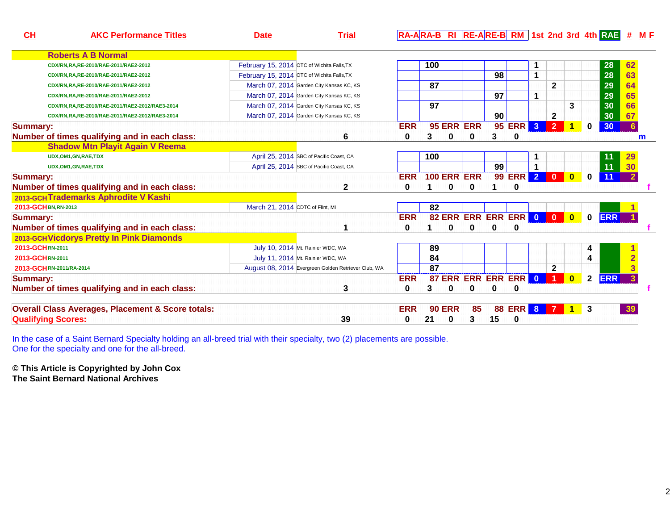| CL              | <b>AKC Performance Titles</b>                                | <b>Date</b>                      | <b>Trial</b>                                        |            |                 |               |                    |                      |               |                |                         |                         |              | $R\rightarrow R\rightarrow R$ $R\rightarrow R$ $R\rightarrow R$ $R\rightarrow R$ $R\rightarrow R$ $R\rightarrow R$ $R\rightarrow R$ $R\rightarrow R$ $R\rightarrow R$ $R\rightarrow R$ $R\rightarrow R$ $R\rightarrow R$ $R\rightarrow R$ $R\rightarrow R$ $R\rightarrow R$ $R\rightarrow R$ $R\rightarrow R$ $R\rightarrow R$ $R\rightarrow R$ $R\rightarrow R$ $R\rightarrow R$ $R\rightarrow R$ $R\rightarrow R$ $R\rightarrow R$ $R\rightarrow R$ $R\rightarrow R$ $R\rightarrow R$ $R\rightarrow R$ $R\rightarrow R$ $R\rightarrow R$ $R\rightarrow R$ |                |  |
|-----------------|--------------------------------------------------------------|----------------------------------|-----------------------------------------------------|------------|-----------------|---------------|--------------------|----------------------|---------------|----------------|-------------------------|-------------------------|--------------|-------------------------------------------------------------------------------------------------------------------------------------------------------------------------------------------------------------------------------------------------------------------------------------------------------------------------------------------------------------------------------------------------------------------------------------------------------------------------------------------------------------------------------------------------------------|----------------|--|
|                 | <b>Roberts A B Normal</b>                                    |                                  |                                                     |            |                 |               |                    |                      |               |                |                         |                         |              |                                                                                                                                                                                                                                                                                                                                                                                                                                                                                                                                                             |                |  |
|                 | CDX/RN,RA,RE-2010/RAE-2011/RAE2-2012                         |                                  | February 15, 2014 OTC of Wichita Falls, TX          |            | 100             |               |                    |                      |               | 1              |                         |                         |              | 28                                                                                                                                                                                                                                                                                                                                                                                                                                                                                                                                                          | 62             |  |
|                 | CDX/RN,RA,RE-2010/RAE-2011/RAE2-2012                         |                                  | February 15, 2014 OTC of Wichita Falls, TX          |            |                 |               |                    | 98                   |               | 1              |                         |                         |              | 28                                                                                                                                                                                                                                                                                                                                                                                                                                                                                                                                                          | 63             |  |
|                 | CDX/RN,RA,RE-2010/RAE-2011/RAE2-2012                         |                                  | March 07, 2014 Garden City Kansas KC, KS            |            | 87              |               |                    |                      |               |                | $\mathbf{2}$            |                         |              | 29                                                                                                                                                                                                                                                                                                                                                                                                                                                                                                                                                          | 64             |  |
|                 | CDX/RN,RA,RE-2010/RAE-2011/RAE2-2012                         |                                  | March 07, 2014 Garden City Kansas KC, KS            |            |                 |               |                    | 97                   |               | 1              |                         |                         |              | 29                                                                                                                                                                                                                                                                                                                                                                                                                                                                                                                                                          | 65             |  |
|                 | CDX/RN,RA,RE-2010/RAE-2011/RAE2-2012/RAE3-2014               |                                  | March 07, 2014 Garden City Kansas KC, KS            |            | 97              |               |                    |                      |               |                |                         | 3                       |              | 30                                                                                                                                                                                                                                                                                                                                                                                                                                                                                                                                                          | 66             |  |
|                 | CDX/RN,RA,RE-2010/RAE-2011/RAE2-2012/RAE3-2014               |                                  | March 07, 2014 Garden City Kansas KC, KS            |            |                 |               |                    | 90                   |               |                | $\mathbf{2}$            |                         |              | 30                                                                                                                                                                                                                                                                                                                                                                                                                                                                                                                                                          | 67             |  |
| <b>Summary:</b> |                                                              |                                  |                                                     | <b>ERR</b> |                 |               | 95 ERR ERR         |                      | <b>95 ERR</b> | 3 <sup>2</sup> | 2 <sup>1</sup>          | $\mathbf{1}$            | $\bf{0}$     | 30                                                                                                                                                                                                                                                                                                                                                                                                                                                                                                                                                          | 6              |  |
|                 | Number of times qualifying and in each class:                |                                  | 6                                                   | 0          | 3               | 0             | 0                  | 3                    | 0             |                |                         |                         |              |                                                                                                                                                                                                                                                                                                                                                                                                                                                                                                                                                             | m              |  |
|                 | <b>Shadow Mtn Playit Again V Reema</b>                       |                                  |                                                     |            |                 |               |                    |                      |               |                |                         |                         |              |                                                                                                                                                                                                                                                                                                                                                                                                                                                                                                                                                             |                |  |
|                 | UDX, OM1, GN, RAE, TDX                                       |                                  | April 25, 2014 SBC of Pacific Coast, CA             |            | 100             |               |                    |                      |               |                |                         |                         |              | 11                                                                                                                                                                                                                                                                                                                                                                                                                                                                                                                                                          | 29             |  |
|                 | UDX, OM1, GN, RAE, TDX                                       |                                  | April 25, 2014 SBC of Pacific Coast, CA             |            |                 |               |                    | 99                   |               | 1              |                         |                         |              | 11                                                                                                                                                                                                                                                                                                                                                                                                                                                                                                                                                          | 30             |  |
| <b>Summary:</b> |                                                              |                                  |                                                     | <b>ERR</b> |                 |               | <b>100 ERR ERR</b> |                      | 99 ERR 2 0    |                |                         | $\bullet$               | $\mathbf 0$  | 11                                                                                                                                                                                                                                                                                                                                                                                                                                                                                                                                                          |                |  |
|                 | Number of times qualifying and in each class:                |                                  | $\mathbf{2}$                                        | 0          |                 | 0             | 0                  |                      | 0             |                |                         |                         |              |                                                                                                                                                                                                                                                                                                                                                                                                                                                                                                                                                             |                |  |
|                 | 2013-GCHTrademarks Aphrodite V Kashi                         |                                  |                                                     |            |                 |               |                    |                      |               |                |                         |                         |              |                                                                                                                                                                                                                                                                                                                                                                                                                                                                                                                                                             |                |  |
|                 | 2013-GCH BN, RN-2013                                         | March 21, 2014 CDTC of Flint, MI |                                                     |            | 82              |               |                    |                      |               |                |                         |                         |              |                                                                                                                                                                                                                                                                                                                                                                                                                                                                                                                                                             |                |  |
| <b>Summary:</b> |                                                              |                                  |                                                     | <b>ERR</b> |                 |               |                    | 82 ERR ERR ERR ERR 0 |               |                | $\overline{\mathbf{0}}$ | $\bullet$               | $\mathbf 0$  | <b>ERR</b>                                                                                                                                                                                                                                                                                                                                                                                                                                                                                                                                                  |                |  |
|                 | Number of times qualifying and in each class:                |                                  |                                                     | 0          |                 | 0             | 0                  | 0                    | 0             |                |                         |                         |              |                                                                                                                                                                                                                                                                                                                                                                                                                                                                                                                                                             |                |  |
|                 | 2013-GCH Vicdorys Pretty In Pink Diamonds                    |                                  |                                                     |            |                 |               |                    |                      |               |                |                         |                         |              |                                                                                                                                                                                                                                                                                                                                                                                                                                                                                                                                                             |                |  |
| 2013-GCHRN-2011 |                                                              |                                  | July 10, 2014 Mt. Rainier WDC, WA                   |            | 89              |               |                    |                      |               |                |                         |                         | 4            |                                                                                                                                                                                                                                                                                                                                                                                                                                                                                                                                                             |                |  |
| 2013-GCHRN-2011 |                                                              |                                  | July 11, 2014 Mt. Rainier WDC, WA                   |            | 84              |               |                    |                      |               |                |                         |                         | 4            |                                                                                                                                                                                                                                                                                                                                                                                                                                                                                                                                                             | $\overline{2}$ |  |
|                 | 2013-GCHRN-2011/RA-2014                                      |                                  | August 08, 2014 Evergreen Golden Retriever Club, WA |            | $\overline{87}$ |               |                    |                      |               |                | $\mathbf{2}$            |                         |              |                                                                                                                                                                                                                                                                                                                                                                                                                                                                                                                                                             | $\overline{3}$ |  |
| <b>Summary:</b> |                                                              |                                  |                                                     | <b>ERR</b> |                 |               |                    | 87 ERR ERR ERR ERR 0 |               |                | $\vert$ 1               | $\overline{\mathbf{0}}$ | $\mathbf{2}$ | <b>ERR</b>                                                                                                                                                                                                                                                                                                                                                                                                                                                                                                                                                  |                |  |
|                 | Number of times qualifying and in each class:                |                                  | 3                                                   | 0          | 3               | 0             | 0                  | O                    | 0             |                |                         |                         |              |                                                                                                                                                                                                                                                                                                                                                                                                                                                                                                                                                             |                |  |
|                 | <b>Overall Class Averages, Placement &amp; Score totals:</b> |                                  |                                                     | <b>ERR</b> |                 | <b>90 ERR</b> | 85                 |                      | 88 ERR 8 7    |                |                         | $\sqrt{1}$              | $\vert$ 3    |                                                                                                                                                                                                                                                                                                                                                                                                                                                                                                                                                             | 39             |  |
|                 | <b>Qualifying Scores:</b>                                    |                                  | 39                                                  | 0          | 21              | 0             | 3                  | 15                   | 0             |                |                         |                         |              |                                                                                                                                                                                                                                                                                                                                                                                                                                                                                                                                                             |                |  |

In the case of a Saint Bernard Specialty holding an all-breed trial with their specialty, two (2) placements are possible. One for the specialty and one for the all-breed.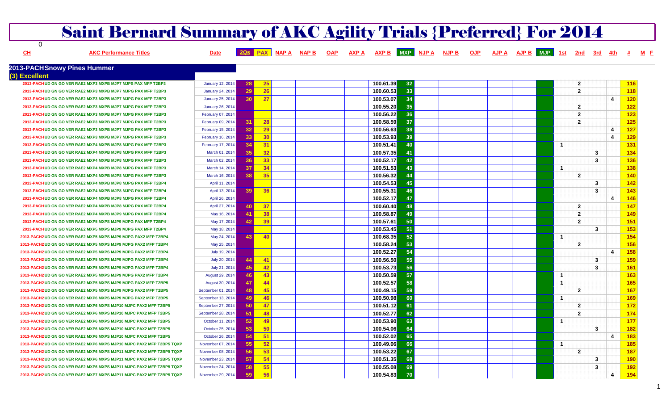|               | <b>Saint Bernard Summary of AKC Agility Trials {Preferred} For 2014</b> |                          |                 |              |              |            |           |            |            |              |            |                         |                |            |                |            |  |
|---------------|-------------------------------------------------------------------------|--------------------------|-----------------|--------------|--------------|------------|-----------|------------|------------|--------------|------------|-------------------------|----------------|------------|----------------|------------|--|
| 0             |                                                                         |                          |                 |              |              |            |           |            |            |              |            |                         |                |            |                |            |  |
| CH            | <b>AKC Performance Titles</b>                                           | <b>Date</b>              |                 | <b>NAP A</b> | <b>NAP B</b> | <b>OAP</b> |           | <b>MXP</b> | <b>OJP</b> | <b>AJP A</b> | <b>MJP</b> |                         | 2nd            | <u>3rd</u> |                |            |  |
|               | 2013-PACH Snowy Pines Hummer                                            |                          |                 |              |              |            |           |            |            |              |            |                         |                |            |                |            |  |
| (3) Excellent |                                                                         |                          |                 |              |              |            |           |            |            |              |            |                         |                |            |                |            |  |
|               | 2013-PACH UD GN GO VER RAE2 MXP3 MXPB MJP7 MJPS PAX MFP T2BP3           | <b>January 12, 2014</b>  | -28             | 25           |              |            | 100.61.39 | 32         |            |              |            |                         | $\overline{2}$ |            |                | 116        |  |
|               | 2013-PACH UD GN GO VER RAE2 MXP3 MXPB MJP7 MJPG PAX MFP T2BP3           | <b>January 24, 2014</b>  | 29              | 26           |              |            | 100.60.53 | 33         |            |              |            |                         | $\overline{2}$ |            |                | <b>118</b> |  |
|               | 2013-PACH UD GN GO VER RAE2 MXP3 MXPB MJP7 MJPG PAX MFP T2BP3           | January 25, 2014         | 30              | $^{\circ}27$ |              |            | 100.53.07 | 34         |            |              |            |                         |                |            | 4              | 120        |  |
|               | 2013-PACH UD GN GO VER RAE2 MXP3 MXPB MJP7 MJPG PAX MFP T2BP3           | <b>January 26, 2014</b>  |                 |              |              |            | 100.55.20 | 35         |            |              |            |                         | $\mathbf{2}$   |            |                | 122        |  |
|               | 2013-PACH UD GN GO VER RAE2 MXP3 MXPB MJP7 MJPG PAX MFP T2BP3           | February 07, 2014        |                 |              |              |            | 100.56.22 | 36         |            |              |            |                         | $\overline{2}$ |            |                | 123        |  |
|               | 2013-PACH UD GN GO VER RAE2 MXP3 MXPB MJP7 MJPG PAX MFP T2BP3           | February 09, 2014        | 31              | 28           |              |            | 100.58.59 | 37         |            |              |            |                         | $\overline{2}$ |            |                | 125        |  |
|               | 2013-PACHUD GN GO VER RAE2 MXP3 MXPB MJP7 MJPG PAX MFP T2BP3            | <b>February 15, 2014</b> | 32              | 29           |              |            | 100.56.63 | 38         |            |              |            |                         |                |            | 4              | 127        |  |
|               | 2013-PACH UD GN GO VER RAE2 MXP3 MXPB MJP7 MJPG PAX MFP T2BP3           | <b>February 16, 2014</b> | 33              | 30           |              |            | 100.53.93 | 39         |            |              |            |                         |                |            | 4              | 129        |  |
|               | 2013-PACH UD GN GO VER RAE2 MXP4 MXPB MJP8 MJPG PAX MFP T2BP3           | February 17, 2014        | 34              | 31           |              |            | 100.51.41 | 40         |            |              |            | -1                      |                |            |                | 131        |  |
|               | 2013-PACH UD GN GO VER RAE2 MXP4 MXPB MJP8 MJPG PAX MFP T2BP3           | March 01, 2014           | -35             | 32           |              |            | 100.57.35 | 41         |            |              |            |                         |                | 3          |                | 134        |  |
|               | 2013-PACH UD GN GO VER RAE2 MXP4 MXPB MJP8 MJPG PAX MFP T2BP3           | March 02, 2014           | 36              | 33           |              |            | 100.52.17 | 42         |            |              |            |                         |                | 3          |                | 136        |  |
|               | 2013-PACH UD GN GO VER RAE2 MXP4 MXPB MJP8 MJPG PAX MFP T2BP3           | March 14, 2014           | -37             | 34           |              |            | 100.51.53 | 43         |            |              |            | -1                      |                |            |                | 138        |  |
|               | 2013-PACHUD GN GO VER RAE2 MXP4 MXPB MJP8 MJPG PAX MFP T2BP3            | March 16, 2014           | 38              | -35          |              |            | 100.56.32 | 44         |            |              |            |                         | $\overline{2}$ |            |                | 140        |  |
|               | 2013-PACHUD GN GO VER RAE2 MXP4 MXPB MJP8 MJPG PAX MFP T2BP4            | April 11, 2014           |                 |              |              |            | 100.54.53 | 45         |            |              |            |                         |                | 3          |                | 142        |  |
|               | 2013-PACH UD GN GO VER RAE2 MXP4 MXPB MJP8 MJPG PAX MFP T2BP4           | April 13, 2014           | 39              | 36           |              |            | 100.55.31 | 46         |            |              |            |                         |                | 3          |                | 143        |  |
|               | 2013-PACH UD GN GO VER RAE2 MXP4 MXPB MJP8 MJPG PAX MFP T2BP4           | April 26, 2014           |                 |              |              |            | 100.52.17 | 47         |            |              |            |                         |                |            | 4              | 146        |  |
|               | 2013-PACHUD GN GO VER RAE2 MXP4 MXPB MJP8 MJPG PAX MFP T2BP4            | April 27, 2014           | 40              | 37           |              |            | 100.60.40 | 48         |            |              |            |                         | $\mathbf{2}$   |            |                | 147        |  |
|               | 2013-PACH UD GN GO VER RAE2 MXP4 MXPB MJP9 MJPG PAX MFP T2BP4           | May 16, 2014             | -41             | 38           |              |            | 100.58.87 | 49         |            |              |            |                         | $\overline{2}$ |            |                | 149        |  |
|               | 2013-PACH UD GN GO VER RAE2 MXP5 MXPS MJP9 MJPG PAX MFP T2BP4           | May 17, 2014             | 42              | 39           |              |            | 100.57.61 | 50         |            |              |            |                         | $\overline{2}$ |            |                | 151        |  |
|               | 2013-PACH UD GN GO VER RAE2 MXP5 MXPS MJP9 MJPG PAX MFP T2BP4           | May 18, 2014             |                 |              |              |            | 100.53.45 | 51         |            |              |            |                         |                | 3          |                | 153        |  |
|               | 2013-PACH2 UD GN GO VER RAE2 MXP5 MXPS MJP9 MJPG PAX2 MFP T2BP4         | May 24, 2014             | 43              | 40           |              |            | 100.68.35 | 52         |            |              |            | -1                      |                |            |                | 154        |  |
|               | 2013-PACH2 UD GN GO VER RAE2 MXP5 MXPS MJP9 MJPG PAX2 MFP T2BP4         | May 25, 2014             |                 |              |              |            | 100.58.24 | 53         |            |              |            |                         | $\overline{2}$ |            |                | 156        |  |
|               | 2013-PACH2 UD GN GO VER RAE2 MXP5 MXPS MJP9 MJPG PAX2 MFP T2BP4         | July 19, 2014            |                 |              |              |            | 100.52.27 | 54         |            |              |            |                         |                |            | 4              | 158        |  |
|               | 2013-PACH2 UD GN GO VER RAE2 MXP5 MXPS MJP9 MJPG PAX2 MFP T2BP4         | July 20, 2014            | 44              | 41           |              |            | 100.56.50 | 55         |            |              |            |                         |                | 3          |                | 159        |  |
|               | 2013-PACH2 UD GN GO VER RAE2 MXP5 MXPS MJP9 MJPG PAX2 MFP T2BP4         | July 21, 2014            | 45              | 42           |              |            | 100.53.73 | 56         |            |              |            |                         |                | 3          |                | 161        |  |
|               | 2013-PACH2 UD GN GO VER RAE2 MXP5 MXPS MJP9 MJPG PAX2 MFP T2BP4         | August 29, 2014          | -46             | -43          |              |            | 100.50.59 | 57         |            |              |            | -1                      |                |            |                | 163        |  |
|               | 2013-PACH2 UD GN GO VER RAE2 MXP5 MXPS MJP9 MJPG PAX2 MFP T2BP5         | August 30, 2014          | -47             | $-44$        |              |            | 100.52.57 | 58         |            |              |            | -1                      |                |            |                | 165        |  |
|               | 2013-PACH2 UD GN GO VER RAE2 MXP5 MXPS MJP9 MJPG PAX2 MFP T2BP5         | September 01, 2014       | 48              | 45           |              |            | 100.49.15 | 59         |            |              |            |                         | $\overline{2}$ |            |                | 167        |  |
|               | 2013-PACH2 UD GN GO VER RAE2 MXP6 MXPS MJP9 MJPG PAX2 MFP T2BP5         | September 13, 2014       | 49              | 46           |              |            | 100.50.98 | 60         |            |              |            | $\overline{\mathbf{1}}$ |                |            |                | 169        |  |
|               | 2013-PACH2 UD GN GO VER RAE2 MXP6 MXPS MJP10 MJPC PAX2 MFP T2BP5        | September 27, 2014       | 50              | -47          |              |            | 100.51.12 | 61         |            |              |            |                         | $\overline{2}$ |            |                | 172        |  |
|               | 2013-PACH2 UD GN GO VER RAE2 MXP6 MXPS MJP10 MJPC PAX2 MFP T2BP5        |                          | 51              | 48           |              |            | 100.52.77 | 62         |            |              |            |                         | $\mathbf{2}$   |            |                |            |  |
|               |                                                                         | September 28, 2014       | 52              | 49           |              |            | 100.53.90 | 63         |            |              |            | и                       |                |            |                | 174<br>177 |  |
|               | 2013-PACH2 UD GN GO VER RAE2 MXP6 MXPS MJP10 MJPC PAX2 MFP T2BP5        | October 11, 2014         |                 |              |              |            |           |            |            |              |            |                         |                |            |                |            |  |
|               | 2013-PACH2 UD GN GO VER RAE2 MXP6 MXPS MJP10 MJPC PAX2 MFP T2BP5        | October 25, 2014         | 53              | -50          |              |            | 100.54.06 | 64         |            |              |            |                         |                | 3          |                | 182        |  |
|               | 2013-PACH2 UD GN GO VER RAE2 MXP6 MXPS MJP10 MJPC PAX2 MFP T2BP5        | October 26, 2014         | 54              | $-51$        |              |            | 100.52.02 | 65         |            |              |            |                         |                |            | 4              | 183        |  |
|               | 2013-PACH2 UD GN GO VER RAE2 MXP6 MXPS MJP10 MJPC PAX2 MFP T2BP5 TQXP   | November 07, 2014        | 55 <sub>5</sub> | $-52$        |              |            | 100.49.06 | 66         |            |              |            | $\mathbf{1}$            |                |            |                | 185        |  |
|               | 2013-PACH2 UD GN GO VER RAE2 MXP6 MXPS MJP11 MJPC PAX2 MFP T2BP5 TQXP   | November 08, 2014        | 56              | 53           |              |            | 100.53.22 | 67         |            |              |            |                         | $\mathbf{2}$   |            |                | 187        |  |
|               | 2013-PACH2 UD GN GO VER RAE2 MXP6 MXPS MJP11 MJPC PAX2 MFP T2BP5 TQXP   | November 23, 2014        | -57             | 54           |              |            | 100.51.35 | 68         |            |              |            |                         |                | 3          |                | 190        |  |
|               | 2013-PACH2 UD GN GO VER RAE2 MXP6 MXPS MJP11 MJPC PAX2 MFP T2BP5 TQXP   | November 24, 2014        | 58              | 55           |              |            | 100.55.08 | 69         |            |              |            |                         |                | 3          |                | 192        |  |
|               | 2013-PACH2 UD GN GO VER RAE2 MXP7 MXPS MJP11 MJPC PAX2 MFP T2BP5 TQXP   | November 29, 2014        | 59              | 56           |              |            | 100.54.83 | 70         |            |              |            |                         |                |            | $\overline{4}$ | 194        |  |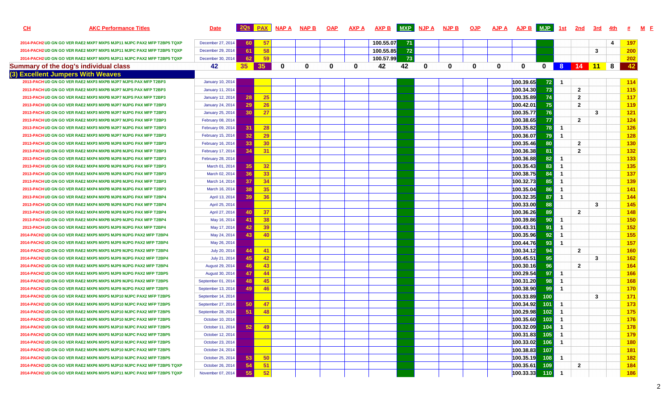| <u>СН</u> | <b>AKC Performance Titles</b>                                         | <b>Date</b>              |                 |           | 2Qs PAX NAP A | <b>NAP B</b> | <b>OAP</b> | <b>AXP A</b> | <u>AXP B</u> | MXP NJP A |   | <u>NJP B</u> | <b>OJP</b> | <b>AJP A</b> | AJP B MJP                |               | <u>1st</u>     | <u>2nd</u>     | 3rd | <u>4th</u> |            |
|-----------|-----------------------------------------------------------------------|--------------------------|-----------------|-----------|---------------|--------------|------------|--------------|--------------|-----------|---|--------------|------------|--------------|--------------------------|---------------|----------------|----------------|-----|------------|------------|
|           | 2014-PACH2 UD GN GO VER RAE2 MXP7 MXPS MJP11 MJPC PAX2 MFP T2BP5 TQXP | December 27, 2014        | -60             | 57        |               |              |            |              | 100.55.07    | 71        |   |              |            |              |                          |               |                |                |     | 4          | 197        |
|           | 2014-PACH2 UD GN GO VER RAE2 MXP7 MXPS MJP11 MJPC PAX2 MFP T2BP5 TQXP | December 29, 2014        | -61             | 58        |               |              |            |              | 100.55.85    | 72        |   |              |            |              |                          |               |                |                | 3   |            | 200        |
|           | 2014-PACH2 UD GN GO VER RAE2 MXP7 MXPS MJP11 MJPC PAX2 MFP T2BP5 TQXP | December 30, 2014        | -62             | 59        |               |              |            |              | 100.57.99    | 73        |   |              |            |              |                          |               |                |                |     |            | 202        |
|           | Summary of the dog's individual class                                 | 42                       | 35 <sub>2</sub> | 35        | 0             | 0            | 0          | $\bf{0}$     | 42           | 42        | 0 | 0            | 0          | 0            | $\mathbf 0$              |               |                | 0 8 14 11 8    |     |            | 42         |
|           | (3) Excellent Jumpers With Weaves                                     |                          |                 |           |               |              |            |              |              |           |   |              |            |              |                          |               |                |                |     |            |            |
|           | 2013-PACH UD GN GO VER RAE2 MXP3 MXPB MJP7 MJPS PAX MFP T2BP3         | <b>January 10, 2014</b>  |                 |           |               |              |            |              |              |           |   |              |            |              | 100.39.65                | 72            | -1             |                |     |            | 114        |
|           | 2013-PACH UD GN GO VER RAE2 MXP3 MXPB MJP7 MJPS PAX MFP T2BP3         | <b>January 11, 2014</b>  |                 |           |               |              |            |              |              |           |   |              |            |              | 100.34.30                | 73            |                | $\mathbf{2}$   |     |            | 115        |
|           | 2013-PACH UD GN GO VER RAE2 MXP3 MXPB MJP7 MJPS PAX MFP T2BP3         | January 12, 2014         | 28              | <b>25</b> |               |              |            |              |              |           |   |              |            |              | 100.35.89                | 74            |                | $\mathbf{2}$   |     |            | <b>117</b> |
|           | 2013-PACH UD GN GO VER RAE2 MXP3 MXPB MJP7 MJPG PAX MFP T2BP3         | <b>January 24, 2014</b>  | -29             | 26        |               |              |            |              |              |           |   |              |            |              | 100.42.01                | 75            |                | $\mathbf{2}$   |     |            | <b>119</b> |
|           | 2013-PACH UD GN GO VER RAE2 MXP3 MXPB MJP7 MJPG PAX MFP T2BP3         | January 25, 2014         | -30             | 27        |               |              |            |              |              |           |   |              |            |              | 100.35.77 <mark>1</mark> | 76            |                |                | 3   |            | 121        |
|           | 2013-PACH UD GN GO VER RAE2 MXP3 MXPB MJP7 MJPG PAX MFP T2BP3         | <b>February 08, 2014</b> |                 |           |               |              |            |              |              |           |   |              |            |              | 100.38.65 <mark> </mark> | 77            |                | $\mathbf{2}$   |     |            | 124        |
|           | 2013-PACH UD GN GO VER RAE2 MXP3 MXPB MJP7 MJPG PAX MFP T2BP3         | February 09, 2014        | -31             | 28        |               |              |            |              |              |           |   |              |            |              | 100.35.82                | 78            | 1              |                |     |            | <b>126</b> |
|           | 2013-PACH UD GN GO VER RAE2 MXP3 MXPB MJP7 MJPG PAX MFP T2BP3         | February 15, 2014        | -32             | 29        |               |              |            |              |              |           |   |              |            |              | 100.36.07                | 79            | 1              |                |     |            | 128        |
|           | 2013-PACH UD GN GO VER RAE2 MXP3 MXPB MJP8 MJPG PAX MFP T2BP3         | February 16, 2014        | 33              | 30        |               |              |            |              |              |           |   |              |            |              | 100.35.46                | 80            |                | $\mathbf{2}$   |     |            | 130        |
|           | 2013-PACH UD GN GO VER RAE2 MXP4 MXPB MJP8 MJPG PAX MFP T2BP3         | February 17, 2014        | -34             | 31        |               |              |            |              |              |           |   |              |            |              | 100.36.38                | 81            |                | $\mathbf{2}$   |     |            | <b>132</b> |
|           | 2013-PACH UD GN GO VER RAE2 MXP4 MXPB MJP8 MJPG PAX MFP T2BP3         | February 28, 2014        |                 |           |               |              |            |              |              |           |   |              |            |              | 100.36.88                | 82            | 1              |                |     |            | 133        |
|           | 2013-PACH UD GN GO VER RAE2 MXP4 MXPB MJP8 MJPG PAX MFP T2BP3         | March 01, 2014           | 35              | 32        |               |              |            |              |              |           |   |              |            |              | 100.35.43                | 83            | -1             |                |     |            | 135        |
|           | 2013-PACHUD GN GO VER RAE2 MXP4 MXPB MJP8 MJPG PAX MFP T2BP3          | March 02, 2014           | 36              | 33        |               |              |            |              |              |           |   |              |            |              | 100.38.75                | 84            | -1             |                |     |            | <b>137</b> |
|           | 2013-PACH UD GN GO VER RAE2 MXP4 MXPB MJP8 MJPG PAX MFP T2BP3         | March 14, 2014           | 37              | 34        |               |              |            |              |              |           |   |              |            |              | 100.32.73                | 85            | -1             |                |     |            | 139        |
|           | 2013-PACHUD GN GO VER RAE2 MXP4 MXPB MJP8 MJPG PAX MFP T2BP3          | March 16, 2014           | 38              | 35        |               |              |            |              |              |           |   |              |            |              | 100.35.04                | 86            | 1              |                |     |            | 141        |
|           | 2013-PACHUD GN GO VER RAE2 MXP4 MXPB MJP8 MJPG PAX MFP T2BP4          | April 13, 2014           | 39              | 36        |               |              |            |              |              |           |   |              |            |              | 100.32.35                | 87            | 1              |                |     |            | 144        |
|           | 2013-PACHUD GN GO VER RAE2 MXP4 MXPB MJP8 MJPG PAX MFP T2BP4          | April 25, 2014           |                 |           |               |              |            |              |              |           |   |              |            |              | 100.33.00 <mark>1</mark> | 88            |                |                | 3   |            | 145        |
|           | 2013-PACH UD GN GO VER RAE2 MXP4 MXPB MJP8 MJPG PAX MFP T2BP4         | April 27, 2014           | 40              | 37        |               |              |            |              |              |           |   |              |            |              | 100.36.26                | 89            |                | $\mathbf{2}$   |     |            | 148        |
|           | 2013-PACHUD GN GO VER RAE2 MXP4 MXPB MJP9 MJPG PAX MFP T2BP4          | May 16, 2014             | -41             | 38        |               |              |            |              |              |           |   |              |            |              | 100.39.86                | 90            | -1             |                |     |            | <b>150</b> |
|           | 2013-PACHUD GN GO VER RAE2 MXP5 MXPS MJP9 MJPG PAX MFP T2BP4          | May 17, 2014             | -42             | 39        |               |              |            |              |              |           |   |              |            |              | 100.43.31                | 91            | -1             |                |     |            | <b>152</b> |
|           | 2014-PACH2 UD GN GO VER RAE2 MXP5 MXPS MJP9 MJPG PAX2 MFP T2BP4       | May 24, 2014             | 43              | 40        |               |              |            |              |              |           |   |              |            |              | 100.35.96                | 92            | -1             |                |     |            | 155        |
|           | 2014-PACH2 UD GN GO VER RAE2 MXP5 MXPS MJP9 MJPG PAX2 MFP T2BP4       | May 26, 2014             |                 |           |               |              |            |              |              |           |   |              |            |              | 100.44.76                | 93            | -1             |                |     |            | 157        |
|           | 2014-PACH2 UD GN GO VER RAE2 MXP5 MXPS MJP9 MJPG PAX2 MFP T2BP4       | July 20, 2014            | 44              | 41        |               |              |            |              |              |           |   |              |            |              | 100.34.12                | 94            |                | $\overline{2}$ |     |            | <b>160</b> |
|           | 2014-PACH2 UD GN GO VER RAE2 MXP5 MXPS MJP9 MJPG PAX2 MFP T2BP4       | July 21, 2014            | 45              | 42        |               |              |            |              |              |           |   |              |            |              | 100.45.51                | 95            |                |                | 3   |            | <b>162</b> |
|           | 2014-PACH2 UD GN GO VER RAE2 MXP5 MXPS MJP9 MJPG PAX2 MFP T2BP4       | August 29, 2014          | 46              | 43        |               |              |            |              |              |           |   |              |            |              | 100.30.16                | 96            |                | $\mathbf{2}$   |     |            | 164        |
|           | 2014-PACH2 UD GN GO VER RAE2 MXP5 MXPS MJP9 MJPG PAX2 MFP T2BP5       | August 30, 2014          | 47              | -44       |               |              |            |              |              |           |   |              |            |              | 100.29.54                | 97            | 1              |                |     |            | <b>166</b> |
|           | 2014-PACH2 UD GN GO VER RAE2 MXP5 MXPS MJP9 MJPG PAX2 MFP T2BP5       | September 01, 2014       | 48              | 45        |               |              |            |              |              |           |   |              |            |              | 100.31.20                | 98            |                |                |     |            | 168        |
|           | 2014-PACH2 UD GN GO VER RAE2 MXP6 MXPS MJP9 MJPG PAX2 MFP T2BP5       | September 13, 2014       | 49              | 46        |               |              |            |              |              |           |   |              |            |              | 100.38.90 <mark>1</mark> | 99            | 1              |                |     |            | <b>170</b> |
|           | 2014-PACH2 UD GN GO VER RAE2 MXP6 MXPS MJP10 MJPC PAX2 MFP T2BP5      | September 14, 2014       |                 |           |               |              |            |              |              |           |   |              |            |              | 100.33.89 <mark>1</mark> | 100           |                |                | 3   |            | 171        |
|           | 2014-PACH2 UD GN GO VER RAE2 MXP6 MXPS MJP10 MJPC PAX2 MFP T2BP5      | September 27, 2014       | 50              | 47        |               |              |            |              |              |           |   |              |            |              | 100.34.92 <mark>1</mark> | 101           |                |                |     |            | 173        |
|           | 2014-PACH2 UD GN GO VER RAE2 MXP6 MXPS MJP10 MJPC PAX2 MFP T2BP5      | September 28, 2014       | -51             | 48        |               |              |            |              |              |           |   |              |            |              | 100.29.98 <mark>.</mark> | 102           | -1             |                |     |            | 175        |
|           | 2014-PACH2 UD GN GO VER RAE2 MXP6 MXPS MJP10 MJPC PAX2 MFP T2BP5      | October 10, 2014         |                 |           |               |              |            |              |              |           |   |              |            |              | 100.35.60                | 103           | -1             |                |     |            | 176        |
|           | 2014-PACH2 UD GN GO VER RAE2 MXP6 MXPS MJP10 MJPC PAX2 MFP T2BP5      | October 11, 2014         | 52              | 49        |               |              |            |              |              |           |   |              |            |              | 100.32.09                | 104           | - 1            |                |     |            | 178        |
|           | 2014-PACH2 UD GN GO VER RAE2 MXP6 MXPS MJP10 MJPC PAX2 MFP T2BP5      | October 12, 2014         |                 |           |               |              |            |              |              |           |   |              |            |              | 100.31.83                | 105           | -1             |                |     |            | 179        |
|           | 2014-PACH2 UD GN GO VER RAE2 MXP6 MXPS MJP10 MJPC PAX2 MFP T2BP5      | October 23, 2014         |                 |           |               |              |            |              |              |           |   |              |            |              | 100.33.02                | 106           | $\overline{1}$ |                |     |            | 180        |
|           | 2014-PACH2 UD GN GO VER RAE2 MXP6 MXPS MJP10 MJPC PAX2 MFP T2BP5      | October 24, 2014         |                 |           |               |              |            |              |              |           |   |              |            |              | 100.38.83                | 107           |                |                |     |            | 181        |
|           | 2014-PACH2 UD GN GO VER RAE2 MXP6 MXPS MJP10 MJPC PAX2 MFP T2BP5      | October 25, 2014         | -53             | 50        |               |              |            |              |              |           |   |              |            |              | 100.35.19                | 108           | $\overline{1}$ |                |     |            | 182        |
|           | 2014-PACH2 UD GN GO VER RAE2 MXP6 MXPS MJP10 MJPC PAX2 MFP T2BP5 TQXP | October 26, 2014         | 54              | 51        |               |              |            |              |              |           |   |              |            |              | 100.35.61                | 109           |                | $\mathbf{2}$   |     |            | <b>184</b> |
|           | 2014-PACH2 UD GN GO VER RAE2 MXP6 MXPS MJP11 MJPC PAX2 MFP T2BP5 TQXP | November 07, 2014        | 55              | 52        |               |              |            |              |              |           |   |              |            |              | 100.33.33                | $ 110\rangle$ | -1             |                |     |            | 186        |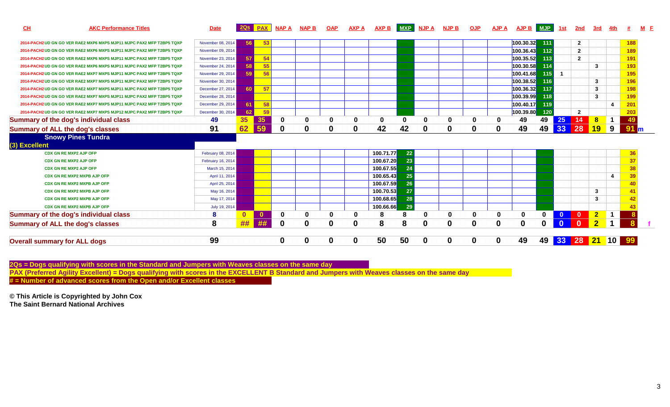| CL<br><b>AKC Performance Titles</b>                                                                                                                                                                 | <b>Date</b>       |          | 2Qs PAX      | <b>NAP A</b> | <b>NAP B</b> | <b>OAP</b> | <b>AXP A</b> | <b>AXP B</b> | MXP      | <u>NJP A</u> | <b>NJP B</b> | <b>OJP</b> | <b>AJP A</b> | AJP B MJP   |     | <u>1st</u>   | 2nd            | 3rd            |              |                 | $M$ $E$ |
|-----------------------------------------------------------------------------------------------------------------------------------------------------------------------------------------------------|-------------------|----------|--------------|--------------|--------------|------------|--------------|--------------|----------|--------------|--------------|------------|--------------|-------------|-----|--------------|----------------|----------------|--------------|-----------------|---------|
| 2014-PACH2 UD GN GO VER RAE2 MXP6 MXPS MJP11 MJPC PAX2 MFP T2BP5 TQXP                                                                                                                               | November 08, 2014 | 56       | 53           |              |              |            |              |              |          |              |              |            |              | 100.30.32   | 111 |              | $\mathbf{2}$   |                |              | 188             |         |
| 2014-PACH2 UD GN GO VER RAE2 MXP6 MXPS MJP11 MJPC PAX2 MFP T2BP5 TQXP                                                                                                                               | November 09, 2014 |          |              |              |              |            |              |              |          |              |              |            |              | 100.36.43   | 112 |              | $\mathbf{2}$   |                |              | 189             |         |
| 2014-PACH2 UD GN GO VER RAE2 MXP6 MXPS MJP11 MJPC PAX2 MFP T2BP5 TQXP                                                                                                                               | November 23, 2014 | 57       | 54           |              |              |            |              |              |          |              |              |            |              | 100.35.52   | 113 |              | $\mathbf{2}$   |                |              | 191             |         |
| 2014-PACH2 UD GN GO VER RAE2 MXP6 MXPS MJP11 MJPC PAX2 MFP T2BP5 TQXP                                                                                                                               | November 24, 2014 | 58       | 55           |              |              |            |              |              |          |              |              |            |              | 100.30.58   | 114 |              |                | 3              |              | 193             |         |
| 2014-PACH2 UD GN GO VER RAE2 MXP7 MXPS MJP11 MJPC PAX2 MFP T2BP5 TQXP                                                                                                                               | November 29, 2014 | 59       | 56           |              |              |            |              |              |          |              |              |            |              | 100.41.68   | 115 |              |                |                |              |                 |         |
| 2014-PACH2 UD GN GO VER RAE2 MXP7 MXPS MJP11 MJPC PAX2 MFP T2BP5 TQXP                                                                                                                               | November 30, 2014 |          |              |              |              |            |              |              |          |              |              |            |              | 100.38.52   | 116 |              |                | 3              |              | 196             |         |
| 2014-PACH2 UD GN GO VER RAE2 MXP7 MXPS MJP11 MJPC PAX2 MFP T2BP5 TQXP                                                                                                                               | December 27, 2014 | 60       | 57           |              |              |            |              |              |          |              |              |            |              | 100.36.32   | 117 |              |                | 3              |              | 198             |         |
| 2014-PACH2 UD GN GO VER RAE2 MXP7 MXPS MJP11 MJPC PAX2 MFP T2BP5 TQXP                                                                                                                               | December 28, 2014 |          |              |              |              |            |              |              |          |              |              |            |              | 100.39.99   | 118 |              |                | $\mathbf{3}$   |              | 199             |         |
| 2014-PACH2 UD GN GO VER RAE2 MXP7 MXPS MJP11 MJPC PAX2 MFP T2BP5 TQXP                                                                                                                               | December 29, 2014 | 61       | 58           |              |              |            |              |              |          |              |              |            |              | 100.40.17   | 119 |              |                |                | 4            | 201             |         |
| 2014-PACH2 UD GN GO VER RAE2 MXP7 MXPS MJP12 MJPC PAX2 MFP T2BP5 TQXP                                                                                                                               | December 30, 2014 | 62       | 59           |              |              |            |              |              |          |              |              |            |              | 100.39.80   | 120 |              | $\overline{2}$ |                |              | 203             |         |
|                                                                                                                                                                                                     |                   |          |              | 0            | 0            | 0          | 0            | 0            | $\Omega$ | $\bf{0}$     | 0            | O          | 0            | 49          | 49  | 25           | 14             | 8              | $\mathbf 1$  | 49              |         |
|                                                                                                                                                                                                     | 49                | 35       | 35           |              |              |            |              |              |          |              |              |            |              |             |     |              |                |                |              |                 |         |
|                                                                                                                                                                                                     | 91                | 62       | 59           | $\bf{0}$     | $\mathbf 0$  | 0          | 0            | 42           | 42       | 0            | 0            | 0          | 0            | 49          | 49  | 33           | 28             | 19             | 9            | 91 <sub>m</sub> |         |
| <b>Snowy Pines Tundra</b>                                                                                                                                                                           |                   |          |              |              |              |            |              |              |          |              |              |            |              |             |     |              |                |                |              |                 |         |
|                                                                                                                                                                                                     |                   |          |              |              |              |            |              |              |          |              |              |            |              |             |     |              |                |                |              |                 |         |
| <b>CDX GN RE MXP2 AJP OFP</b>                                                                                                                                                                       | February 08, 2014 |          |              |              |              |            |              | 100.71.77    | 22       |              |              |            |              |             |     |              |                |                |              | 36              |         |
| <b>CDX GN RE MXP2 AJP OFP</b>                                                                                                                                                                       | February 16, 2014 |          |              |              |              |            |              | 100.67.20    | 23       |              |              |            |              |             |     |              |                |                |              | 37              |         |
| <b>CDX GN RE MXP2 AJP OFP</b>                                                                                                                                                                       | March 15, 2014    |          |              |              |              |            |              | 100.67.55    | 24       |              |              |            |              |             |     |              |                |                |              | 38              |         |
| <b>CDX GN RE MXP2 MXPB AJP OFP</b>                                                                                                                                                                  | April 11, 2014    |          |              |              |              |            |              | 100.65.43    | 25       |              |              |            |              |             |     |              |                |                | 4            | 39              |         |
| <b>CDX GN RE MXP2 MXPB AJP OFP</b>                                                                                                                                                                  | April 25, 2014    |          |              |              |              |            |              | 100.67.59    | 26       |              |              |            |              |             |     |              |                |                |              | 40              |         |
| CDX GN RE MXP2 MXPB AJP OFP                                                                                                                                                                         | May 16, 2014      |          |              |              |              |            |              | 100.70.53    | 27       |              |              |            |              |             |     |              |                | 3              |              | 41              |         |
| <b>CDX GN RE MXP2 MXPB AJP OFP</b>                                                                                                                                                                  | May 17, 2014      |          |              |              |              |            |              | 100.68.65    | 28       |              |              |            |              |             |     |              |                | 3              |              | 42              |         |
| <b>CDX GN RE MXP2 MXPB AJP OFP</b>                                                                                                                                                                  | July 19, 2014     |          |              |              |              |            |              | 100.66.66    | 29       |              |              |            |              |             |     |              |                |                |              |                 |         |
|                                                                                                                                                                                                     | 8                 | $\Omega$ | $\mathbf{0}$ | 0            | 0            | 0          | 0            | 8            | 8        | $\bf{0}$     | 0            | 0          | $\bf{0}$     | 0           | 0   | $\mathbf{0}$ | $\bf{0}$       | $\mathbf{2}$   | $\mathbf{1}$ |                 |         |
| <b>Summary of the dog's individual class</b><br><b>Summary of ALL the dog's classes</b><br>(3) Excellent<br><b>Summary of the dog's individual class</b><br><b>Summary of ALL the dog's classes</b> | 8                 | ##       | ##           | 0            | $\mathbf 0$  | $\bf{0}$   | $\mathbf 0$  | 8            | 8        | $\bf{0}$     | $\mathbf 0$  | 0          | $\mathbf 0$  | $\mathbf 0$ | 0   | $\bf{0}$     | $\mathbf{0}$   | $\overline{2}$ | $\mathbf 1$  |                 |         |

2Qs = Dogs qualifying with scores in the Standard and Jumpers with Weaves classes on the same day<br>PAX (Preferred Agility Excellent) = Dogs qualifying with scores in the EXCELLENT B Standard and Jumpers with Weaves classes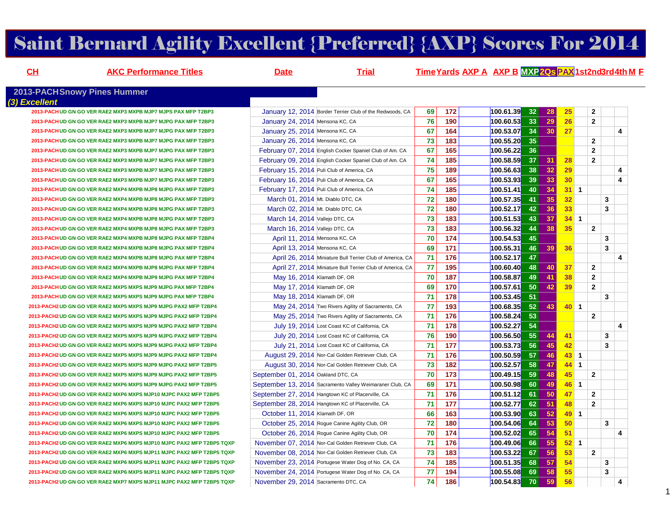# Saint Bernard Agility Excellent {Preferred} {AXP} Scores For 2014

| CH            | <b>AKC Performance Titles</b>                                         | <b>Date</b>                                       | <b>Trial</b>                                              |    |            | Time Yards AXP A AXP B MXP 20s PAX 1st2nd3rd4th M F |                 |          |                 |                         |                         |
|---------------|-----------------------------------------------------------------------|---------------------------------------------------|-----------------------------------------------------------|----|------------|-----------------------------------------------------|-----------------|----------|-----------------|-------------------------|-------------------------|
|               | <b>2013-PACHSnowy Pines Hummer</b>                                    |                                                   |                                                           |    |            |                                                     |                 |          |                 |                         |                         |
| (3) Excellent | 2013-PACH UD GN GO VER RAE2 MXP3 MXPB MJP7 MJPS PAX MFP T2BP3         |                                                   | January 12, 2014 Border Terrier Club of the Redwoods, CA  | 69 | 172        | 100.61.39                                           | 32              | 28       | 25 <sub>2</sub> | $\overline{2}$          |                         |
|               | 2013-PACH UD GN GO VER RAE2 MXP3 MXPB MJP7 MJPG PAX MFP T2BP3         | January 24, 2014 Mensona KC, CA                   |                                                           | 76 | 190        | 100.60.53                                           | 33              | 29       | 26              | $\mathbf{2}$            |                         |
|               | 2013-PACHUD GN GO VER RAE2 MXP3 MXPB MJP7 MJPG PAX MFP T2BP3          | January 25, 2014 Mensona KC, CA                   |                                                           | 67 | 164        | 100.53.07                                           | 34              | 30       | 27              |                         | $\overline{\mathbf{4}}$ |
|               | 2013-PACHUD GN GO VER RAE2 MXP3 MXPB MJP7 MJPG PAX MFP T2BP3          | January 26, 2014 Mensona KC, CA                   |                                                           | 73 | 183        | 100.55.20                                           | 35              |          |                 | $\overline{2}$          |                         |
|               | 2013-PACHUD GN GO VER RAE2 MXP3 MXPB MJP7 MJPG PAX MFP T2BP3          |                                                   | February 07, 2014 English Cocker Spaniel Club of Am. CA   | 67 | 165        | 100.56.22                                           | 36              |          |                 | $\overline{2}$          |                         |
|               | 2013-PACHUD GN GO VER RAE2 MXP3 MXPB MJP7 MJPG PAX MFP T2BP3          |                                                   | February 09, 2014 English Cocker Spaniel Club of Am. CA   | 74 | 185        | 100.58.59                                           | 37 <sup>1</sup> | 31       | 28              | $\overline{2}$          |                         |
|               | 2013-PACHUD GN GO VER RAE2 MXP3 MXPB MJP7 MJPG PAX MFP T2BP3          | February 15, 2014 Puli Club of America, CA        |                                                           | 75 | 189        | 100.56.63                                           | 38 <sup>1</sup> | 32       | 29              |                         | 4                       |
|               | 2013-PACHUD GN GO VER RAE2 MXP3 MXPB MJP7 MJPG PAX MFP T2BP3          | February 16, 2014 Puli Club of America, CA        |                                                           | 67 | 165        | 100.53.93                                           | 39              | 33       | 30              |                         | 4                       |
|               | 2013-PACH UD GN GO VER RAE2 MXP4 MXPB MJP8 MJPG PAX MFP T2BP3         | February 17, 2014 Puli Club of America, CA        |                                                           | 74 | 185        | 100.51.41                                           | 40              | 34       | $31$ 1          |                         |                         |
|               | 2013-PACH UD GN GO VER RAE2 MXP4 MXPB MJP8 MJPG PAX MFP T2BP3         | March 01, 2014 Mt. Diablo DTC, CA                 |                                                           | 72 | 180        | 100.57.35                                           | 41              | 35       | 32 <sub>2</sub> | 3                       |                         |
|               | 2013-PACHUD GN GO VER RAE2 MXP4 MXPB MJP8 MJPG PAX MFP T2BP3          | March 02, 2014 Mt. Diablo DTC, CA                 |                                                           | 72 | 180        | 100.52.17                                           | 42              | 36       | 33              | 3                       |                         |
|               | 2013-PACH UD GN GO VER RAE2 MXP4 MXPB MJP8 MJPG PAX MFP T2BP3         | March 14, 2014 Vallejo DTC, CA                    |                                                           | 73 | 183        | 100.51.53                                           | 43              | 37       | $34 \quad 1$    |                         |                         |
|               | 2013-PACHUD GN GO VER RAE2 MXP4 MXPB MJP8 MJPG PAX MFP T2BP3          | March 16, 2014 Vallejo DTC, CA                    |                                                           | 73 | 183        | 100.56.32                                           | 44              | 38       | 35              | $\overline{\mathbf{2}}$ |                         |
|               | 2013-PACHUD GN GO VER RAE2 MXP4 MXPB MJP8 MJPG PAX MFP T2BP4          | April 11, 2014 Mensona KC, CA                     |                                                           | 70 | 174        | 100.54.53                                           | 45              |          |                 | 3                       |                         |
|               | 2013-PACHUD GN GO VER RAE2 MXP4 MXPB MJP8 MJPG PAX MFP T2BP4          | April 13, 2014 Mensona KC, CA                     |                                                           | 69 | 171        | 100.55.31                                           | 46              | 39       | 36              | 3                       |                         |
|               | 2013-PACH UD GN GO VER RAE2 MXP4 MXPB MJP8 MJPG PAX MFP T2BP4         |                                                   | April 26, 2014 Miniature Bull Terrier Club of America, CA | 71 | 176        | 100.52.17                                           | 47              |          |                 |                         | 4                       |
|               | 2013-PACH UD GN GO VER RAE2 MXP4 MXPB MJP8 MJPG PAX MFP T2BP4         |                                                   | April 27, 2014 Miniature Bull Terrier Club of America, CA | 77 | 195        | 100.60.40                                           | 48              | 40       | 37              | $\mathbf{2}$            |                         |
|               | 2013-PACH UD GN GO VER RAE2 MXP4 MXPB MJP9 MJPG PAX MFP T2BP4         | May 16, 2014 Klamath DF, OR                       |                                                           | 70 | 187        | 100.58.87                                           | 49              | 41       | 38              | $\overline{2}$          |                         |
|               | 2013-PACH UD GN GO VER RAE2 MXP5 MXPS MJP9 MJPG PAX MFP T2BP4         | May 17, 2014 Klamath DF, OR                       |                                                           | 69 | 170        | 100.57.61                                           | 50              | 42       | 39              | $\overline{2}$          |                         |
|               | 2013-PACH UD GN GO VER RAE2 MXP5 MXPS MJP9 MJPG PAX MFP T2BP4         | May 18, 2014 Klamath DF, OR                       |                                                           | 71 | 178        | 100.53.45                                           | 51              |          |                 | $\overline{\mathbf{3}}$ |                         |
|               | 2013-PACH2 UD GN GO VER RAE2 MXP5 MXPS MJP9 MJPG PAX2 MFP T2BP4       |                                                   | May 24, 2014 Two Rivers Agility of Sacramento, CA         | 77 | 193        | 100.68.35                                           | 52              | 43       | $40$ 1          |                         |                         |
|               | 2013-PACH2 UD GN GO VER RAE2 MXP5 MXPS MJP9 MJPG PAX2 MFP T2BP4       |                                                   | May 25, 2014 Two Rivers Agility of Sacramento, CA         | 71 | 176        | 100.58.24                                           | 53              |          |                 | $\mathbf{2}$            |                         |
|               | 2013-PACH2 UD GN GO VER RAE2 MXP5 MXPS MJP9 MJPG PAX2 MFP T2BP4       |                                                   |                                                           | 71 | 178        |                                                     | 54              |          |                 |                         | 4                       |
|               | 2013-PACH2 UD GN GO VER RAE2 MXP5 MXPS MJP9 MJPG PAX2 MFP T2BP4       |                                                   | July 19, 2014 Lost Coast KC of California, CA             | 76 |            | 100.52.27<br>100.56.50                              | 55              |          |                 |                         |                         |
|               | 2013-PACH2 UD GN GO VER RAE2 MXP5 MXPS MJP9 MJPG PAX2 MFP T2BP4       |                                                   | July 20, 2014 Lost Coast KC of California, CA             | 71 | 190<br>177 |                                                     | 56              | 44<br>45 | 41<br>42        | 3<br>3                  |                         |
|               |                                                                       |                                                   | July 21, 2014 Lost Coast KC of California, CA             |    |            | 100.53.73                                           |                 |          |                 |                         |                         |
|               | 2013-PACH2 UD GN GO VER RAE2 MXP5 MXPS MJP9 MJPG PAX2 MFP T2BP4       |                                                   | August 29, 2014 Nor-Cal Golden Retriever Club, CA         | 71 | 176        | 100.50.59                                           | 57              | 46       | $43 \quad 1$    |                         |                         |
|               | 2013-PACH2 UD GN GO VER RAE2 MXP5 MXPS MJP9 MJPG PAX2 MFP T2BP5       |                                                   | August 30, 2014 Nor-Cal Golden Retriever Club, CA         | 73 | 182        | 100.52.57                                           | 58<br>59        | 47       | $44 \quad 1$    |                         |                         |
|               | 2013-PACH2 UD GN GO VER RAE2 MXP5 MXPS MJP9 MJPG PAX2 MFP T2BP5       | September 01, 2014 Oakland DTC, CA                |                                                           | 70 | 173        | 100.49.15                                           |                 | 48       | 45              | $\overline{2}$          |                         |
|               | 2013-PACH2 UD GN GO VER RAE2 MXP6 MXPS MJP9 MJPG PAX2 MFP T2BP5       |                                                   | September 13, 2014 Sacramento Valley Weimaraner Club, CA  | 69 | 171        | 100.50.98                                           | 60              | 49       | $46$ 1          |                         |                         |
|               | 2013-PACH2 UD GN GO VER RAE2 MXP6 MXPS MJP10 MJPC PAX2 MFP T2BP5      | September 27, 2014 Hangtown KC of Placerville, CA |                                                           | 71 | 176        | 100.51.12                                           | 61              | 50       | 47              | $\mathbf{2}$            |                         |
|               | 2013-PACH2 UD GN GO VER RAE2 MXP6 MXPS MJP10 MJPC PAX2 MFP T2BP5      | September 28, 2014 Hangtown KC of Placerville, CA |                                                           | 71 | 177        | 100.52.77                                           | 62              | 51       | 48              | $\mathbf{2}$            |                         |
|               | 2013-PACH2 UD GN GO VER RAE2 MXP6 MXPS MJP10 MJPC PAX2 MFP T2BP5      | October 11, 2014 Klamath DF, OR                   |                                                           | 66 | 163        | 100.53.90                                           | 63              | 52       | $49$ 1          |                         |                         |
|               | 2013-PACH2 UD GN GO VER RAE2 MXP6 MXPS MJP10 MJPC PAX2 MFP T2BP5      | October 25, 2014 Rogue Canine Agility Club, OR    |                                                           | 72 | 180        | 100.54.06                                           | 64              | 53       | 50              | 3                       |                         |
|               | 2013-PACH2 UD GN GO VER RAE2 MXP6 MXPS MJP10 MJPC PAX2 MFP T2BP5      | October 26, 2014 Rogue Canine Agility Club, OR    |                                                           | 70 | 174        | 100.52.02                                           | 65              | 54       | 51              |                         | 4                       |
|               | 2013-PACH2 UD GN GO VER RAE2 MXP6 MXPS MJP10 MJPC PAX2 MFP T2BP5 TQXP |                                                   | November 07, 2014 Nor-Cal Golden Retriever Club, CA       | 71 | 176        | 100.49.06                                           | 66              | 55       | $52$ 1          |                         |                         |
|               | 2013-PACH2 UD GN GO VER RAE2 MXP6 MXPS MJP11 MJPC PAX2 MFP T2BP5 TQXP |                                                   | November 08, 2014 Nor-Cal Golden Retriever Club, CA       | 73 | 183        | 100.53.22                                           | 67              | 56       | 53 <sub>2</sub> | $\mathbf{2}$            |                         |
|               | 2013-PACH2 UD GN GO VER RAE2 MXP6 MXPS MJP11 MJPC PAX2 MFP T2BP5 TQXP |                                                   | November 23, 2014 Portugese Water Dog of No. CA, CA       | 74 | 185        | 100.51.35                                           | 68              | 57       | 54              | 3                       |                         |
|               | 2013-PACH2 UD GN GO VER RAE2 MXP6 MXPS MJP11 MJPC PAX2 MFP T2BP5 TQXP |                                                   | November 24, 2014 Portugese Water Dog of No. CA, CA       | 77 | 194        | 100.55.08                                           | <b>69</b>       | 58       | 55              | 3                       |                         |
|               | 2013-PACH2 UD GN GO VER RAE2 MXP7 MXPS MJP11 MJPC PAX2 MFP T2BP5 TQXP | November 29, 2014 Sacramento DTC, CA              |                                                           | 74 | 186        | 100.54.83                                           | - 70            | 59       | 56              |                         | 4                       |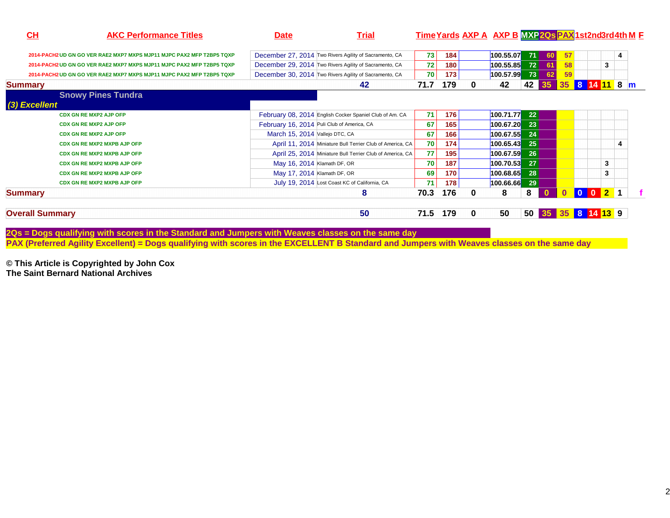| CH                                 | <b>AKC Performance Titles</b>                                         | <b>Date</b>                    | <b>Trial</b>                                              |      |     |   | Time Yards AXP A AXP B MXP 20s PAX 1st2nd3rd4th M F |             |              |    |        |                |   |  |
|------------------------------------|-----------------------------------------------------------------------|--------------------------------|-----------------------------------------------------------|------|-----|---|-----------------------------------------------------|-------------|--------------|----|--------|----------------|---|--|
|                                    | 2014-PACH2 UD GN GO VER RAE2 MXP7 MXPS MJP11 MJPC PAX2 MFP T2BP5 TQXP |                                | December 27, 2014 Two Rivers Agility of Sacramento, CA    | 73   | 184 |   | 100.55.07                                           | 71          | 60           | 57 |        |                | 4 |  |
|                                    | 2014-PACH2 UD GN GO VER RAE2 MXP7 MXPS MJP11 MJPC PAX2 MFP T2BP5 TQXP |                                | December 29, 2014 Two Rivers Agility of Sacramento, CA    | 72   | 180 |   | 100.55.85                                           | 72          | 61           | 58 |        | 3              |   |  |
|                                    | 2014-PACH2 UD GN GO VER RAE2 MXP7 MXPS MJP11 MJPC PAX2 MFP T2BP5 TQXP |                                | December 30, 2014 Two Rivers Agility of Sacramento, CA    | 70   | 173 |   | 100.57.99                                           | 73          | 62           | 59 |        |                |   |  |
| <b>Summary</b>                     |                                                                       |                                | 42                                                        | 71.7 | 179 |   | 42                                                  | 42          | 35           | 35 | 8      | 11 8 m         |   |  |
| <b>Snowy Pines Tundra</b>          |                                                                       |                                |                                                           |      |     |   |                                                     |             |              |    |        |                |   |  |
| (3) Excellent                      |                                                                       |                                |                                                           |      |     |   |                                                     |             |              |    |        |                |   |  |
| <b>CDX GN RE MXP2 AJP OFP</b>      |                                                                       |                                | February 08, 2014 English Cocker Spaniel Club of Am. CA   | 71   | 176 |   | 100.71.77                                           | 22          |              |    |        |                |   |  |
| <b>CDX GN RE MXP2 AJP OFP</b>      |                                                                       |                                | February 16, 2014 Puli Club of America, CA                | 67   | 165 |   | $100.67.20$ 23                                      |             |              |    |        |                |   |  |
| <b>CDX GN RE MXP2 AJP OFP</b>      |                                                                       | March 15, 2014 Vallejo DTC, CA |                                                           | 67   | 166 |   | 100.67.55                                           | 24          |              |    |        |                |   |  |
| <b>CDX GN RE MXP2 MXPB AJP OFP</b> |                                                                       |                                | April 11, 2014 Miniature Bull Terrier Club of America, CA | 70   | 174 |   | 100.65.43                                           | 25          |              |    |        |                |   |  |
| <b>CDX GN RE MXP2 MXPB AJP OFP</b> |                                                                       |                                | April 25, 2014 Miniature Bull Terrier Club of America, CA | 77   | 195 |   | 100.67.59                                           | 26          |              |    |        |                |   |  |
| <b>CDX GN RE MXP2 MXPB AJP OFP</b> |                                                                       | May 16, 2014 Klamath DF, OR    |                                                           | 70   | 187 |   | 100.70.53                                           | 27          |              |    |        | 3              |   |  |
| <b>CDX GN RE MXP2 MXPB AJP OFP</b> |                                                                       | May 17, 2014 Klamath DF, OR    |                                                           | 69   | 170 |   | 100.68.65                                           | 28          |              |    |        | 3              |   |  |
| <b>CDX GN RE MXP2 MXPB AJP OFP</b> |                                                                       |                                | July 19, 2014 Lost Coast KC of California, CA             | 71   | 178 |   | 100.66.66                                           | 29          |              |    |        |                |   |  |
| <b>Summary</b>                     |                                                                       |                                | 8                                                         | 70.3 | 176 | 0 | 8                                                   | 8           | $\mathbf{0}$ |    | $01$ 0 | $\blacksquare$ |   |  |
| <b>Overall Summary</b>             |                                                                       |                                | 50                                                        | 71.5 | 179 | 0 | 50                                                  | <b>50</b> l | 35           |    |        |                |   |  |

2Qs = Dogs qualifying with scores in the Standard and Jumpers with Weaves classes on the same day<br>PAX (Preferred Agility Excellent) = Dogs qualifying with scores in the EXCELLENT B Standard and Jumpers with Weaves classes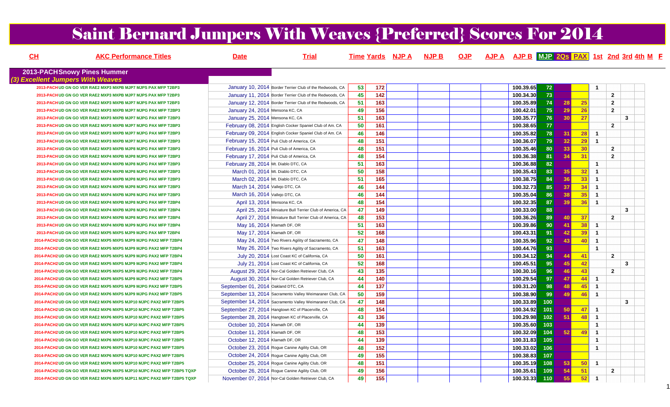# Saint Bernard Jumpers With Weaves {Preferred} Scores For 2014

| CH | <b>AKC Performance Titles</b>                                         | <b>Date</b>                                | <b>Trial</b>                                              |    |                 | Time Yards NJP A NJP B | <b>OJP</b> |           |               |                 |     |                |                | AJP A AJP B MJP 2Qs PAX 1st 2nd 3rd 4th M F |  |
|----|-----------------------------------------------------------------------|--------------------------------------------|-----------------------------------------------------------|----|-----------------|------------------------|------------|-----------|---------------|-----------------|-----|----------------|----------------|---------------------------------------------|--|
|    | <b>2013-PACH Snowy Pines Hummer</b>                                   |                                            |                                                           |    |                 |                        |            |           |               |                 |     |                |                |                                             |  |
|    | (3) Excellent Jumpers With Weaves                                     |                                            |                                                           |    |                 |                        |            |           |               |                 |     |                |                |                                             |  |
|    | 2013-PACHUD GN GO VER RAE2 MXP3 MXPB MJP7 MJPS PAX MFP T2BP3          |                                            | January 10, 2014 Border Terrier Club of the Redwoods, CA  | 53 | 172             |                        |            | 100.39.65 | 72            |                 |     | $\mathbf 1$    |                |                                             |  |
|    | 2013-PACH UD GN GO VER RAE2 MXP3 MXPB MJP7 MJPS PAX MFP T2BP3         |                                            | January 11, 2014 Border Terrier Club of the Redwoods, CA  | 45 | $\frac{1}{142}$ |                        |            | 100.34.30 | 73            |                 |     |                | $\overline{2}$ |                                             |  |
|    | 2013-PACH UD GN GO VER RAE2 MXP3 MXPB MJP7 MJPS PAX MFP T2BP3         |                                            | January 12, 2014 Border Terrier Club of the Redwoods, CA  | 51 | 163             |                        |            | 100.35.89 | 74            | 28              | 25  |                | $\overline{2}$ |                                             |  |
|    | 2013-PACH UD GN GO VER RAE2 MXP3 MXPB MJP7 MJPG PAX MFP T2BP3         | January 24, 2014 Mensona KC, CA            |                                                           | 49 | 156             |                        |            | 100.42.01 | 75            | 29              | 26  |                | $\overline{2}$ |                                             |  |
|    | 2013-PACHUD GN GO VER RAE2 MXP3 MXPB MJP7 MJPG PAX MFP T2BP3          | January 25, 2014 Mensona KC, CA            |                                                           | 51 | 163             |                        |            | 100.35.77 | 76            | 30 <sup>1</sup> | 27  |                |                | $\mathbf{3}$                                |  |
|    | 2013-PACHUD GN GO VER RAE2 MXP3 MXPB MJP7 MJPG PAX MFP T2BP3          |                                            | February 08, 2014 English Cocker Spaniel Club of Am. CA   | 50 | 161             |                        |            | 100.38.65 | 77            |                 |     |                | $\overline{2}$ |                                             |  |
|    | 2013-PACH UD GN GO VER RAE2 MXP3 MXPB MJP7 MJPG PAX MFP T2BP3         |                                            | February 09, 2014 English Cocker Spaniel Club of Am. CA   | 46 | 146             |                        |            | 100.35.82 | 78            | 31              | 28  | $\overline{1}$ |                |                                             |  |
|    | 2013-PACH UD GN GO VER RAE2 MXP3 MXPB MJP7 MJPG PAX MFP T2BP3         | February 15, 2014 Puli Club of America, CA |                                                           | 48 | 151             |                        |            | 100.36.07 | 79            | 32 <sup>°</sup> | 29  | $\overline{1}$ |                |                                             |  |
|    | 2013-PACHUD GN GO VER RAE2 MXP3 MXPB MJP8 MJPG PAX MFP T2BP3          | February 16, 2014 Puli Club of America, CA |                                                           | 48 | 151             |                        |            | 100.35.46 | 80            | 33              | 30  |                | $\overline{2}$ |                                             |  |
|    | 2013-PACH UD GN GO VER RAE2 MXP4 MXPB MJP8 MJPG PAX MFP T2BP3         | February 17, 2014 Puli Club of America, CA |                                                           | 48 | 154             |                        |            | 100.36.38 | 81            | 34              | 31  |                | $\overline{2}$ |                                             |  |
|    | 2013-PACH UD GN GO VER RAE2 MXP4 MXPB MJP8 MJPG PAX MFP T2BP3         | February 28, 2014 Mt. Diablo DTC, CA       |                                                           | 51 | 163             |                        |            | 100.36.88 | 82            |                 |     | $\overline{1}$ |                |                                             |  |
|    | 2013-PACH UD GN GO VER RAE2 MXP4 MXPB MJP8 MJPG PAX MFP T2BP3         | March 01, 2014 Mt. Diablo DTC, CA          |                                                           | 50 | 158             |                        |            | 100.35.43 | 83            | 35 <sup>1</sup> | 32  | $\overline{1}$ |                |                                             |  |
|    | 2013-PACH UD GN GO VER RAE2 MXP4 MXPB MJP8 MJPG PAX MFP T2BP3         | March 02, 2014 Mt. Diablo DTC, CA          |                                                           | 51 | $\frac{165}{ }$ |                        |            | 100.38.75 | 84            | 36              | 33  | $\overline{1}$ |                |                                             |  |
|    | 2013-PACH UD GN GO VER RAE2 MXP4 MXPB MJP8 MJPG PAX MFP T2BP3         | March 14, 2014 Vallejo DTC, CA             |                                                           | 46 | 144             |                        |            | 100.32.73 | 85            | 37              | 34  | $\overline{1}$ |                |                                             |  |
|    | 2013-PACH UD GN GO VER RAE2 MXP4 MXPB MJP8 MJPG PAX MFP T2BP3         | March 16, 2014 Vallejo DTC, CA             |                                                           | 46 | 144             |                        |            | 100.35.04 | 86            | 38              | 35  | $\overline{1}$ |                |                                             |  |
|    | 2013-PACH UD GN GO VER RAE2 MXP4 MXPB MJP8 MJPG PAX MFP T2BP4         | April 13, 2014 Mensona KC, CA              |                                                           | 48 | 154             |                        |            | 100.32.35 | 87            | 39              | 36  | $\overline{1}$ |                |                                             |  |
|    | 2013-PACH UD GN GO VER RAE2 MXP4 MXPB MJP8 MJPG PAX MFP T2BP4         |                                            | April 25, 2014 Miniature Bull Terrier Club of America, CA | 47 | 149             |                        |            | 100.33.00 | 88            |                 |     |                |                | 3                                           |  |
|    | 2013-PACH UD GN GO VER RAE2 MXP4 MXPB MJP8 MJPG PAX MFP T2BP4         |                                            | April 27, 2014 Miniature Bull Terrier Club of America, CA | 48 | 153             |                        |            | 100.36.26 | 89            | 40              | 37  |                | $\overline{2}$ |                                             |  |
|    | 2013-PACHUD GN GO VER RAE2 MXP4 MXPB MJP9 MJPG PAX MFP T2BP4          | May 16, 2014 Klamath DF, OR                |                                                           | 51 | 163             |                        |            | 100.39.86 | 90            | 41              | 38  | $\overline{1}$ |                |                                             |  |
|    | 2013-PACH UD GN GO VER RAE2 MXP5 MXPS MJP9 MJPG PAX MFP T2BP4         | May 17, 2014 Klamath DF, OR                |                                                           | 52 | 168             |                        |            | 100.43.31 | 91            | 42              | 39  | $\overline{1}$ |                |                                             |  |
|    | 2014-PACH2 UD GN GO VER RAE2 MXP5 MXPS MJP9 MJPG PAX2 MFP T2BP4       |                                            | May 24, 2014 Two Rivers Agility of Sacramento, CA         | 47 | 148             |                        |            | 100.35.96 | 92            | 43 <sup>1</sup> | 40  | $\overline{1}$ |                |                                             |  |
|    | 2014-PACH2 UD GN GO VER RAE2 MXP5 MXPS MJP9 MJPG PAX2 MFP T2BP4       |                                            | May 26, 2014 Two Rivers Agility of Sacramento, CA         | 51 | 163             |                        |            | 100.44.76 | 93            |                 |     | $\overline{1}$ |                |                                             |  |
|    | 2014-PACH2 UD GN GO VER RAE2 MXP5 MXPS MJP9 MJPG PAX2 MFP T2BP4       |                                            | July 20, 2014 Lost Coast KC of California, CA             | 50 | 161             |                        |            | 100.34.12 | 94            | 44              | 41  |                | $\overline{2}$ |                                             |  |
|    | 2014-PACH2 UD GN GO VER RAE2 MXP5 MXPS MJP9 MJPG PAX2 MFP T2BP4       |                                            | July 21, 2014 Lost Coast KC of California, CA             | 52 | $\frac{168}{ }$ |                        |            | 100.45.51 | 95            | 45              | 42  |                |                | $\mathbf{3}$                                |  |
|    | 2014-PACH2 UD GN GO VER RAE2 MXP5 MXPS MJP9 MJPG PAX2 MFP T2BP4       |                                            | August 29, 2014 Nor-Cal Golden Retriever Club, CA         | 43 | 135             |                        |            | 100.30.16 | 96            | 46              | 43  |                | $\overline{2}$ |                                             |  |
|    | 2014-PACH2 UD GN GO VER RAE2 MXP5 MXPS MJP9 MJPG PAX2 MFP T2BP5       |                                            | August 30, 2014 Nor-Cal Golden Retriever Club, CA         | 44 | 140             |                        |            | 100.29.54 | 97            | 47              | 44  | $\overline{1}$ |                |                                             |  |
|    | 2014-PACH2 UD GN GO VER RAE2 MXP5 MXPS MJP9 MJPG PAX2 MFP T2BP5       | September 01, 2014 Oakland DTC, CA         |                                                           | 44 | 137             |                        |            | 100.31.20 | 98            | 48              | 45  | $\overline{1}$ |                |                                             |  |
|    | 2014-PACH2 UD GN GO VER RAE2 MXP6 MXPS MJP9 MJPG PAX2 MFP T2BP5       |                                            | September 13, 2014 Sacramento Valley Weimaraner Club, CA  | 50 | 159             |                        |            | 100.38.90 | 99            | 49              | 46  | $\overline{1}$ |                |                                             |  |
|    | 2014-PACH2 UD GN GO VER RAE2 MXP6 MXPS MJP10 MJPC PAX2 MFP T2BP5      |                                            | September 14, 2014 Sacramento Valley Weimaraner Club, CA  | 47 | 148             |                        |            | 100.33.89 | 100           |                 |     |                |                | $\mathbf{3}$                                |  |
|    | 2014-PACH2 UD GN GO VER RAE2 MXP6 MXPS MJP10 MJPC PAX2 MFP T2BP5      |                                            | September 27, 2014 Hangtown KC of Placerville, CA         | 48 | 154             |                        |            | 100.34.92 | 101           | 50 <sup>°</sup> | -47 | $\overline{1}$ |                |                                             |  |
|    | 2014-PACH2 UD GN GO VER RAE2 MXP6 MXPS MJP10 MJPC PAX2 MFP T2BP5      |                                            | September 28, 2014 Hangtown KC of Placerville, CA         | 43 | 136             |                        |            | 100.29.98 | $\boxed{102}$ | 51              | 48  | $\overline{1}$ |                |                                             |  |
|    | 2014-PACH2 UD GN GO VER RAE2 MXP6 MXPS MJP10 MJPC PAX2 MFP T2BP5      | October 10, 2014 Klamath DF, OR            |                                                           | 44 | 139             |                        |            | 100.35.60 | 103           |                 |     | $\overline{1}$ |                |                                             |  |
|    | 2014-PACH2 UD GN GO VER RAE2 MXP6 MXPS MJP10 MJPC PAX2 MFP T2BP5      | October 11, 2014 Klamath DF, OR            |                                                           | 48 | 153             |                        |            | 100.32.09 | 104           | 52              | -49 | $\overline{1}$ |                |                                             |  |
|    | 2014-PACH2 UD GN GO VER RAE2 MXP6 MXPS MJP10 MJPC PAX2 MFP T2BP5      | October 12, 2014 Klamath DF, OR            |                                                           | 44 | 139             |                        |            | 100.31.83 | 105           |                 |     | $\mathbf{1}$   |                |                                             |  |
|    | 2014-PACH2 UD GN GO VER RAE2 MXP6 MXPS MJP10 MJPC PAX2 MFP T2BP5      |                                            | October 23, 2014 Rogue Canine Agility Club, OR            | 48 | 152             |                        |            | 100.33.02 | 106           |                 |     | $\mathbf{1}$   |                |                                             |  |
|    | 2014-PACH2 UD GN GO VER RAE2 MXP6 MXPS MJP10 MJPC PAX2 MFP T2BP5      |                                            | October 24, 2014 Rogue Canine Agility Club, OR            | 49 | 155             |                        |            | 100.38.83 | 107           |                 |     |                |                |                                             |  |
|    | 2014-PACH2 UD GN GO VER RAE2 MXP6 MXPS MJP10 MJPC PAX2 MFP T2BP5      |                                            | October 25, 2014 Rogue Canine Agility Club, OR            | 48 | 151             |                        |            | 100.35.19 | 108           | 53              | 50  | $\overline{1}$ |                |                                             |  |
|    | 2014-PACH2 UD GN GO VER RAE2 MXP6 MXPS MJP10 MJPC PAX2 MFP T2BP5 TQXP |                                            | October 26, 2014 Rogue Canine Agility Club, OR            | 49 | 156             |                        |            | 100.35.61 | 109           | 54              | 51  |                | $\overline{2}$ |                                             |  |
|    | 2014-PACH2 UD GN GO VER RAE2 MXP6 MXPS MJP11 MJPC PAX2 MFP T2BP5 TQXP |                                            | November 07, 2014 Nor-Cal Golden Retriever Club, CA       | 49 | 155             |                        |            | 100.33.33 | 110           | 55              | 52  | $\overline{1}$ |                |                                             |  |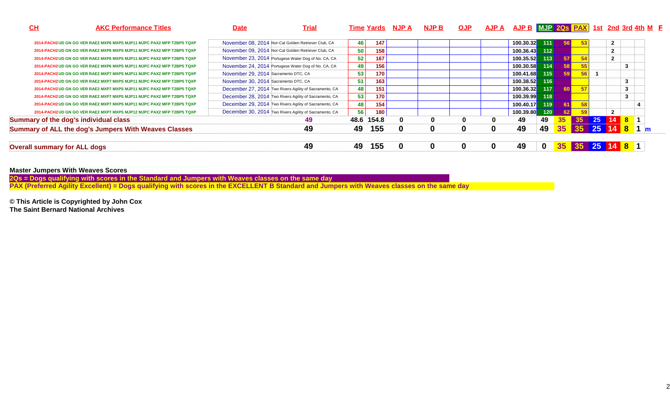| CH                                  | <b>AKC Performance Titles</b>                                         | <b>Date</b>                          | <u>Trial</u>                                           |    |            | <u>Time Yards NJP A</u> | <u>NJP B</u> | <b>OJP</b> | AJP A | AJP B MJP 20s PAX 1st 2nd 3rd 4th M F |          |                 |    |         |                  |   |  |
|-------------------------------------|-----------------------------------------------------------------------|--------------------------------------|--------------------------------------------------------|----|------------|-------------------------|--------------|------------|-------|---------------------------------------|----------|-----------------|----|---------|------------------|---|--|
|                                     | 2014-PACH2 UD GN GO VER RAE2 MXP6 MXPS MJP11 MJPC PAX2 MFP T2BP5 TQXP |                                      | November 08, 2014 Nor-Cal Golden Retriever Club, CA    | 46 | 147        |                         |              |            |       | 100.30.32                             | 111      |                 |    |         | $\mathbf{2}$     |   |  |
|                                     | 2014-PACH2 UD GN GO VER RAE2 MXP6 MXPS MJP11 MJPC PAX2 MFP T2BP5 TQXP |                                      | November 09, 2014 Nor-Cal Golden Retriever Club, CA    | 50 | 158        |                         |              |            |       | 100.36.43                             | $112$    |                 |    |         |                  |   |  |
|                                     | 2014-PACH2 UD GN GO VER RAE2 MXP6 MXPS MJP11 MJPC PAX2 MFP T2BP5 TQXP |                                      | November 23, 2014 Portugese Water Dog of No. CA, CA    | 52 | 167        |                         |              |            |       | 100.35.52                             | 113      |                 |    |         | $\overline{2}$   |   |  |
|                                     | 2014-PACH2 UD GN GO VER RAE2 MXP6 MXPS MJP11 MJPC PAX2 MFP T2BP5 TQXP |                                      | November 24, 2014 Portugese Water Dog of No. CA, CA    | 49 | 156        |                         |              |            |       | 100.30.58                             | 114      |                 |    |         |                  | 3 |  |
|                                     | 2014-PACH2 UD GN GO VER RAE2 MXP7 MXPS MJP11 MJPC PAX2 MFP T2BP5 TQXP | November 29, 2014 Sacramento DTC, CA |                                                        | 53 | 170        |                         |              |            |       | 100.41.68                             | 115      |                 | 56 |         |                  |   |  |
|                                     | 2014-PACH2 UD GN GO VER RAE2 MXP7 MXPS MJP11 MJPC PAX2 MFP T2BP5 TQXP | November 30, 2014 Sacramento DTC, CA |                                                        | 51 | 163        |                         |              |            |       | 100.38.52                             | 116      |                 |    |         |                  | 3 |  |
|                                     | 2014-PACH2 UD GN GO VER RAE2 MXP7 MXPS MJP11 MJPC PAX2 MFP T2BP5 TQXP |                                      | December 27, 2014 Two Rivers Agility of Sacramento, CA | 48 | 151        |                         |              |            |       | 100.36.32                             | 117      |                 |    |         |                  | 3 |  |
|                                     | 2014-PACH2 UD GN GO VER RAE2 MXP7 MXPS MJP11 MJPC PAX2 MFP T2BP5 TQXP |                                      | December 28, 2014 Two Rivers Agility of Sacramento, CA | 53 | 170        |                         |              |            |       | 100.39.99                             | 118      |                 |    |         |                  | 3 |  |
|                                     | 2014-PACH2 UD GN GO VER RAE2 MXP7 MXPS MJP11 MJPC PAX2 MFP T2BP5 TQXP |                                      | December 29, 2014 Two Rivers Agility of Sacramento, CA | 48 | 154        |                         |              |            |       | 100.40.17                             | 119      |                 |    |         |                  |   |  |
|                                     | 2014-PACH2 UD GN GO VER RAE2 MXP7 MXPS MJP12 MJPC PAX2 MFP T2BP5 TQXP |                                      | December 30, 2014 Two Rivers Agility of Sacramento, CA | 56 | 180        |                         |              |            |       | 100.39.80                             | 120      |                 |    |         | $\overline{2}$   |   |  |
|                                     | Summary of the dog's individual class                                 |                                      | 49                                                     |    | 48.6 154.8 | $\mathbf{0}$            | 0            | 0          | 0     | 49                                    | 49       | 35 <sub>2</sub> |    | $35$ 25 | 14 8 1           |   |  |
|                                     | Summary of ALL the dog's Jumpers With Weaves Classes                  |                                      | 49                                                     | 49 | 155        | 0                       | 0            | 0          | 0     | 49                                    | 49       | 35 <sub>2</sub> |    |         | $35$ 25 14 8 1 m |   |  |
| <b>Overall summary for ALL dogs</b> |                                                                       |                                      | 49                                                     | 49 | 155        | 0                       | 0            | O          | 0     | 49                                    | $\bf{0}$ | 35 <sub>2</sub> | 35 |         | 25 14 8 1        |   |  |

### **Master Jumpers With Weaves Scores**

2Qs = Dogs qualifying with scores in the Standard and Jumpers with Weaves classes on the same day<br>PAX (Preferred Agility Excellent) = Dogs qualifying with scores in the EXCELLENT B Standard and Jumpers with Weaves classes

**© This Article is Copyrighted by John Cox The Saint Bernard National Archives**

2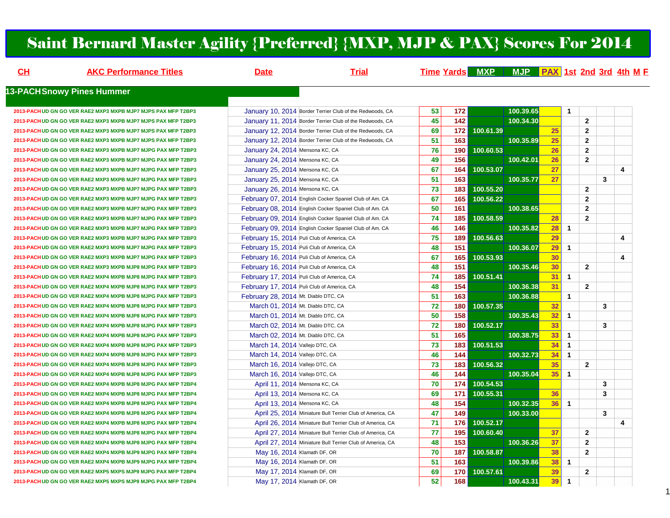### Saint Bernard Master Agility {Preferred} {MXP, MJP & PAX} Scores For 2014

| CH | <b>AKC Performance Titles</b>                                 | <b>Date</b>                          | <b>Trial</b>                                              |                 |                 |           | Time Yards MXP MJP PAX 1st 2nd 3rd 4th M F |    |                |                         |   |                         |
|----|---------------------------------------------------------------|--------------------------------------|-----------------------------------------------------------|-----------------|-----------------|-----------|--------------------------------------------|----|----------------|-------------------------|---|-------------------------|
|    | <b>13-PACHSnowy Pines Hummer</b>                              |                                      |                                                           |                 |                 |           |                                            |    |                |                         |   |                         |
|    | 2013-PACH UD GN GO VER RAE2 MXP3 MXPB MJP7 MJPS PAX MFP T2BP3 |                                      | January 10, 2014 Border Terrier Club of the Redwoods, CA  | 53              | 172             |           | 100.39.65                                  |    | $\overline{1}$ |                         |   |                         |
|    | 2013-PACH UD GN GO VER RAE2 MXP3 MXPB MJP7 MJPS PAX MFP T2BP3 |                                      | January 11, 2014 Border Terrier Club of the Redwoods, CA  | 45              | 142             |           | 100.34.30                                  |    |                | $\overline{\mathbf{2}}$ |   |                         |
|    | 2013-PACH UD GN GO VER RAE2 MXP3 MXPB MJP7 MJPS PAX MFP T2BP3 |                                      | January 12, 2014 Border Terrier Club of the Redwoods, CA  | 69              | 172             | 100.61.39 |                                            | 25 |                | $\overline{2}$          |   |                         |
|    | 2013-PACH UD GN GO VER RAE2 MXP3 MXPB MJP7 MJPS PAX MFP T2BP3 |                                      | January 12, 2014 Border Terrier Club of the Redwoods, CA  | 51              | 163             |           | 100.35.89                                  | 25 |                | $\overline{2}$          |   |                         |
|    | 2013-PACH UD GN GO VER RAE2 MXP3 MXPB MJP7 MJPG PAX MFP T2BP3 | January 24, 2014 Mensona KC, CA      |                                                           | 76              | 190             | 100.60.53 |                                            | 26 |                | $\overline{2}$          |   |                         |
|    | 2013-PACHUD GN GO VER RAE2 MXP3 MXPB MJP7 MJPG PAX MFP T2BP3  | January 24, 2014 Mensona KC, CA      |                                                           | 49              | 156             |           | 100.42.01                                  | 26 |                | $\overline{2}$          |   |                         |
|    | 2013-PACH UD GN GO VER RAE2 MXP3 MXPB MJP7 MJPG PAX MFP T2BP3 | January 25, 2014 Mensona KC, CA      |                                                           | 67              | 164             | 100.53.07 |                                            | 27 |                |                         |   | $\overline{\mathbf{4}}$ |
|    | 2013-PACHUD GN GO VER RAE2 MXP3 MXPB MJP7 MJPG PAX MFP T2BP3  | January 25, 2014 Mensona KC, CA      |                                                           | 51              | 163             |           | 100.35.77                                  | 27 |                |                         | 3 |                         |
|    | 2013-PACHUD GN GO VER RAE2 MXP3 MXPB MJP7 MJPG PAX MFP T2BP3  | January 26, 2014 Mensona KC, CA      |                                                           | 73              | 183             | 100.55.20 |                                            |    |                | $\overline{2}$          |   |                         |
|    | 2013-PACH UD GN GO VER RAE2 MXP3 MXPB MJP7 MJPG PAX MFP T2BP3 |                                      | February 07, 2014 English Cocker Spaniel Club of Am. CA   | 67              | 165             | 100.56.22 |                                            |    |                | $\overline{2}$          |   |                         |
|    | 2013-PACH UD GN GO VER RAE2 MXP3 MXPB MJP7 MJPG PAX MFP T2BP3 |                                      | February 08, 2014 English Cocker Spaniel Club of Am. CA   | 50              | 161             |           | 100.38.65                                  |    |                | $\overline{2}$          |   |                         |
|    | 2013-PACH UD GN GO VER RAE2 MXP3 MXPB MJP7 MJPG PAX MFP T2BP3 |                                      | February 09, 2014 English Cocker Spaniel Club of Am. CA   | 74              | 185             | 100.58.59 |                                            | 28 |                | $\overline{2}$          |   |                         |
|    | 2013-PACH UD GN GO VER RAE2 MXP3 MXPB MJP7 MJPG PAX MFP T2BP3 |                                      | February 09, 2014 English Cocker Spaniel Club of Am. CA   | 46              | 146             |           | 100.35.82                                  | 28 | $\overline{1}$ |                         |   |                         |
|    | 2013-PACH UD GN GO VER RAE2 MXP3 MXPB MJP7 MJPG PAX MFP T2BP3 |                                      | February 15, 2014 Puli Club of America, CA                | 75              | 189             | 100.56.63 |                                            | 29 |                |                         |   | 4                       |
|    | 2013-PACHUD GN GO VER RAE2 MXP3 MXPB MJP7 MJPG PAX MFP T2BP3  |                                      | February 15, 2014 Puli Club of America, CA                | 48              | 151             |           | 100.36.07                                  | 29 | $\overline{1}$ |                         |   |                         |
|    | 2013-PACHUD GN GO VER RAE2 MXP3 MXPB MJP7 MJPG PAX MFP T2BP3  |                                      | February 16, 2014 Puli Club of America, CA                | 67              | 165             | 100.53.93 |                                            | 30 |                |                         |   | 4                       |
|    | 2013-PACH UD GN GO VER RAE2 MXP3 MXPB MJP8 MJPG PAX MFP T2BP3 |                                      | February 16, 2014 Puli Club of America, CA                | 48              | 151             |           | 100.35.46                                  | 30 |                | $\overline{2}$          |   |                         |
|    | 2013-PACH UD GN GO VER RAE2 MXP4 MXPB MJP8 MJPG PAX MFP T2BP3 |                                      | February 17, 2014 Puli Club of America, CA                | 74              | 185             | 100.51.41 |                                            | 31 | $\mathbf{1}$   |                         |   |                         |
|    | 2013-PACH UD GN GO VER RAE2 MXP4 MXPB MJP8 MJPG PAX MFP T2BP3 |                                      | February 17, 2014 Puli Club of America, CA                | 48              | 154             |           | 100.36.38                                  | 31 |                | $\overline{2}$          |   |                         |
|    | 2013-PACH UD GN GO VER RAE2 MXP4 MXPB MJP8 MJPG PAX MFP T2BP3 | February 28, 2014 Mt. Diablo DTC, CA |                                                           | 51              | 163             |           | 100.36.88                                  |    | $\mathbf{1}$   |                         |   |                         |
|    | 2013-PACH UD GN GO VER RAE2 MXP4 MXPB MJP8 MJPG PAX MFP T2BP3 | March 01, 2014 Mt. Diablo DTC, CA    |                                                           | 72              | 180             | 100.57.35 |                                            | 32 |                |                         | 3 |                         |
|    | 2013-PACH UD GN GO VER RAE2 MXP4 MXPB MJP8 MJPG PAX MFP T2BP3 | March 01, 2014 Mt. Diablo DTC, CA    |                                                           | 50              | 158             |           | 100.35.43                                  | 32 | $\mathbf{1}$   |                         |   |                         |
|    | 2013-PACH UD GN GO VER RAE2 MXP4 MXPB MJP8 MJPG PAX MFP T2BP3 | March 02, 2014 Mt. Diablo DTC, CA    |                                                           | 72              | 180             | 100.52.17 |                                            | 33 |                |                         | 3 |                         |
|    | 2013-PACH UD GN GO VER RAE2 MXP4 MXPB MJP8 MJPG PAX MFP T2BP3 | March 02, 2014 Mt. Diablo DTC, CA    |                                                           | $\overline{51}$ | 165             |           | 100.38.75                                  | 33 | $\overline{1}$ |                         |   |                         |
|    | 2013-PACH UD GN GO VER RAE2 MXP4 MXPB MJP8 MJPG PAX MFP T2BP3 | March 14, 2014 Vallejo DTC, CA       |                                                           | 73              | 183             | 100.51.53 |                                            | 34 | $\mathbf{1}$   |                         |   |                         |
|    | 2013-PACH UD GN GO VER RAE2 MXP4 MXPB MJP8 MJPG PAX MFP T2BP3 | March 14, 2014 Vallejo DTC, CA       |                                                           | 46              | 144             |           | 100.32.73                                  | 34 | $\mathbf{1}$   |                         |   |                         |
|    | 2013-PACH UD GN GO VER RAE2 MXP4 MXPB MJP8 MJPG PAX MFP T2BP3 | March 16, 2014 Vallejo DTC, CA       |                                                           | 73              | 183             | 100.56.32 |                                            | 35 |                | $\overline{2}$          |   |                         |
|    | 2013-PACH UD GN GO VER RAE2 MXP4 MXPB MJP8 MJPG PAX MFP T2BP3 | March 16, 2014 Vallejo DTC, CA       |                                                           | 46              | 144             |           | 100.35.04                                  | 35 | $\overline{1}$ |                         |   |                         |
|    | 2013-PACHUD GN GO VER RAE2 MXP4 MXPB MJP8 MJPG PAX MFP T2BP4  | April 11, 2014 Mensona KC, CA        |                                                           | 70              | 174             | 100.54.53 |                                            |    |                |                         | 3 |                         |
|    | 2013-PACH UD GN GO VER RAE2 MXP4 MXPB MJP8 MJPG PAX MFP T2BP4 |                                      | April 13, 2014 Mensona KC, CA                             | 69              | 171             | 100.55.31 |                                            | 36 |                |                         | 3 |                         |
|    | 2013-PACH UD GN GO VER RAE2 MXP4 MXPB MJP8 MJPG PAX MFP T2BP4 | April 13, 2014 Mensona KC, CA        |                                                           | 48              | $\frac{1}{154}$ |           | 100.32.35                                  | 36 | $\overline{1}$ |                         |   |                         |
|    | 2013-PACH UD GN GO VER RAE2 MXP4 MXPB MJP8 MJPG PAX MFP T2BP4 |                                      | April 25, 2014 Miniature Bull Terrier Club of America, CA | 47              | 149             |           | 100.33.00                                  |    |                |                         | 3 |                         |
|    | 2013-PACH UD GN GO VER RAE2 MXP4 MXPB MJP8 MJPG PAX MFP T2BP4 |                                      | April 26, 2014 Miniature Bull Terrier Club of America, CA | 71              | 176             | 100.52.17 |                                            |    |                |                         |   | 4                       |
|    | 2013-PACHUD GN GO VER RAE2 MXP4 MXPB MJP8 MJPG PAX MFP T2BP4  |                                      | April 27, 2014 Miniature Bull Terrier Club of America, CA | 77              | 195             | 100.60.40 |                                            | 37 |                | $\mathbf{2}$            |   |                         |
|    | 2013-PACH UD GN GO VER RAE2 MXP4 MXPB MJP8 MJPG PAX MFP T2BP4 |                                      | April 27, 2014 Miniature Bull Terrier Club of America, CA | 48              | 153             |           | 100.36.26                                  | 37 |                | $\overline{2}$          |   |                         |
|    | 2013-PACHUD GN GO VER RAE2 MXP4 MXPB MJP9 MJPG PAX MFP T2BP4  | May 16, 2014 Klamath DF, OR          |                                                           | 70              | 187             | 100.58.87 |                                            | 38 |                | $\overline{2}$          |   |                         |
|    | 2013-PACH UD GN GO VER RAE2 MXP4 MXPB MJP9 MJPG PAX MFP T2BP4 | May 16, 2014 Klamath DF, OR          |                                                           | 51              | 163             |           | 100.39.86                                  | 38 | $\overline{1}$ |                         |   |                         |
|    | 2013-PACH UD GN GO VER RAE2 MXP5 MXPS MJP9 MJPG PAX MFP T2BP4 | May 17, 2014 Klamath DF, OR          |                                                           | 69              | 170             | 100.57.61 |                                            | 39 |                | $\overline{2}$          |   |                         |
|    | 2013-PACHUD GN GO VER RAE2 MXP5 MXPS MJP9 MJPG PAX MFP T2BP4  | May 17, 2014 Klamath DF, OR          |                                                           | $\overline{52}$ | 168             |           | 100.43.31                                  | 39 | $\overline{1}$ |                         |   |                         |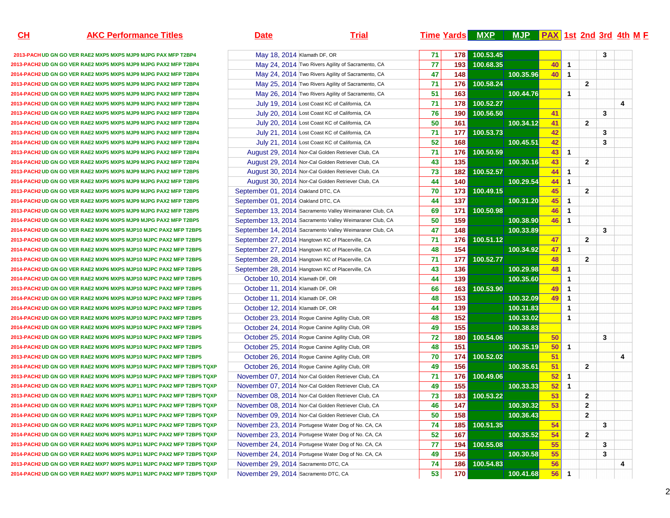**CH**

**2013-PACHUD GN GO VER RAE2 MXP5 MXPS MJP9 MJPG PAX MFP T2BP42013-PACH2UD GN GO VER RAE2 MXP5 MXPS MJP9 MJPG PAX2 MFP T2BP42014-PACH2UD GN GO VER RAE2 MXP5 MXPS MJP9 MJPG PAX2 MFP T2BP42013-PACH2UD GN GO VER RAE2 MXP5 MXPS MJP9 MJPG PAX2 MFP T2BP42014-PACH2UD GN GO VER RAE2 MXP5 MXPS MJP9 MJPG PAX2 MFP T2BP4 2013-PACH2UD GN GO VER RAE2 MXP5 MXPS MJP9 MJPG PAX2 MFP T2BP42013-PACH2UD GN GO VER RAE2 MXP5 MXPS MJP9 MJPG PAX2 MFP T2BP42014-PACH2UD GN GO VER RAE2 MXP5 MXPS MJP9 MJPG PAX2 MFP T2BP42013-PACH2UD GN GO VER RAE2 MXP5 MXPS MJP9 MJPG PAX2 MFP T2BP42014-PACH2UD GN GO VER RAE2 MXP5 MXPS MJP9 MJPG PAX2 MFP T2BP42013-PACH2UD GN GO VER RAE2 MXP5 MXPS MJP9 MJPG PAX2 MFP T2BP42014-PACH2UD GN GO VER RAE2 MXP5 MXPS MJP9 MJPG PAX2 MFP T2BP42013-PACH2 UD GN GO VER RAE2 MXP5 MXPS MJP9 MJPG PAX2 MFP T2BP5 2014-PACH2UD GN GO VER RAE2 MXP5 MXPS MJP9 MJPG PAX2 MFP T2BP52013-PACH2UD GN GO VER RAE2 MXP5 MXPS MJP9 MJPG PAX2 MFP T2BP5**2014-PACH2 UD GN GO VER RAE2 MXP5 MXPS MJP9 MJPG PAX2 MFP T2BP5 **2013-PACH2UD GN GO VER RAE2 MXP6 MXPS MJP9 MJPG PAX2 MFP T2BP52014-PACH2UD GN GO VER RAE2 MXP6 MXPS MJP9 MJPG PAX2 MFP T2BP52014-PACH2UD GN GO VER RAE2 MXP6 MXPS MJP10 MJPC PAX2 MFP T2BP52013-PACH2UD GN GO VER RAE2 MXP6 MXPS MJP10 MJPC PAX2 MFP T2BP52014-PACH2UD GN GO VER RAE2 MXP6 MXPS MJP10 MJPC PAX2 MFP T2BP5** September 27, 2014 Hangtown KC of Placerville, CA**2013-PACH2UD GN GO VER RAE2 MXP6 MXPS MJP10 MJPC PAX2 MFP T2BP52014-PACH2UD GN GO VER RAE2 MXP6 MXPS MJP10 MJPC PAX2 MFP T2BP5** September 28, 2014 Hangtown KC of Placerville, CA**2014-PACH2UD GN GO VER RAE2 MXP6 MXPS MJP10 MJPC PAX2 MFP T2BP52013-PACH2UD GN GO VER RAE2 MXP6 MXPS MJP10 MJPC PAX2 MFP T2BP52014-PACH2UD GN GO VER RAE2 MXP6 MXPS MJP10 MJPC PAX2 MFP T2BP52014-PACH2UD GN GO VER RAE2 MXP6 MXPS MJP10 MJPC PAX2 MFP T2BP52014-PACH2UD GN GO VER RAE2 MXP6 MXPS MJP10 MJPC PAX2 MFP T2BP52014-PACH2UD GN GO VER RAE2 MXP6 MXPS MJP10 MJPC PAX2 MFP T2BP52013-PACH2UD GN GO VER RAE2 MXP6 MXPS MJP10 MJPC PAX2 MFP T2BP5**2014-PACH2 UD GN GO VER RAE2 MXP6 MXPS MJP10 MJPC PAX2 MFP T2BP5 **2013-PACH2UD GN GO VER RAE2 MXP6 MXPS MJP10 MJPC PAX2 MFP T2BP52014-PACH2UD GN GO VER RAE2 MXP6 MXPS MJP10 MJPC PAX2 MFP T2BP5 TQXP2013-PACH2UD GN GO VER RAE2 MXP6 MXPS MJP10 MJPC PAX2 MFP T2BP5 TQXP2014-PACH2UD GN GO VER RAE2 MXP6 MXPS MJP11 MJPC PAX2 MFP T2BP5 TQXP2013-PACH2UD GN GO VER RAE2 MXP6 MXPS MJP11 MJPC PAX2 MFP T2BP5 TQXP2014-PACH2UD GN GO VER RAE2 MXP6 MXPS MJP11 MJPC PAX2 MFP T2BP5 TQXP2014-PACH2UD GN GO VER RAE2 MXP6 MXPS MJP11 MJPC PAX2 MFP T2BP5 TQXP2013-PACH2UD GN GO VER RAE2 MXP6 MXPS MJP11 MJPC PAX2 MFP T2BP5 TQXP2014-PACH2UD GN GO VER RAE2 MXP6 MXPS MJP11 MJPC PAX2 MFP T2BP5 TQXP2013-PACH2UD GN GO VER RAE2 MXP6 MXPS MJP11 MJPC PAX2 MFP T2BP5 TQXP** November 24, 2014 Portugese Water Dog of No. CA, CA**2014-PACH2UD GN GO VER RAE2 MXP6 MXPS MJP11 MJPC PAX2 MFP T2BP5 TQXP2013-PACH2 UD GN GO VER RAE2 MXP7 MXPS MJP11 MJPC PAX2 MFP T2BP5 TQXP 2014-PACH2UD GN GO VER RAE2 MXP7 MXPS MJP11 MJPC PAX2 MFP T2BP5 TQXP**

| <u>н</u> | <b>AKC Performance Titles</b>                                    | <b>Date</b>                                         | <b>Trial</b>                                             |                 |     | <b>Time Yards MXP</b> | MJP PAX 1st 2nd 3rd 4th M F |    |                      |                |   |   |  |
|----------|------------------------------------------------------------------|-----------------------------------------------------|----------------------------------------------------------|-----------------|-----|-----------------------|-----------------------------|----|----------------------|----------------|---|---|--|
|          | 3-PACHUD GN GO VER RAE2 MXP5 MXPS MJP9 MJPG PAX MFP T2BP4        | May 18, 2014 Klamath DF, OR                         |                                                          | 71              | 178 | 100.53.45             |                             |    |                      |                | 3 |   |  |
|          | PACH2 UD GN GO VER RAE2 MXP5 MXPS MJP9 MJPG PAX2 MFP T2BP4       |                                                     | May 24, 2014 Two Rivers Agility of Sacramento, CA        | 77              | 193 | 100.68.35             |                             | 40 | $\mathbf{1}$         |                |   |   |  |
|          | PACH2 UD GN GO VER RAE2 MXP5 MXPS MJP9 MJPG PAX2 MFP T2BP4       |                                                     | May 24, 2014 Two Rivers Agility of Sacramento, CA        | 47              | 148 |                       | 100.35.96                   | 40 | $\mathbf{1}$         |                |   |   |  |
|          | PACH2 UD GN GO VER RAE2 MXP5 MXPS MJP9 MJPG PAX2 MFP T2BP4       |                                                     | May 25, 2014 Two Rivers Agility of Sacramento, CA        | 71              | 176 | 100.58.24             |                             |    |                      | $\mathbf{2}$   |   |   |  |
|          | PACH2 UD GN GO VER RAE2 MXP5 MXPS MJP9 MJPG PAX2 MFP T2BP4       |                                                     | May 26, 2014 Two Rivers Agility of Sacramento, CA        | 51              | 163 |                       | 100.44.76                   |    | $\mathbf{1}$         |                |   |   |  |
|          | PACH2UD GN GO VER RAE2 MXP5 MXPS MJP9 MJPG PAX2 MFP T2BP4        |                                                     | July 19, 2014 Lost Coast KC of California, CA            | 71              | 178 | 100.52.27             |                             |    |                      |                |   | 4 |  |
|          | PACH2UD GN GO VER RAE2 MXP5 MXPS MJP9 MJPG PAX2 MFP T2BP4        |                                                     | July 20, 2014 Lost Coast KC of California, CA            | 76              | 190 | 100.56.50             |                             | 41 |                      |                | 3 |   |  |
|          | PACH2UD GN GO VER RAE2 MXP5 MXPS MJP9 MJPG PAX2 MFP T2BP4        |                                                     | July 20, 2014 Lost Coast KC of California, CA            | 50              | 161 |                       | 100.34.12                   | 41 |                      | $\overline{2}$ |   |   |  |
|          | PACH2 UD GN GO VER RAE2 MXP5 MXPS MJP9 MJPG PAX2 MFP T2BP4       |                                                     | July 21, 2014 Lost Coast KC of California, CA            | 71              | 177 | 100.53.73             |                             | 42 |                      |                | 3 |   |  |
|          | PACH2UD GN GO VER RAE2 MXP5 MXPS MJP9 MJPG PAX2 MFP T2BP4        |                                                     | July 21, 2014 Lost Coast KC of California, CA            | 52              | 168 |                       | 100.45.51                   | 42 |                      |                | 3 |   |  |
|          | PACH2 UD GN GO VER RAE2 MXP5 MXPS MJP9 MJPG PAX2 MFP T2BP4       |                                                     | August 29, 2014 Nor-Cal Golden Retriever Club, CA        | 71              | 176 | 100.50.59             |                             | 43 | $\mathbf{1}$         |                |   |   |  |
|          | PACH2 UD GN GO VER RAE2 MXP5 MXPS MJP9 MJPG PAX2 MFP T2BP4       |                                                     | August 29, 2014 Nor-Cal Golden Retriever Club, CA        | 43              | 135 |                       | 100.30.16                   | 43 |                      | $\mathbf{2}$   |   |   |  |
|          | PACH2 UD GN GO VER RAE2 MXP5 MXPS MJP9 MJPG PAX2 MFP T2BP5       | August 30, 2014 Nor-Cal Golden Retriever Club, CA   |                                                          | 73              | 182 | 100.52.57             |                             | 44 | $\mathbf{1}$         |                |   |   |  |
|          | PACH2 UD GN GO VER RAE2 MXP5 MXPS MJP9 MJPG PAX2 MFP T2BP5       | August 30, 2014 Nor-Cal Golden Retriever Club, CA   |                                                          | 44              | 140 |                       | 100.29.54                   | 44 | $\mathbf{1}$         |                |   |   |  |
|          | PACH2 UD GN GO VER RAE2 MXP5 MXPS MJP9 MJPG PAX2 MFP T2BP5       | September 01, 2014 Oakland DTC, CA                  |                                                          | 70              | 173 | 100.49.15             |                             | 45 |                      | $\overline{2}$ |   |   |  |
|          | PACH2 UD GN GO VER RAE2 MXP5 MXPS MJP9 MJPG PAX2 MFP T2BP5       | September 01, 2014 Oakland DTC, CA                  |                                                          | 44              | 137 |                       | 100.31.20                   | 45 | $\mathbf{1}$         |                |   |   |  |
|          | PACH2 UD GN GO VER RAE2 MXP6 MXPS MJP9 MJPG PAX2 MFP T2BP5       |                                                     | September 13, 2014 Sacramento Valley Weimaraner Club, CA | 69              | 171 | 100.50.98             |                             | 46 | $\mathbf{1}$         |                |   |   |  |
|          | PACH2 UD GN GO VER RAE2 MXP6 MXPS MJP9 MJPG PAX2 MFP T2BP5       |                                                     | September 13, 2014 Sacramento Valley Weimaraner Club, CA | 50              | 159 |                       | 100.38.90                   | 46 | $\mathbf{1}$         |                |   |   |  |
|          | PACH2UD GN GO VER RAE2 MXP6 MXPS MJP10 MJPC PAX2 MFP T2BP5       |                                                     | September 14, 2014 Sacramento Valley Weimaraner Club, CA | 47              | 148 |                       | 100.33.89                   |    |                      |                | 3 |   |  |
|          | PACH2UD GN GO VER RAE2 MXP6 MXPS MJP10 MJPC PAX2 MFP T2BP5       | September 27, 2014 Hangtown KC of Placerville, CA   |                                                          | $\overline{71}$ | 176 | 100.51.12             |                             | 47 |                      | $\mathbf{2}$   |   |   |  |
|          | PACH2UD GN GO VER RAE2 MXP6 MXPS MJP10 MJPC PAX2 MFP T2BP5       | September 27, 2014 Hangtown KC of Placerville, CA   |                                                          | 48              | 154 |                       | 100.34.92                   | 47 | $\mathbf{1}$         |                |   |   |  |
|          | PACH2 UD GN GO VER RAE2 MXP6 MXPS MJP10 MJPC PAX2 MFP T2BP5      | September 28, 2014 Hangtown KC of Placerville, CA   |                                                          | 71              | 177 | 100.52.77             |                             | 48 |                      | $\mathbf{2}$   |   |   |  |
|          | PACH2 UD GN GO VER RAE2 MXP6 MXPS MJP10 MJPC PAX2 MFP T2BP5      | September 28, 2014 Hangtown KC of Placerville, CA   |                                                          | 43              | 136 |                       | 100.29.98                   | 48 | $\mathbf{1}$         |                |   |   |  |
|          | PACH2 UD GN GO VER RAE2 MXP6 MXPS MJP10 MJPC PAX2 MFP T2BP5      | October 10, 2014 Klamath DF, OR                     |                                                          | 44              | 139 |                       | 100.35.60                   |    | $\mathbf{1}$         |                |   |   |  |
|          | PACH2 UD GN GO VER RAE2 MXP6 MXPS MJP10 MJPC PAX2 MFP T2BP5      | October 11, 2014 Klamath DF, OR                     |                                                          | 66              | 163 | 100.53.90             |                             | 49 | $\mathbf{1}$         |                |   |   |  |
|          | PACH2 UD GN GO VER RAE2 MXP6 MXPS MJP10 MJPC PAX2 MFP T2BP5      | October 11, 2014 Klamath DF, OR                     |                                                          | 48              | 153 |                       | 100.32.09                   | 49 | $\blacktriangleleft$ |                |   |   |  |
|          | PACH2 UD GN GO VER RAE2 MXP6 MXPS MJP10 MJPC PAX2 MFP T2BP5      | October 12, 2014 Klamath DF, OR                     |                                                          | 44              | 139 |                       | 100.31.83                   |    | $\mathbf{1}$         |                |   |   |  |
|          | PACH2 UD GN GO VER RAE2 MXP6 MXPS MJP10 MJPC PAX2 MFP T2BP5      | October 23, 2014 Rogue Canine Agility Club, OR      |                                                          | 48              | 152 |                       | 100.33.02                   |    | $\mathbf{1}$         |                |   |   |  |
|          | PACH2 UD GN GO VER RAE2 MXP6 MXPS MJP10 MJPC PAX2 MFP T2BP5      |                                                     |                                                          | 49              | 155 |                       | 100.38.83                   |    |                      |                |   |   |  |
|          |                                                                  | October 24, 2014 Rogue Canine Agility Club, OR      |                                                          | 72              | 180 | 100.54.06             |                             | 50 |                      |                | 3 |   |  |
|          | PACH2 UD GN GO VER RAE2 MXP6 MXPS MJP10 MJPC PAX2 MFP T2BP5      | October 25, 2014 Rogue Canine Agility Club, OR      |                                                          | 48              | 151 |                       | 100.35.19                   | 50 | $\blacktriangleleft$ |                |   |   |  |
|          | PACH2UD GN GO VER RAE2 MXP6 MXPS MJP10 MJPC PAX2 MFP T2BP5       | October 25, 2014 Rogue Canine Agility Club, OR      |                                                          | 70              |     |                       |                             |    |                      |                |   |   |  |
|          | PACH2UD GN GO VER RAE2 MXP6 MXPS MJP10 MJPC PAX2 MFP T2BP5       | October 26, 2014 Rogue Canine Agility Club, OR      |                                                          |                 | 174 | 100.52.02             |                             | 51 |                      |                |   | 4 |  |
|          | PACH2 UD GN GO VER RAE2 MXP6 MXPS MJP10 MJPC PAX2 MFP T2BP5 TQXP | October 26, 2014 Rogue Canine Agility Club, OR      |                                                          | 49              | 156 |                       | 100.35.61                   | 51 |                      | $\mathbf{2}$   |   |   |  |
|          | PACH2 UD GN GO VER RAE2 MXP6 MXPS MJP10 MJPC PAX2 MFP T2BP5 TQXP | November 07, 2014 Nor-Cal Golden Retriever Club, CA |                                                          | 71              | 176 | 100.49.06             |                             | 52 | $\mathbf{1}$         |                |   |   |  |
|          | PACH2 UD GN GO VER RAE2 MXP6 MXPS MJP11 MJPC PAX2 MFP T2BP5 TQXP | November 07, 2014 Nor-Cal Golden Retriever Club, CA |                                                          | 49              | 155 |                       | 100.33.33                   | 52 | $\mathbf{1}$         |                |   |   |  |
|          | PACH2 UD GN GO VER RAE2 MXP6 MXPS MJP11 MJPC PAX2 MFP T2BP5 TQXP | November 08, 2014 Nor-Cal Golden Retriever Club, CA |                                                          | 73              | 183 | 100.53.22             |                             | 53 |                      | $\mathbf{2}$   |   |   |  |
|          | PACH2 UD GN GO VER RAE2 MXP6 MXPS MJP11 MJPC PAX2 MFP T2BP5 TQXP | November 08, 2014 Nor-Cal Golden Retriever Club, CA |                                                          | 46              | 147 |                       | 100.30.32                   | 53 |                      | $\mathbf{2}$   |   |   |  |
|          | PACH2 UD GN GO VER RAE2 MXP6 MXPS MJP11 MJPC PAX2 MFP T2BP5 TQXP | November 09, 2014 Nor-Cal Golden Retriever Club, CA |                                                          | 50              | 158 |                       | 100.36.43                   |    |                      | $\mathbf{2}$   |   |   |  |
|          | PACH2 UD GN GO VER RAE2 MXP6 MXPS MJP11 MJPC PAX2 MFP T2BP5 TQXP | November 23, 2014 Portugese Water Dog of No. CA, CA |                                                          | 74              | 185 | 100.51.35             |                             | 54 |                      |                | 3 |   |  |
|          | PACH2 UD GN GO VER RAE2 MXP6 MXPS MJP11 MJPC PAX2 MFP T2BP5 TQXP | November 23, 2014 Portugese Water Dog of No. CA, CA |                                                          | 52              | 167 |                       | 100.35.52                   | 54 |                      | $\mathbf{2}$   |   |   |  |
|          | PACH2 UD GN GO VER RAE2 MXP6 MXPS MJP11 MJPC PAX2 MFP T2BP5 TQXP | November 24, 2014 Portugese Water Dog of No. CA, CA |                                                          | 77              | 194 | 100.55.08             |                             | 55 |                      |                | 3 |   |  |
|          | PACH2 UD GN GO VER RAE2 MXP6 MXPS MJP11 MJPC PAX2 MFP T2BP5 TQXP | November 24, 2014 Portugese Water Dog of No. CA, CA |                                                          | 49              | 156 |                       | 100.30.58                   | 55 |                      |                | 3 |   |  |
|          | PACH2 UD GN GO VER RAE2 MXP7 MXPS MJP11 MJPC PAX2 MFP T2BP5 TQXP | November 29, 2014 Sacramento DTC, CA                |                                                          | 74              | 186 | 100.54.83             |                             | 56 |                      |                |   | 4 |  |
|          | PACH2 UD GN GO VER RAE2 MXP7 MXPS MJP11 MJPC PAX2 MFP T2BP5 TQXP | November 29, 2014 Sacramento DTC, CA                |                                                          | 53              | 170 |                       | 100.41.68                   | 56 | $\mathbf{1}$         |                |   |   |  |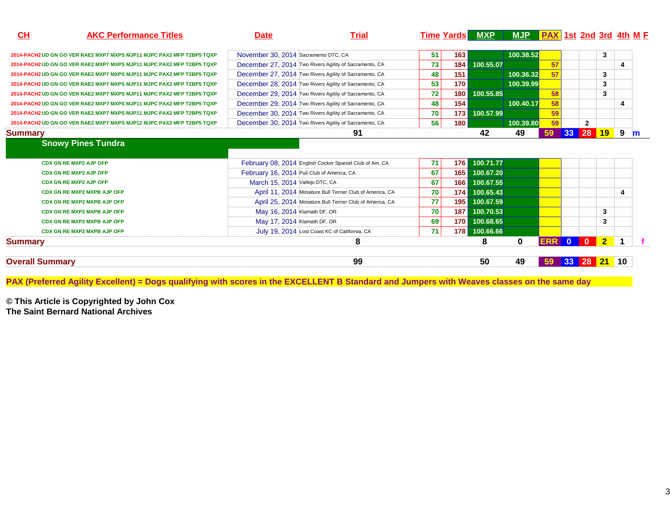| <u>CH</u>      | <b>AKC Performance Titles</b>                                         | <b>Date</b>                                | <b>Trial</b>                                              |    |                  | Time Yards MXP MJP PAX 1st 2nd 3rd 4th M F |                  |    |                 |                |           |   |
|----------------|-----------------------------------------------------------------------|--------------------------------------------|-----------------------------------------------------------|----|------------------|--------------------------------------------|------------------|----|-----------------|----------------|-----------|---|
|                | 2014-PACH2 UD GN GO VER RAE2 MXP7 MXPS MJP11 MJPC PAX2 MFP T2BP5 TQXP | November 30, 2014 Sacramento DTC, CA       |                                                           | 51 | 163              |                                            | 100.38.52        |    |                 |                | 3         |   |
|                | 2014-PACH2 UD GN GO VER RAE2 MXP7 MXPS MJP11 MJPC PAX2 MFP T2BP5 TQXP |                                            | December 27, 2014 Two Rivers Agility of Sacramento, CA    | 73 | 184              | 100.55.07                                  |                  | 57 |                 |                |           | 4 |
|                | 2014-PACH2 UD GN GO VER RAE2 MXP7 MXPS MJP11 MJPC PAX2 MFP T2BP5 TQXP |                                            | December 27, 2014 Two Rivers Agility of Sacramento, CA    | 48 | 151              |                                            | 100.36.32        | 57 |                 |                | 3         |   |
|                | 2014-PACH2 UD GN GO VER RAE2 MXP7 MXPS MJP11 MJPC PAX2 MFP T2BP5 TQXP |                                            | December 28, 2014 Two Rivers Agility of Sacramento, CA    | 53 | 170              |                                            | 100.39.99        |    |                 |                | 3         |   |
|                | 2014-PACH2 UD GN GO VER RAE2 MXP7 MXPS MJP11 MJPC PAX2 MFP T2BP5 TQXP |                                            | December 29, 2014 Two Rivers Agility of Sacramento, CA    | 72 | 180              | 100.55.85                                  |                  | 58 |                 |                | 3         |   |
|                | 2014-PACH2 UD GN GO VER RAE2 MXP7 MXPS MJP11 MJPC PAX2 MFP T2BP5 TQXP |                                            | December 29, 2014 Two Rivers Agility of Sacramento, CA    | 48 | 154              |                                            | <b>100.40.17</b> | 58 |                 |                |           | 4 |
|                | 2014-PACH2 UD GN GO VER RAE2 MXP7 MXPS MJP11 MJPC PAX2 MFP T2BP5 TQXP |                                            | December 30, 2014 Two Rivers Agility of Sacramento, CA    | 70 | 173              | 100.57.99                                  |                  | 59 |                 |                |           |   |
|                | 2014-PACH2 UD GN GO VER RAE2 MXP7 MXPS MJP12 MJPC PAX2 MFP T2BP5 TQXP |                                            | December 30, 2014 Two Rivers Agility of Sacramento, CA    | 56 | 180              |                                            | 100.39.80        | 59 |                 | $\overline{2}$ |           |   |
|                |                                                                       |                                            |                                                           |    |                  |                                            | 49               | 59 | 33 <sub>o</sub> | 28             | <b>19</b> | 9 |
|                | <b>Snowy Pines Tundra</b>                                             |                                            | 91                                                        |    |                  | 42                                         |                  |    |                 |                |           |   |
|                |                                                                       |                                            |                                                           |    |                  |                                            |                  |    |                 |                |           |   |
|                | <b>CDX GN RE MXP2 AJP OFP</b>                                         |                                            | February 08, 2014 English Cocker Spaniel Club of Am. CA   | 71 | 176              | 100.71.77                                  |                  |    |                 |                |           |   |
|                | <b>CDX GN RE MXP2 AJP OFP</b>                                         | February 16, 2014 Puli Club of America, CA |                                                           | 67 | 165              | 100.67.20                                  |                  |    |                 |                |           |   |
|                | <b>CDX GN RE MXP2 AJP OFP</b>                                         | March 15, 2014 Vallejo DTC, CA             |                                                           | 67 | 166              | 100.67.55                                  |                  |    |                 |                |           |   |
|                | <b>CDX GN RE MXP2 MXPB AJP OFP</b>                                    |                                            | April 11, 2014 Miniature Bull Terrier Club of America, CA | 70 | 174              | 100.65.43                                  |                  |    |                 |                |           | 4 |
|                | <b>CDX GN RE MXP2 MXPB AJP OFP</b>                                    |                                            | April 25, 2014 Miniature Bull Terrier Club of America, CA | 77 | 195              | 100.67.59                                  |                  |    |                 |                |           |   |
|                | <b>CDX GN RE MXP2 MXPB AJP OFP</b>                                    | May 16, 2014 Klamath DF, OR                |                                                           | 70 | 187              | 100.70.53                                  |                  |    |                 |                | 3         |   |
|                | <b>CDX GN RE MXP2 MXPB AJP OFP</b>                                    | May 17, 2014 Klamath DF, OR                |                                                           | 69 | 170 <sub>l</sub> | 100.68.65                                  |                  |    |                 |                | 3         |   |
| <b>Summary</b> | <b>CDX GN RE MXP2 MXPB AJP OFP</b>                                    |                                            | July 19, 2014 Lost Coast KC of California, CA             | 71 | 178 <sup>1</sup> | 100.66.66                                  |                  |    |                 |                |           |   |

**PAX (Preferred Agility Excellent) = Dogs qualifying with scores in the EXCELLENT B Standard and Jumpers with Weaves classes on the same day**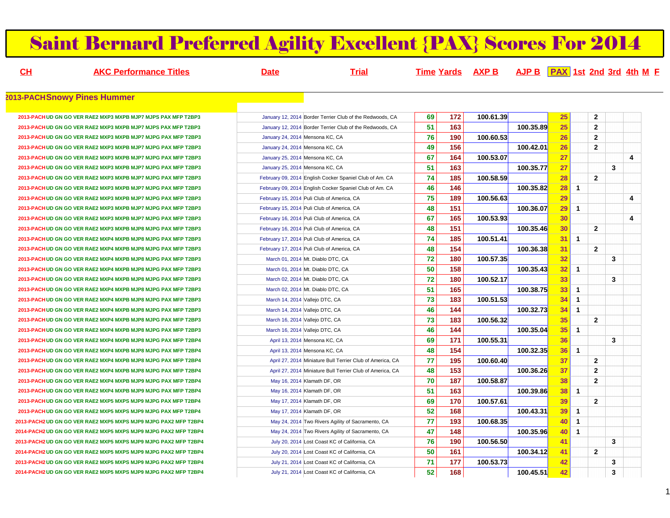### Saint Bernard Preferred Agility Excellent {PAX} Scores For 2014

**CH**

**AKC Performance Titles Date Trial Time Yards AXP B AJP B PAX 1st 2nd 3rd 4th MF**

#### **2013-PACHSnowy Pines Hummer**

**2013-PACHUD GN GO VER RAE2 MXP3 MXPB MJP7 MJPS PAX MFP T2BP32013-PACHUD GN GO VER RAE2 MXP3 MXPB MJP7 MJPS PAX MFP T2BP32013-PACHUD GN GO VER RAE2 MXP3 MXPB MJP7 MJPG PAX MFP T2BP32013-PACHUD GN GO VER RAE2 MXP3 MXPB MJP7 MJPG PAX MFP T2BP32013-PACHUD GN GO VER RAE2 MXP3 MXPB MJP7 MJPG PAX MFP T2BP32013-PACHUD GN GO VER RAE2 MXP3 MXPB MJP7 MJPG PAX MFP T2BP32013-PACHUD GN GO VER RAE2 MXP3 MXPB MJP7 MJPG PAX MFP T2BP32013-PACHUD GN GO VER RAE2 MXP3 MXPB MJP7 MJPG PAX MFP T2BP32013-PACHUD GN GO VER RAE2 MXP3 MXPB MJP7 MJPG PAX MFP T2BP32013-PACHUD GN GO VER RAE2 MXP3 MXPB MJP7 MJPG PAX MFP T2BP32013-PACHUD GN GO VER RAE2 MXP3 MXPB MJP7 MJPG PAX MFP T2BP32013-PACHUD GN GO VER RAE2 MXP3 MXPB MJP8 MJPG PAX MFP T2BP32013-PACHUD GN GO VER RAE2 MXP4 MXPB MJP8 MJPG PAX MFP T2BP32013-PACHUD GN GO VER RAE2 MXP4 MXPB MJP8 MJPG PAX MFP T2BP32013-PACHUD GN GO VER RAE2 MXP4 MXPB MJP8 MJPG PAX MFP T2BP32013-PACHUD GN GO VER RAE2 MXP4 MXPB MJP8 MJPG PAX MFP T2BP32013-PACHUD GN GO VER RAE2 MXP4 MXPB MJP8 MJPG PAX MFP T2BP32013-PACHUD GN GO VER RAE2 MXP4 MXPB MJP8 MJPG PAX MFP T2BP32013-PACHUD GN GO VER RAE2 MXP4 MXPB MJP8 MJPG PAX MFP T2BP32013-PACHUD GN GO VER RAE2 MXP4 MXPB MJP8 MJPG PAX MFP T2BP32013-PACHUD GN GO VER RAE2 MXP4 MXPB MJP8 MJPG PAX MFP T2BP32013-PACHUD GN GO VER RAE2 MXP4 MXPB MJP8 MJPG PAX MFP T2BP32013-PACHUD GN GO VER RAE2 MXP4 MXPB MJP8 MJPG PAX MFP T2BP42013-PACHUD GN GO VER RAE2 MXP4 MXPB MJP8 MJPG PAX MFP T2BP42013-PACHUD GN GO VER RAE2 MXP4 MXPB MJP8 MJPG PAX MFP T2BP4**2013-PACH UD GN GO VER RAE2 MXP4 MXPB MJP8 MJPG PAX MFP T2BP4 **2013-PACHUD GN GO VER RAE2 MXP4 MXPB MJP9 MJPG PAX MFP T2BP42013-PACHUD GN GO VER RAE2 MXP4 MXPB MJP9 MJPG PAX MFP T2BP42013-PACHUD GN GO VER RAE2 MXP5 MXPS MJP9 MJPG PAX MFP T2BP42013-PACHUD GN GO VER RAE2 MXP5 MXPS MJP9 MJPG PAX MFP T2BP42013-PACH2UD GN GO VER RAE2 MXP5 MXPS MJP9 MJPG PAX2 MFP T2BP42014-PACH2UD GN GO VER RAE2 MXP5 MXPS MJP9 MJPG PAX2 MFP T2BP42013-PACH2UD GN GO VER RAE2 MXP5 MXPS MJP9 MJPG PAX2 MFP T2BP42014-PACH2UD GN GO VER RAE2 MXP5 MXPS MJP9 MJPG PAX2 MFP T2BP42013-PACH2UD GN GO VER RAE2 MXP5 MXPS MJP9 MJPG PAX2 MFP T2BP42014-PACH2UD GN GO VER RAE2 MXP5 MXPS MJP9 MJPG PAX2 MFP T2BP4**

| 3  |                                 | January 12, 2014 Border Terrier Club of the Redwoods, CA  | 69 | 172 | 100.61.39 |           | 25 |             | $\mathbf{2}$ |   |   |
|----|---------------------------------|-----------------------------------------------------------|----|-----|-----------|-----------|----|-------------|--------------|---|---|
| 3  |                                 | January 12, 2014 Border Terrier Club of the Redwoods, CA  | 51 | 163 |           | 100.35.89 | 25 |             | $\mathbf{2}$ |   |   |
| з  | January 24, 2014 Mensona KC, CA |                                                           | 76 | 190 | 100.60.53 |           | 26 |             | $\mathbf{2}$ |   |   |
| З  | January 24, 2014 Mensona KC, CA |                                                           | 49 | 156 |           | 100.42.01 | 26 |             | $\mathbf{2}$ |   |   |
| З  | January 25, 2014 Mensona KC, CA |                                                           | 67 | 164 | 100.53.07 |           | 27 |             |              |   | 4 |
| З  | January 25, 2014 Mensona KC, CA |                                                           | 51 | 163 |           | 100.35.77 | 27 |             |              | 3 |   |
| з  |                                 | February 09, 2014 English Cocker Spaniel Club of Am. CA   | 74 | 185 | 100.58.59 |           | 28 |             | $\mathbf{2}$ |   |   |
| З  |                                 | February 09, 2014 English Cocker Spaniel Club of Am. CA   | 46 | 146 |           | 100.35.82 | 28 | 1           |              |   |   |
| з  |                                 | February 15, 2014 Puli Club of America, CA                | 75 | 189 | 100.56.63 |           | 29 |             |              |   | 4 |
| з  |                                 | February 15, 2014 Puli Club of America, CA                | 48 | 151 |           | 100.36.07 | 29 | $\mathbf 1$ |              |   |   |
| з  |                                 | February 16, 2014 Puli Club of America, CA                | 67 | 165 | 100.53.93 |           | 30 |             |              |   | 4 |
| 3  |                                 | February 16, 2014 Puli Club of America, CA                | 48 | 151 |           | 100.35.46 | 30 |             | $\mathbf{2}$ |   |   |
| з  |                                 | February 17, 2014 Puli Club of America, CA                | 74 | 185 | 100.51.41 |           | 31 | 1           |              |   |   |
| з  |                                 | February 17, 2014 Puli Club of America, CA                | 48 | 154 |           | 100.36.38 | 31 |             | $\mathbf{2}$ |   |   |
| з  |                                 | March 01, 2014 Mt. Diablo DTC, CA                         | 72 | 180 | 100.57.35 |           | 32 |             |              | 3 |   |
| з  |                                 | March 01, 2014 Mt. Diablo DTC, CA                         | 50 | 158 |           | 100.35.43 | 32 | 1           |              |   |   |
| з  |                                 | March 02, 2014 Mt. Diablo DTC, CA                         | 72 | 180 | 100.52.17 |           | 33 |             |              | 3 |   |
| з  |                                 | March 02, 2014 Mt. Diablo DTC, CA                         | 51 | 165 |           | 100.38.75 | 33 | 1           |              |   |   |
| з  |                                 | March 14, 2014 Vallejo DTC, CA                            | 73 | 183 | 100.51.53 |           | 34 | 1           |              |   |   |
| 3  |                                 | March 14, 2014 Vallejo DTC, CA                            | 46 | 144 |           | 100.32.73 | 34 | 1           |              |   |   |
| З  |                                 | March 16, 2014 Vallejo DTC, CA                            | 73 | 183 | 100.56.32 |           | 35 |             | 2            |   |   |
| з  |                                 | March 16, 2014 Vallejo DTC, CA                            | 46 | 144 |           | 100.35.04 | 35 | 1           |              |   |   |
| 4  |                                 | April 13, 2014 Mensona KC, CA                             | 69 | 171 | 100.55.31 |           | 36 |             |              | 3 |   |
| 4  |                                 | April 13, 2014 Mensona KC, CA                             | 48 | 154 |           | 100.32.35 | 36 | 1           |              |   |   |
| 4  |                                 | April 27, 2014 Miniature Bull Terrier Club of America, CA | 77 | 195 | 100.60.40 |           | 37 |             | $\mathbf{2}$ |   |   |
| 4  |                                 | April 27, 2014 Miniature Bull Terrier Club of America, CA | 48 | 153 |           | 100.36.26 | 37 |             | $\mathbf{2}$ |   |   |
| 4  |                                 | May 16, 2014 Klamath DF, OR                               | 70 | 187 | 100.58.87 |           | 38 |             | $\mathbf{2}$ |   |   |
| 4  |                                 | May 16, 2014 Klamath DF, OR                               | 51 | 163 |           | 100.39.86 | 38 | 1           |              |   |   |
| 4  |                                 | May 17, 2014 Klamath DF, OR                               | 69 | 170 | 100.57.61 |           | 39 |             | $\mathbf{2}$ |   |   |
| 4  |                                 | May 17, 2014 Klamath DF, OR                               | 52 | 168 |           | 100.43.31 | 39 | 1           |              |   |   |
| P4 |                                 | May 24, 2014 Two Rivers Agility of Sacramento, CA         | 77 | 193 | 100.68.35 |           | 40 | 1           |              |   |   |
| P4 |                                 | May 24, 2014 Two Rivers Agility of Sacramento, CA         | 47 | 148 |           | 100.35.96 | 40 | 1           |              |   |   |
| P4 |                                 | July 20, 2014 Lost Coast KC of California, CA             | 76 | 190 | 100.56.50 |           | 41 |             |              | 3 |   |
| P4 |                                 | July 20, 2014 Lost Coast KC of California, CA             | 50 | 161 |           | 100.34.12 | 41 |             | $\mathbf{2}$ |   |   |
| P4 |                                 | July 21, 2014 Lost Coast KC of California, CA             | 71 | 177 | 100.53.73 |           | 42 |             |              | 3 |   |
| P4 |                                 | July 21, 2014 Lost Coast KC of California, CA             | 52 | 168 |           | 100.45.51 | 42 |             |              | 3 |   |
|    |                                 |                                                           |    |     |           |           |    |             |              |   |   |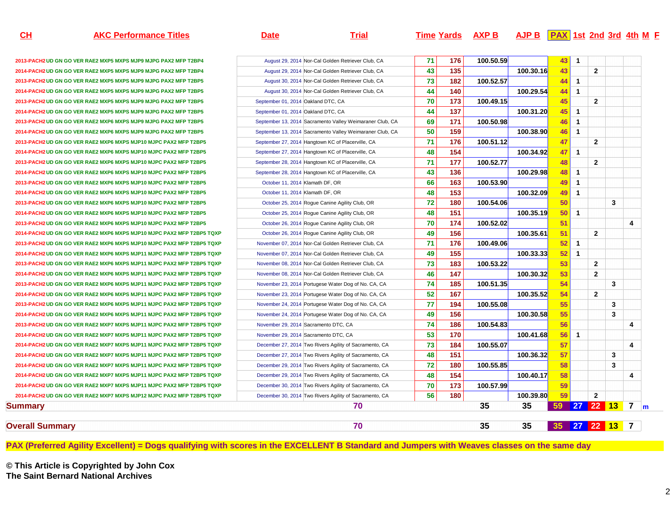| <b>AKC</b><br>Titles<br>∶ Performance | Jate | ria <sup>,</sup> | Time Yards | AXP B |  | <b>AJP B PAX</b> 1st 2nd 3rd 4th M F |  |
|---------------------------------------|------|------------------|------------|-------|--|--------------------------------------|--|
|                                       |      |                  |            |       |  |                                      |  |

**CH**

**Summary**

**Overall Summary**

**2013-PACH2 UD GN GO VER RAE2 MXP5 MXPS MJP9 MJPG 2014-PACH2UD GN GO VER RAE2 MXP5 MXPS MJP9 MJPG 2013-PACH2 UD GN GO VER RAE2 MXP5 MXPS MJP9 MJPG 2014-PACH2 UD GN GO VER RAE2 MXP5 MXPS MJP9 MJPG 2013-PACH2 UD GN GO VER RAE2 MXP5 MXPS MJP9 MJPG** 2014-PACH2 UD GN GO VER RAE2 MXP5 MXPS MJP9 MJPG **2013-PACH2 UD GN GO VER RAE2 MXP6 MXPS MJP9 MJPG 2014-PACH2UD GN GO VER RAE2 MXP6 MXPS MJP9 MJPG 2013-PACH2 UD GN GO VER RAE2 MXP6 MXPS MJP10 MJPC 2014-PACH2 UD GN GO VER RAE2 MXP6 MXPS MJP10 MJPC 2013-PACH2 UD GN GO VER RAE2 MXP6 MXPS MJP10 MJPC 2014-PACH2 UD GN GO VER RAE2 MXP6 MXPS MJP10 MJPC 2013-PACH2 UD GN GO VER RAE2 MXP6 MXPS MJP10 MJPC 2014-PACH2 UD GN GO VER RAE2 MXP6 MXPS MJP10 MJPC 2013-PACH2 UD GN GO VER RAE2 MXP6 MXPS MJP10 MJPC** 2014-PACH2 UD GN GO VER RAE2 MXP6 MXPS MJP10 MJPC **2013-PACH2 UD GN GO VER RAE2 MXP6 MXPS MJP10 MJPC 2014-PACH2 UD GN GO VER RAE2 MXP6 MXPS MJP10 MJPC 2013-PACH2 UD GN GO VER RAE2 MXP6 MXPS MJP10 MJPC 2014-PACH2UD GN GO VER RAE2 MXP6 MXPS MJP11 MJPC 2013-PACH2 UD GN GO VER RAE2 MXP6 MXPS MJP11 MJPC 2014-PACH2 UD GN GO VER RAE2 MXP6 MXPS MJP11 MJPC 2013-PACH2 UD GN GO VER RAE2 MXP6 MXPS MJP11 MJPC 2014-PACH2 UD GN GO VER RAE2 MXP6 MXPS MJP11 MJPC 2013-PACH2 UD GN GO VER RAE2 MXP6 MXPS MJP11 MJPC 2014-PACH2UD GN GO VER RAE2 MXP6 MXPS MJP11 MJPC 2013-PACH2 UD GN GO VER RAE2 MXP7 MXPS MJP11 MJPC 2014-PACH2 UD GN GO VER RAE2 MXP7 MXPS MJP11 MJPC** 2014-PACH2 UD GN GO VER RAE2 MXP7 MXPS MJP11 MJPC 2014-PACH2 UD GN GO VER RAE2 MXP7 MXPS MJP11 MJPC 2014-PACH2 UD GN GO VER RAE2 MXP7 MXPS MJP11 MJPC **2014-PACH2 UD GN GO VER RAE2 MXP7 MXPS MJP11 MJPC 2014-PACH2 UD GN GO VER RAE2 MXP7 MXPS MJP11 MJPC 2014-PACH2 UD GN GO VER RAE2 MXP7 MXPS MJP12 MJPC** 

| Summary                                                              |                                    | 70                                                       |    |     | 35        | 35        | 35 27 22 13 7 |                      |                 |   |                |
|----------------------------------------------------------------------|------------------------------------|----------------------------------------------------------|----|-----|-----------|-----------|---------------|----------------------|-----------------|---|----------------|
|                                                                      |                                    | 70                                                       |    |     | 35        | 35        | 59            |                      | <b>27 22 13</b> |   | $\mathbf{7}$   |
| <b>H2 UD GN GO VER RAE2 MXP7 MXPS MJP12 MJPC PAX2 MFP T2BP5 TQXP</b> |                                    | December 30, 2014 Two Rivers Agility of Sacramento, CA   | 56 | 180 |           | 100.39.80 | 59            |                      | $\overline{2}$  |   |                |
| <b>H2 UD GN GO VER RAE2 MXP7 MXPS MJP11 MJPC PAX2 MFP T2BP5 TQXP</b> |                                    | December 30, 2014 Two Rivers Agility of Sacramento, CA   | 70 | 173 | 100.57.99 |           | 59            |                      |                 |   |                |
| H2 UD GN GO VER RAE2 MXP7 MXPS MJP11 MJPC PAX2 MFP T2BP5 TQXP        |                                    | December 29, 2014 Two Rivers Agility of Sacramento, CA   | 48 | 154 |           | 100.40.17 | 58            |                      |                 |   | 4              |
| <b>H2 UD GN GO VER RAE2 MXP7 MXPS MJP11 MJPC PAX2 MFP T2BP5 TQXP</b> |                                    | December 29, 2014 Two Rivers Agility of Sacramento, CA   | 72 | 180 | 100.55.85 |           | 58            |                      |                 | 3 |                |
| <b>H2UD GN GO VER RAE2 MXP7 MXPS MJP11 MJPC PAX2 MFP T2BP5 TQXP</b>  |                                    | December 27, 2014 Two Rivers Agility of Sacramento, CA   | 48 | 151 |           | 100.36.32 | 57            |                      |                 | 3 |                |
| H2 UD GN GO VER RAE2 MXP7 MXPS MJP11 MJPC PAX2 MFP T2BP5 TQXP        |                                    | December 27, 2014 Two Rivers Agility of Sacramento, CA   | 73 | 184 | 100.55.07 |           | 57            |                      |                 |   | 4              |
| <b>H2UD GN GO VER RAE2 MXP7 MXPS MJP11 MJPC PAX2 MFP T2BP5 TQXP</b>  |                                    | November 29, 2014 Sacramento DTC, CA                     | 53 | 170 |           | 100.41.68 | 56            | $\overline{1}$       |                 |   |                |
| <b>H2 UD GN GO VER RAE2 MXP7 MXPS MJP11 MJPC PAX2 MFP T2BP5 TQXP</b> |                                    | November 29, 2014 Sacramento DTC, CA                     | 74 | 186 | 100.54.83 |           | 56            |                      |                 |   | $\overline{4}$ |
| H2 UD GN GO VER RAE2 MXP6 MXPS MJP11 MJPC PAX2 MFP T2BP5 TQXP        |                                    | November 24, 2014 Portugese Water Dog of No. CA, CA      | 49 | 156 |           | 100.30.58 | 55            |                      |                 | 3 |                |
| H2 UD GN GO VER RAE2 MXP6 MXPS MJP11 MJPC PAX2 MFP T2BP5 TQXP        |                                    | November 24, 2014 Portugese Water Dog of No. CA, CA      | 77 | 194 | 100.55.08 |           | 55            |                      |                 | 3 |                |
| <b>H2UD GN GO VER RAE2 MXP6 MXPS MJP11 MJPC PAX2 MFP T2BP5 TQXP</b>  |                                    | November 23, 2014 Portugese Water Dog of No. CA, CA      | 52 | 167 |           | 100.35.52 | 54            |                      | $\mathbf{2}$    |   |                |
| <b>H2UD GN GO VER RAE2 MXP6 MXPS MJP11 MJPC PAX2 MFP T2BP5 TQXP</b>  |                                    | November 23, 2014 Portugese Water Dog of No. CA, CA      | 74 | 185 | 100.51.35 |           | 54            |                      |                 | 3 |                |
| <b>H2UD GN GO VER RAE2 MXP6 MXPS MJP11 MJPC PAX2 MFP T2BP5 TQXP</b>  |                                    | November 08, 2014 Nor-Cal Golden Retriever Club, CA      | 46 | 147 |           | 100.30.32 | 53            |                      | $\overline{2}$  |   |                |
| <b>H2UD GN GO VER RAE2 MXP6 MXPS MJP11 MJPC PAX2 MFP T2BP5 TQXP</b>  |                                    | November 08, 2014 Nor-Cal Golden Retriever Club, CA      | 73 | 183 | 100.53.22 |           | 53            |                      | $\overline{2}$  |   |                |
| <b>H2UD GN GO VER RAE2 MXP6 MXPS MJP11 MJPC PAX2 MFP T2BP5 TQXP</b>  |                                    | November 07, 2014 Nor-Cal Golden Retriever Club, CA      | 49 | 155 |           | 100.33.33 | 52            | $\overline{1}$       |                 |   |                |
| H2 UD GN GO VER RAE2 MXP6 MXPS MJP10 MJPC PAX2 MFP T2BP5 TQXP        |                                    | November 07, 2014 Nor-Cal Golden Retriever Club, CA      | 71 | 176 | 100.49.06 |           | 52            | $\mathbf{1}$         |                 |   |                |
| H2 UD GN GO VER RAE2 MXP6 MXPS MJP10 MJPC PAX2 MFP T2BP5 TQXP        |                                    | October 26, 2014 Rogue Canine Agility Club, OR           | 49 | 156 |           | 100.35.61 | 51            |                      | $\overline{2}$  |   |                |
| <b>H2 UD GN GO VER RAE2 MXP6 MXPS MJP10 MJPC PAX2 MFP T2BP5</b>      |                                    | October 26, 2014 Roque Canine Agility Club, OR           | 70 | 174 | 100.52.02 |           | 51            |                      |                 |   | $\overline{4}$ |
| <b>H2 UD GN GO VER RAE2 MXP6 MXPS MJP10 MJPC PAX2 MFP T2BP5</b>      |                                    | October 25, 2014 Rogue Canine Agility Club, OR           | 48 | 151 |           | 100.35.19 | 50            | $\overline{1}$       |                 |   |                |
| <b>H2 UD GN GO VER RAE2 MXP6 MXPS MJP10 MJPC PAX2 MFP T2BP5</b>      |                                    | October 25, 2014 Rogue Canine Agility Club, OR           | 72 | 180 | 100.54.06 |           | 50            |                      |                 | 3 |                |
| 12 UD GN GO VER RAE2 MXP6 MXPS MJP10 MJPC PAX2 MFP T2BP5             | October 11, 2014 Klamath DF, OR    |                                                          | 48 | 153 |           | 100.32.09 | 49            | $\blacktriangleleft$ |                 |   |                |
| <b>H2 UD GN GO VER RAE2 MXP6 MXPS MJP10 MJPC PAX2 MFP T2BP5</b>      | October 11, 2014 Klamath DF, OR    |                                                          | 66 | 163 | 100.53.90 |           | 49            | $\overline{1}$       |                 |   |                |
| <b>12 UD GN GO VER RAE2 MXP6 MXPS MJP10 MJPC PAX2 MFP T2BP5</b>      |                                    | September 28, 2014 Hangtown KC of Placerville, CA        | 43 | 136 |           | 100.29.98 | 48            | $\overline{1}$       |                 |   |                |
| <b>H2 UD GN GO VER RAE2 MXP6 MXPS MJP10 MJPC PAX2 MFP T2BP5</b>      |                                    | September 28, 2014 Hangtown KC of Placerville, CA        | 71 | 177 | 100.52.77 |           | 48            |                      | $\mathbf{2}$    |   |                |
| <b>H2 UD GN GO VER RAE2 MXP6 MXPS MJP10 MJPC PAX2 MFP T2BP5</b>      |                                    | September 27, 2014 Hangtown KC of Placerville, CA        | 48 | 154 |           | 100.34.92 | 47            | $\overline{1}$       |                 |   |                |
| <b>H2 UD GN GO VER RAE2 MXP6 MXPS MJP10 MJPC PAX2 MFP T2BP5</b>      |                                    | September 27, 2014 Hangtown KC of Placerville, CA        | 71 | 176 | 100.51.12 |           | 47            |                      | $\mathbf{2}$    |   |                |
| <b>H2 UD GN GO VER RAE2 MXP6 MXPS MJP9 MJPG PAX2 MFP T2BP5</b>       |                                    | September 13, 2014 Sacramento Valley Weimaraner Club, CA | 50 | 159 |           | 100.38.90 | 46            | $\overline{1}$       |                 |   |                |
| <b>H2 UD GN GO VER RAE2 MXP6 MXPS MJP9 MJPG PAX2 MFP T2BP5</b>       |                                    | September 13, 2014 Sacramento Valley Weimaraner Club, CA | 69 | 171 | 100.50.98 |           | 46            | $\mathbf{1}$         |                 |   |                |
| <b>H2 UD GN GO VER RAE2 MXP5 MXPS MJP9 MJPG PAX2 MFP T2BP5</b>       | September 01, 2014 Oakland DTC, CA |                                                          | 44 | 137 |           | 100.31.20 | 45            | $\overline{1}$       |                 |   |                |
| <b>H2 UD GN GO VER RAE2 MXP5 MXPS MJP9 MJPG PAX2 MFP T2BP5</b>       | September 01, 2014 Oakland DTC, CA |                                                          | 70 | 173 | 100.49.15 |           | 45            |                      | $\overline{2}$  |   |                |
| H2 UD GN GO VER RAE2 MXP5 MXPS MJP9 MJPG PAX2 MFP T2BP5              |                                    | August 30, 2014 Nor-Cal Golden Retriever Club, CA        | 44 | 140 |           | 100.29.54 | 44            | $\overline{1}$       |                 |   |                |
| <b>H2 UD GN GO VER RAE2 MXP5 MXPS MJP9 MJPG PAX2 MFP T2BP5</b>       |                                    | August 30, 2014 Nor-Cal Golden Retriever Club, CA        | 73 | 182 | 100.52.57 |           | 44            | $\overline{1}$       |                 |   |                |
| <b>H2 UD GN GO VER RAE2 MXP5 MXPS MJP9 MJPG PAX2 MFP T2BP4</b>       |                                    | August 29, 2014 Nor-Cal Golden Retriever Club, CA        | 43 | 135 |           | 100.30.16 | 43            |                      | $\overline{2}$  |   |                |

**PAX (Preferred Agility Excellent) = Dogs qualifying with scores in the EXCELLENT B Standard and Jumpers with Weaves classes on the same day**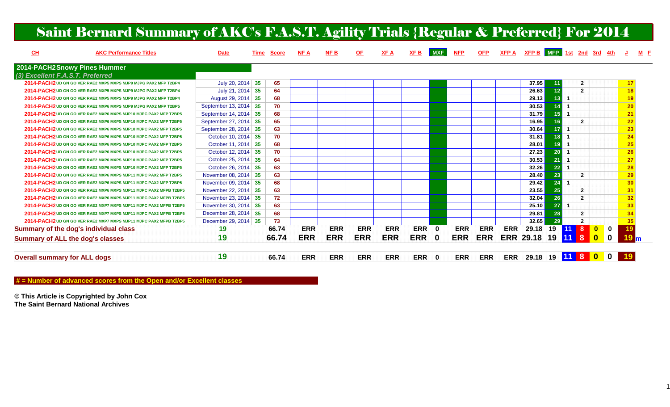| CL                                  | <b>AKC Performance Titles</b>                                     | <b>Date</b>           | <u>Time</u> | <b>Score</b> | <b>NFA</b> | NFB        | <u>OF</u>  | XFA        | XF B       | <b>MXF</b>   | <b>NFP</b> | <b>OFP</b> |            | $XFP A$ XFP B MFP 1st 2nd 3rd 4th # M F |                 |              |                |                         |                |                 |
|-------------------------------------|-------------------------------------------------------------------|-----------------------|-------------|--------------|------------|------------|------------|------------|------------|--------------|------------|------------|------------|-----------------------------------------|-----------------|--------------|----------------|-------------------------|----------------|-----------------|
|                                     | 2014-PACH2Snowy Pines Hummer                                      |                       |             |              |            |            |            |            |            |              |            |            |            |                                         |                 |              |                |                         |                |                 |
| (3) Excellent F.A.S.T. Preferred    |                                                                   |                       |             |              |            |            |            |            |            |              |            |            |            |                                         |                 |              |                |                         |                |                 |
|                                     | 2014-PACH2 UD GN GO VER RAE2 MXP5 MXPS MJP9 MJPG PAX2 MFP T2BP4   | July 20, 2014 35      |             | 65           |            |            |            |            |            |              |            |            |            | 37.95                                   | 11              |              | $\mathbf{2}$   |                         |                | 17              |
|                                     | 2014-PACH2 UD GN GO VER RAE2 MXP5 MXPS MJP9 MJPG PAX2 MFP T2BP4   | July 21, 2014 35      |             | 64           |            |            |            |            |            |              |            |            |            | 26.63                                   | 12              |              | $\overline{2}$ |                         |                | 18              |
|                                     | 2014-PACH2 UD GN GO VER RAE2 MXP5 MXPS MJP9 MJPG PAX2 MFP T2BP4   | August 29, 2014 35    |             | 68           |            |            |            |            |            |              |            |            |            | 29.13                                   | 13 <sup>°</sup> |              |                |                         |                | 19              |
|                                     | 2014-PACH2 UD GN GO VER RAE2 MXP6 MXPS MJP9 MJPG PAX2 MFP T2BP5   | September 13, 2014 35 |             | 70           |            |            |            |            |            |              |            |            |            | 30.53                                   | 14              |              |                |                         |                | 20              |
|                                     | 2014-PACH2UD GN GO VER RAE2 MXP6 MXPS MJP10 MJPC PAX2 MFP T2BP5   | September 14, 2014 35 |             | 68           |            |            |            |            |            |              |            |            |            | 31.79                                   | 15 <sup>1</sup> |              |                |                         |                | 21              |
|                                     | 2014-PACH2UD GN GO VER RAE2 MXP6 MXPS MJP10 MJPC PAX2 MFP T2BP5   | September 27, 2014 35 |             | 65           |            |            |            |            |            |              |            |            |            | 16.95                                   | 16 <sup>°</sup> |              | $\mathbf{2}$   |                         |                | 22              |
|                                     | 2014-PACH2 UD GN GO VER RAE2 MXP6 MXPS MJP10 MJPC PAX2 MFP T2BP5  | September 28, 2014 35 |             | 63           |            |            |            |            |            |              |            |            |            | 30.64                                   | 17 <sup>2</sup> | $\mathbf{1}$ |                |                         |                | 23              |
|                                     | 2014-PACH2UD GN GO VER RAE2 MXP6 MXPS MJP10 MJPC PAX2 MFP T2BP5   | October 10, 2014 35   |             | 70           |            |            |            |            |            |              |            |            |            | 31.81                                   | 18              |              |                |                         |                | 24              |
|                                     | 2014-PACH2 UD GN GO VER RAE2 MXP6 MXPS MJP10 MJPC PAX2 MFP T2BP5  | October 11, 2014 35   |             | 68           |            |            |            |            |            |              |            |            |            | 28.01                                   | 19              |              |                |                         |                | 25              |
|                                     | 2014-PACH2UD GN GO VER RAE2 MXP6 MXPS MJP10 MJPC PAX2 MFP T2BP5   | October 12, 2014 35   |             | 70           |            |            |            |            |            |              |            |            |            | 27.23                                   | 20              |              |                |                         |                | 26              |
|                                     | 2014-PACH2UD GN GO VER RAE2 MXP6 MXPS MJP10 MJPC PAX2 MFP T2BP5   | October 25, 2014 35   |             | 64           |            |            |            |            |            |              |            |            |            | 30.53                                   | 21              |              |                |                         |                | 27              |
|                                     | 2014-PACH2 UD GN GO VER RAE2 MXP6 MXPS MJP10 MJPC PAX2 MFP T2BP5  | October 26, 2014 35   |             | 63           |            |            |            |            |            |              |            |            |            | 32.26                                   | 22              |              |                |                         |                | 28              |
|                                     | 2014-PACH2UD GN GO VER RAE2 MXP6 MXPS MJP11 MJPC PAX2 MFP T2BP5   | November 08, 2014 35  |             | 63           |            |            |            |            |            |              |            |            |            | 28.40                                   | $\overline{23}$ |              | $\mathbf{2}$   |                         |                | 29              |
|                                     | 2014-PACH2 UD GN GO VER RAE2 MXP6 MXPS MJP11 MJPC PAX2 MFP T2BP5  | November 09, 2014 35  |             | 68           |            |            |            |            |            |              |            |            |            | 29.42                                   | 24              |              |                |                         |                | 30              |
|                                     | 2014-PACH2 UD GN GO VER RAE2 MXP6 MXPS MJP11 MJPC PAX2 MFPB T2BP5 | November 22, 2014 35  |             | 63           |            |            |            |            |            |              |            |            |            | 23.55                                   | 25              |              | $\overline{2}$ |                         |                | 31              |
|                                     | 2014-PACH2 UD GN GO VER RAE2 MXP6 MXPS MJP11 MJPC PAX2 MFPB T2BP5 | November 23, 2014 35  |             | 72           |            |            |            |            |            |              |            |            |            | 32.04                                   | 26              |              | $\overline{2}$ |                         |                | 32              |
|                                     | 2014-PACH2 UD GN GO VER RAE2 MXP7 MXPS MJP11 MJPC PAX2 MFPB T2BP5 | November 30, 2014 35  |             | 63           |            |            |            |            |            |              |            |            |            | 25.10                                   | 27              |              |                |                         |                | 33              |
|                                     | 2014-PACH2 UD GN GO VER RAE2 MXP7 MXPS MJP11 MJPC PAX2 MFPB T2BP5 | December 28, 2014 35  |             | 68           |            |            |            |            |            |              |            |            |            | 29.81                                   | 28              |              | $\mathbf{2}$   |                         |                |                 |
|                                     | 2014-PACH2 UD GN GO VER RAE2 MXP7 MXPS MJP11 MJPC PAX2 MFPB T2BP5 | December 29, 2014 35  |             | 73           |            |            |            |            |            |              |            |            |            | 32.65                                   | 29              |              | $\overline{2}$ |                         |                | 35              |
|                                     | <b>Summary of the dog's individual class</b>                      | 19                    |             | 66.74        | <b>ERR</b> | <b>ERR</b> | <b>ERR</b> | <b>ERR</b> | <b>ERR</b> | $\mathbf{0}$ | <b>ERR</b> | <b>ERR</b> | <b>ERR</b> | 29.18                                   | 19              | 11           | 8              | $\mathbf{0}$            | $\mathbf 0$    | 19              |
|                                     | <b>Summary of ALL the dog's classes</b>                           | 19                    |             | 66.74        | <b>ERR</b> | <b>ERR</b> | <b>ERR</b> | <b>ERR</b> | <b>ERR</b> | $\mathbf 0$  | <b>ERR</b> | <b>ERR</b> |            | <b>ERR 29.18</b>                        | 19              | 11           | 8              | $\overline{\mathbf{0}}$ | $\mathbf 0$    | 19 <sub>m</sub> |
| <b>Overall summary for ALL dogs</b> |                                                                   | 19                    |             | 66.74        | <b>ERR</b> | <b>ERR</b> | <b>ERR</b> | <b>ERR</b> | <b>ERR</b> | $\mathbf{0}$ | <b>ERR</b> | <b>ERR</b> | <b>ERR</b> | 29.18 19 11 8 0                         |                 |              |                |                         | 0 <sup>1</sup> | 19              |

#### **# = Number of advanced scores from the Open and/or Excellent classes**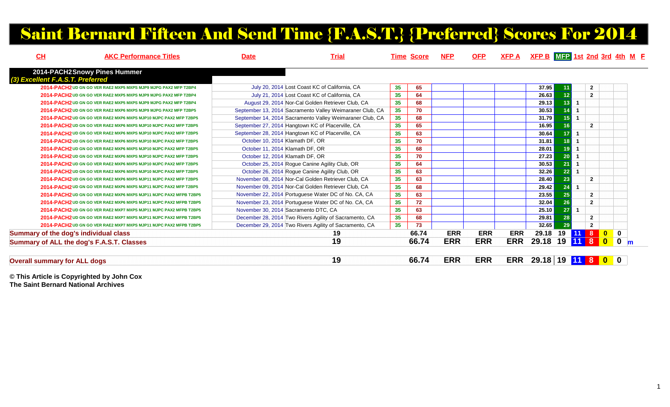# Saint Bernard Fifteen And Send Time {F.A.S.T.} {Preferred} Scores For 2014

| CH                                           | <b>AKC Performance Titles</b>                                     | <b>Date</b>                     | <b>Trial</b>                                             |                 | <b>Time Score</b> | <u>NFP</u> | <u>OFP</u> | <u>XFP A</u> | $XFP B$ $MFP 1st 2nd 3rd 4th M F$ |         |                      |                |                                                                                 |                     |
|----------------------------------------------|-------------------------------------------------------------------|---------------------------------|----------------------------------------------------------|-----------------|-------------------|------------|------------|--------------|-----------------------------------|---------|----------------------|----------------|---------------------------------------------------------------------------------|---------------------|
| 2014-PACH2Snowy Pines Hummer                 |                                                                   |                                 |                                                          |                 |                   |            |            |              |                                   |         |                      |                |                                                                                 |                     |
| (3) Excellent F.A.S.T. Preferred             |                                                                   |                                 |                                                          |                 |                   |            |            |              |                                   |         |                      |                |                                                                                 |                     |
|                                              | 2014-PACH2 UD GN GO VER RAE2 MXP5 MXPS MJP9 MJPG PAX2 MFP T2BP4   |                                 | July 20, 2014 Lost Coast KC of California, CA            | 35              | 65                |            |            |              | 37.95                             | 11      |                      | $\overline{2}$ |                                                                                 |                     |
|                                              | 2014-PACH2 UD GN GO VER RAE2 MXP5 MXPS MJP9 MJPG PAX2 MFP T2BP4   |                                 | July 21, 2014 Lost Coast KC of California, CA            | 35              | 64                |            |            |              | 26.63                             | 12      |                      | $\overline{2}$ |                                                                                 |                     |
|                                              | 2014-PACH2 UD GN GO VER RAE2 MXP5 MXPS MJP9 MJPG PAX2 MFP T2BP4   |                                 | August 29, 2014 Nor-Cal Golden Retriever Club, CA        | 35              | 68                |            |            |              | 29.13                             | 13      |                      |                |                                                                                 |                     |
|                                              | 2014-PACH2 UD GN GO VER RAE2 MXP6 MXPS MJP9 MJPG PAX2 MFP T2BP5   |                                 | September 13, 2014 Sacramento Valley Weimaraner Club, CA | 35              | 70                |            |            |              | 30.53                             |         |                      |                |                                                                                 |                     |
|                                              | 2014-PACH2 UD GN GO VER RAE2 MXP6 MXPS MJP10 MJPC PAX2 MFP T2BP5  |                                 | September 14, 2014 Sacramento Valley Weimaraner Club, CA | 35              | 68                |            |            |              | 31.79                             | 15      |                      |                |                                                                                 |                     |
|                                              | 2014-PACH2 UD GN GO VER RAE2 MXP6 MXPS MJP10 MJPC PAX2 MFP T2BP5  |                                 | September 27, 2014 Hangtown KC of Placerville, CA        | 35              | 65                |            |            |              | 16.95                             | 16      |                      | $\overline{2}$ |                                                                                 |                     |
|                                              | 2014-PACH2 UD GN GO VER RAE2 MXP6 MXPS MJP10 MJPC PAX2 MFP T2BP5  |                                 | September 28, 2014 Hangtown KC of Placerville, CA        | 35              | 63                |            |            |              | 30.64                             | 17      |                      |                |                                                                                 |                     |
|                                              | 2014-PACH2 UD GN GO VER RAE2 MXP6 MXPS MJP10 MJPC PAX2 MFP T2BP5  | October 10, 2014 Klamath DF, OR |                                                          | 35              | 70                |            |            |              | 31.81                             | 18      |                      |                |                                                                                 |                     |
|                                              | 2014-PACH2 UD GN GO VER RAE2 MXP6 MXPS MJP10 MJPC PAX2 MFP T2BP5  | October 11, 2014 Klamath DF, OR |                                                          | 35              | 68                |            |            |              | 28.01                             | 19      |                      |                |                                                                                 |                     |
|                                              | 2014-PACH2 UD GN GO VER RAE2 MXP6 MXPS MJP10 MJPC PAX2 MFP T2BP5  | October 12, 2014 Klamath DF, OR |                                                          | 35              | 70                |            |            |              | 27.23                             | 20      |                      |                |                                                                                 |                     |
|                                              | 2014-PACH2 UD GN GO VER RAE2 MXP6 MXPS MJP10 MJPC PAX2 MFP T2BP5  |                                 | October 25, 2014 Roque Canine Agility Club, OR           | 35              | 64                |            |            |              | 30.53                             | 21      |                      |                |                                                                                 |                     |
|                                              | 2014-PACH2 UD GN GO VER RAE2 MXP6 MXPS MJP10 MJPC PAX2 MFP T2BP5  |                                 | October 26, 2014 Rogue Canine Agility Club, OR           | 35              | 63                |            |            |              | 32.26                             | 22      | $\blacktriangleleft$ |                |                                                                                 |                     |
|                                              | 2014-PACH2 UD GN GO VER RAE2 MXP6 MXPS MJP11 MJPC PAX2 MFP T2BP5  |                                 | November 08, 2014 Nor-Cal Golden Retriever Club, CA      | 35              | 63                |            |            |              | 28.40                             | 23      |                      | $\overline{2}$ |                                                                                 |                     |
|                                              | 2014-PACH2 UD GN GO VER RAE2 MXP6 MXPS MJP11 MJPC PAX2 MFP T2BP5  |                                 | November 09, 2014 Nor-Cal Golden Retriever Club, CA      | 35              | 68                |            |            |              | 29.42                             | 24      |                      |                |                                                                                 |                     |
|                                              | 2014-PACH2 UD GN GO VER RAE2 MXP6 MXPS MJP11 MJPC PAX2 MFPB T2BP5 |                                 | November 22, 2014 Portuguese Water DC of No. CA, CA      | 35              | 63                |            |            |              | 23.55                             | 25      |                      | $\overline{2}$ |                                                                                 |                     |
|                                              | 2014-PACH2 UD GN GO VER RAE2 MXP6 MXPS MJP11 MJPC PAX2 MFPB T2BP5 |                                 | November 23, 2014 Portuguese Water DC of No. CA, CA      | 35 <sub>5</sub> | 72                |            |            |              | 32.04                             | 26      |                      | $\overline{2}$ |                                                                                 |                     |
|                                              | 2014-PACH2 UD GN GO VER RAE2 MXP7 MXPS MJP11 MJPC PAX2 MFPB T2BP5 |                                 | November 30, 2014 Sacramento DTC, CA                     | 35              | 63                |            |            |              | 25.10                             | 27      |                      |                |                                                                                 |                     |
|                                              | 2014-PACH2 UD GN GO VER RAE2 MXP7 MXPS MJP11 MJPC PAX2 MFPB T2BP5 |                                 | December 28, 2014 Two Rivers Agility of Sacramento, CA   | 35              | 68                |            |            |              | 29.81                             | 28      |                      | $\overline{2}$ |                                                                                 |                     |
|                                              | 2014-PACH2 UD GN GO VER RAE2 MXP7 MXPS MJP11 MJPC PAX2 MFPB T2BP5 |                                 | December 29, 2014 Two Rivers Agility of Sacramento, CA   | 35              | 73                |            |            |              | 32.65                             | 29      |                      | $\overline{2}$ |                                                                                 |                     |
| <b>Summary of the dog's individual class</b> |                                                                   |                                 | 19                                                       |                 | 66.74             | <b>ERR</b> | <b>ERR</b> | <b>ERR</b>   | 29.18                             |         | 19 11 8              |                | $\begin{array}{ c c c c c }\hline \textbf{0} & \textbf{0} & \hline \end{array}$ |                     |
| Summary of ALL the dog's F.A.S.T. Classes    |                                                                   |                                 | 19                                                       |                 | 66.74             | <b>ERR</b> | <b>ERR</b> | <b>ERR</b>   | 29.18                             | 19 11 8 |                      |                | <b>OF</b>                                                                       | $\vert$ 0 $\vert$ m |
|                                              |                                                                   |                                 |                                                          |                 |                   |            |            |              |                                   |         |                      |                |                                                                                 |                     |
| <b>Overall summary for ALL dogs</b>          |                                                                   |                                 | 19                                                       |                 | 66.74             | <b>ERR</b> | <b>ERR</b> |              | ERR 29.18 19 11 8 0 0             |         |                      |                |                                                                                 |                     |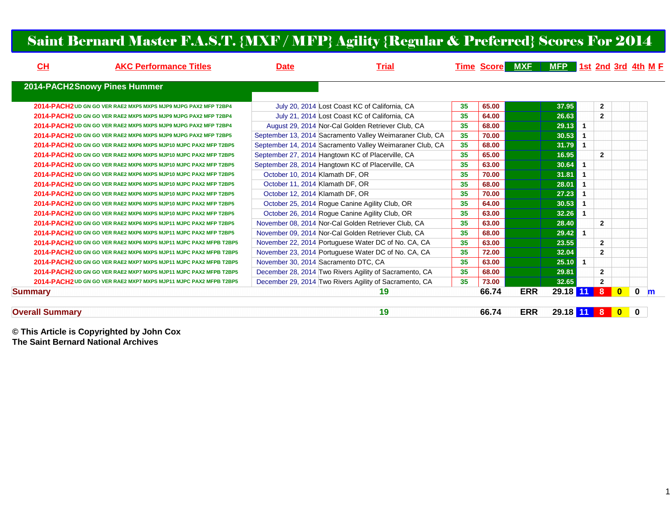### Saint Bernard Master F.A.S.T. {MXF / MFP} Agility {Regular & Preferred} Scores For 2014

| CH                     | <b>AKC Performance Titles</b>                                     | <b>Date</b> | <b>Trial</b>                                             |    |       | <b>Time Score MXF</b> | MFP 1st 2nd 3rd 4th M F |                      |                |           |                  |
|------------------------|-------------------------------------------------------------------|-------------|----------------------------------------------------------|----|-------|-----------------------|-------------------------|----------------------|----------------|-----------|------------------|
|                        | 2014-PACH2Snowy Pines Hummer                                      |             |                                                          |    |       |                       |                         |                      |                |           |                  |
|                        | 2014-PACH2 UD GN GO VER RAE2 MXP5 MXPS MJP9 MJPG PAX2 MFP T2BP4   |             | July 20, 2014 Lost Coast KC of California, CA            | 35 | 65.00 |                       | 37.95                   |                      | $\overline{2}$ |           |                  |
|                        | 2014-PACH2 UD GN GO VER RAE2 MXP5 MXPS MJP9 MJPG PAX2 MFP T2BP4   |             | July 21, 2014 Lost Coast KC of California, CA            | 35 | 64.00 |                       | 26.63                   |                      | $\overline{2}$ |           |                  |
|                        | 2014-PACH2 UD GN GO VER RAE2 MXP5 MXPS MJP9 MJPG PAX2 MFP T2BP4   |             | August 29, 2014 Nor-Cal Golden Retriever Club, CA        | 35 | 68.00 |                       | 29.13                   | $\blacktriangleleft$ |                |           |                  |
|                        | 2014-PACH2 UD GN GO VER RAE2 MXP6 MXPS MJP9 MJPG PAX2 MFP T2BP5   |             | September 13, 2014 Sacramento Valley Weimaraner Club, CA | 35 | 70.00 |                       | 30.53                   |                      |                |           |                  |
|                        | 2014-PACH2 UD GN GO VER RAE2 MXP6 MXPS MJP10 MJPC PAX2 MFP T2BP5  |             | September 14, 2014 Sacramento Valley Weimaraner Club, CA | 35 | 68.00 |                       | 31.79                   | $\blacktriangleleft$ |                |           |                  |
|                        | 2014-PACH2 UD GN GO VER RAE2 MXP6 MXPS MJP10 MJPC PAX2 MFP T2BP5  |             | September 27, 2014 Hangtown KC of Placerville, CA        | 35 | 65.00 |                       | 16.95                   |                      | $\overline{2}$ |           |                  |
|                        | 2014-PACH2 UD GN GO VER RAE2 MXP6 MXPS MJP10 MJPC PAX2 MFP T2BP5  |             | September 28, 2014 Hangtown KC of Placerville, CA        | 35 | 63.00 |                       | 30.64                   |                      |                |           |                  |
|                        | 2014-PACH2 UD GN GO VER RAE2 MXP6 MXPS MJP10 MJPC PAX2 MFP T2BP5  |             | October 10, 2014 Klamath DF, OR                          | 35 | 70.00 |                       | 31.81                   |                      |                |           |                  |
|                        | 2014-PACH2 UD GN GO VER RAE2 MXP6 MXPS MJP10 MJPC PAX2 MFP T2BP5  |             | October 11, 2014 Klamath DF, OR                          | 35 | 68.00 |                       | 28.01                   |                      |                |           |                  |
|                        | 2014-PACH2 UD GN GO VER RAE2 MXP6 MXPS MJP10 MJPC PAX2 MFP T2BP5  |             | October 12, 2014 Klamath DF, OR                          | 35 | 70.00 |                       | 27.23                   |                      |                |           |                  |
|                        | 2014-PACH2 UD GN GO VER RAE2 MXP6 MXPS MJP10 MJPC PAX2 MFP T2BP5  |             | October 25, 2014 Rogue Canine Agility Club, OR           | 35 | 64.00 |                       | 30.53                   |                      |                |           |                  |
|                        | 2014-PACH2 UD GN GO VER RAE2 MXP6 MXPS MJP10 MJPC PAX2 MFP T2BP5  |             | October 26, 2014 Roque Canine Agility Club, OR           | 35 | 63.00 |                       | 32.26                   | $\mathbf{1}$         |                |           |                  |
|                        | 2014-PACH2 UD GN GO VER RAE2 MXP6 MXPS MJP11 MJPC PAX2 MFP T2BP5  |             | November 08, 2014 Nor-Cal Golden Retriever Club, CA      | 35 | 63.00 |                       | 28.40                   |                      | $\mathbf{2}$   |           |                  |
|                        | 2014-PACH2 UD GN GO VER RAE2 MXP6 MXPS MJP11 MJPC PAX2 MFP T2BP5  |             | November 09, 2014 Nor-Cal Golden Retriever Club, CA      | 35 | 68.00 |                       | 29.42                   | $\blacktriangleleft$ |                |           |                  |
|                        | 2014-PACH2 UD GN GO VER RAE2 MXP6 MXPS MJP11 MJPC PAX2 MFPB T2BP5 |             | November 22, 2014 Portuguese Water DC of No. CA, CA      | 35 | 63.00 |                       | 23.55                   |                      | $\overline{2}$ |           |                  |
|                        | 2014-PACH2 UD GN GO VER RAE2 MXP6 MXPS MJP11 MJPC PAX2 MFPB T2BP5 |             | November 23, 2014 Portuguese Water DC of No. CA, CA      | 35 | 72.00 |                       | 32.04                   |                      | $\overline{2}$ |           |                  |
|                        | 2014-PACH2 UD GN GO VER RAE2 MXP7 MXPS MJP11 MJPC PAX2 MFPB T2BP5 |             | November 30, 2014 Sacramento DTC, CA                     | 35 | 63.00 |                       | 25.10                   | $\blacktriangleleft$ |                |           |                  |
|                        | 2014-PACH2 UD GN GO VER RAE2 MXP7 MXPS MJP11 MJPC PAX2 MFPB T2BP5 |             | December 28, 2014 Two Rivers Agility of Sacramento, CA   | 35 | 68.00 |                       | 29.81                   |                      | $\mathbf{2}$   |           |                  |
|                        | 2014-PACH2 UD GN GO VER RAE2 MXP7 MXPS MJP11 MJPC PAX2 MFPB T2BP5 |             | December 29, 2014 Two Rivers Agility of Sacramento, CA   | 35 | 73.00 |                       | 32.65                   |                      | $\mathbf{2}$   |           |                  |
| <b>Summary</b>         |                                                                   |             | 19                                                       |    | 66.74 | <b>ERR</b>            | 29.18 11                |                      | 8              | $\bullet$ | $\mathbf 0$<br>m |
| <b>Overall Summary</b> |                                                                   |             | 19                                                       |    | 66.74 | <b>ERR</b>            | 29.18 11 8 0 0          |                      |                |           |                  |

#### **Overall Summary**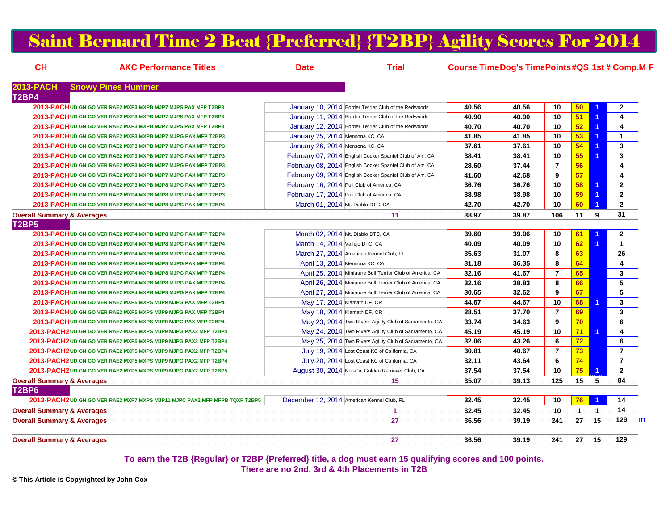### Saint Bernard Time 2 Beat {Preferred} {T2BP} Agility Scores For 2014

| CL<br><b>AKC Performance Titles</b>                                        | <b>Date</b><br><b>Trial</b>                               | Course Time Dog's Time Points #QS 1st # Comp.M E |       |                |                 |                      |                         |
|----------------------------------------------------------------------------|-----------------------------------------------------------|--------------------------------------------------|-------|----------------|-----------------|----------------------|-------------------------|
| <b>2013-PACH</b><br><b>Snowy Pines Hummer</b>                              |                                                           |                                                  |       |                |                 |                      |                         |
| T <sub>2</sub> BP4                                                         |                                                           |                                                  |       |                |                 |                      |                         |
| 2013-PACH UD GN GO VER RAE2 MXP3 MXPB MJP7 MJPS PAX MFP T2BP3              | January 10, 2014 Border Terrier Club of the Redwoods      | 40.56                                            | 40.56 | 10             | 50 <sub>2</sub> |                      | $\mathbf{2}$            |
| 2013-PACH UD GN GO VER RAE2 MXP3 MXPB MJP7 MJPS PAX MFP T2BP3              | January 11, 2014 Border Terrier Club of the Redwoods      | 40.90                                            | 40.90 | 10             | 51              | -1                   | $\overline{\mathbf{4}}$ |
| 2013-PACH UD GN GO VER RAE2 MXP3 MXPB MJP7 MJPS PAX MFP T2BP3              | January 12, 2014 Border Terrier Club of the Redwoods      | 40.70                                            | 40.70 | 10             | 52              | 1                    | $\overline{\mathbf{4}}$ |
| 2013-PACH UD GN GO VER RAE2 MXP3 MXPB MJP7 MJPG PAX MFP T2BP3              | January 25, 2014 Mensona KC, CA                           | 41.85                                            | 41.85 | 10             | 53              | 1                    | $\mathbf{1}$            |
| 2013-PACH UD GN GO VER RAE2 MXP3 MXPB MJP7 MJPG PAX MFP T2BP3              | January 26, 2014 Mensona KC, CA                           | 37.61                                            | 37.61 | 10             | 54              | $\blacktriangleleft$ | $\mathbf{3}$            |
| 2013-PACH UD GN GO VER RAE2 MXP3 MXPB MJP7 MJPG PAX MFP T2BP3              | February 07, 2014 English Cocker Spaniel Club of Am. CA   | 38.41                                            | 38.41 | 10             | 55              | $\blacktriangleleft$ | 3                       |
| 2013-PACH UD GN GO VER RAE2 MXP3 MXPB MJP7 MJPG PAX MFP T2BP3              | February 08, 2014 English Cocker Spaniel Club of Am. CA   | 28.60                                            | 37.44 | $\overline{7}$ | 56              |                      | $\overline{4}$          |
| 2013-PACH UD GN GO VER RAE2 MXP3 MXPB MJP7 MJPG PAX MFP T2BP3              | February 09, 2014 English Cocker Spaniel Club of Am. CA   | 41.60                                            | 42.68 | 9              | 57              |                      | $\overline{\mathbf{4}}$ |
| 2013-PACH UD GN GO VER RAE2 MXP3 MXPB MJP8 MJPG PAX MFP T2BP3              | February 16, 2014 Puli Club of America, CA                | 36.76                                            | 36.76 | 10             | 58              | $\blacktriangleleft$ | $\overline{2}$          |
| 2013-PACH UD GN GO VER RAE2 MXP4 MXPB MJP8 MJPG PAX MFP T2BP3              | February 17, 2014 Puli Club of America, CA                | 38.98                                            | 38.98 | 10             | 59              | 1                    | $\overline{2}$          |
| 2013-PACH UD GN GO VER RAE2 MXP4 MXPB MJP8 MJPG PAX MFP T2BP4              | March 01, 2014 Mt. Diablo DTC, CA                         | 42.70                                            | 42.70 | 10             | 60              | $\blacktriangleleft$ | $\overline{2}$          |
| <b>Overall Summary &amp; Averages</b>                                      | 11                                                        | 38.97                                            | 39.87 | 106            | 11              | 9                    | 31                      |
| <b>T2BP5</b>                                                               |                                                           |                                                  |       |                |                 |                      |                         |
| 2013-PACH UD GN GO VER RAE2 MXP4 MXPB MJP8 MJPG PAX MFP T2BP4              | March 02, 2014 Mt. Diablo DTC, CA                         | 39.60                                            | 39.06 | 10             | 61              | $\blacktriangleleft$ | $\mathbf{2}$            |
| 2013-PACH UD GN GO VER RAE2 MXP4 MXPB MJP8 MJPG PAX MFP T2BP4              | March 14, 2014 Vallejo DTC, CA                            | 40.09                                            | 40.09 | 10             | 62              | $\blacktriangleleft$ | $\mathbf{1}$            |
| 2013-PACH UD GN GO VER RAE2 MXP4 MXPB MJP8 MJPG PAX MFP T2BP4              | March 27, 2014 American Kennel Club, FL                   | 35.63                                            | 31.07 | 8              | 63              |                      | 26                      |
| 2013-PACH UD GN GO VER RAE2 MXP4 MXPB MJP8 MJPG PAX MFP T2BP4              | April 13, 2014 Mensona KC, CA                             | 31.18                                            | 36.35 | 8              | 64              |                      | $\overline{4}$          |
| 2013-PACH UD GN GO VER RAE2 MXP4 MXPB MJP8 MJPG PAX MFP T2BP4              | April 25, 2014 Miniature Bull Terrier Club of America, CA | 32.16                                            | 41.67 | $\overline{7}$ | 65              |                      | $\mathbf{3}$            |
| 2013-PACH UD GN GO VER RAE2 MXP4 MXPB MJP8 MJPG PAX MFP T2BP4              | April 26, 2014 Miniature Bull Terrier Club of America, CA | 32.16                                            | 38.83 | 8              | 66              |                      | 5                       |
| 2013-PACH UD GN GO VER RAE2 MXP4 MXPB MJP8 MJPG PAX MFP T2BP4              | April 27, 2014 Miniature Bull Terrier Club of America, CA | 30.65                                            | 32.62 | 9              | 67              |                      | 5                       |
| 2013-PACH UD GN GO VER RAE2 MXP5 MXPS MJP9 MJPG PAX MFP T2BP4              | May 17, 2014 Klamath DF, OR                               | 44.67                                            | 44.67 | 10             | 68              | 1                    | $\mathbf{3}$            |
| 2013-PACH UD GN GO VER RAE2 MXP5 MXPS MJP9 MJPG PAX MFP T2BP4              | May 18, 2014 Klamath DF, OR                               | 28.51                                            | 37.70 | $\overline{7}$ | 69              |                      | $\overline{\mathbf{3}}$ |
| 2013-PACH UD GN GO VER RAE2 MXP5 MXPS MJP9 MJPG PAX MFP T2BP4              | May 23, 2014 Two Rivers Agility Club of Sacramento, CA    | 33.74                                            | 34.63 | 9              | 70 <sub>1</sub> |                      | 6                       |
| 2013-PACH2 UD GN GO VER RAE2 MXP5 MXPS MJP9 MJPG PAX2 MFP T2BP4            | May 24, 2014 Two Rivers Agility Club of Sacramento, CA    | 45.19                                            | 45.19 | 10             | 71              | $\blacktriangleleft$ | 4                       |
| 2013-PACH2 UD GN GO VER RAE2 MXP5 MXPS MJP9 MJPG PAX2 MFP T2BP4            | May 25, 2014 Two Rivers Agility Club of Sacramento, CA    | 32.06                                            | 43.26 | 6              | 72              |                      | 6                       |
| 2013-PACH2 UD GN GO VER RAE2 MXP5 MXPS MJP9 MJPG PAX2 MFP T2BP4            | July 19, 2014 Lost Coast KC of California, CA             | 30.81                                            | 40.67 | $\overline{7}$ | 73              |                      | $\overline{7}$          |
| 2013-PACH2 UD GN GO VER RAE2 MXP5 MXPS MJP9 MJPG PAX2 MFP T2BP4            | July 20, 2014 Lost Coast KC of California, CA             | 32.11                                            | 43.64 | 6              | 74              |                      | $\overline{7}$          |
| 2013-PACH2 UD GN GO VER RAE2 MXP5 MXPS MJP9 MJPG PAX2 MFP T2BP5            | August 30, 2014 Nor-Cal Golden Retriever Club, CA         | 37.54                                            | 37.54 | 10             | 75              | 1                    | $\overline{2}$          |
| <b>Overall Summary &amp; Averages</b>                                      | 15                                                        | 35.07                                            | 39.13 | 125            | 15 <sub>1</sub> | 5                    | 84                      |
| T2BP6                                                                      |                                                           |                                                  |       |                |                 |                      |                         |
| 2013-PACH2 UD GN GO VER RAE2 MXP7 MXPS MJP11 MJPC PAX2 MFP MFPB TQXP T2BP5 | December 12, 2014 American Kennel Club, FL                | 32.45                                            | 32.45 | 10             | 76              |                      | 14                      |
| <b>Overall Summary &amp; Averages</b>                                      | $\blacktriangleleft$                                      | 32.45                                            | 32.45 | 10             | $\mathbf{1}$    | $\mathbf{1}$         | 14                      |
| <b>Overall Summary &amp; Averages</b>                                      | 27                                                        | 36.56                                            | 39.19 | 241            | 27              | 15                   | 129                     |
| <b>Overall Summary &amp; Averages</b>                                      | 27                                                        | 36.56                                            | 39.19 | 241            | 27              | 15                   | 129                     |

**To earn the T2B {Regular} or T2BP {Preferred} title, a dog must earn 15 qualifying scores and 100 points.There are no 2nd, 3rd & 4th Placements in T2B**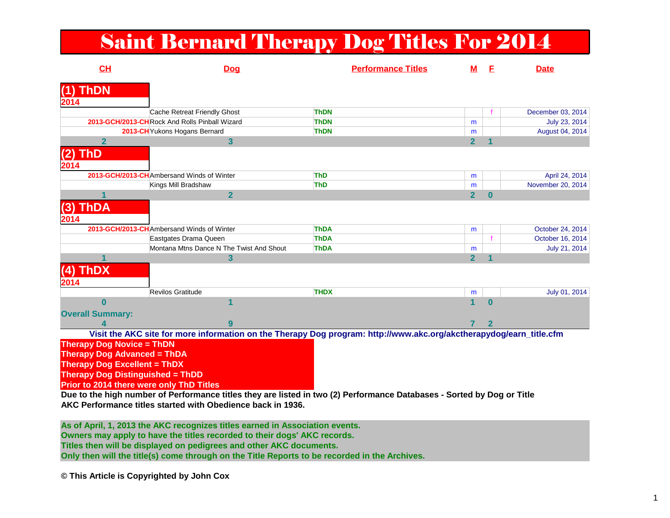# Saint Bernard Therapy Dog Titles For 2014

| CH                                       | <b>Dog</b>                                                                                                          | <b>Performance Titles</b> | м              | F        | <b>Date</b>       |
|------------------------------------------|---------------------------------------------------------------------------------------------------------------------|---------------------------|----------------|----------|-------------------|
| <b>ThDN</b><br>(1)                       |                                                                                                                     |                           |                |          |                   |
| 2014                                     |                                                                                                                     |                           |                |          |                   |
|                                          | Cache Retreat Friendly Ghost                                                                                        | <b>ThDN</b>               |                |          | December 03, 2014 |
|                                          | 2013-GCH/2013-CHRock And Rolls Pinball Wizard                                                                       | <b>ThDN</b>               | m              |          | July 23, 2014     |
|                                          | 2013-CH Yukons Hogans Bernard                                                                                       | <b>ThDN</b>               | m              |          | August 04, 2014   |
| $\mathbf{2}$                             | $\mathbf{3}$                                                                                                        |                           | $\overline{2}$ |          |                   |
| ThD<br>(2)                               |                                                                                                                     |                           |                |          |                   |
| 2014                                     |                                                                                                                     |                           |                |          |                   |
|                                          | 2013-GCH/2013-CHAmbersand Winds of Winter                                                                           | <b>ThD</b>                | m              |          | April 24, 2014    |
|                                          | Kings Mill Bradshaw                                                                                                 | <b>ThD</b>                | m              |          | November 20, 2014 |
|                                          | $\overline{2}$                                                                                                      |                           | $\overline{2}$ | $\bf{0}$ |                   |
| <b>ThDA</b><br>(3)                       |                                                                                                                     |                           |                |          |                   |
| 2014                                     |                                                                                                                     |                           |                |          |                   |
|                                          | 2013-GCH/2013-CH Ambersand Winds of Winter                                                                          | <b>ThDA</b>               | m              |          | October 24, 2014  |
|                                          | Eastgates Drama Queen                                                                                               | <b>ThDA</b>               |                |          | October 16, 2014  |
|                                          | Montana Mtns Dance N The Twist And Shout                                                                            | <b>ThDA</b>               | m              |          | July 21, 2014     |
|                                          | 3                                                                                                                   |                           | $\overline{2}$ |          |                   |
| <b>ThDX</b><br>(4)                       |                                                                                                                     |                           |                |          |                   |
| 2014                                     |                                                                                                                     |                           |                |          |                   |
|                                          | Revilos Gratitude                                                                                                   | <b>THDX</b>               | m              |          | July 01, 2014     |
| $\bf{0}$                                 |                                                                                                                     |                           | 1              | $\Omega$ |                   |
| <b>Overall Summary:</b>                  |                                                                                                                     |                           |                |          |                   |
|                                          |                                                                                                                     |                           |                | 2        |                   |
|                                          | Visit the AKC site for more information on the Therapy Dog program: http://www.akc.org/akctherapydog/earn_title.cfm |                           |                |          |                   |
| <b>Therapy Dog Novice = ThDN</b>         |                                                                                                                     |                           |                |          |                   |
| <b>Therapy Dog Advanced = ThDA</b>       |                                                                                                                     |                           |                |          |                   |
| <b>Therapy Dog Excellent = ThDX</b>      |                                                                                                                     |                           |                |          |                   |
| <b>Therapy Dog Distinguished = ThDD</b>  |                                                                                                                     |                           |                |          |                   |
| Prior to 2014 there were only ThD Titles |                                                                                                                     |                           |                |          |                   |
|                                          |                                                                                                                     |                           |                |          |                   |

 **Due to the high number of Performance titles they are listed in two (2) Performance Databases - Sorted by Dog or TitleAKC Performance titles started with Obedience back in 1936.**

**As of April, 1, 2013 the AKC recognizes titles earned in Association events.Owners may apply to have the titles recorded to their dogs' AKC records. Titles then will be displayed on pedigrees and other AKC documents. Only then will the title(s) come through on the Title Reports to be recorded in the Archives.**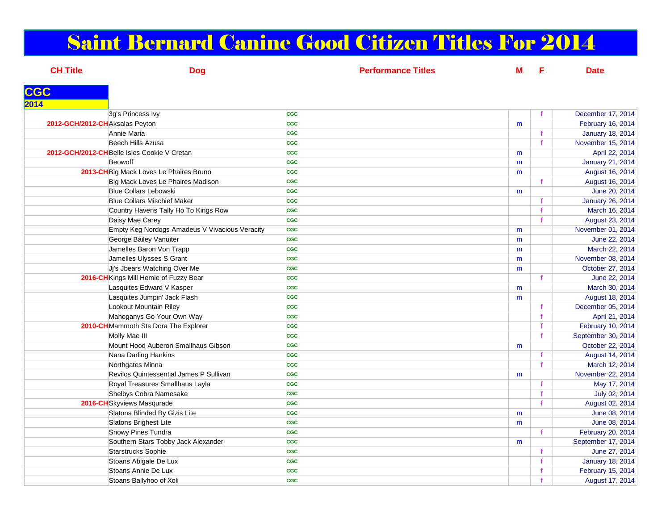# Saint Bernard Canine Good Citizen Titles For 2014

| <b>CH Title</b>                 | <b>Dog</b>                                     | <b>Performance Titles</b> | <u>M</u> | E            | <b>Date</b>             |
|---------------------------------|------------------------------------------------|---------------------------|----------|--------------|-------------------------|
|                                 |                                                |                           |          |              |                         |
| <b>CGC</b>                      |                                                |                           |          |              |                         |
| 2014                            |                                                |                           |          |              |                         |
|                                 | 3g's Princess Ivy                              | <b>CGC</b>                |          |              | December 17, 2014       |
| 2012-GCH/2012-CH Aksalas Peyton |                                                | <b>CGC</b>                | m        |              | February 16, 2014       |
|                                 | Annie Maria                                    | <b>CGC</b>                |          |              | <b>January 18, 2014</b> |
|                                 | Beech Hills Azusa                              | <b>CGC</b>                |          | $\mathbf{f}$ | November 15, 2014       |
|                                 | 2012-GCH/2012-CH Belle Isles Cookie V Cretan   | <b>CGC</b>                | m        |              | April 22, 2014          |
|                                 | Beowoff                                        | <b>CGC</b>                | m        |              | January 21, 2014        |
|                                 | 2013-CH Big Mack Loves Le Phaires Bruno        | <b>CGC</b>                | m        |              | August 16, 2014         |
|                                 | Big Mack Loves Le Phaires Madison              | <b>CGC</b>                |          | $\mathbf f$  | August 16, 2014         |
|                                 | <b>Blue Collars Lebowski</b>                   | <b>CGC</b>                | m        |              | June 20, 2014           |
|                                 | <b>Blue Collars Mischief Maker</b>             | <b>CGC</b>                |          |              | January 26, 2014        |
|                                 | Country Havens Tally Ho To Kings Row           | <b>CGC</b>                |          | $\mathbf{f}$ | March 16, 2014          |
|                                 | Daisy Mae Carey                                | <b>CGC</b>                |          |              | August 23, 2014         |
|                                 | Empty Keg Nordogs Amadeus V Vivacious Veracity | <b>CGC</b>                | m        |              | November 01, 2014       |
|                                 | George Bailey Vanuiter                         | <b>CGC</b>                | m        |              | June 22, 2014           |
|                                 | Jamelles Baron Von Trapp                       | <b>CGC</b>                | m        |              | March 22, 2014          |
|                                 | Jamelles Ulysses S Grant                       | <b>CGC</b>                | m        |              | November 08, 2014       |
|                                 | Ji's Jbears Watching Over Me                   | <b>CGC</b>                | m        |              | October 27, 2014        |
|                                 | 2016-CH Kings Mill Hemie of Fuzzy Bear         | <b>CGC</b>                |          | $\mathbf{f}$ | June 22, 2014           |
|                                 | Lasquites Edward V Kasper                      | <b>CGC</b>                | m        |              | March 30, 2014          |
|                                 | Lasquites Jumpin' Jack Flash                   | <b>CGC</b>                | m        |              | August 18, 2014         |
|                                 | Lookout Mountain Riley                         | <b>CGC</b>                |          |              | December 05, 2014       |
|                                 | Mahoganys Go Your Own Way                      | <b>CGC</b>                |          | $\mathbf{f}$ | April 21, 2014          |
|                                 | 2010-CH Mammoth Sts Dora The Explorer          | <b>CGC</b>                |          |              | February 10, 2014       |
|                                 | Molly Mae III                                  | <b>CGC</b>                |          |              | September 30, 2014      |
|                                 | Mount Hood Auberon Smallhaus Gibson            | <b>CGC</b>                | m        |              | October 22, 2014        |
|                                 | Nana Darling Hankins                           | <b>CGC</b>                |          | f            | August 14, 2014         |
|                                 | Northgates Minna                               | <b>CGC</b>                |          | $\mathbf{f}$ | March 12, 2014          |
|                                 | Revilos Quintessential James P Sullivan        | <b>CGC</b>                | m        |              | November 22, 2014       |
|                                 | Royal Treasures Smallhaus Layla                | <b>CGC</b>                |          | $\mathbf f$  | May 17, 2014            |
|                                 | Shelbys Cobra Namesake                         | <b>CGC</b>                |          | $\mathbf f$  | July 02, 2014           |
|                                 | 2016-CH Skyviews Masqurade                     | <b>CGC</b>                |          | $\mathbf{f}$ | August 02, 2014         |
|                                 | Slatons Blinded By Gizis Lite                  | <b>CGC</b>                | m        |              | June 08, 2014           |
|                                 | Slatons Brighest Lite                          | <b>CGC</b>                | m        |              | June 08, 2014           |
|                                 | <b>Snowy Pines Tundra</b>                      | <b>CGC</b>                |          | f            | February 20, 2014       |
|                                 | Southern Stars Tobby Jack Alexander            | <b>CGC</b>                | m        |              | September 17, 2014      |
|                                 | Starstrucks Sophie                             | <b>CGC</b>                |          | $\mathbf f$  | June 27, 2014           |
|                                 | Stoans Abigale De Lux                          | <b>CGC</b>                |          | $\mathbf f$  | <b>January 18, 2014</b> |
|                                 | Stoans Annie De Lux                            | <b>CGC</b>                |          |              | February 15, 2014       |
|                                 | Stoans Ballyhoo of Xoli                        | <b>CGC</b>                |          |              | August 17, 2014         |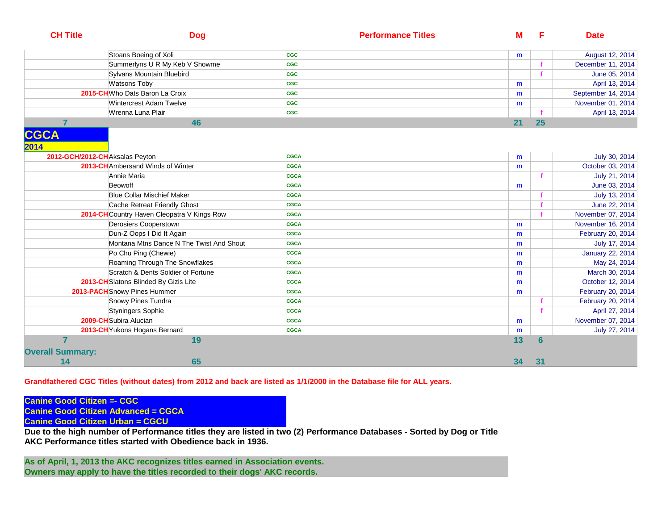| <b>CH Title</b>         | <b>Dog</b>                                  | <b>Performance Titles</b> | <u>M</u> | E               | <b>Date</b>             |
|-------------------------|---------------------------------------------|---------------------------|----------|-----------------|-------------------------|
|                         | Stoans Boeing of Xoli                       | <b>CGC</b>                | m        |                 | August 12, 2014         |
|                         | Summerlyns U R My Keb V Showme              | <b>CGC</b>                |          |                 | December 11, 2014       |
|                         | Sylvans Mountain Bluebird                   | <b>CGC</b>                |          |                 | June 05, 2014           |
|                         | <b>Watsons Toby</b>                         | <b>CGC</b>                | m        |                 | April 13, 2014          |
|                         | 2015-CH Who Dats Baron La Croix             | <b>CGC</b>                | m        |                 | September 14, 2014      |
|                         | Wintercrest Adam Twelve                     | <b>CGC</b>                | m        |                 | November 01, 2014       |
|                         | Wrenna Luna Plair                           | <b>CGC</b>                |          |                 | April 13, 2014          |
| $\overline{7}$          | 46                                          |                           | 21       | 25              |                         |
| <b>CGCA</b><br>2014     |                                             |                           |          |                 |                         |
|                         | 2012-GCH/2012-CHAksalas Peyton              | <b>CGCA</b>               | m        |                 | July 30, 2014           |
|                         | 2013-CH Ambersand Winds of Winter           | <b>CGCA</b>               | m        |                 | October 03, 2014        |
|                         | Annie Maria                                 | <b>CGCA</b>               |          |                 | July 21, 2014           |
|                         | Beowoff                                     | <b>CGCA</b>               | m        |                 | June 03, 2014           |
|                         | <b>Blue Collar Mischief Maker</b>           | <b>CGCA</b>               |          |                 | July 13, 2014           |
|                         | Cache Retreat Friendly Ghost                | <b>CGCA</b>               |          |                 | June 22, 2014           |
|                         | 2014-CH Country Haven Cleopatra V Kings Row | <b>CGCA</b>               |          |                 | November 07, 2014       |
|                         | Derosiers Cooperstown                       | <b>CGCA</b>               | m        |                 | November 16, 2014       |
|                         | Dun-Z Oops I Did It Again                   | <b>CGCA</b>               | m        |                 | February 20, 2014       |
|                         | Montana Mtns Dance N The Twist And Shout    | <b>CGCA</b>               | m        |                 | July 17, 2014           |
|                         | Po Chu Ping (Chewie)                        | <b>CGCA</b>               | m        |                 | <b>January 22, 2014</b> |
|                         | Roaming Through The Snowflakes              | <b>CGCA</b>               | m        |                 | May 24, 2014            |
|                         | Scratch & Dents Soldier of Fortune          | <b>CGCA</b>               | m        |                 | March 30, 2014          |
|                         | 2013-CH Slatons Blinded By Gizis Lite       | <b>CGCA</b>               | m        |                 | October 12, 2014        |
|                         | 2013-PACH Snowy Pines Hummer                | <b>CGCA</b>               | m        |                 | February 20, 2014       |
|                         | Snowy Pines Tundra                          | <b>CGCA</b>               |          |                 | February 20, 2014       |
|                         | Styningers Sophie                           | <b>CGCA</b>               |          |                 | April 27, 2014          |
|                         | 2009-CH Subira Alucian                      | <b>CGCA</b>               | m        |                 | November 07, 2014       |
|                         | 2013-CH Yukons Hogans Bernard               | <b>CGCA</b>               | m        |                 | July 27, 2014           |
| 7                       | 19                                          |                           | 13       | $6\phantom{1}6$ |                         |
| <b>Overall Summary:</b> |                                             |                           |          |                 |                         |
| 14                      | 65                                          |                           | 34       | 31              |                         |

**Grandfathered CGC Titles (without dates) from 2012 and back are listed as 1/1/2000 in the Database file for ALL years.** 

**Canine Good Citizen =- CGCCanine Good Citizen Advanced = CGCA**

**Canine Good Citizen Urban = CGCU**

 **Due to the high number of Performance titles they are listed in two (2) Performance Databases - Sorted by Dog or TitleAKC Performance titles started with Obedience back in 1936.**

**As of April, 1, 2013 the AKC recognizes titles earned in Association events.Owners may apply to have the titles recorded to their dogs' AKC records.**